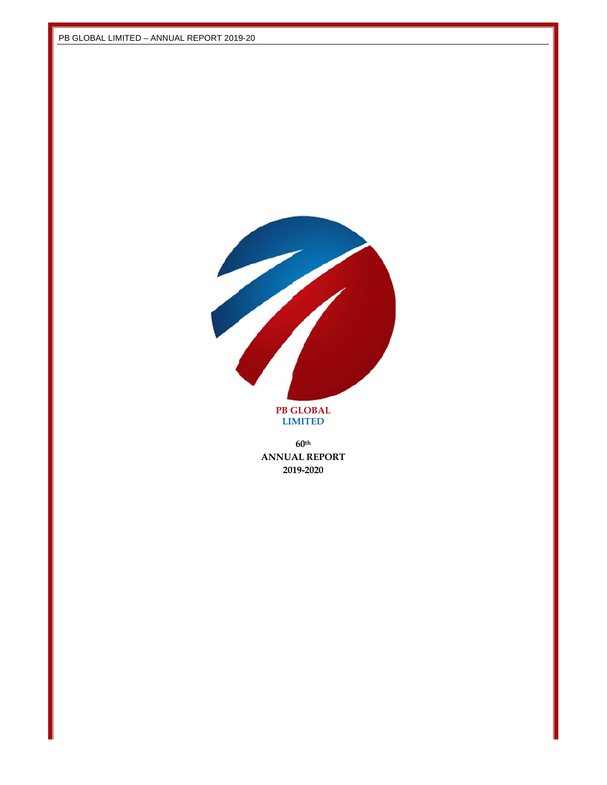

**LIM MITED** 

**ANNUA AL REPORT 20 19-202060th**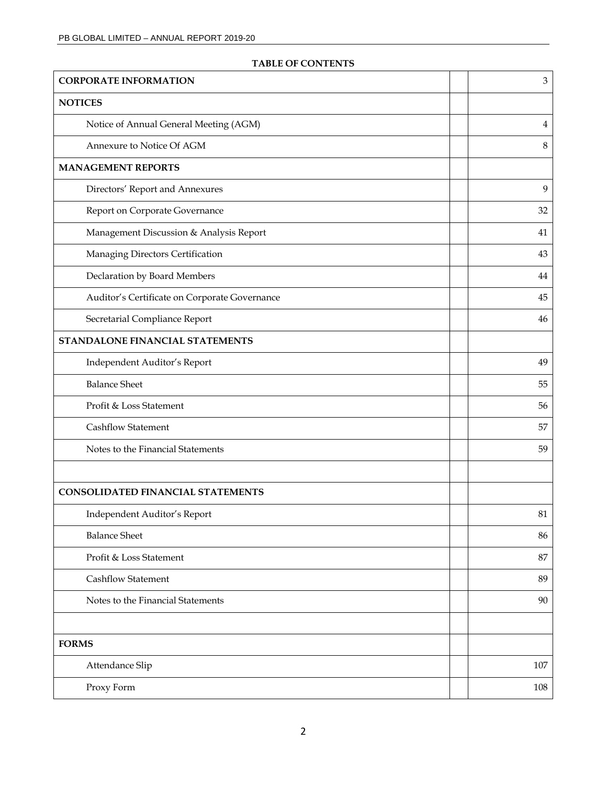| <b>CORPORATE INFORMATION</b>                  | $\mathfrak{Z}$ |
|-----------------------------------------------|----------------|
| <b>NOTICES</b>                                |                |
| Notice of Annual General Meeting (AGM)        | 4              |
| Annexure to Notice Of AGM                     | 8              |
| <b>MANAGEMENT REPORTS</b>                     |                |
| Directors' Report and Annexures               | 9              |
| Report on Corporate Governance                | 32             |
| Management Discussion & Analysis Report       | 41             |
| Managing Directors Certification              | 43             |
| Declaration by Board Members                  | 44             |
| Auditor's Certificate on Corporate Governance | 45             |
| Secretarial Compliance Report                 | 46             |
| STANDALONE FINANCIAL STATEMENTS               |                |
| Independent Auditor's Report                  | 49             |
| <b>Balance Sheet</b>                          | 55             |
| Profit & Loss Statement                       | 56             |
| <b>Cashflow Statement</b>                     | 57             |
| Notes to the Financial Statements             | 59             |
|                                               |                |
| CONSOLIDATED FINANCIAL STATEMENTS             |                |
| Independent Auditor's Report                  | 81             |
| <b>Balance Sheet</b>                          | 86             |
| Profit & Loss Statement                       | 87             |
| <b>Cashflow Statement</b>                     | 89             |
| Notes to the Financial Statements             | 90             |
|                                               |                |
| <b>FORMS</b>                                  |                |
| Attendance Slip                               | 107            |
| Proxy Form                                    | 108            |

# **TABLE OF CONTENTS**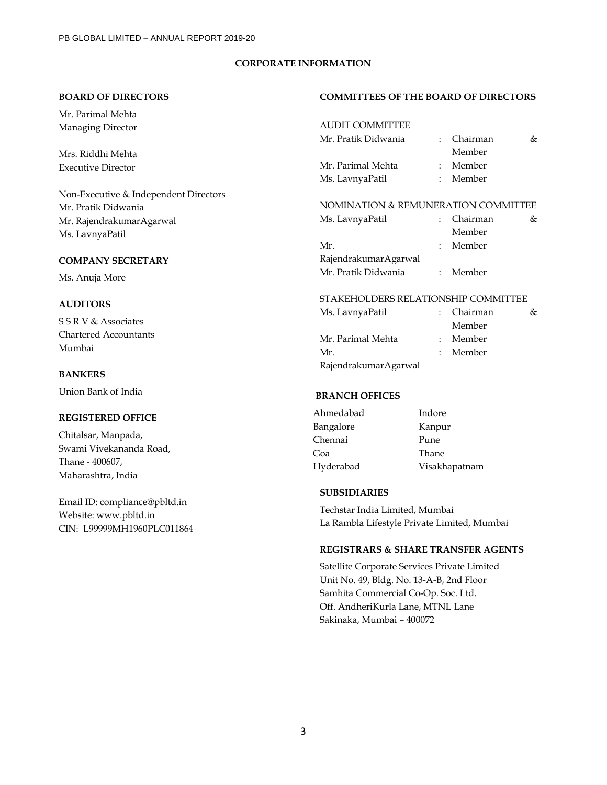### **CORPORATE INFORMATION**

#### **BOARD OF DIRECTORS**

Mr. Parimal Mehta Managing Director

Mrs. Riddhi Mehta Executive Director

Non-Executive & Independent Directors Mr. Pratik Didwania Mr. RajendrakumarAgarwal Ms. LavnyaPatil

### **COMPANY SECRETARY**

Ms. Anuja More

### **AUDITORS**

S S R V & Associates Chartered Accountants Mumbai

### **BANKERS**

Union Bank of India

## **REGISTERED OFFICE**

Chitalsar, Manpada, Swami Vivekananda Road, Thane - 400607, Maharashtra, India

Email ID: compliance@pbltd.in Website: www.pbltd.in CIN: L99999MH1960PLC011864

#### **COMMITTEES OF THE BOARD OF DIRECTORS**

### AUDIT COMMITTEE

| Mr. Pratik Didwania | : Chairman | őτ |
|---------------------|------------|----|
|                     | Member     |    |
| Mr. Parimal Mehta   | : Member   |    |
| Ms. LavnyaPatil     | : Member   |    |

#### NOMINATION & REMUNERATION COMMITTEE

| Ms. LavnyaPatil      |             | : Chairman | & |
|----------------------|-------------|------------|---|
|                      |             | Member     |   |
| Mr.                  | $\bullet$ . | Member     |   |
| RajendrakumarAgarwal |             |            |   |
| Mr. Pratik Didwania  |             | : Member   |   |

# STAKEHOLDERS RELATIONSHIP COMMITTEE

| Ms. LavnyaPatil      | : Chairman | & |
|----------------------|------------|---|
|                      | Member     |   |
| Mr. Parimal Mehta    | : Member   |   |
| Mr.                  | : Member   |   |
| RajendrakumarAgarwal |            |   |

### **BRANCH OFFICES**

| Ahmedabad | Indore        |
|-----------|---------------|
| Bangalore | Kanpur        |
| Chennai   | Pune          |
| Goa       | Thane         |
| Hyderabad | Visakhapatnam |

### **SUBSIDIARIES**

Techstar India Limited, Mumbai La Rambla Lifestyle Private Limited, Mumbai

### **REGISTRARS & SHARE TRANSFER AGENTS**

Satellite Corporate Services Private Limited Unit No. 49, Bldg. No. 13-A-B, 2nd Floor Samhita Commercial Co-Op. Soc. Ltd. Off. AndheriKurla Lane, MTNL Lane Sakinaka, Mumbai – 400072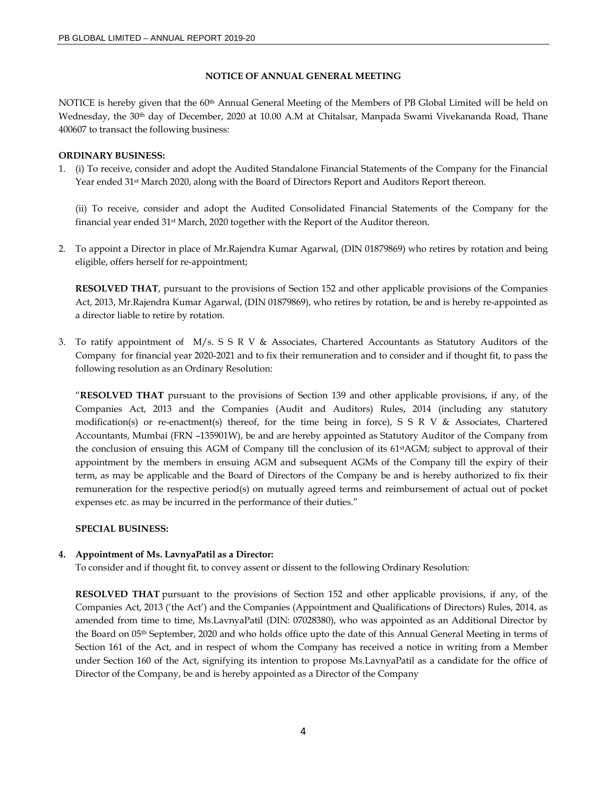### **NOTICE OF ANNUAL GENERAL MEETING**

NOTICE is hereby given that the 60<sup>th</sup> Annual General Meeting of the Members of PB Global Limited will be held on Wednesday, the 30<sup>th</sup> day of December, 2020 at 10.00 A.M at Chitalsar, Manpada Swami Vivekananda Road, Thane 400607 to transact the following business:

### **ORDINARY BUSINESS:**

1. (i) To receive, consider and adopt the Audited Standalone Financial Statements of the Company for the Financial Year ended 31<sup>st</sup> March 2020, along with the Board of Directors Report and Auditors Report thereon.

(ii) To receive, consider and adopt the Audited Consolidated Financial Statements of the Company for the financial year ended 31st March, 2020 together with the Report of the Auditor thereon.

2. To appoint a Director in place of Mr.Rajendra Kumar Agarwal, (DIN 01879869) who retires by rotation and being eligible, offers herself for re-appointment;

**RESOLVED THAT**, pursuant to the provisions of Section 152 and other applicable provisions of the Companies Act, 2013, Mr.Rajendra Kumar Agarwal, (DIN 01879869), who retires by rotation, be and is hereby re-appointed as a director liable to retire by rotation.

3. To ratify appointment of M/s. S S R V & Associates, Chartered Accountants as Statutory Auditors of the Company for financial year 2020-2021 and to fix their remuneration and to consider and if thought fit, to pass the following resolution as an Ordinary Resolution:

"**RESOLVED THAT** pursuant to the provisions of Section 139 and other applicable provisions, if any, of the Companies Act, 2013 and the Companies (Audit and Auditors) Rules, 2014 (including any statutory modification(s) or re-enactment(s) thereof, for the time being in force), S S R V & Associates, Chartered Accountants, Mumbai (FRN –135901W), be and are hereby appointed as Statutory Auditor of the Company from the conclusion of ensuing this AGM of Company till the conclusion of its 61stAGM; subject to approval of their appointment by the members in ensuing AGM and subsequent AGMs of the Company till the expiry of their term, as may be applicable and the Board of Directors of the Company be and is hereby authorized to fix their remuneration for the respective period(s) on mutually agreed terms and reimbursement of actual out of pocket expenses etc. as may be incurred in the performance of their duties."

#### **SPECIAL BUSINESS:**

### **4. Appointment of Ms. LavnyaPatil as a Director:**

To consider and if thought fit, to convey assent or dissent to the following Ordinary Resolution:

**RESOLVED THAT** pursuant to the provisions of Section 152 and other applicable provisions, if any, of the Companies Act, 2013 ('the Act') and the Companies (Appointment and Qualifications of Directors) Rules, 2014, as amended from time to time, Ms.LavnyaPatil (DIN: 07028380), who was appointed as an Additional Director by the Board on 05th September, 2020 and who holds office upto the date of this Annual General Meeting in terms of Section 161 of the Act, and in respect of whom the Company has received a notice in writing from a Member under Section 160 of the Act, signifying its intention to propose Ms.LavnyaPatil as a candidate for the office of Director of the Company, be and is hereby appointed as a Director of the Company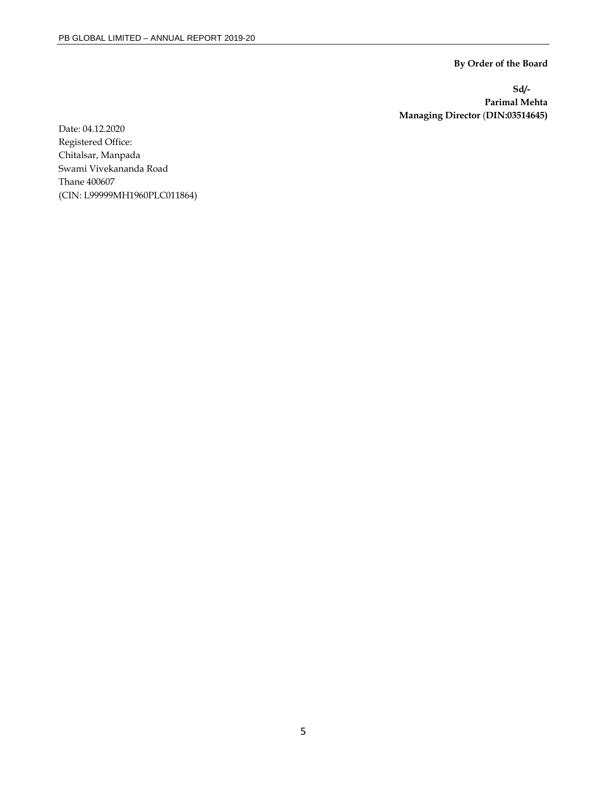**By Order of the Board** 

**Sd/- Parimal Mehta Managing Director** (**DIN:03514645)** 

Date: 04.12.2020 Registered Office: Chitalsar, Manpada Swami Vivekananda Road Thane 400607 (CIN: L99999MH1960PLC011864)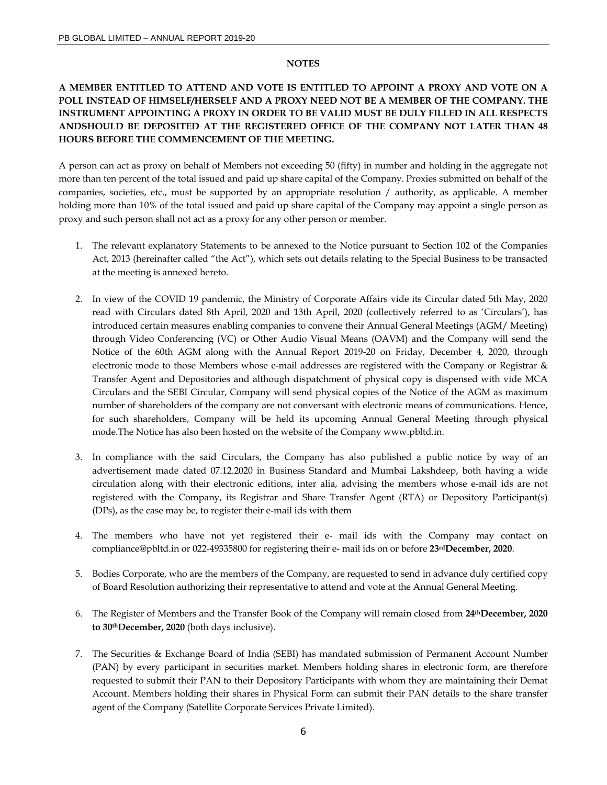#### **NOTES**

# **A MEMBER ENTITLED TO ATTEND AND VOTE IS ENTITLED TO APPOINT A PROXY AND VOTE ON A POLL INSTEAD OF HIMSELF/HERSELF AND A PROXY NEED NOT BE A MEMBER OF THE COMPANY. THE INSTRUMENT APPOINTING A PROXY IN ORDER TO BE VALID MUST BE DULY FILLED IN ALL RESPECTS ANDSHOULD BE DEPOSITED AT THE REGISTERED OFFICE OF THE COMPANY NOT LATER THAN 48 HOURS BEFORE THE COMMENCEMENT OF THE MEETING.**

A person can act as proxy on behalf of Members not exceeding 50 (fifty) in number and holding in the aggregate not more than ten percent of the total issued and paid up share capital of the Company. Proxies submitted on behalf of the companies, societies, etc., must be supported by an appropriate resolution / authority, as applicable. A member holding more than 10% of the total issued and paid up share capital of the Company may appoint a single person as proxy and such person shall not act as a proxy for any other person or member.

- 1. The relevant explanatory Statements to be annexed to the Notice pursuant to Section 102 of the Companies Act, 2013 (hereinafter called "the Act"), which sets out details relating to the Special Business to be transacted at the meeting is annexed hereto.
- 2. In view of the COVID 19 pandemic, the Ministry of Corporate Affairs vide its Circular dated 5th May, 2020 read with Circulars dated 8th April, 2020 and 13th April, 2020 (collectively referred to as 'Circulars'), has introduced certain measures enabling companies to convene their Annual General Meetings (AGM/ Meeting) through Video Conferencing (VC) or Other Audio Visual Means (OAVM) and the Company will send the Notice of the 60th AGM along with the Annual Report 2019-20 on Friday, December 4, 2020, through electronic mode to those Members whose e-mail addresses are registered with the Company or Registrar & Transfer Agent and Depositories and although dispatchment of physical copy is dispensed with vide MCA Circulars and the SEBI Circular, Company will send physical copies of the Notice of the AGM as maximum number of shareholders of the company are not conversant with electronic means of communications. Hence, for such shareholders, Company will be held its upcoming Annual General Meeting through physical mode.The Notice has also been hosted on the website of the Company www.pbltd.in.
- 3. In compliance with the said Circulars, the Company has also published a public notice by way of an advertisement made dated 07.12.2020 in Business Standard and Mumbai Lakshdeep, both having a wide circulation along with their electronic editions, inter alia, advising the members whose e-mail ids are not registered with the Company, its Registrar and Share Transfer Agent (RTA) or Depository Participant(s) (DPs), as the case may be, to register their e-mail ids with them
- 4. The members who have not yet registered their e- mail ids with the Company may contact on compliance@pbltd.in or 022-49335800 for registering their e- mail ids on or before **23rdDecember, 2020**.
- 5. Bodies Corporate, who are the members of the Company, are requested to send in advance duly certified copy of Board Resolution authorizing their representative to attend and vote at the Annual General Meeting.
- 6. The Register of Members and the Transfer Book of the Company will remain closed from **24thDecember, 2020 to 30thDecember, 2020** (both days inclusive).
- 7. The Securities & Exchange Board of India (SEBI) has mandated submission of Permanent Account Number (PAN) by every participant in securities market. Members holding shares in electronic form, are therefore requested to submit their PAN to their Depository Participants with whom they are maintaining their Demat Account. Members holding their shares in Physical Form can submit their PAN details to the share transfer agent of the Company (Satellite Corporate Services Private Limited).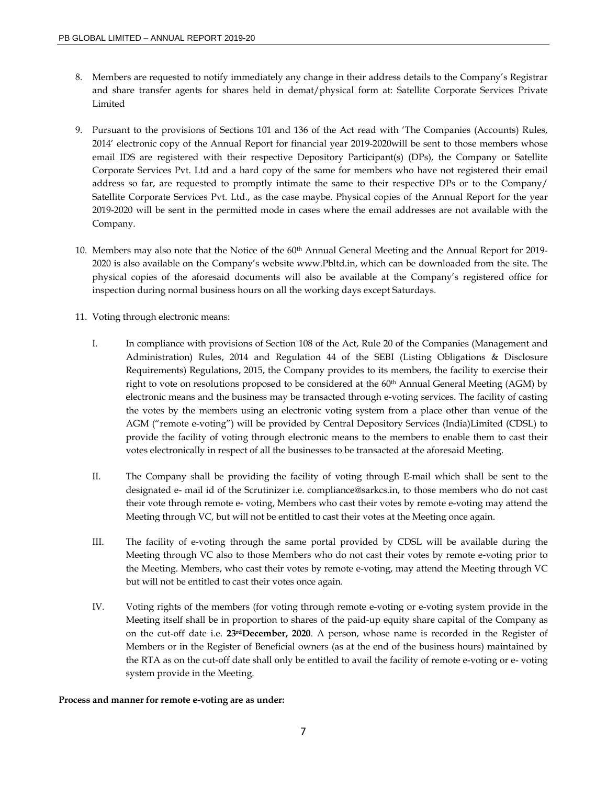- 8. Members are requested to notify immediately any change in their address details to the Company's Registrar and share transfer agents for shares held in demat/physical form at: Satellite Corporate Services Private Limited
- 9. Pursuant to the provisions of Sections 101 and 136 of the Act read with 'The Companies (Accounts) Rules, 2014' electronic copy of the Annual Report for financial year 2019-2020will be sent to those members whose email IDS are registered with their respective Depository Participant(s) (DPs), the Company or Satellite Corporate Services Pvt. Ltd and a hard copy of the same for members who have not registered their email address so far, are requested to promptly intimate the same to their respective DPs or to the Company/ Satellite Corporate Services Pvt. Ltd., as the case maybe. Physical copies of the Annual Report for the year 2019-2020 will be sent in the permitted mode in cases where the email addresses are not available with the Company.
- 10. Members may also note that the Notice of the 60th Annual General Meeting and the Annual Report for 2019- 2020 is also available on the Company's website www.Pbltd.in, which can be downloaded from the site. The physical copies of the aforesaid documents will also be available at the Company's registered office for inspection during normal business hours on all the working days except Saturdays.
- 11. Voting through electronic means:
	- I. In compliance with provisions of Section 108 of the Act, Rule 20 of the Companies (Management and Administration) Rules, 2014 and Regulation 44 of the SEBI (Listing Obligations & Disclosure Requirements) Regulations, 2015, the Company provides to its members, the facility to exercise their right to vote on resolutions proposed to be considered at the 60<sup>th</sup> Annual General Meeting (AGM) by electronic means and the business may be transacted through e-voting services. The facility of casting the votes by the members using an electronic voting system from a place other than venue of the AGM ("remote e-voting") will be provided by Central Depository Services (India)Limited (CDSL) to provide the facility of voting through electronic means to the members to enable them to cast their votes electronically in respect of all the businesses to be transacted at the aforesaid Meeting.
	- II. The Company shall be providing the facility of voting through E-mail which shall be sent to the designated e- mail id of the Scrutinizer i.e. compliance@sarkcs.in, to those members who do not cast their vote through remote e- voting, Members who cast their votes by remote e-voting may attend the Meeting through VC, but will not be entitled to cast their votes at the Meeting once again.
	- III. The facility of e-voting through the same portal provided by CDSL will be available during the Meeting through VC also to those Members who do not cast their votes by remote e-voting prior to the Meeting. Members, who cast their votes by remote e-voting, may attend the Meeting through VC but will not be entitled to cast their votes once again.
	- IV. Voting rights of the members (for voting through remote e-voting or e-voting system provide in the Meeting itself shall be in proportion to shares of the paid-up equity share capital of the Company as on the cut-off date i.e. **23rdDecember, 2020**. A person, whose name is recorded in the Register of Members or in the Register of Beneficial owners (as at the end of the business hours) maintained by the RTA as on the cut-off date shall only be entitled to avail the facility of remote e-voting or e- voting system provide in the Meeting.

### **Process and manner for remote e-voting are as under:**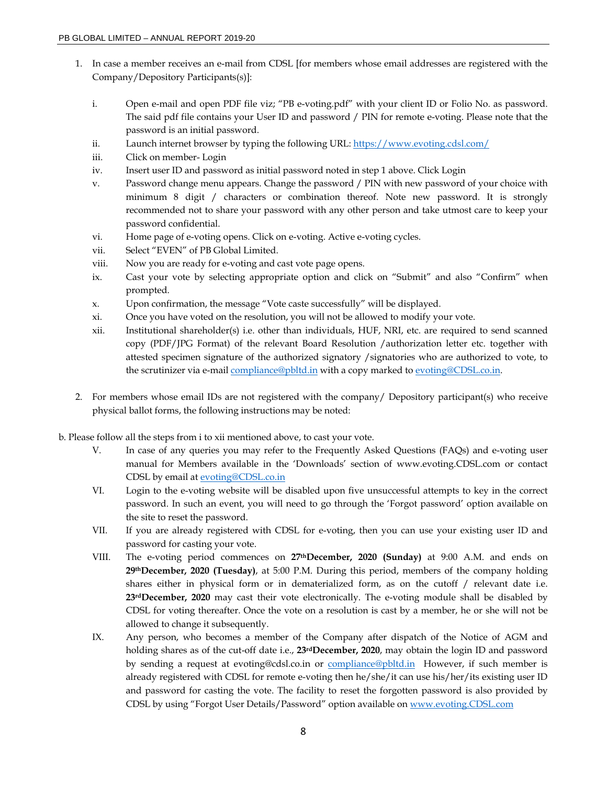- 1. In case a member receives an e-mail from CDSL [for members whose email addresses are registered with the Company/Depository Participants(s)]:
	- i. Open e-mail and open PDF file viz; "PB e-voting.pdf" with your client ID or Folio No. as password. The said pdf file contains your User ID and password / PIN for remote e-voting. Please note that the password is an initial password.
	- ii. Launch internet browser by typing the following URL: https://www.evoting.cdsl.com/
	- iii. Click on member- Login
	- iv. Insert user ID and password as initial password noted in step 1 above. Click Login
	- v. Password change menu appears. Change the password / PIN with new password of your choice with minimum 8 digit / characters or combination thereof. Note new password. It is strongly recommended not to share your password with any other person and take utmost care to keep your password confidential.
	- vi. Home page of e-voting opens. Click on e-voting. Active e-voting cycles.
	- vii. Select "EVEN" of PB Global Limited.
	- viii. Now you are ready for e-voting and cast vote page opens.
	- ix. Cast your vote by selecting appropriate option and click on "Submit" and also "Confirm" when prompted.
	- x. Upon confirmation, the message "Vote caste successfully" will be displayed.
	- xi. Once you have voted on the resolution, you will not be allowed to modify your vote.
	- xii. Institutional shareholder(s) i.e. other than individuals, HUF, NRI, etc. are required to send scanned copy (PDF/JPG Format) of the relevant Board Resolution /authorization letter etc. together with attested specimen signature of the authorized signatory /signatories who are authorized to vote, to the scrutinizer via e-mail compliance@pbltd.in with a copy marked to evoting@CDSL.co.in.
- 2. For members whose email IDs are not registered with the company/ Depository participant(s) who receive physical ballot forms, the following instructions may be noted:
- b. Please follow all the steps from i to xii mentioned above, to cast your vote.
	- V. In case of any queries you may refer to the Frequently Asked Questions (FAQs) and e-voting user manual for Members available in the 'Downloads' section of www.evoting.CDSL.com or contact CDSL by email at evoting@CDSL.co.in
	- VI. Login to the e-voting website will be disabled upon five unsuccessful attempts to key in the correct password. In such an event, you will need to go through the 'Forgot password' option available on the site to reset the password.
	- VII. If you are already registered with CDSL for e-voting, then you can use your existing user ID and password for casting your vote.
	- VIII. The e-voting period commences on **27thDecember, 2020 (Sunday)** at 9:00 A.M. and ends on **29thDecember, 2020 (Tuesday)**, at 5:00 P.M. During this period, members of the company holding shares either in physical form or in dematerialized form, as on the cutoff / relevant date i.e. **23rdDecember, 2020** may cast their vote electronically. The e-voting module shall be disabled by CDSL for voting thereafter. Once the vote on a resolution is cast by a member, he or she will not be allowed to change it subsequently.
	- IX. Any person, who becomes a member of the Company after dispatch of the Notice of AGM and holding shares as of the cut-off date i.e., **23rdDecember, 2020**, may obtain the login ID and password by sending a request at evoting@cdsl.co.in or compliance@pbltd.in However, if such member is already registered with CDSL for remote e-voting then he/she/it can use his/her/its existing user ID and password for casting the vote. The facility to reset the forgotten password is also provided by CDSL by using "Forgot User Details/Password" option available on www.evoting.CDSL.com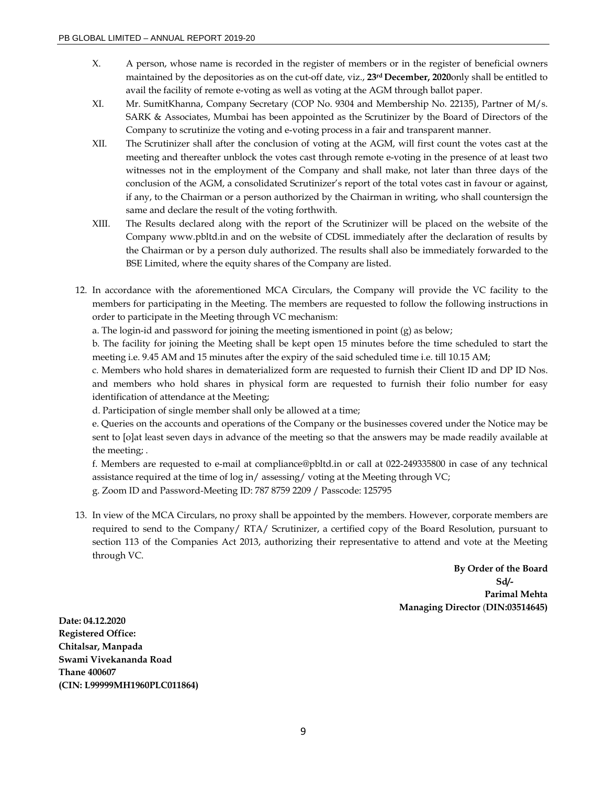- X. A person, whose name is recorded in the register of members or in the register of beneficial owners maintained by the depositories as on the cut-off date, viz., **23rd December, 2020**only shall be entitled to avail the facility of remote e-voting as well as voting at the AGM through ballot paper.
- XI. Mr. SumitKhanna, Company Secretary (COP No. 9304 and Membership No. 22135), Partner of M/s. SARK & Associates, Mumbai has been appointed as the Scrutinizer by the Board of Directors of the Company to scrutinize the voting and e-voting process in a fair and transparent manner.
- XII. The Scrutinizer shall after the conclusion of voting at the AGM, will first count the votes cast at the meeting and thereafter unblock the votes cast through remote e-voting in the presence of at least two witnesses not in the employment of the Company and shall make, not later than three days of the conclusion of the AGM, a consolidated Scrutinizer's report of the total votes cast in favour or against, if any, to the Chairman or a person authorized by the Chairman in writing, who shall countersign the same and declare the result of the voting forthwith.
- XIII. The Results declared along with the report of the Scrutinizer will be placed on the website of the Company www.pbltd.in and on the website of CDSL immediately after the declaration of results by the Chairman or by a person duly authorized. The results shall also be immediately forwarded to the BSE Limited, where the equity shares of the Company are listed.
- 12. In accordance with the aforementioned MCA Circulars, the Company will provide the VC facility to the members for participating in the Meeting. The members are requested to follow the following instructions in order to participate in the Meeting through VC mechanism:

a. The login-id and password for joining the meeting ismentioned in point (g) as below;

b. The facility for joining the Meeting shall be kept open 15 minutes before the time scheduled to start the meeting i.e. 9.45 AM and 15 minutes after the expiry of the said scheduled time i.e. till 10.15 AM;

c. Members who hold shares in dematerialized form are requested to furnish their Client ID and DP ID Nos. and members who hold shares in physical form are requested to furnish their folio number for easy identification of attendance at the Meeting;

d. Participation of single member shall only be allowed at a time;

e. Queries on the accounts and operations of the Company or the businesses covered under the Notice may be sent to [o]at least seven days in advance of the meeting so that the answers may be made readily available at the meeting; .

f. Members are requested to e-mail at compliance@pbltd.in or call at 022-249335800 in case of any technical assistance required at the time of log in/ assessing/ voting at the Meeting through VC; g. Zoom ID and Password-Meeting ID: 787 8759 2209 / Passcode: 125795

13. In view of the MCA Circulars, no proxy shall be appointed by the members. However, corporate members are required to send to the Company/ RTA/ Scrutinizer, a certified copy of the Board Resolution, pursuant to section 113 of the Companies Act 2013, authorizing their representative to attend and vote at the Meeting through VC.

> **By Order of the Board Sd/- Parimal Mehta Managing Director** (**DIN:03514645)**

**Date: 04.12.2020 Registered Office: Chitalsar, Manpada Swami Vivekananda Road Thane 400607 (CIN: L99999MH1960PLC011864)**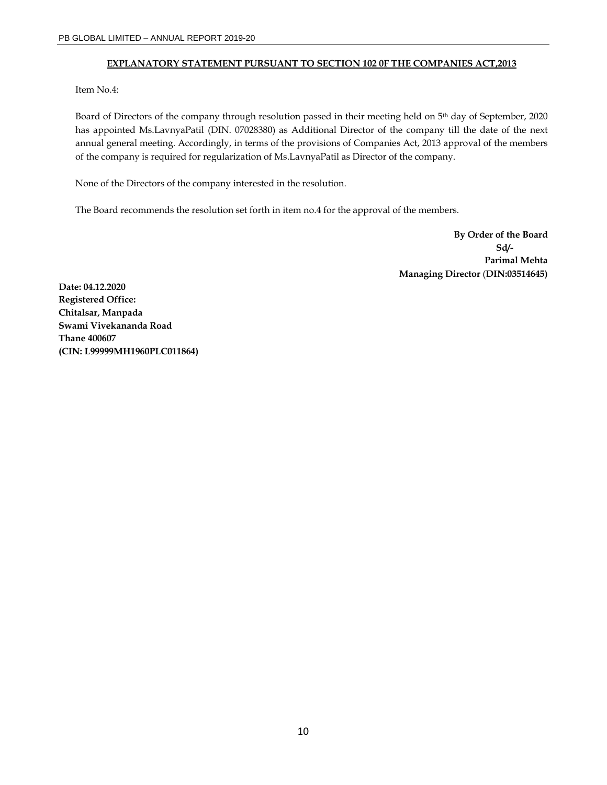### **EXPLANATORY STATEMENT PURSUANT TO SECTION 102 0F THE COMPANIES ACT,2013**

Item No.4:

Board of Directors of the company through resolution passed in their meeting held on 5<sup>th</sup> day of September, 2020 has appointed Ms.LavnyaPatil (DIN. 07028380) as Additional Director of the company till the date of the next annual general meeting. Accordingly, in terms of the provisions of Companies Act, 2013 approval of the members of the company is required for regularization of Ms.LavnyaPatil as Director of the company.

None of the Directors of the company interested in the resolution.

The Board recommends the resolution set forth in item no.4 for the approval of the members.

**By Order of the Board Sd/- Parimal Mehta Managing Director** (**DIN:03514645)** 

**Date: 04.12.2020 Registered Office: Chitalsar, Manpada Swami Vivekananda Road Thane 400607 (CIN: L99999MH1960PLC011864)**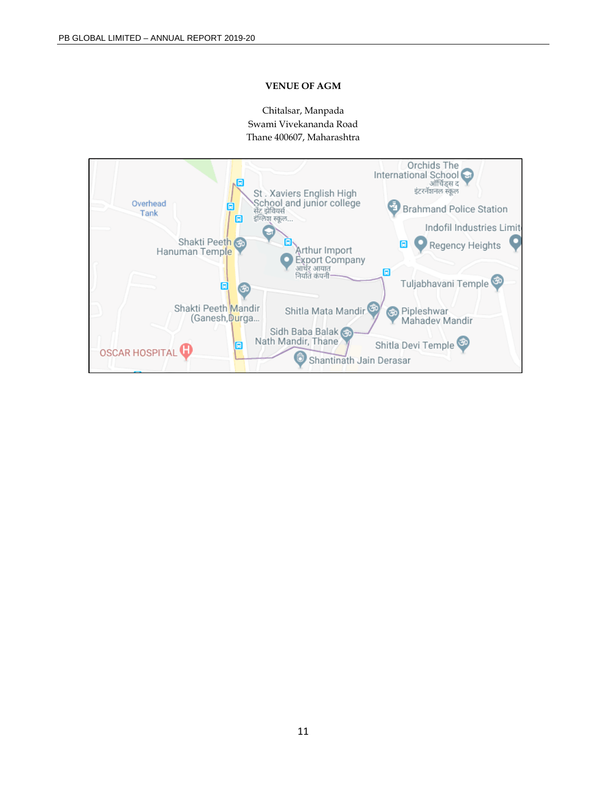### **VENUE OF AGM**

Chitalsar, Manpada Swami Vivekananda Road Thane 400607, Maharashtra

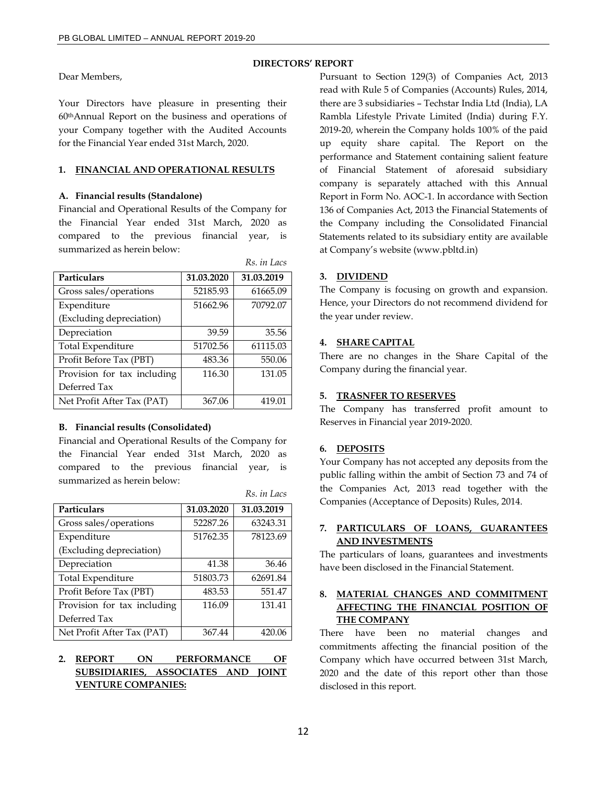Dear Members,

Your Directors have pleasure in presenting their 60thAnnual Report on the business and operations of your Company together with the Audited Accounts for the Financial Year ended 31st March, 2020.

### **1. FINANCIAL AND OPERATIONAL RESULTS**

### **A. Financial results (Standalone)**

Financial and Operational Results of the Company for the Financial Year ended 31st March, 2020 as compared to the previous financial year, is summarized as herein below:

|                             |            | Rs. in Lacs |
|-----------------------------|------------|-------------|
| Particulars                 | 31.03.2020 | 31.03.2019  |
| Gross sales/operations      | 52185.93   | 61665.09    |
| Expenditure                 | 51662.96   | 70792.07    |
| (Excluding depreciation)    |            |             |
| Depreciation                | 39.59      | 35.56       |
| Total Expenditure           | 51702.56   | 61115.03    |
| Profit Before Tax (PBT)     | 483.36     | 550.06      |
| Provision for tax including | 116.30     | 131.05      |
| Deferred Tax                |            |             |
| Net Profit After Tax (PAT)  | 367.06     | 419.01      |

### **B. Financial results (Consolidated)**

Financial and Operational Results of the Company for the Financial Year ended 31st March, 2020 as compared to the previous financial year, is summarized as herein below:

|                             |            | Rs. in Lacs |
|-----------------------------|------------|-------------|
| Particulars                 | 31.03.2020 | 31.03.2019  |
| Gross sales/operations      | 52287.26   | 63243.31    |
| Expenditure                 | 51762.35   | 78123.69    |
| (Excluding depreciation)    |            |             |
| Depreciation                | 41.38      | 36.46       |
| <b>Total Expenditure</b>    | 51803.73   | 62691.84    |
| Profit Before Tax (PBT)     | 483.53     | 551.47      |
| Provision for tax including | 116.09     | 131.41      |
| Deferred Tax                |            |             |
| Net Profit After Tax (PAT)  | 367.44     | 420.06      |

# **2. REPORT ON PERFORMANCE OF SUBSIDIARIES, ASSOCIATES AND JOINT VENTURE COMPANIES:**

Pursuant to Section 129(3) of Companies Act, 2013 read with Rule 5 of Companies (Accounts) Rules, 2014, there are 3 subsidiaries – Techstar India Ltd (India), LA Rambla Lifestyle Private Limited (India) during F.Y. 2019-20, wherein the Company holds 100% of the paid up equity share capital. The Report on the performance and Statement containing salient feature of Financial Statement of aforesaid subsidiary company is separately attached with this Annual Report in Form No. AOC-1. In accordance with Section 136 of Companies Act, 2013 the Financial Statements of the Company including the Consolidated Financial Statements related to its subsidiary entity are available at Company's website (www.pbltd.in)

### **3. DIVIDEND**

**DIRECTORS' REPORT** 

The Company is focusing on growth and expansion. Hence, your Directors do not recommend dividend for the year under review.

### **4. SHARE CAPITAL**

There are no changes in the Share Capital of the Company during the financial year.

### **5. TRASNFER TO RESERVES**

The Company has transferred profit amount to Reserves in Financial year 2019-2020.

### **6. DEPOSITS**

Your Company has not accepted any deposits from the public falling within the ambit of Section 73 and 74 of the Companies Act, 2013 read together with the Companies (Acceptance of Deposits) Rules, 2014.

# **7. PARTICULARS OF LOANS, GUARANTEES AND INVESTMENTS**

The particulars of loans, guarantees and investments have been disclosed in the Financial Statement.

# **8. MATERIAL CHANGES AND COMMITMENT AFFECTING THE FINANCIAL POSITION OF THE COMPANY**

There have been no material changes and commitments affecting the financial position of the Company which have occurred between 31st March, 2020 and the date of this report other than those disclosed in this report.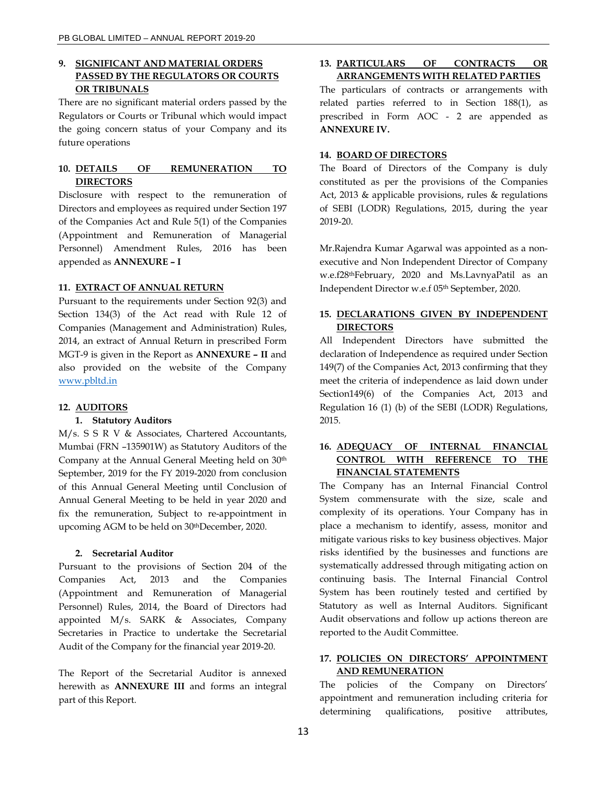# **9. SIGNIFICANT AND MATERIAL ORDERS PASSED BY THE REGULATORS OR COURTS OR TRIBUNALS**

There are no significant material orders passed by the Regulators or Courts or Tribunal which would impact the going concern status of your Company and its future operations

# **10. DETAILS OF REMUNERATION TO DIRECTORS**

Disclosure with respect to the remuneration of Directors and employees as required under Section 197 of the Companies Act and Rule 5(1) of the Companies (Appointment and Remuneration of Managerial Personnel) Amendment Rules, 2016 has been appended as **ANNEXURE – I** 

### **11. EXTRACT OF ANNUAL RETURN**

Pursuant to the requirements under Section 92(3) and Section 134(3) of the Act read with Rule 12 of Companies (Management and Administration) Rules, 2014, an extract of Annual Return in prescribed Form MGT-9 is given in the Report as **ANNEXURE – II** and also provided on the website of the Company www.pbltd.in

#### **12. AUDITORS**

#### **1. Statutory Auditors**

M/s. S S R V & Associates, Chartered Accountants, Mumbai (FRN –135901W) as Statutory Auditors of the Company at the Annual General Meeting held on 30th September, 2019 for the FY 2019-2020 from conclusion of this Annual General Meeting until Conclusion of Annual General Meeting to be held in year 2020 and fix the remuneration, Subject to re-appointment in upcoming AGM to be held on 30thDecember, 2020.

#### **2. Secretarial Auditor**

Pursuant to the provisions of Section 204 of the Companies Act, 2013 and the Companies (Appointment and Remuneration of Managerial Personnel) Rules, 2014, the Board of Directors had appointed M/s. SARK & Associates, Company Secretaries in Practice to undertake the Secretarial Audit of the Company for the financial year 2019-20.

The Report of the Secretarial Auditor is annexed herewith as **ANNEXURE III** and forms an integral part of this Report.

### **13. PARTICULARS OF CONTRACTS OR ARRANGEMENTS WITH RELATED PARTIES**

The particulars of contracts or arrangements with related parties referred to in Section 188(1), as prescribed in Form AOC - 2 are appended as **ANNEXURE IV.** 

### **14. BOARD OF DIRECTORS**

The Board of Directors of the Company is duly constituted as per the provisions of the Companies Act, 2013 & applicable provisions, rules & regulations of SEBI (LODR) Regulations, 2015, during the year 2019-20.

Mr.Rajendra Kumar Agarwal was appointed as a nonexecutive and Non Independent Director of Company w.e.f28thFebruary, 2020 and Ms.LavnyaPatil as an Independent Director w.e.f 05th September, 2020.

# **15. DECLARATIONS GIVEN BY INDEPENDENT DIRECTORS**

All Independent Directors have submitted the declaration of Independence as required under Section 149(7) of the Companies Act, 2013 confirming that they meet the criteria of independence as laid down under Section149(6) of the Companies Act, 2013 and Regulation 16 (1) (b) of the SEBI (LODR) Regulations, 2015.

# **16. ADEQUACY OF INTERNAL FINANCIAL CONTROL WITH REFERENCE TO THE FINANCIAL STATEMENTS**

The Company has an Internal Financial Control System commensurate with the size, scale and complexity of its operations. Your Company has in place a mechanism to identify, assess, monitor and mitigate various risks to key business objectives. Major risks identified by the businesses and functions are systematically addressed through mitigating action on continuing basis. The Internal Financial Control System has been routinely tested and certified by Statutory as well as Internal Auditors. Significant Audit observations and follow up actions thereon are reported to the Audit Committee.

# **17. POLICIES ON DIRECTORS' APPOINTMENT AND REMUNERATION**

The policies of the Company on Directors' appointment and remuneration including criteria for determining qualifications, positive attributes,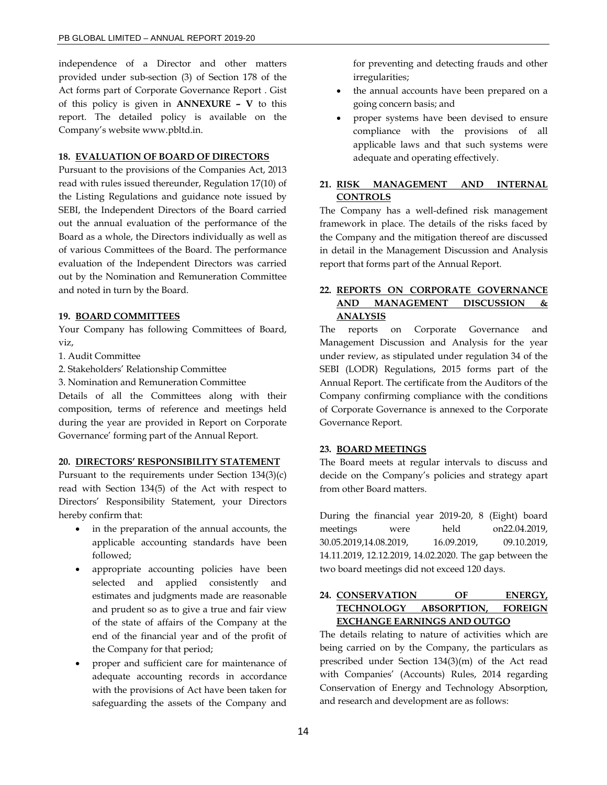independence of a Director and other matters provided under sub-section (3) of Section 178 of the Act forms part of Corporate Governance Report . Gist of this policy is given in **ANNEXURE – V** to this report. The detailed policy is available on the Company's website www.pbltd.in.

### **18. EVALUATION OF BOARD OF DIRECTORS**

Pursuant to the provisions of the Companies Act, 2013 read with rules issued thereunder, Regulation 17(10) of the Listing Regulations and guidance note issued by SEBI, the Independent Directors of the Board carried out the annual evaluation of the performance of the Board as a whole, the Directors individually as well as of various Committees of the Board. The performance evaluation of the Independent Directors was carried out by the Nomination and Remuneration Committee and noted in turn by the Board.

### **19. BOARD COMMITTEES**

Your Company has following Committees of Board, viz,

1. Audit Committee

2. Stakeholders' Relationship Committee

3. Nomination and Remuneration Committee

Details of all the Committees along with their composition, terms of reference and meetings held during the year are provided in Report on Corporate Governance' forming part of the Annual Report.

#### **20. DIRECTORS' RESPONSIBILITY STATEMENT**

Pursuant to the requirements under Section 134(3)(c) read with Section 134(5) of the Act with respect to Directors' Responsibility Statement, your Directors hereby confirm that:

- in the preparation of the annual accounts, the applicable accounting standards have been followed;
- appropriate accounting policies have been selected and applied consistently and estimates and judgments made are reasonable and prudent so as to give a true and fair view of the state of affairs of the Company at the end of the financial year and of the profit of the Company for that period;
- proper and sufficient care for maintenance of adequate accounting records in accordance with the provisions of Act have been taken for safeguarding the assets of the Company and

for preventing and detecting frauds and other irregularities;

- the annual accounts have been prepared on a going concern basis; and
- proper systems have been devised to ensure compliance with the provisions of all applicable laws and that such systems were adequate and operating effectively.

# **21. RISK MANAGEMENT AND INTERNAL CONTROLS**

The Company has a well-defined risk management framework in place. The details of the risks faced by the Company and the mitigation thereof are discussed in detail in the Management Discussion and Analysis report that forms part of the Annual Report.

# **22. REPORTS ON CORPORATE GOVERNANCE AND MANAGEMENT DISCUSSION & ANALYSIS**

The reports on Corporate Governance and Management Discussion and Analysis for the year under review, as stipulated under regulation 34 of the SEBI (LODR) Regulations, 2015 forms part of the Annual Report. The certificate from the Auditors of the Company confirming compliance with the conditions of Corporate Governance is annexed to the Corporate Governance Report.

### **23. BOARD MEETINGS**

The Board meets at regular intervals to discuss and decide on the Company's policies and strategy apart from other Board matters.

During the financial year 2019-20, 8 (Eight) board meetings were held on22.04.2019, 30.05.2019,14.08.2019, 16.09.2019, 09.10.2019, 14.11.2019, 12.12.2019, 14.02.2020. The gap between the two board meetings did not exceed 120 days.

# **24. CONSERVATION OF ENERGY, TECHNOLOGY ABSORPTION, FOREIGN EXCHANGE EARNINGS AND OUTGO**

The details relating to nature of activities which are being carried on by the Company, the particulars as prescribed under Section 134(3)(m) of the Act read with Companies' (Accounts) Rules, 2014 regarding Conservation of Energy and Technology Absorption, and research and development are as follows: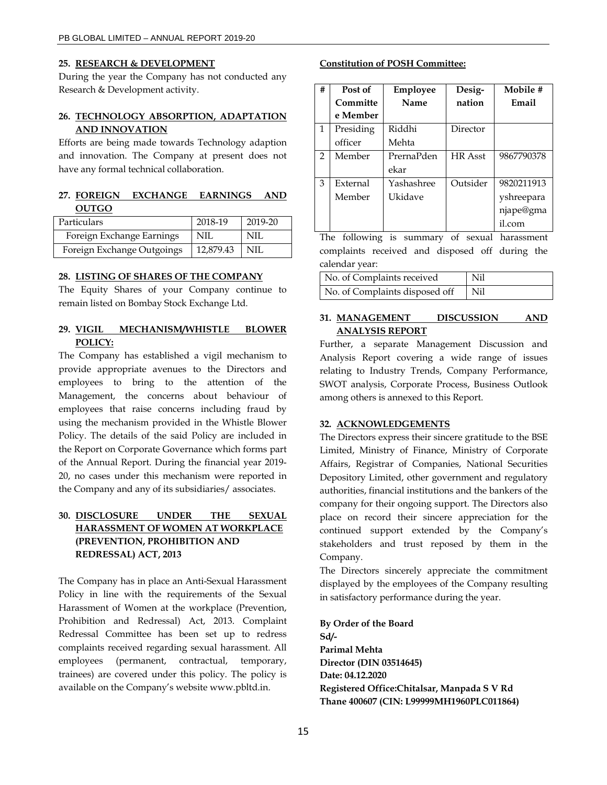#### **25. RESEARCH & DEVELOPMENT**

During the year the Company has not conducted any Research & Development activity.

### **26. TECHNOLOGY ABSORPTION, ADAPTATION AND INNOVATION**

Efforts are being made towards Technology adaption and innovation. The Company at present does not have any formal technical collaboration.

# **27. FOREIGN EXCHANGE EARNINGS AND OUTGO**

| Particulars                | 2018-19   | 2019-20 |
|----------------------------|-----------|---------|
| Foreign Exchange Earnings  | NIL       | NIL     |
| Foreign Exchange Outgoings | 12,879.43 | NIL     |

### **28. LISTING OF SHARES OF THE COMPANY**

The Equity Shares of your Company continue to remain listed on Bombay Stock Exchange Ltd.

### **29. VIGIL MECHANISM/WHISTLE BLOWER POLICY:**

The Company has established a vigil mechanism to provide appropriate avenues to the Directors and employees to bring to the attention of the Management, the concerns about behaviour of employees that raise concerns including fraud by using the mechanism provided in the Whistle Blower Policy. The details of the said Policy are included in the Report on Corporate Governance which forms part of the Annual Report. During the financial year 2019- 20, no cases under this mechanism were reported in the Company and any of its subsidiaries/ associates.

# **30. DISCLOSURE UNDER THE SEXUAL HARASSMENT OF WOMEN AT WORKPLACE (PREVENTION, PROHIBITION AND REDRESSAL) ACT, 2013**

The Company has in place an Anti-Sexual Harassment Policy in line with the requirements of the Sexual Harassment of Women at the workplace (Prevention, Prohibition and Redressal) Act, 2013. Complaint Redressal Committee has been set up to redress complaints received regarding sexual harassment. All employees (permanent, contractual, temporary, trainees) are covered under this policy. The policy is available on the Company's website www.pbltd.in.

#### **Constitution of POSH Committee:**

| # | Post of   | Employee   | Desig-         | Mobile #   |
|---|-----------|------------|----------------|------------|
|   | Committe  | Name       | nation         | Email      |
|   | e Member  |            |                |            |
| 1 | Presiding | Riddhi     | Director       |            |
|   | officer   | Mehta      |                |            |
| 2 | Member    | PrernaPden | <b>HR</b> Asst | 9867790378 |
|   |           | ekar       |                |            |
| 3 | External  | Yashashree | Outsider       | 9820211913 |
|   | Member    | Ukidave    |                | yshreepara |
|   |           |            |                | njape@gma  |
|   |           |            |                | il.com     |

The following is summary of sexual harassment complaints received and disposed off during the calendar year:

| No. of Complaints received     | Nil |
|--------------------------------|-----|
| No. of Complaints disposed off | Nil |

### **31. MANAGEMENT DISCUSSION AND ANALYSIS REPORT**

Further, a separate Management Discussion and Analysis Report covering a wide range of issues relating to Industry Trends, Company Performance, SWOT analysis, Corporate Process, Business Outlook among others is annexed to this Report.

### **32. ACKNOWLEDGEMENTS**

The Directors express their sincere gratitude to the BSE Limited, Ministry of Finance, Ministry of Corporate Affairs, Registrar of Companies, National Securities Depository Limited, other government and regulatory authorities, financial institutions and the bankers of the company for their ongoing support. The Directors also place on record their sincere appreciation for the continued support extended by the Company's stakeholders and trust reposed by them in the Company.

The Directors sincerely appreciate the commitment displayed by the employees of the Company resulting in satisfactory performance during the year.

**By Order of the Board Sd/- Parimal Mehta Director (DIN 03514645) Date: 04.12.2020 Registered Office:Chitalsar, Manpada S V Rd Thane 400607 (CIN: L99999MH1960PLC011864)**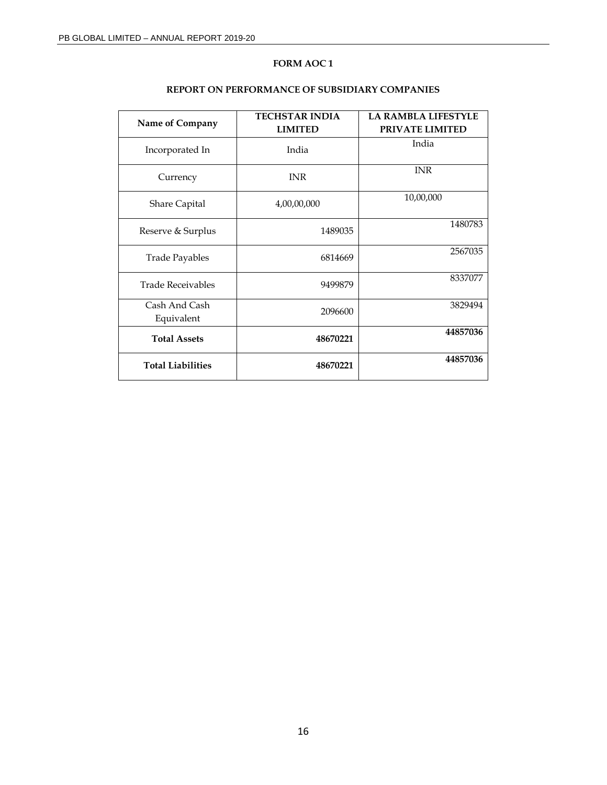# **FORM AOC 1**

| Name of Company             | <b>TECHSTAR INDIA</b><br><b>LIMITED</b> | <b>LA RAMBLA LIFESTYLE</b><br><b>PRIVATE LIMITED</b> |  |
|-----------------------------|-----------------------------------------|------------------------------------------------------|--|
| Incorporated In             | India                                   | India                                                |  |
| Currency                    | <b>INR</b>                              | <b>INR</b>                                           |  |
| <b>Share Capital</b>        | 4,00,00,000                             | 10,00,000                                            |  |
| Reserve & Surplus           | 1489035                                 | 1480783                                              |  |
| <b>Trade Payables</b>       | 6814669                                 | 2567035                                              |  |
| <b>Trade Receivables</b>    | 9499879                                 | 8337077                                              |  |
| Cash And Cash<br>Equivalent | 2096600                                 | 3829494                                              |  |
| <b>Total Assets</b>         | 48670221                                | 44857036                                             |  |
| <b>Total Liabilities</b>    | 48670221                                | 44857036                                             |  |

### **REPORT ON PERFORMANCE OF SUBSIDIARY COMPANIES**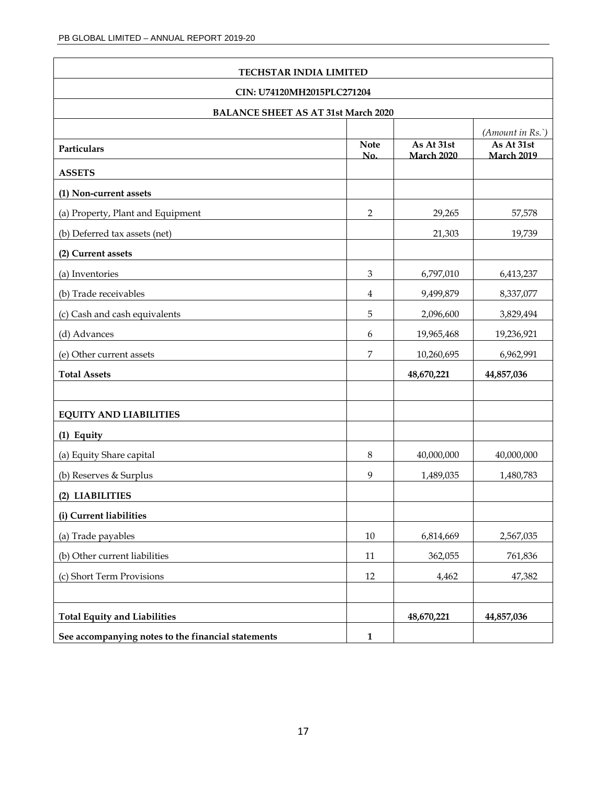| TECHSTAR INDIA LIMITED                             |                    |                                 |                                                               |  |
|----------------------------------------------------|--------------------|---------------------------------|---------------------------------------------------------------|--|
| CIN: U74120MH2015PLC271204                         |                    |                                 |                                                               |  |
| <b>BALANCE SHEET AS AT 31st March 2020</b>         |                    |                                 |                                                               |  |
| Particulars                                        | <b>Note</b><br>No. | As At 31st<br><b>March 2020</b> | $(A$ <i>mount in Rs.</i> )<br>As At 31st<br><b>March 2019</b> |  |
| <b>ASSETS</b>                                      |                    |                                 |                                                               |  |
| (1) Non-current assets                             |                    |                                 |                                                               |  |
| (a) Property, Plant and Equipment                  | 2                  | 29,265                          | 57,578                                                        |  |
| (b) Deferred tax assets (net)                      |                    | 21,303                          | 19,739                                                        |  |
| (2) Current assets                                 |                    |                                 |                                                               |  |
| (a) Inventories                                    | $\mathfrak{Z}$     | 6,797,010                       | 6,413,237                                                     |  |
| (b) Trade receivables                              | 4                  | 9,499,879                       | 8,337,077                                                     |  |
| (c) Cash and cash equivalents                      | 5                  | 2,096,600                       | 3,829,494                                                     |  |
| (d) Advances                                       | 6                  | 19,965,468                      | 19,236,921                                                    |  |
| (e) Other current assets                           | 7                  | 10,260,695                      | 6,962,991                                                     |  |
| <b>Total Assets</b>                                |                    | 48,670,221                      | 44,857,036                                                    |  |
|                                                    |                    |                                 |                                                               |  |
| <b>EQUITY AND LIABILITIES</b>                      |                    |                                 |                                                               |  |
| (1) Equity                                         |                    |                                 |                                                               |  |
| (a) Equity Share capital                           | 8                  | 40,000,000                      | 40,000,000                                                    |  |
| (b) Reserves & Surplus                             | 9                  | 1,489,035                       | 1,480,783                                                     |  |
| (2) LIABILITIES                                    |                    |                                 |                                                               |  |
| (i) Current liabilities                            |                    |                                 |                                                               |  |
| (a) Trade payables                                 | $10\,$             | 6,814,669                       | 2,567,035                                                     |  |
| (b) Other current liabilities                      | 11                 | 362,055                         | 761,836                                                       |  |
| (c) Short Term Provisions                          | $12\,$             | 4,462                           | 47,382                                                        |  |
|                                                    |                    |                                 |                                                               |  |
| <b>Total Equity and Liabilities</b>                |                    | 48,670,221                      | 44,857,036                                                    |  |
| See accompanying notes to the financial statements | $\mathbf{1}$       |                                 |                                                               |  |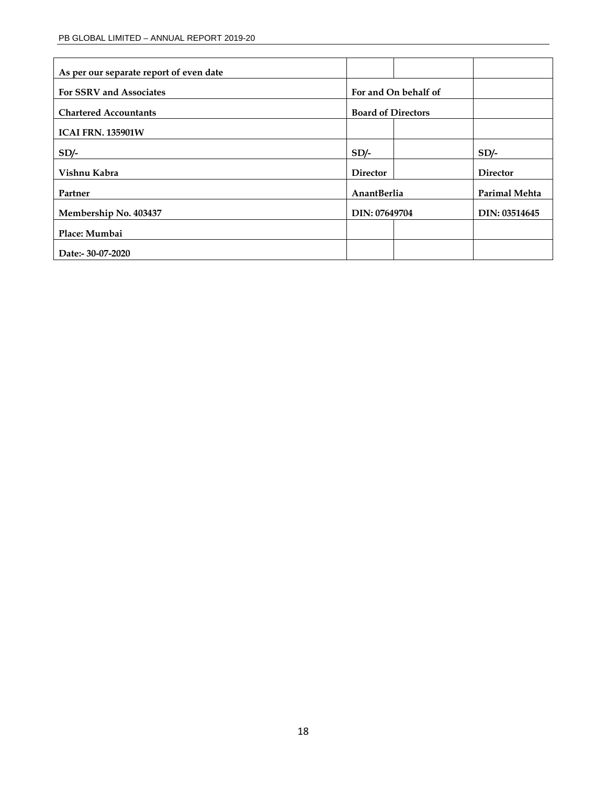| As per our separate report of even date |                           |                      |
|-----------------------------------------|---------------------------|----------------------|
| <b>For SSRV and Associates</b>          | For and On behalf of      |                      |
| <b>Chartered Accountants</b>            | <b>Board of Directors</b> |                      |
| <b>ICAI FRN. 135901W</b>                |                           |                      |
| $SD/-$                                  | $SD/-$                    | $SD/-$               |
| Vishnu Kabra                            | <b>Director</b>           | <b>Director</b>      |
| Partner                                 | AnantBerlia               | <b>Parimal Mehta</b> |
| Membership No. 403437                   | DIN: 07649704             | DIN: 03514645        |
| Place: Mumbai                           |                           |                      |
| Date:- 30-07-2020                       |                           |                      |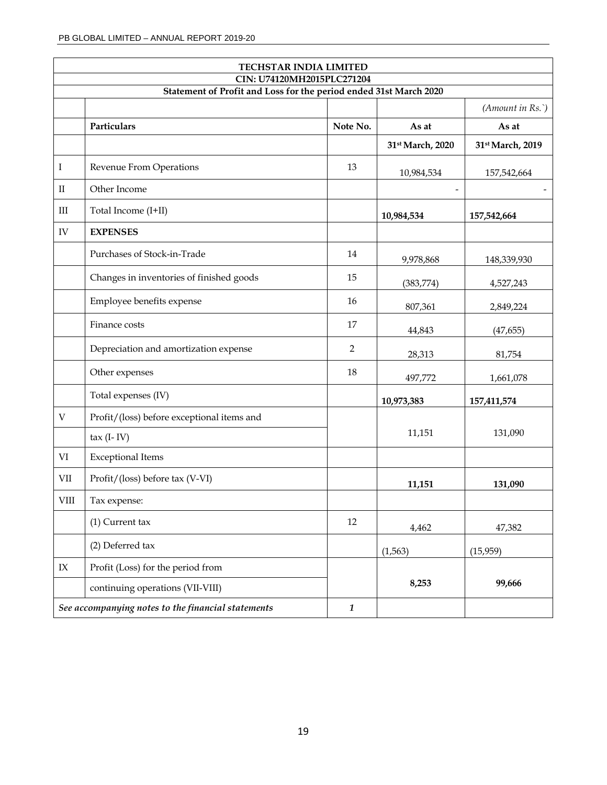|                           | <b>TECHSTAR INDIA LIMITED</b><br>CIN: U74120MH2015PLC271204       |                |                          |                          |  |  |
|---------------------------|-------------------------------------------------------------------|----------------|--------------------------|--------------------------|--|--|
|                           | Statement of Profit and Loss for the period ended 31st March 2020 |                |                          |                          |  |  |
|                           |                                                                   |                |                          | (Amount in Rs.)          |  |  |
|                           | Particulars                                                       | Note No.       | As at                    | As at                    |  |  |
|                           |                                                                   |                | 31st March, 2020         | 31st March, 2019         |  |  |
| Ι                         | Revenue From Operations                                           | 13             | 10,984,534               | 157,542,664              |  |  |
| $_{\rm II}$               | Other Income                                                      |                | $\overline{\phantom{m}}$ | $\overline{\phantom{a}}$ |  |  |
| $\rm III$                 | Total Income (I+II)                                               |                | 10,984,534               | 157,542,664              |  |  |
| ${\rm IV}$                | <b>EXPENSES</b>                                                   |                |                          |                          |  |  |
|                           | Purchases of Stock-in-Trade                                       | 14             | 9,978,868                | 148,339,930              |  |  |
|                           | Changes in inventories of finished goods                          | 15             | (383, 774)               | 4,527,243                |  |  |
|                           | Employee benefits expense                                         | 16             | 807,361                  | 2,849,224                |  |  |
|                           | Finance costs                                                     | 17             | 44,843                   | (47, 655)                |  |  |
|                           | Depreciation and amortization expense                             | $\overline{2}$ | 28,313                   | 81,754                   |  |  |
|                           | Other expenses                                                    | 18             | 497,772                  | 1,661,078                |  |  |
|                           | Total expenses (IV)                                               |                | 10,973,383               | 157,411,574              |  |  |
| $\ensuremath{\mathbf{V}}$ | Profit/(loss) before exceptional items and                        |                |                          |                          |  |  |
|                           | $tax$ (I-IV)                                                      |                | 11,151                   | 131,090                  |  |  |
| $\rm{VI}$                 | <b>Exceptional Items</b>                                          |                |                          |                          |  |  |
| VII                       | Profit/(loss) before tax (V-VI)                                   |                | 11,151                   | 131,090                  |  |  |
| <b>VIII</b>               | Tax expense:                                                      |                |                          |                          |  |  |
|                           | $(1)$ Current tax                                                 | 12             | 4,462                    | 47,382                   |  |  |
|                           | (2) Deferred tax                                                  |                | (1, 563)                 | (15, 959)                |  |  |
| $\text{IX}$               | Profit (Loss) for the period from                                 |                |                          |                          |  |  |
|                           | continuing operations (VII-VIII)                                  |                | 8,253                    | 99,666                   |  |  |
|                           | See accompanying notes to the financial statements                | $\mathbf{1}$   |                          |                          |  |  |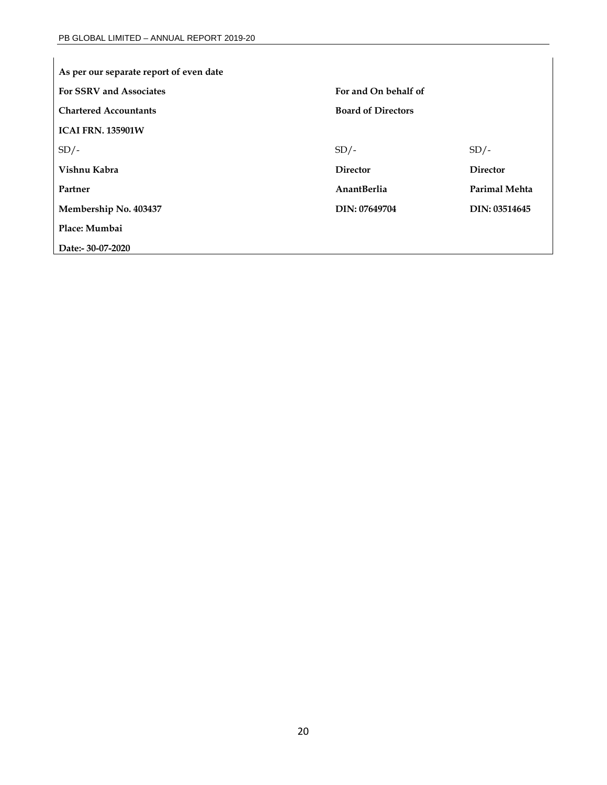| As per our separate report of even date |                           |                 |  |  |
|-----------------------------------------|---------------------------|-----------------|--|--|
| <b>For SSRV and Associates</b>          | For and On behalf of      |                 |  |  |
| <b>Chartered Accountants</b>            | <b>Board of Directors</b> |                 |  |  |
| <b>ICAI FRN. 135901W</b>                |                           |                 |  |  |
| $SD/-$                                  | $SD/-$                    | $SD/-$          |  |  |
| Vishnu Kabra                            | <b>Director</b>           | <b>Director</b> |  |  |
| Partner                                 | <b>AnantBerlia</b>        | Parimal Mehta   |  |  |
| Membership No. 403437                   | DIN: 07649704             | DIN: 03514645   |  |  |
| Place: Mumbai                           |                           |                 |  |  |
| Date:- 30-07-2020                       |                           |                 |  |  |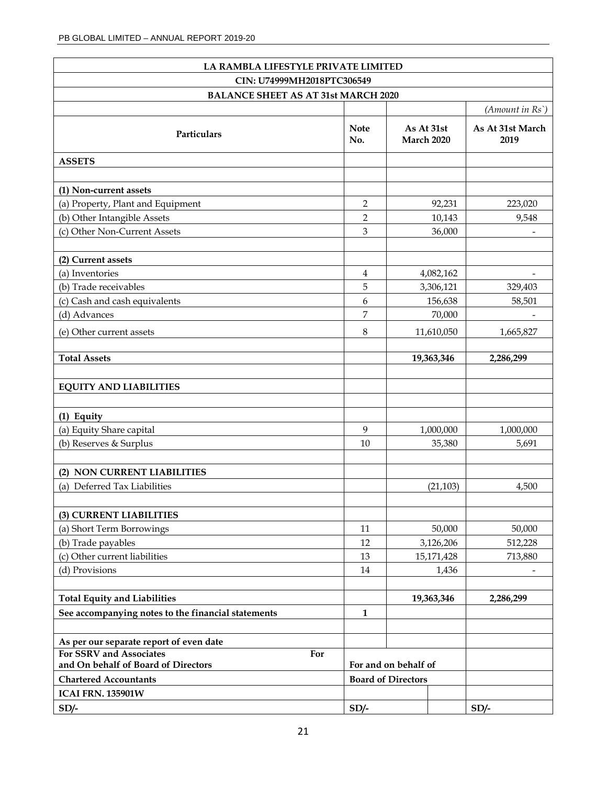|                                                                       | LA RAMBLA LIFESTYLE PRIVATE LIMITED |                                                   |                          |  |  |  |  |
|-----------------------------------------------------------------------|-------------------------------------|---------------------------------------------------|--------------------------|--|--|--|--|
| CIN: U74999MH2018PTC306549                                            |                                     |                                                   |                          |  |  |  |  |
| <b>BALANCE SHEET AS AT 31st MARCH 2020</b>                            |                                     |                                                   |                          |  |  |  |  |
|                                                                       |                                     |                                                   | $(A$ mount in $Rs$ )     |  |  |  |  |
| Particulars                                                           | <b>Note</b><br>No.                  | As At 31st<br>March 2020                          | As At 31st March<br>2019 |  |  |  |  |
| <b>ASSETS</b>                                                         |                                     |                                                   |                          |  |  |  |  |
|                                                                       |                                     |                                                   |                          |  |  |  |  |
| (1) Non-current assets                                                |                                     |                                                   |                          |  |  |  |  |
| (a) Property, Plant and Equipment                                     | $\overline{2}$                      | 92,231                                            | 223,020                  |  |  |  |  |
| (b) Other Intangible Assets                                           | $\overline{2}$                      | 10,143                                            | 9,548                    |  |  |  |  |
| (c) Other Non-Current Assets                                          | 3                                   | 36,000                                            |                          |  |  |  |  |
|                                                                       |                                     |                                                   |                          |  |  |  |  |
| (2) Current assets                                                    |                                     |                                                   |                          |  |  |  |  |
| (a) Inventories                                                       | 4                                   | 4,082,162                                         |                          |  |  |  |  |
| (b) Trade receivables                                                 | 5                                   | 3,306,121                                         | 329,403                  |  |  |  |  |
| (c) Cash and cash equivalents                                         | 6                                   | 156,638                                           | 58,501                   |  |  |  |  |
| (d) Advances                                                          | 7                                   | 70,000                                            |                          |  |  |  |  |
| (e) Other current assets                                              | 8                                   | 11,610,050                                        | 1,665,827                |  |  |  |  |
|                                                                       |                                     |                                                   |                          |  |  |  |  |
| <b>Total Assets</b>                                                   |                                     | 19,363,346                                        | 2,286,299                |  |  |  |  |
|                                                                       |                                     |                                                   |                          |  |  |  |  |
| <b>EQUITY AND LIABILITIES</b>                                         |                                     |                                                   |                          |  |  |  |  |
|                                                                       |                                     |                                                   |                          |  |  |  |  |
| (1) Equity                                                            |                                     |                                                   |                          |  |  |  |  |
| (a) Equity Share capital                                              | 9                                   | 1,000,000                                         | 1,000,000                |  |  |  |  |
| (b) Reserves & Surplus                                                | 10                                  | 35,380                                            | 5,691                    |  |  |  |  |
|                                                                       |                                     |                                                   |                          |  |  |  |  |
| (2) NON CURRENT LIABILITIES                                           |                                     |                                                   |                          |  |  |  |  |
| (a) Deferred Tax Liabilities                                          |                                     | (21, 103)                                         | 4,500                    |  |  |  |  |
|                                                                       |                                     |                                                   |                          |  |  |  |  |
| (3) CURRENT LIABILITIES                                               |                                     |                                                   |                          |  |  |  |  |
| (a) Short Term Borrowings                                             | 11                                  | 50,000                                            | 50,000                   |  |  |  |  |
| (b) Trade payables                                                    | 12                                  | 3,126,206                                         | 512,228                  |  |  |  |  |
| (c) Other current liabilities                                         | 13                                  | 15,171,428                                        | 713,880                  |  |  |  |  |
| (d) Provisions                                                        | 14                                  | 1,436                                             |                          |  |  |  |  |
|                                                                       |                                     |                                                   |                          |  |  |  |  |
| <b>Total Equity and Liabilities</b>                                   |                                     | 19,363,346                                        | 2,286,299                |  |  |  |  |
| See accompanying notes to the financial statements                    | $\mathbf{1}$                        |                                                   |                          |  |  |  |  |
|                                                                       |                                     |                                                   |                          |  |  |  |  |
| As per our separate report of even date                               |                                     |                                                   |                          |  |  |  |  |
| For SSRV and Associates<br>For<br>and On behalf of Board of Directors |                                     |                                                   |                          |  |  |  |  |
|                                                                       |                                     | For and on behalf of<br><b>Board of Directors</b> |                          |  |  |  |  |
| <b>Chartered Accountants</b>                                          |                                     |                                                   |                          |  |  |  |  |
| <b>ICAI FRN. 135901W</b>                                              |                                     |                                                   |                          |  |  |  |  |
| $SD/-$                                                                | $SD/-$                              |                                                   | $SD/-$                   |  |  |  |  |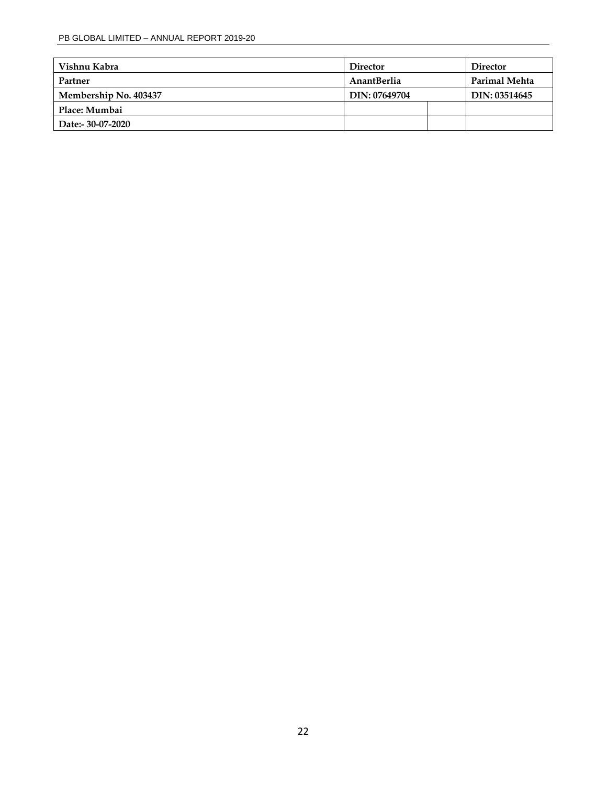| Vishnu Kabra          | <b>Director</b><br><b>Director</b> |               |
|-----------------------|------------------------------------|---------------|
| Partner               | <b>AnantBerlia</b>                 | Parimal Mehta |
| Membership No. 403437 | DIN: 07649704                      | DIN: 03514645 |
| Place: Mumbai         |                                    |               |
| Date:- 30-07-2020     |                                    |               |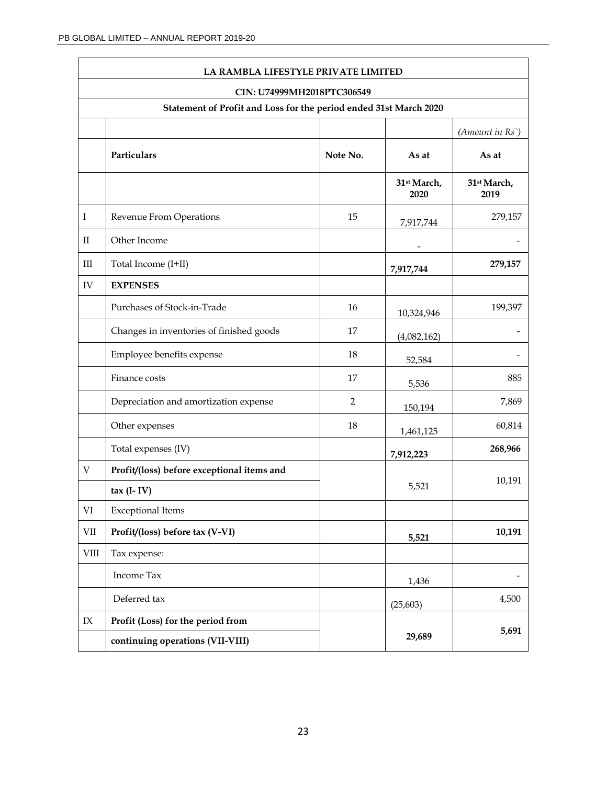|                                 | LA RAMBLA LIFESTYLE PRIVATE LIMITED                               |                |                     |                     |  |  |  |
|---------------------------------|-------------------------------------------------------------------|----------------|---------------------|---------------------|--|--|--|
|                                 | CIN: U74999MH2018PTC306549                                        |                |                     |                     |  |  |  |
|                                 | Statement of Profit and Loss for the period ended 31st March 2020 |                |                     |                     |  |  |  |
|                                 |                                                                   |                |                     | (Amount in Rs)      |  |  |  |
|                                 | Particulars                                                       | Note No.       | As at               | As at               |  |  |  |
|                                 |                                                                   |                | 31st March,<br>2020 | 31st March,<br>2019 |  |  |  |
| I                               | Revenue From Operations                                           | 15             | 7,917,744           | 279,157             |  |  |  |
| $\rm II$                        | Other Income                                                      |                |                     |                     |  |  |  |
| Ш                               | Total Income (I+II)                                               |                | 7,917,744           | 279,157             |  |  |  |
| IV                              | <b>EXPENSES</b>                                                   |                |                     |                     |  |  |  |
|                                 | Purchases of Stock-in-Trade                                       | 16             | 10,324,946          | 199,397             |  |  |  |
|                                 | Changes in inventories of finished goods                          | 17             | (4,082,162)         |                     |  |  |  |
|                                 | Employee benefits expense                                         | 18             | 52,584              |                     |  |  |  |
|                                 | Finance costs                                                     | 17             | 5,536               | 885                 |  |  |  |
|                                 | Depreciation and amortization expense                             | $\overline{2}$ | 150,194             | 7,869               |  |  |  |
|                                 | Other expenses                                                    | 18             | 1,461,125           | 60,814              |  |  |  |
|                                 | Total expenses (IV)                                               |                | 7,912,223           | 268,966             |  |  |  |
| $\ensuremath{\mathbf{V}}$       | Profit/(loss) before exceptional items and                        |                |                     | 10,191              |  |  |  |
|                                 | $\text{tax}$ (I-IV)                                               |                | 5,521               |                     |  |  |  |
| $\rm VI$                        | <b>Exceptional Items</b>                                          |                |                     |                     |  |  |  |
| VII                             | Profit/(loss) before tax (V-VI)                                   |                | 5,521               | 10,191              |  |  |  |
| <b>VIII</b>                     | Tax expense:                                                      |                |                     |                     |  |  |  |
|                                 | Income Tax                                                        |                | 1,436               |                     |  |  |  |
|                                 | Deferred tax                                                      |                | (25, 603)           | 4,500               |  |  |  |
| $\ensuremath{\text{IX}}\xspace$ | Profit (Loss) for the period from                                 |                |                     |                     |  |  |  |
|                                 | continuing operations (VII-VIII)                                  |                | 29,689              | 5,691               |  |  |  |

 $\overline{\phantom{0}}$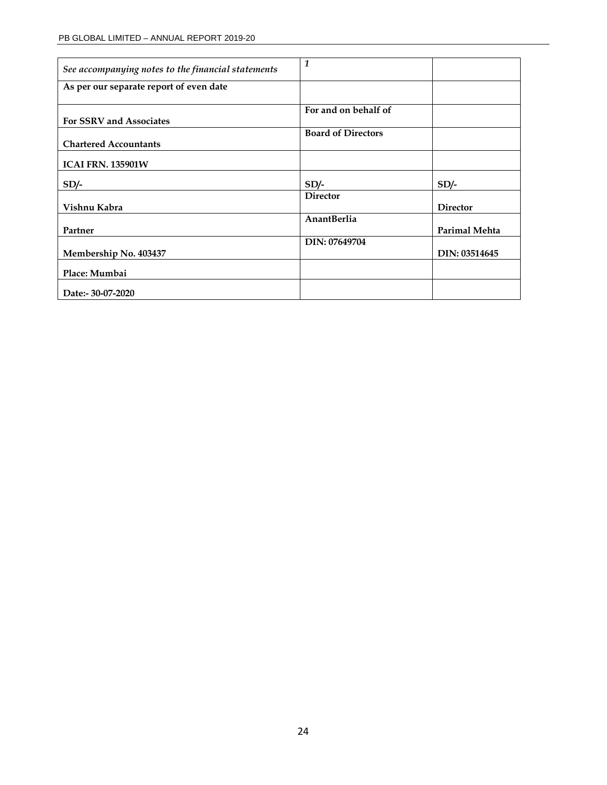| See accompanying notes to the financial statements | 1                         |                 |
|----------------------------------------------------|---------------------------|-----------------|
| As per our separate report of even date            |                           |                 |
|                                                    | For and on behalf of      |                 |
| For SSRV and Associates                            |                           |                 |
|                                                    | <b>Board of Directors</b> |                 |
| <b>Chartered Accountants</b>                       |                           |                 |
| <b>ICAI FRN. 135901W</b>                           |                           |                 |
| $SD/-$                                             | $SD/-$                    | $SD/-$          |
|                                                    | <b>Director</b>           |                 |
| Vishnu Kabra                                       |                           | <b>Director</b> |
|                                                    | AnantBerlia               |                 |
| Partner                                            |                           | Parimal Mehta   |
|                                                    | DIN: 07649704             |                 |
| Membership No. 403437                              |                           | DIN: 03514645   |
| Place: Mumbai                                      |                           |                 |
| Date:- 30-07-2020                                  |                           |                 |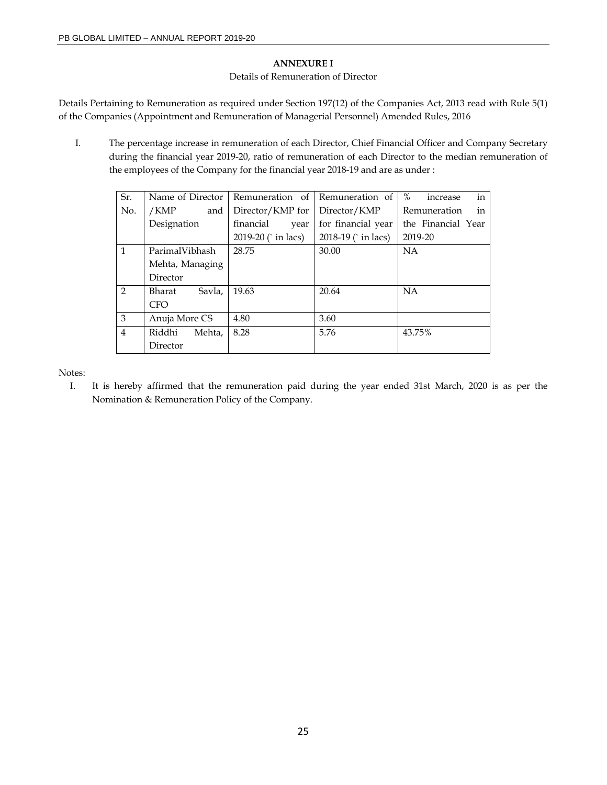### **ANNEXURE I**

### Details of Remuneration of Director

Details Pertaining to Remuneration as required under Section 197(12) of the Companies Act, 2013 read with Rule 5(1) of the Companies (Appointment and Remuneration of Managerial Personnel) Amended Rules, 2016

I. The percentage increase in remuneration of each Director, Chief Financial Officer and Company Secretary during the financial year 2019-20, ratio of remuneration of each Director to the median remuneration of the employees of the Company for the financial year 2018-19 and are as under :

| Sr.            | Name of Director | Remuneration of     | Remuneration of    | in<br>$\%$<br>increase |
|----------------|------------------|---------------------|--------------------|------------------------|
| No.            | /KMP<br>and      | Director/KMP for    | Director/KMP       | in<br>Remuneration     |
|                | Designation      | financial<br>year   | for financial year | the Financial Year     |
|                |                  | 2019-20 (` in lacs) | 2018-19 (`in lacs) | 2019-20                |
| $\mathbf{1}$   | ParimalVibhash   | 28.75               | 30.00              | <b>NA</b>              |
|                | Mehta, Managing  |                     |                    |                        |
|                | Director         |                     |                    |                        |
| $\mathcal{P}$  | Savla,<br>Bharat | 19.63               | 20.64              | <b>NA</b>              |
|                | <b>CFO</b>       |                     |                    |                        |
| 3              | Anuja More CS    | 4.80                | 3.60               |                        |
| $\overline{4}$ | Riddhi<br>Mehta, | 8.28                | 5.76               | 43.75%                 |
|                | Director         |                     |                    |                        |

Notes:

I. It is hereby affirmed that the remuneration paid during the year ended 31st March, 2020 is as per the Nomination & Remuneration Policy of the Company.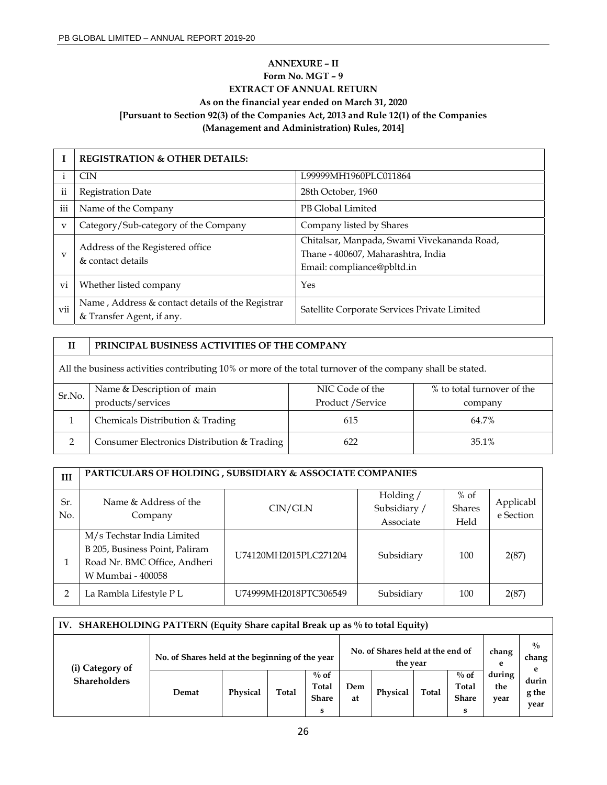# **ANNEXURE – II Form No. MGT – 9 EXTRACT OF ANNUAL RETURN As on the financial year ended on March 31, 2020 [Pursuant to Section 92(3) of the Companies Act, 2013 and Rule 12(1) of the Companies (Management and Administration) Rules, 2014]**

|                         | <b>REGISTRATION &amp; OTHER DETAILS:</b>                                      |                                                                                                                 |
|-------------------------|-------------------------------------------------------------------------------|-----------------------------------------------------------------------------------------------------------------|
|                         | <b>CIN</b>                                                                    | L99999MH1960PLC011864                                                                                           |
| $\mathbf{ii}$           | <b>Registration Date</b>                                                      | 28th October, 1960                                                                                              |
| iii                     | Name of the Company                                                           | PB Global Limited                                                                                               |
| $\overline{\mathbf{V}}$ | Category/Sub-category of the Company                                          | Company listed by Shares                                                                                        |
| $\mathbf{v}$            | Address of the Registered office<br>& contact details                         | Chitalsar, Manpada, Swami Vivekananda Road,<br>Thane - 400607, Maharashtra, India<br>Email: compliance@pbltd.in |
| vi                      | Whether listed company                                                        | Yes                                                                                                             |
| vii                     | Name, Address & contact details of the Registrar<br>& Transfer Agent, if any. | Satellite Corporate Services Private Limited                                                                    |

# **II PRINCIPAL BUSINESS ACTIVITIES OF THE COMPANY**

All the business activities contributing 10% or more of the total turnover of the company shall be stated.

|                             | Name & Description of main                  | NIC Code of the   | % to total turnover of the |  |  |
|-----------------------------|---------------------------------------------|-------------------|----------------------------|--|--|
| Sr.No.<br>products/services |                                             | Product / Service | company                    |  |  |
|                             | Chemicals Distribution & Trading            | 615               | 64.7%                      |  |  |
|                             | Consumer Electronics Distribution & Trading | 622               | 35.1%                      |  |  |

| III        | PARTICULARS OF HOLDING, SUBSIDIARY & ASSOCIATE COMPANIES                                                          |                       |                                        |                                 |                        |  |  |  |  |
|------------|-------------------------------------------------------------------------------------------------------------------|-----------------------|----------------------------------------|---------------------------------|------------------------|--|--|--|--|
| Sr.<br>No. | Name & Address of the<br>Company                                                                                  | CIN/GLN               | Holding /<br>Subsidiary /<br>Associate | $%$ of<br><b>Shares</b><br>Held | Applicabl<br>e Section |  |  |  |  |
|            | M/s Techstar India Limited<br>B 205, Business Point, Paliram<br>Road Nr. BMC Office, Andheri<br>W Mumbai - 400058 | U74120MH2015PLC271204 | Subsidiary                             | 100                             | 2(87)                  |  |  |  |  |
| 2          | La Rambla Lifestyle P L                                                                                           | U74999MH2018PTC306549 | Subsidiary                             | 100                             | 2(87)                  |  |  |  |  |

| IV. SHAREHOLDING PATTERN (Equity Share capital Break up as % to total Equity) |                                                 |          |       |                                              |           |          |            |                                       |                       |
|-------------------------------------------------------------------------------|-------------------------------------------------|----------|-------|----------------------------------------------|-----------|----------|------------|---------------------------------------|-----------------------|
| (i) Category of<br><b>Shareholders</b>                                        | No. of Shares held at the beginning of the year |          |       | No. of Shares held at the end of<br>the year |           |          | chang<br>e | $^{0}/_{0}$<br>chang<br>e             |                       |
|                                                                               | Demat                                           | Physical | Total | $\%$ of<br>Total<br><b>Share</b><br>s        | Dem<br>at | Physical | Total      | $\%$ of<br>Total<br><b>Share</b><br>S | during<br>the<br>year |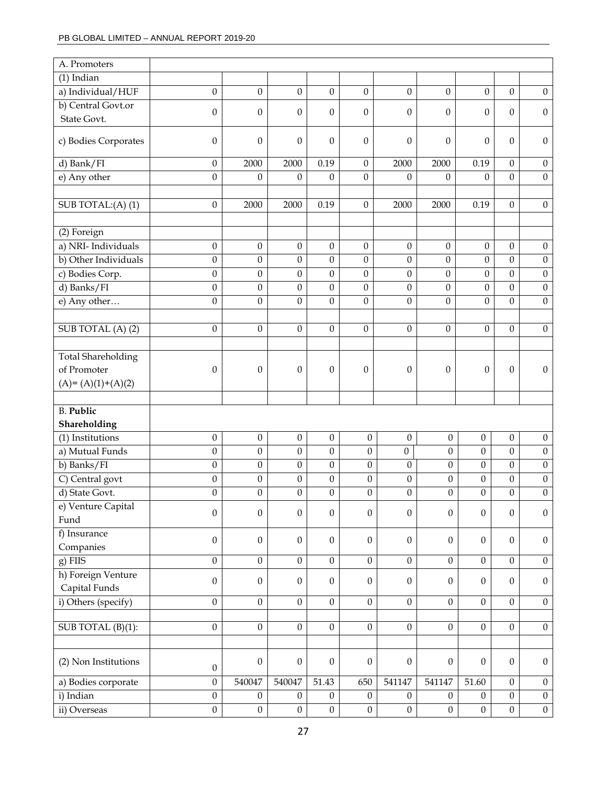| A. Promoters              |                                      |                                      |                                      |                                      |                                      |                                    |                  |                  |                  |                  |
|---------------------------|--------------------------------------|--------------------------------------|--------------------------------------|--------------------------------------|--------------------------------------|------------------------------------|------------------|------------------|------------------|------------------|
| $(1)$ Indian              |                                      |                                      |                                      |                                      |                                      |                                    |                  |                  |                  |                  |
| a) Individual/HUF         | $\boldsymbol{0}$                     | $\boldsymbol{0}$                     | $\mathbf{0}$                         | $\boldsymbol{0}$                     | $\boldsymbol{0}$                     | $\boldsymbol{0}$                   | $\boldsymbol{0}$ | $\boldsymbol{0}$ | $\mathbf{0}$     | $\mathbf{0}$     |
| b) Central Govt.or        |                                      |                                      |                                      |                                      |                                      |                                    |                  |                  |                  |                  |
| State Govt.               | $\mathbf{0}$                         | $\theta$                             | $\theta$                             | $\Omega$                             | $\mathbf{0}$                         | $\theta$                           | $\theta$         | $\theta$         | $\theta$         | $\theta$         |
| c) Bodies Corporates      | $\boldsymbol{0}$                     | $\boldsymbol{0}$                     | $\mathbf{0}$                         | $\theta$                             | $\boldsymbol{0}$                     | $\boldsymbol{0}$                   | 0                | $\mathbf{0}$     | $\theta$         | $\boldsymbol{0}$ |
| d) Bank/ $\overline{FI}$  | $\boldsymbol{0}$                     | 2000                                 | 2000                                 | 0.19                                 | $\mathbf{0}$                         | 2000                               | 2000             | 0.19             | $\Omega$         | $\boldsymbol{0}$ |
| e) Any other              | $\boldsymbol{0}$                     | $\boldsymbol{0}$                     | $\boldsymbol{0}$                     | $\theta$                             | $\boldsymbol{0}$                     | $\boldsymbol{0}$                   | $\boldsymbol{0}$ | $\mathbf{0}$     | $\boldsymbol{0}$ | $\boldsymbol{0}$ |
|                           |                                      |                                      |                                      |                                      |                                      |                                    |                  |                  |                  |                  |
| SUB TOTAL:(A)(1)          | $\mathbf{0}$                         | 2000                                 | 2000                                 | 0.19                                 | $\mathbf{0}$                         | 2000                               | 2000             | 0.19             | $\Omega$         | $\mathbf{0}$     |
|                           |                                      |                                      |                                      |                                      |                                      |                                    |                  |                  |                  |                  |
| (2) Foreign               |                                      |                                      |                                      |                                      |                                      |                                    |                  |                  |                  |                  |
| a) NRI- Individuals       | $\boldsymbol{0}$                     | $\boldsymbol{0}$                     | $\boldsymbol{0}$                     | $\theta$                             | $\mathbf{0}$                         | $\boldsymbol{0}$                   | $\boldsymbol{0}$ | $\boldsymbol{0}$ | $\boldsymbol{0}$ | $\boldsymbol{0}$ |
| b) Other Individuals      | $\boldsymbol{0}$                     | $\boldsymbol{0}$                     | $\boldsymbol{0}$                     | $\boldsymbol{0}$                     | $\boldsymbol{0}$                     | $\boldsymbol{0}$                   | $\boldsymbol{0}$ | $\boldsymbol{0}$ | $\boldsymbol{0}$ | $\boldsymbol{0}$ |
| c) Bodies Corp.           | $\boldsymbol{0}$                     | $\boldsymbol{0}$                     | $\boldsymbol{0}$                     | $\boldsymbol{0}$                     | $\boldsymbol{0}$                     | $\boldsymbol{0}$                   | $\boldsymbol{0}$ | $\boldsymbol{0}$ | $\boldsymbol{0}$ | $\boldsymbol{0}$ |
| d) Banks/FI               | $\mathbf{0}$                         | $\boldsymbol{0}$                     | $\mathbf{0}$                         | $\mathbf{0}$                         | $\boldsymbol{0}$                     | $\mathbf{0}$                       | $\mathbf{0}$     | $\boldsymbol{0}$ | $\boldsymbol{0}$ | $\boldsymbol{0}$ |
| e) Any other              | $\boldsymbol{0}$                     | $\mathbf{0}$                         | $\boldsymbol{0}$                     | $\boldsymbol{0}$                     | $\boldsymbol{0}$                     | $\boldsymbol{0}$                   | $\boldsymbol{0}$ | $\boldsymbol{0}$ | $\boldsymbol{0}$ | $\boldsymbol{0}$ |
|                           |                                      |                                      |                                      |                                      |                                      |                                    |                  |                  |                  |                  |
| SUB TOTAL (A) (2)         | $\mathbf{0}$                         | $\boldsymbol{0}$                     | $\boldsymbol{0}$                     | $\boldsymbol{0}$                     | $\mathbf{0}$                         | $\mathbf{0}$                       | $\boldsymbol{0}$ | $\boldsymbol{0}$ | $\boldsymbol{0}$ | $\boldsymbol{0}$ |
|                           |                                      |                                      |                                      |                                      |                                      |                                    |                  |                  |                  |                  |
| <b>Total Shareholding</b> |                                      |                                      |                                      |                                      |                                      |                                    |                  |                  |                  |                  |
| of Promoter               | $\mathbf{0}$                         | $\theta$                             | $\theta$                             | $\theta$                             | $\theta$                             | $\mathbf{0}$                       | $\boldsymbol{0}$ | $\theta$         | $\mathbf{0}$     | $\boldsymbol{0}$ |
| $(A)=(A)(1)+(A)(2)$       |                                      |                                      |                                      |                                      |                                      |                                    |                  |                  |                  |                  |
|                           |                                      |                                      |                                      |                                      |                                      |                                    |                  |                  |                  |                  |
| <b>B.</b> Public          |                                      |                                      |                                      |                                      |                                      |                                    |                  |                  |                  |                  |
| Shareholding              |                                      |                                      |                                      |                                      |                                      |                                    |                  |                  |                  |                  |
| (1) Institutions          | $\boldsymbol{0}$                     | $\boldsymbol{0}$                     | $\boldsymbol{0}$                     | $\boldsymbol{0}$                     | $\boldsymbol{0}$                     | $\boldsymbol{0}$                   | $\boldsymbol{0}$ | $\boldsymbol{0}$ | $\boldsymbol{0}$ | $\boldsymbol{0}$ |
| a) Mutual Funds           | $\boldsymbol{0}$                     | $\boldsymbol{0}$                     | $\boldsymbol{0}$                     | $\boldsymbol{0}$                     | $\boldsymbol{0}$                     | $\boldsymbol{0}$                   | $\boldsymbol{0}$ | $\theta$         | $\boldsymbol{0}$ | $\boldsymbol{0}$ |
| b) Banks/FI               | 0                                    | $\boldsymbol{0}$                     | $\boldsymbol{0}$                     | $\boldsymbol{0}$                     | $\mathbf{0}$                         | $\mathbf{0}$                       | $\theta$         | $\boldsymbol{0}$ | $\boldsymbol{0}$ | $\boldsymbol{0}$ |
| C) Central govt           | 0                                    | $\boldsymbol{0}$                     | $\boldsymbol{0}$                     | $\boldsymbol{0}$                     | $\boldsymbol{0}$                     | $\boldsymbol{0}$                   | $\boldsymbol{0}$ | $\boldsymbol{0}$ | $\boldsymbol{0}$ | $\boldsymbol{0}$ |
| d) State Govt.            | $\mathbf{0}$                         | $\mathbf{0}$                         | $\mathbf{0}$                         | $\mathbf{0}$                         | $\mathbf{0}$                         | $\mathbf{0}$                       | $\overline{0}$   | $\theta$         | $\theta$         | $\boldsymbol{0}$ |
| e) Venture Capital        |                                      |                                      |                                      |                                      |                                      |                                    |                  |                  |                  |                  |
| Fund                      | 0                                    | $\boldsymbol{0}$                     | $\boldsymbol{0}$                     | $\boldsymbol{0}$                     | $\boldsymbol{0}$                     | $\boldsymbol{0}$                   | $\boldsymbol{0}$ | $\boldsymbol{0}$ | $\boldsymbol{0}$ | $\boldsymbol{0}$ |
| f) Insurance              |                                      |                                      |                                      |                                      |                                      |                                    |                  |                  |                  |                  |
| Companies                 | $\boldsymbol{0}$                     | $\boldsymbol{0}$                     | $\boldsymbol{0}$                     | $\boldsymbol{0}$                     | $\boldsymbol{0}$                     | $\boldsymbol{0}$                   | $\boldsymbol{0}$ | $\boldsymbol{0}$ | $\boldsymbol{0}$ | $\boldsymbol{0}$ |
| $g)$ FIIS                 | $\overline{0}$                       | $\boldsymbol{0}$                     | $\overline{0}$                       | $\boldsymbol{0}$                     | $\overline{0}$                       | $\mathbf{0}$                       | $\boldsymbol{0}$ | $\overline{0}$   | $\boldsymbol{0}$ | $\boldsymbol{0}$ |
|                           |                                      |                                      |                                      |                                      |                                      |                                    |                  |                  |                  |                  |
| h) Foreign Venture        | $\boldsymbol{0}$                     | $\mathbf{0}$                         | $\boldsymbol{0}$                     | $\boldsymbol{0}$                     | $\boldsymbol{0}$                     | $\boldsymbol{0}$                   | $\boldsymbol{0}$ | $\boldsymbol{0}$ | $\boldsymbol{0}$ | $\boldsymbol{0}$ |
| Capital Funds             |                                      |                                      | $\mathbf{0}$                         |                                      |                                      |                                    |                  |                  |                  |                  |
| i) Others (specify)       | $\boldsymbol{0}$                     | $\boldsymbol{0}$                     |                                      | $\boldsymbol{0}$                     | $\mathbf{0}$                         | $\overline{0}$                     | $\boldsymbol{0}$ | $\boldsymbol{0}$ | $\boldsymbol{0}$ | $\boldsymbol{0}$ |
| SUB TOTAL (B)(1):         | $\boldsymbol{0}$                     | $\boldsymbol{0}$                     | $\boldsymbol{0}$                     | $\boldsymbol{0}$                     | $\boldsymbol{0}$                     | $\boldsymbol{0}$                   | $\boldsymbol{0}$ | $\boldsymbol{0}$ | $\boldsymbol{0}$ | $\mathbf{0}$     |
|                           |                                      |                                      |                                      |                                      |                                      |                                    |                  |                  |                  |                  |
|                           |                                      |                                      |                                      |                                      |                                      |                                    |                  |                  |                  |                  |
| (2) Non Institutions      | $\boldsymbol{0}$                     | $\boldsymbol{0}$                     | $\boldsymbol{0}$                     | $\boldsymbol{0}$                     | $\boldsymbol{0}$                     | $\boldsymbol{0}$                   | $\boldsymbol{0}$ | $\boldsymbol{0}$ | $\boldsymbol{0}$ | $\boldsymbol{0}$ |
|                           | $\boldsymbol{0}$                     | 540047                               | 540047                               | 51.43                                | 650                                  | 541147                             | 541147           | 51.60            | $\boldsymbol{0}$ |                  |
| a) Bodies corporate       |                                      |                                      |                                      |                                      |                                      |                                    |                  |                  |                  | $\boldsymbol{0}$ |
| i) Indian<br>ii) Overseas | $\boldsymbol{0}$<br>$\boldsymbol{0}$ | $\boldsymbol{0}$<br>$\boldsymbol{0}$ | $\boldsymbol{0}$<br>$\boldsymbol{0}$ | $\boldsymbol{0}$<br>$\boldsymbol{0}$ | $\boldsymbol{0}$<br>$\boldsymbol{0}$ | $\boldsymbol{0}$<br>$\overline{0}$ | $\boldsymbol{0}$ | $\boldsymbol{0}$ | $\boldsymbol{0}$ | $\boldsymbol{0}$ |
|                           |                                      |                                      |                                      |                                      |                                      |                                    | $\mathbf{0}$     | $\boldsymbol{0}$ | $\boldsymbol{0}$ | $\boldsymbol{0}$ |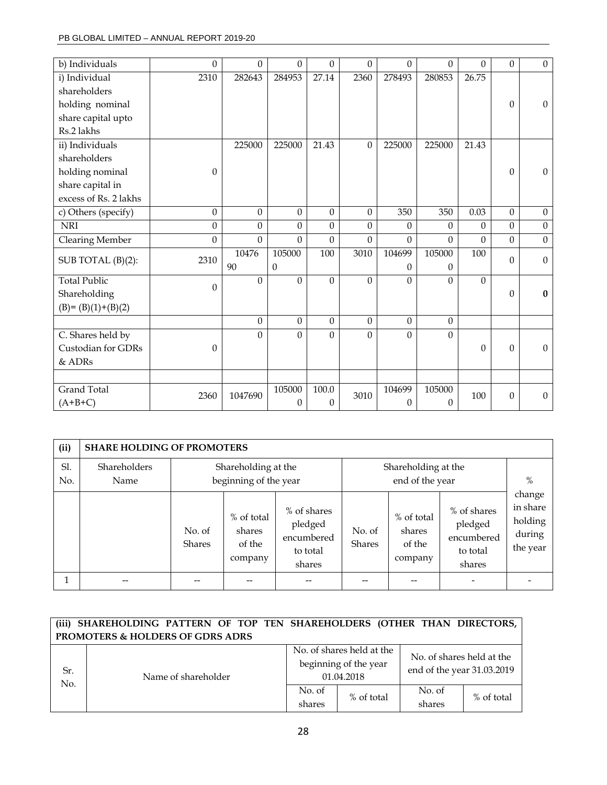| b) Individuals         | $\Omega$         | $\Omega$         | $\Omega$         | $\Omega$         | $\Omega$       | 0                | $\Omega$         | $\theta$     | $\mathbf{0}$     | $\mathbf{0}$     |
|------------------------|------------------|------------------|------------------|------------------|----------------|------------------|------------------|--------------|------------------|------------------|
| i) Individual          | 2310             | 282643           | 284953           | 27.14            | 2360           | 278493           | 280853           | 26.75        |                  |                  |
| shareholders           |                  |                  |                  |                  |                |                  |                  |              |                  |                  |
| holding nominal        |                  |                  |                  |                  |                |                  |                  |              | $\mathbf{0}$     | $\boldsymbol{0}$ |
| share capital upto     |                  |                  |                  |                  |                |                  |                  |              |                  |                  |
| Rs.2 lakhs             |                  |                  |                  |                  |                |                  |                  |              |                  |                  |
| ii) Individuals        |                  | 225000           | 225000           | 21.43            | $\theta$       | 225000           | 225000           | 21.43        |                  |                  |
| shareholders           |                  |                  |                  |                  |                |                  |                  |              |                  |                  |
| holding nominal        | $\theta$         |                  |                  |                  |                |                  |                  |              | $\theta$         | $\mathbf{0}$     |
| share capital in       |                  |                  |                  |                  |                |                  |                  |              |                  |                  |
| excess of Rs. 2 lakhs  |                  |                  |                  |                  |                |                  |                  |              |                  |                  |
| c) Others (specify)    | $\mathbf{0}$     | $\boldsymbol{0}$ | $\mathbf{0}$     | $\boldsymbol{0}$ | $\mathbf{0}$   | 350              | 350              | 0.03         | $\mathbf{0}$     | $\mathbf{0}$     |
| <b>NRI</b>             | $\mathbf{0}$     | $\boldsymbol{0}$ | $\overline{0}$   | $\boldsymbol{0}$ | $\overline{0}$ | 0                | $\theta$         | 0            | $\mathbf{0}$     | $\mathbf{0}$     |
| <b>Clearing Member</b> | $\Omega$         | $\Omega$         | $\Omega$         | $\Omega$         | $\Omega$       | 0                | $\Omega$         | $\theta$     | $\mathbf{0}$     | $\mathbf{0}$     |
|                        |                  | 10476            | 105000           | 100              | 3010           | 104699           | 105000           | 100          | $\Omega$         | $\mathbf{0}$     |
| SUB TOTAL (B)(2):      | 2310             | 90               | $\Omega$         |                  |                | 0                | $\Omega$         |              |                  |                  |
| <b>Total Public</b>    | $\mathbf{0}$     | $\Omega$         | $\mathbf{0}$     | $\Omega$         | $\mathbf{0}$   | 0                | $\Omega$         | $\mathbf{0}$ |                  |                  |
| Shareholding           |                  |                  |                  |                  |                |                  |                  |              | $\theta$         | $\bf{0}$         |
| $(B)=(B)(1)+(B)(2)$    |                  |                  |                  |                  |                |                  |                  |              |                  |                  |
|                        |                  | $\boldsymbol{0}$ | $\overline{0}$   | $\boldsymbol{0}$ | $\overline{0}$ | $\boldsymbol{0}$ | $\boldsymbol{0}$ |              |                  |                  |
| C. Shares held by      |                  | $\Omega$         | $\Omega$         | $\Omega$         | $\theta$       | $\theta$         | $\Omega$         |              |                  |                  |
| Custodian for GDRs     | $\boldsymbol{0}$ |                  |                  |                  |                |                  |                  | 0            | $\theta$         | $\mathbf{0}$     |
| & ADRs                 |                  |                  |                  |                  |                |                  |                  |              |                  |                  |
|                        |                  |                  |                  |                  |                |                  |                  |              |                  |                  |
| <b>Grand Total</b>     | 2360             | 1047690          | 105000           | 100.0            | 3010           | 104699           | 105000           | 100          | $\boldsymbol{0}$ | $\mathbf{0}$     |
| $(A+B+C)$              |                  |                  | $\boldsymbol{0}$ | $\theta$         |                | 0                | $\theta$         |              |                  |                  |

| (ii)       | <b>SHARE HOLDING OF PROMOTERS</b> |                         |                                                                                        |                                                            |                         |                                           |                                                            |                                                     |
|------------|-----------------------------------|-------------------------|----------------------------------------------------------------------------------------|------------------------------------------------------------|-------------------------|-------------------------------------------|------------------------------------------------------------|-----------------------------------------------------|
| Sl.<br>No. | Shareholders<br>Name              |                         | Shareholding at the<br>Shareholding at the<br>beginning of the year<br>end of the year |                                                            |                         |                                           |                                                            |                                                     |
|            |                                   | No. of<br><b>Shares</b> | % of total<br>shares<br>of the<br>company                                              | % of shares<br>pledged<br>encumbered<br>to total<br>shares | No. of<br><b>Shares</b> | % of total<br>shares<br>of the<br>company | % of shares<br>pledged<br>encumbered<br>to total<br>shares | change<br>in share<br>holding<br>during<br>the year |
|            |                                   |                         |                                                                                        | --                                                         |                         |                                           |                                                            |                                                     |

|                                  | (iii) SHAREHOLDING PATTERN OF TOP TEN SHAREHOLDERS (OTHER THAN DIRECTORS, |                  |                                                                  |                                                         |            |  |  |  |
|----------------------------------|---------------------------------------------------------------------------|------------------|------------------------------------------------------------------|---------------------------------------------------------|------------|--|--|--|
| PROMOTERS & HOLDERS OF GDRS ADRS |                                                                           |                  |                                                                  |                                                         |            |  |  |  |
| Sr.<br>No.                       | Name of shareholder                                                       |                  | No. of shares held at the<br>beginning of the year<br>01.04.2018 | No. of shares held at the<br>end of the year 31.03.2019 |            |  |  |  |
|                                  |                                                                           | No. of<br>shares | % of total                                                       | No. of<br>shares                                        | % of total |  |  |  |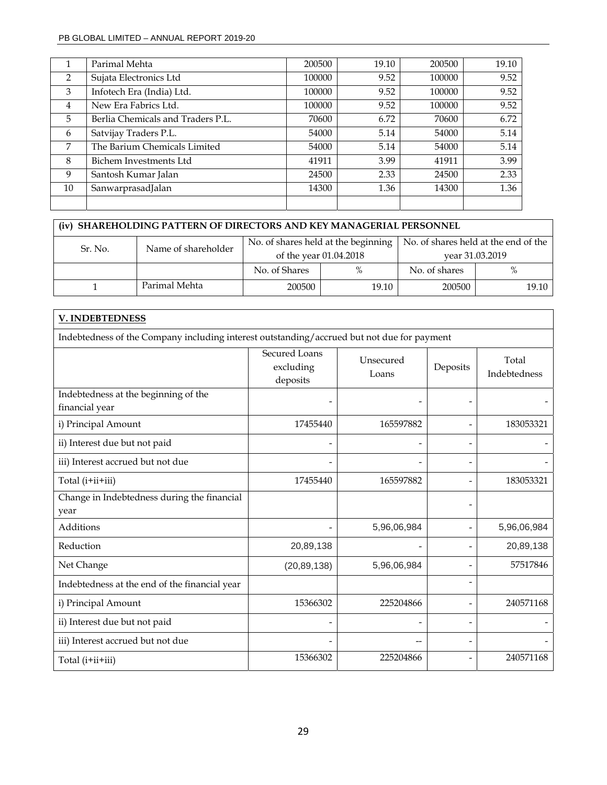|    | Parimal Mehta                     | 200500 | 19.10 | 200500 | 19.10 |
|----|-----------------------------------|--------|-------|--------|-------|
| 2  | Sujata Electronics Ltd            | 100000 | 9.52  | 100000 | 9.52  |
| 3  | Infotech Era (India) Ltd.         | 100000 | 9.52  | 100000 | 9.52  |
| 4  | New Era Fabrics Ltd.              | 100000 | 9.52  | 100000 | 9.52  |
| 5  | Berlia Chemicals and Traders P.L. | 70600  | 6.72  | 70600  | 6.72  |
| 6  | Satvijay Traders P.L.             | 54000  | 5.14  | 54000  | 5.14  |
| 7  | The Barium Chemicals Limited      | 54000  | 5.14  | 54000  | 5.14  |
| 8  | Bichem Investments Ltd            | 41911  | 3.99  | 41911  | 3.99  |
| 9  | Santosh Kumar Jalan               | 24500  | 2.33  | 24500  | 2.33  |
| 10 | SanwarprasadJalan                 | 14300  | 1.36  | 14300  | 1.36  |
|    |                                   |        |       |        |       |

| (iv) SHAREHOLDING PATTERN OF DIRECTORS AND KEY MANAGERIAL PERSONNEL |                     |               |                        |                                                                                  |       |  |  |
|---------------------------------------------------------------------|---------------------|---------------|------------------------|----------------------------------------------------------------------------------|-------|--|--|
| Sr. No.                                                             | Name of shareholder |               |                        | No. of shares held at the beginning $\vert$ No. of shares held at the end of the |       |  |  |
|                                                                     |                     |               | of the year 01.04.2018 | vear 31.03.2019                                                                  |       |  |  |
|                                                                     |                     | No. of Shares | $\%$                   | No. of shares                                                                    | $\%$  |  |  |
|                                                                     | Parimal Mehta       | 200500        | 19.10                  | 200500                                                                           | 19.10 |  |  |

| <b>V. INDEBTEDNESS</b>                                                                     |                                               |                    |                          |                              |  |  |  |  |
|--------------------------------------------------------------------------------------------|-----------------------------------------------|--------------------|--------------------------|------------------------------|--|--|--|--|
| Indebtedness of the Company including interest outstanding/accrued but not due for payment |                                               |                    |                          |                              |  |  |  |  |
|                                                                                            | <b>Secured Loans</b><br>excluding<br>deposits | Unsecured<br>Loans | Deposits                 | Total<br><b>Indebtedness</b> |  |  |  |  |
| Indebtedness at the beginning of the<br>financial year                                     |                                               |                    |                          |                              |  |  |  |  |
| i) Principal Amount                                                                        | 17455440                                      | 165597882          |                          | 183053321                    |  |  |  |  |
| ii) Interest due but not paid                                                              | -                                             |                    | $\overline{a}$           |                              |  |  |  |  |
| iii) Interest accrued but not due                                                          |                                               |                    | $\overline{\phantom{0}}$ |                              |  |  |  |  |
| Total (i+ii+iii)                                                                           | 17455440                                      | 165597882          | $\overline{\phantom{0}}$ | 183053321                    |  |  |  |  |
| Change in Indebtedness during the financial<br>year                                        |                                               |                    |                          |                              |  |  |  |  |
| Additions                                                                                  |                                               | 5,96,06,984        | $\overline{\phantom{a}}$ | 5,96,06,984                  |  |  |  |  |
| Reduction                                                                                  | 20,89,138                                     |                    | $\overline{\phantom{0}}$ | 20,89,138                    |  |  |  |  |
| Net Change                                                                                 | (20, 89, 138)                                 | 5,96,06,984        | $\overline{\phantom{0}}$ | 57517846                     |  |  |  |  |
| Indebtedness at the end of the financial year                                              |                                               |                    | $\overline{\phantom{0}}$ |                              |  |  |  |  |
| i) Principal Amount                                                                        | 15366302                                      | 225204866          |                          | 240571168                    |  |  |  |  |
| ii) Interest due but not paid                                                              |                                               |                    | $\overline{\phantom{0}}$ |                              |  |  |  |  |
| iii) Interest accrued but not due                                                          |                                               |                    | $\overline{a}$           |                              |  |  |  |  |
| Total (i+ii+iii)                                                                           | 15366302                                      | 225204866          | $\overline{\phantom{0}}$ | 240571168                    |  |  |  |  |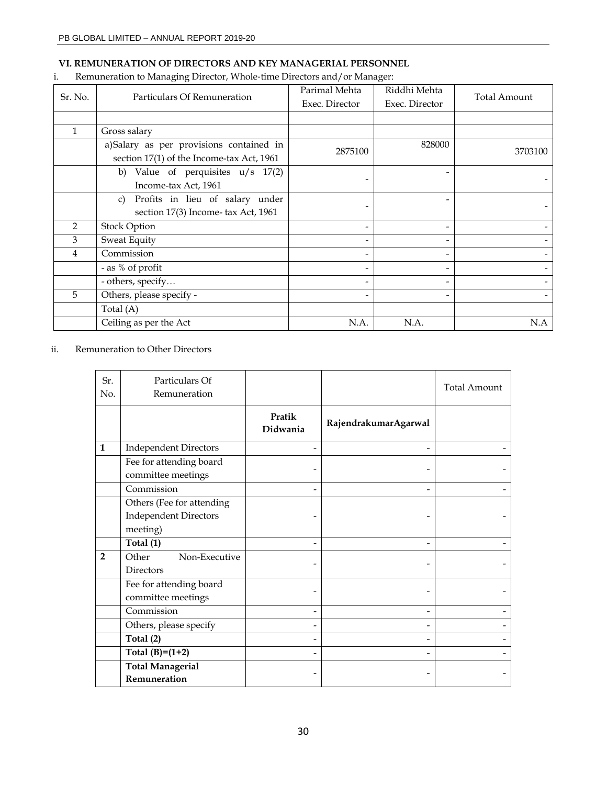# **VI. REMUNERATION OF DIRECTORS AND KEY MANAGERIAL PERSONNEL**

# i. Remuneration to Managing Director, Whole‐time Directors and/or Manager:

| Sr. No.        | Particulars Of Remuneration                                                          | Parimal Mehta<br>Exec. Director | Riddhi Mehta<br>Exec. Director | <b>Total Amount</b> |
|----------------|--------------------------------------------------------------------------------------|---------------------------------|--------------------------------|---------------------|
|                |                                                                                      |                                 |                                |                     |
| 1              | Gross salary                                                                         |                                 |                                |                     |
|                | a)Salary as per provisions contained in<br>section 17(1) of the Income-tax Act, 1961 | 2875100                         | 828000                         | 3703100             |
|                | b) Value of perquisites $u/s$ 17(2)<br>Income-tax Act, 1961                          |                                 |                                |                     |
|                | Profits in lieu of salary under<br>C)<br>section 17(3) Income- tax Act, 1961         |                                 |                                |                     |
| $\overline{2}$ | <b>Stock Option</b>                                                                  |                                 |                                |                     |
| 3              | <b>Sweat Equity</b>                                                                  |                                 |                                |                     |
| 4              | Commission                                                                           |                                 |                                |                     |
|                | - as % of profit                                                                     |                                 |                                |                     |
|                | - others, specify                                                                    |                                 |                                |                     |
| 5              | Others, please specify -                                                             |                                 |                                |                     |
|                | Total (A)                                                                            |                                 |                                |                     |
|                | Ceiling as per the Act                                                               | N.A.                            | N.A.                           | N.A                 |

# ii. Remuneration to Other Directors

| Sr.<br>No.     | Particulars Of<br>Remuneration                |                    |                      | <b>Total Amount</b> |
|----------------|-----------------------------------------------|--------------------|----------------------|---------------------|
|                |                                               | Pratik<br>Didwania | RajendrakumarAgarwal |                     |
| $\mathbf{1}$   | <b>Independent Directors</b>                  |                    |                      |                     |
|                | Fee for attending board                       |                    |                      |                     |
|                | committee meetings                            |                    |                      |                     |
|                | Commission                                    |                    |                      |                     |
|                | Others (Fee for attending                     |                    |                      |                     |
|                | <b>Independent Directors</b>                  |                    |                      |                     |
|                | meeting)                                      |                    |                      |                     |
|                | Total (1)                                     |                    |                      |                     |
| $\overline{2}$ | Other<br>Non-Executive<br><b>Directors</b>    |                    |                      |                     |
|                | Fee for attending board<br>committee meetings |                    |                      |                     |
|                | Commission                                    |                    |                      |                     |
|                | Others, please specify                        |                    |                      |                     |
|                | Total (2)                                     |                    |                      |                     |
|                | Total $(B)=(1+2)$                             |                    |                      |                     |
|                | <b>Total Managerial</b><br>Remuneration       |                    |                      |                     |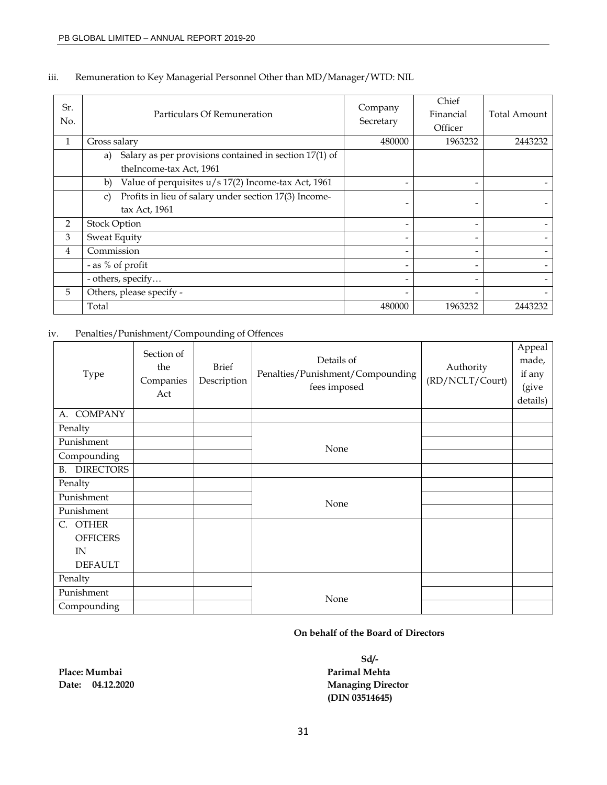| Sr.<br>No.     | Particulars Of Remuneration                                                             | Company<br>Secretary | Chief<br>Financial<br>Officer | Total Amount |
|----------------|-----------------------------------------------------------------------------------------|----------------------|-------------------------------|--------------|
| 1              | Gross salary                                                                            | 480000               | 1963232                       | 2443232      |
|                | Salary as per provisions contained in section 17(1) of<br>a)<br>theIncome-tax Act, 1961 |                      |                               |              |
|                | Value of perquisites u/s 17(2) Income-tax Act, 1961<br>b)                               |                      |                               |              |
|                | Profits in lieu of salary under section 17(3) Income-<br>C)<br>tax Act, 1961            |                      |                               |              |
| 2              | <b>Stock Option</b>                                                                     |                      | -                             |              |
| 3              | <b>Sweat Equity</b>                                                                     |                      |                               |              |
| $\overline{4}$ | Commission                                                                              |                      |                               |              |
|                | - as % of profit                                                                        |                      | -                             |              |
|                | - others, specify                                                                       |                      |                               |              |
| 5              | Others, please specify -                                                                |                      |                               |              |
|                | Total                                                                                   | 480000               | 1963232                       | 2443232      |

# iii. Remuneration to Key Managerial Personnel Other than MD/Manager/WTD: NIL

# iv. Penalties/Punishment/Compounding of Offences

| Type                          | Section of<br>the<br>Companies<br>Act | <b>Brief</b><br>Description | Details of<br>Penalties/Punishment/Compounding<br>fees imposed | Authority<br>(RD/NCLT/Court) | Appeal<br>made,<br>if any<br>(give<br>details) |
|-------------------------------|---------------------------------------|-----------------------------|----------------------------------------------------------------|------------------------------|------------------------------------------------|
| <b>COMPANY</b><br>A.          |                                       |                             |                                                                |                              |                                                |
| Penalty                       |                                       |                             |                                                                |                              |                                                |
| Punishment                    |                                       |                             | None                                                           |                              |                                                |
| Compounding                   |                                       |                             |                                                                |                              |                                                |
| <b>DIRECTORS</b><br><b>B.</b> |                                       |                             |                                                                |                              |                                                |
| Penalty                       |                                       |                             |                                                                |                              |                                                |
| Punishment                    |                                       |                             | None                                                           |                              |                                                |
| Punishment                    |                                       |                             |                                                                |                              |                                                |
| <b>OTHER</b><br>C.            |                                       |                             |                                                                |                              |                                                |
| <b>OFFICERS</b>               |                                       |                             |                                                                |                              |                                                |
| IN                            |                                       |                             |                                                                |                              |                                                |
| <b>DEFAULT</b>                |                                       |                             |                                                                |                              |                                                |
| Penalty                       |                                       |                             |                                                                |                              |                                                |
| Punishment                    |                                       |                             | None                                                           |                              |                                                |
| Compounding                   |                                       |                             |                                                                |                              |                                                |

# **On behalf of the Board of Directors**

**Sd/- Date: 04.12.2020 Managing Director (DIN 03514645)** 

Place: Mumbai **Place: Mumbai Parimal Mehta Parimal Mehta**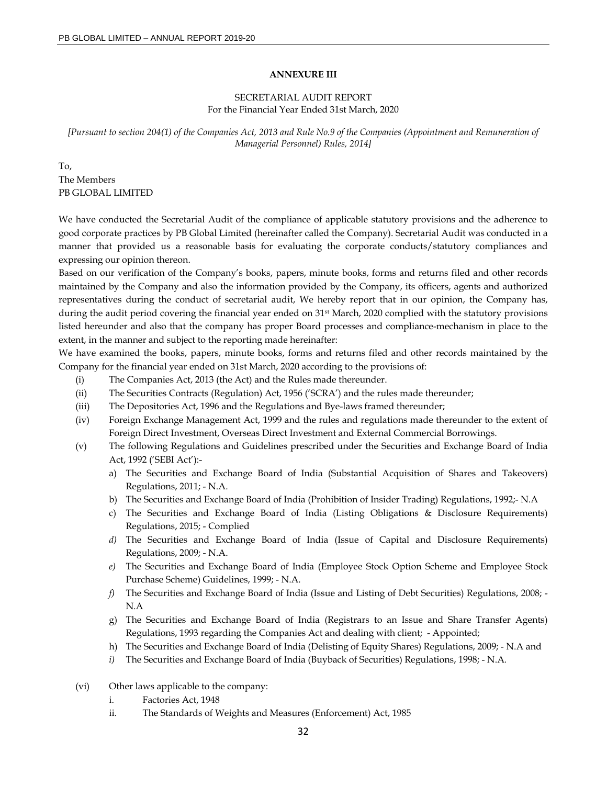#### **ANNEXURE III**

### SECRETARIAL AUDIT REPORT For the Financial Year Ended 31st March, 2020

*[Pursuant to section 204(1) of the Companies Act, 2013 and Rule No.9 of the Companies (Appointment and Remuneration of Managerial Personnel) Rules, 2014]* 

To, The Members PB GLOBAL LIMITED

We have conducted the Secretarial Audit of the compliance of applicable statutory provisions and the adherence to good corporate practices by PB Global Limited (hereinafter called the Company). Secretarial Audit was conducted in a manner that provided us a reasonable basis for evaluating the corporate conducts/statutory compliances and expressing our opinion thereon.

Based on our verification of the Company's books, papers, minute books, forms and returns filed and other records maintained by the Company and also the information provided by the Company, its officers, agents and authorized representatives during the conduct of secretarial audit, We hereby report that in our opinion, the Company has, during the audit period covering the financial year ended on 31<sup>st</sup> March, 2020 complied with the statutory provisions listed hereunder and also that the company has proper Board processes and compliance-mechanism in place to the extent, in the manner and subject to the reporting made hereinafter:

We have examined the books, papers, minute books, forms and returns filed and other records maintained by the Company for the financial year ended on 31st March, 2020 according to the provisions of:

- (i) The Companies Act, 2013 (the Act) and the Rules made thereunder.
- (ii) The Securities Contracts (Regulation) Act, 1956 ('SCRA') and the rules made thereunder;
- (iii) The Depositories Act, 1996 and the Regulations and Bye-laws framed thereunder;
- (iv) Foreign Exchange Management Act, 1999 and the rules and regulations made thereunder to the extent of Foreign Direct Investment, Overseas Direct Investment and External Commercial Borrowings.
- (v) The following Regulations and Guidelines prescribed under the Securities and Exchange Board of India Act, 1992 ('SEBI Act'):
	- a) The Securities and Exchange Board of India (Substantial Acquisition of Shares and Takeovers) Regulations, 2011; - N.A.
	- b) The Securities and Exchange Board of India (Prohibition of Insider Trading) Regulations, 1992;- N.A
	- c) The Securities and Exchange Board of India (Listing Obligations & Disclosure Requirements) Regulations, 2015; - Complied
	- *d)* The Securities and Exchange Board of India (Issue of Capital and Disclosure Requirements) Regulations, 2009; - N.A.
	- *e)* The Securities and Exchange Board of India (Employee Stock Option Scheme and Employee Stock Purchase Scheme) Guidelines, 1999; - N.A*.*
	- *f)* The Securities and Exchange Board of India (Issue and Listing of Debt Securities) Regulations, 2008; N.A
	- g) The Securities and Exchange Board of India (Registrars to an Issue and Share Transfer Agents) Regulations, 1993 regarding the Companies Act and dealing with client; - Appointed;
	- h) The Securities and Exchange Board of India (Delisting of Equity Shares) Regulations, 2009; N.A and
	- *i)* The Securities and Exchange Board of India (Buyback of Securities) Regulations, 1998; N.A*.*
- (vi) Other laws applicable to the company:
	- i. Factories Act, 1948
	- ii. The Standards of Weights and Measures (Enforcement) Act, 1985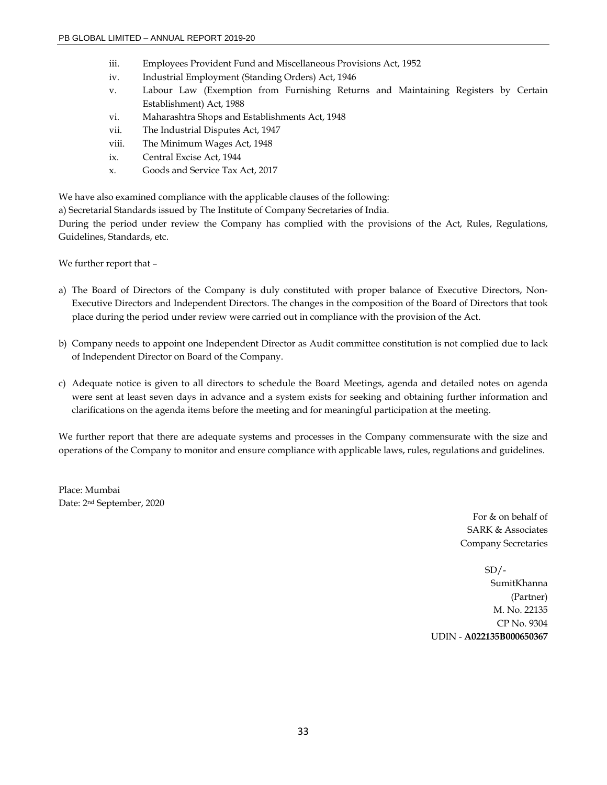- iii. Employees Provident Fund and Miscellaneous Provisions Act, 1952
- iv. Industrial Employment (Standing Orders) Act, 1946
- v. Labour Law (Exemption from Furnishing Returns and Maintaining Registers by Certain Establishment) Act, 1988
- vi. Maharashtra Shops and Establishments Act, 1948
- vii. The Industrial Disputes Act, 1947
- viii. The Minimum Wages Act, 1948
- ix. Central Excise Act, 1944
- x. Goods and Service Tax Act, 2017

We have also examined compliance with the applicable clauses of the following:

a) Secretarial Standards issued by The Institute of Company Secretaries of India.

During the period under review the Company has complied with the provisions of the Act, Rules, Regulations, Guidelines, Standards, etc.

We further report that –

- a) The Board of Directors of the Company is duly constituted with proper balance of Executive Directors, Non-Executive Directors and Independent Directors. The changes in the composition of the Board of Directors that took place during the period under review were carried out in compliance with the provision of the Act.
- b) Company needs to appoint one Independent Director as Audit committee constitution is not complied due to lack of Independent Director on Board of the Company.
- c) Adequate notice is given to all directors to schedule the Board Meetings, agenda and detailed notes on agenda were sent at least seven days in advance and a system exists for seeking and obtaining further information and clarifications on the agenda items before the meeting and for meaningful participation at the meeting.

We further report that there are adequate systems and processes in the Company commensurate with the size and operations of the Company to monitor and ensure compliance with applicable laws, rules, regulations and guidelines.

Place: Mumbai Date: 2nd September, 2020

> For & on behalf of SARK & Associates Company Secretaries

 $SD/-$ SumitKhanna (Partner) M. No. 22135 CP No. 9304 UDIN - **A022135B000650367**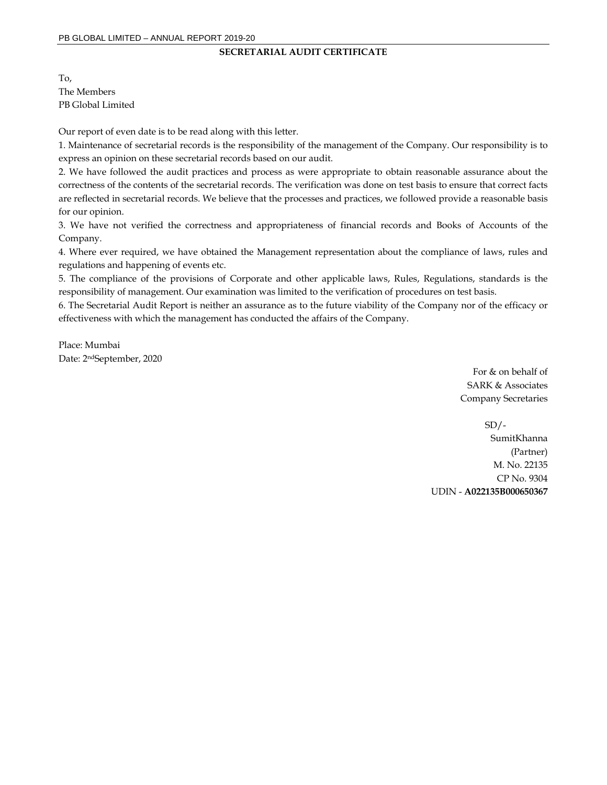### **SECRETARIAL AUDIT CERTIFICATE**

To, The Members PB Global Limited

Our report of even date is to be read along with this letter.

1. Maintenance of secretarial records is the responsibility of the management of the Company. Our responsibility is to express an opinion on these secretarial records based on our audit.

2. We have followed the audit practices and process as were appropriate to obtain reasonable assurance about the correctness of the contents of the secretarial records. The verification was done on test basis to ensure that correct facts are reflected in secretarial records. We believe that the processes and practices, we followed provide a reasonable basis for our opinion.

3. We have not verified the correctness and appropriateness of financial records and Books of Accounts of the Company.

4. Where ever required, we have obtained the Management representation about the compliance of laws, rules and regulations and happening of events etc.

5. The compliance of the provisions of Corporate and other applicable laws, Rules, Regulations, standards is the responsibility of management. Our examination was limited to the verification of procedures on test basis.

6. The Secretarial Audit Report is neither an assurance as to the future viability of the Company nor of the efficacy or effectiveness with which the management has conducted the affairs of the Company.

Place: Mumbai Date: 2ndSeptember, 2020

> For & on behalf of SARK & Associates Company Secretaries

 $SD/-$ SumitKhanna (Partner) M. No. 22135 CP No. 9304 UDIN - **A022135B000650367**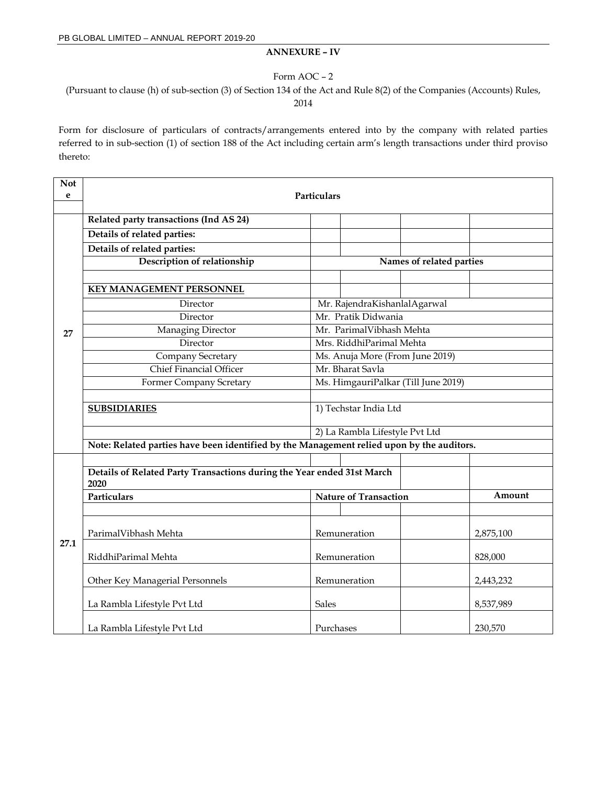# **ANNEXURE – IV**

### Form AOC – 2

(Pursuant to clause (h) of sub-section (3) of Section 134 of the Act and Rule 8(2) of the Companies (Accounts) Rules,

2014

Form for disclosure of particulars of contracts/arrangements entered into by the company with related parties referred to in sub-section (1) of section 188 of the Act including certain arm's length transactions under third proviso thereto:

| <b>Not</b> |                                                                                           |                                 |                              |                                     |           |  |  |
|------------|-------------------------------------------------------------------------------------------|---------------------------------|------------------------------|-------------------------------------|-----------|--|--|
| e          |                                                                                           | Particulars                     |                              |                                     |           |  |  |
|            |                                                                                           |                                 |                              |                                     |           |  |  |
|            | Related party transactions (Ind AS 24)                                                    |                                 |                              |                                     |           |  |  |
|            | Details of related parties:                                                               |                                 |                              |                                     |           |  |  |
|            | Details of related parties:                                                               |                                 |                              |                                     |           |  |  |
|            | Description of relationship                                                               | Names of related parties        |                              |                                     |           |  |  |
|            |                                                                                           |                                 |                              |                                     |           |  |  |
|            | <b>KEY MANAGEMENT PERSONNEL</b>                                                           |                                 |                              |                                     |           |  |  |
|            | Director                                                                                  |                                 | Mr. RajendraKishanlalAgarwal |                                     |           |  |  |
|            | Director                                                                                  | Mr. Pratik Didwania             |                              |                                     |           |  |  |
| 27         | Managing Director                                                                         | Mr. ParimalVibhash Mehta        |                              |                                     |           |  |  |
|            | Director                                                                                  | Mrs. RiddhiParimal Mehta        |                              |                                     |           |  |  |
|            | Company Secretary                                                                         | Ms. Anuja More (From June 2019) |                              |                                     |           |  |  |
|            | <b>Chief Financial Officer</b>                                                            |                                 | Mr. Bharat Savla             |                                     |           |  |  |
|            | Former Company Scretary                                                                   |                                 |                              | Ms. HimgauriPalkar (Till June 2019) |           |  |  |
|            |                                                                                           |                                 |                              |                                     |           |  |  |
|            | <b>SUBSIDIARIES</b>                                                                       |                                 | 1) Techstar India Ltd        |                                     |           |  |  |
|            |                                                                                           |                                 |                              |                                     |           |  |  |
|            | 2) La Rambla Lifestyle Pvt Ltd                                                            |                                 |                              |                                     |           |  |  |
|            | Note: Related parties have been identified by the Management relied upon by the auditors. |                                 |                              |                                     |           |  |  |
|            |                                                                                           |                                 |                              |                                     |           |  |  |
|            | Details of Related Party Transactions during the Year ended 31st March                    |                                 |                              |                                     |           |  |  |
|            | 2020                                                                                      |                                 |                              |                                     | Amount    |  |  |
|            | Particulars                                                                               |                                 | <b>Nature of Transaction</b> |                                     |           |  |  |
|            |                                                                                           |                                 |                              |                                     |           |  |  |
|            | ParimalVibhash Mehta                                                                      |                                 | Remuneration                 |                                     | 2,875,100 |  |  |
| 27.1       |                                                                                           |                                 |                              |                                     |           |  |  |
|            | RiddhiParimal Mehta                                                                       |                                 | Remuneration                 |                                     | 828,000   |  |  |
|            |                                                                                           |                                 |                              |                                     |           |  |  |
|            | Other Key Managerial Personnels                                                           |                                 | Remuneration                 |                                     | 2,443,232 |  |  |
|            |                                                                                           | Sales                           |                              |                                     |           |  |  |
|            | La Rambla Lifestyle Pvt Ltd                                                               |                                 |                              |                                     | 8,537,989 |  |  |
|            | La Rambla Lifestyle Pvt Ltd                                                               | Purchases                       |                              |                                     | 230,570   |  |  |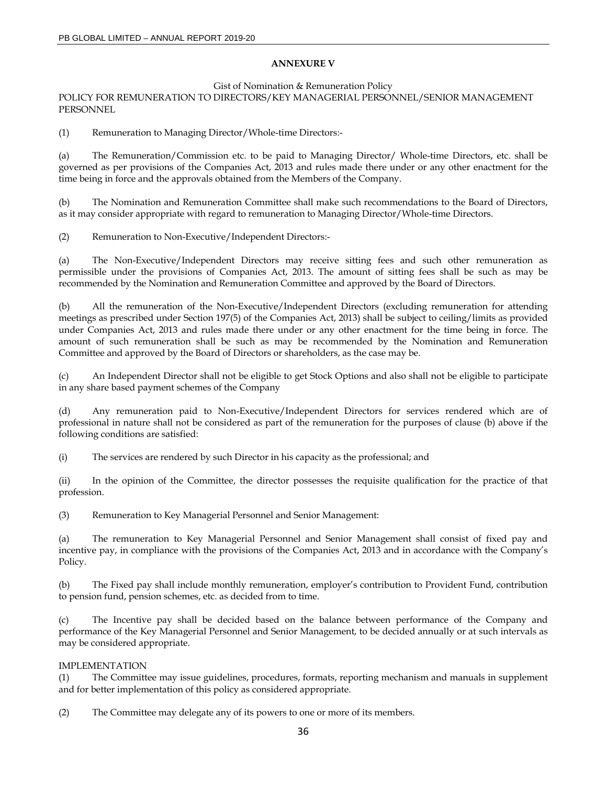### **ANNEXURE V**

Gist of Nomination & Remuneration Policy

POLICY FOR REMUNERATION TO DIRECTORS/KEY MANAGERIAL PERSONNEL/SENIOR MANAGEMENT PERSONNEL

(1) Remuneration to Managing Director/Whole-time Directors:-

(a) The Remuneration/Commission etc. to be paid to Managing Director/ Whole-time Directors, etc. shall be governed as per provisions of the Companies Act, 2013 and rules made there under or any other enactment for the time being in force and the approvals obtained from the Members of the Company.

(b) The Nomination and Remuneration Committee shall make such recommendations to the Board of Directors, as it may consider appropriate with regard to remuneration to Managing Director/Whole-time Directors.

(2) Remuneration to Non-Executive/Independent Directors:-

(a) The Non-Executive/Independent Directors may receive sitting fees and such other remuneration as permissible under the provisions of Companies Act, 2013. The amount of sitting fees shall be such as may be recommended by the Nomination and Remuneration Committee and approved by the Board of Directors.

(b) All the remuneration of the Non-Executive/Independent Directors (excluding remuneration for attending meetings as prescribed under Section 197(5) of the Companies Act, 2013) shall be subject to ceiling/limits as provided under Companies Act, 2013 and rules made there under or any other enactment for the time being in force. The amount of such remuneration shall be such as may be recommended by the Nomination and Remuneration Committee and approved by the Board of Directors or shareholders, as the case may be.

(c) An Independent Director shall not be eligible to get Stock Options and also shall not be eligible to participate in any share based payment schemes of the Company

(d) Any remuneration paid to Non-Executive/Independent Directors for services rendered which are of professional in nature shall not be considered as part of the remuneration for the purposes of clause (b) above if the following conditions are satisfied:

(i) The services are rendered by such Director in his capacity as the professional; and

(ii) In the opinion of the Committee, the director possesses the requisite qualification for the practice of that profession.

(3) Remuneration to Key Managerial Personnel and Senior Management:

(a) The remuneration to Key Managerial Personnel and Senior Management shall consist of fixed pay and incentive pay, in compliance with the provisions of the Companies Act, 2013 and in accordance with the Company's Policy.

(b) The Fixed pay shall include monthly remuneration, employer's contribution to Provident Fund, contribution to pension fund, pension schemes, etc. as decided from to time.

(c) The Incentive pay shall be decided based on the balance between performance of the Company and performance of the Key Managerial Personnel and Senior Management, to be decided annually or at such intervals as may be considered appropriate.

#### IMPLEMENTATION

(1) The Committee may issue guidelines, procedures, formats, reporting mechanism and manuals in supplement and for better implementation of this policy as considered appropriate.

(2) The Committee may delegate any of its powers to one or more of its members.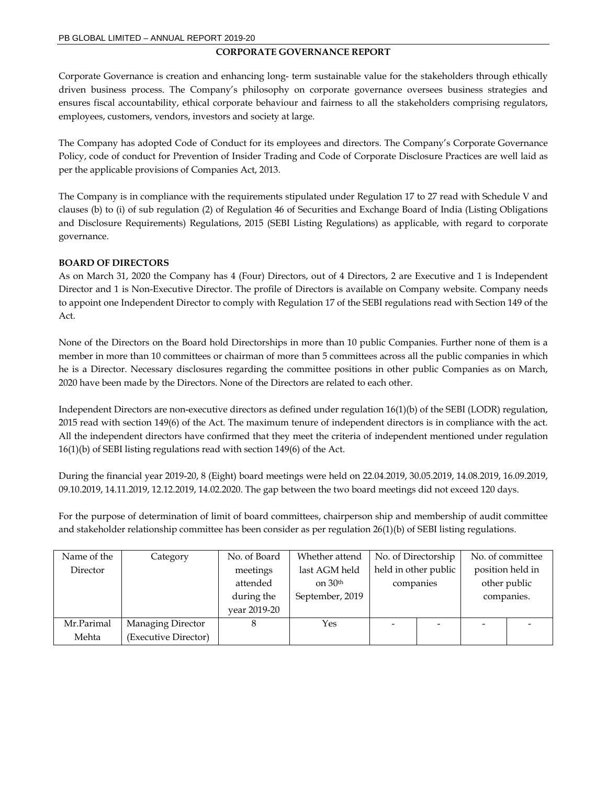## **CORPORATE GOVERNANCE REPORT**

Corporate Governance is creation and enhancing long- term sustainable value for the stakeholders through ethically driven business process. The Company's philosophy on corporate governance oversees business strategies and ensures fiscal accountability, ethical corporate behaviour and fairness to all the stakeholders comprising regulators, employees, customers, vendors, investors and society at large.

The Company has adopted Code of Conduct for its employees and directors. The Company's Corporate Governance Policy, code of conduct for Prevention of Insider Trading and Code of Corporate Disclosure Practices are well laid as per the applicable provisions of Companies Act, 2013.

The Company is in compliance with the requirements stipulated under Regulation 17 to 27 read with Schedule V and clauses (b) to (i) of sub regulation (2) of Regulation 46 of Securities and Exchange Board of India (Listing Obligations and Disclosure Requirements) Regulations, 2015 (SEBI Listing Regulations) as applicable, with regard to corporate governance.

## **BOARD OF DIRECTORS**

As on March 31, 2020 the Company has 4 (Four) Directors, out of 4 Directors, 2 are Executive and 1 is Independent Director and 1 is Non-Executive Director. The profile of Directors is available on Company website. Company needs to appoint one Independent Director to comply with Regulation 17 of the SEBI regulations read with Section 149 of the Act.

None of the Directors on the Board hold Directorships in more than 10 public Companies. Further none of them is a member in more than 10 committees or chairman of more than 5 committees across all the public companies in which he is a Director. Necessary disclosures regarding the committee positions in other public Companies as on March, 2020 have been made by the Directors. None of the Directors are related to each other.

Independent Directors are non-executive directors as defined under regulation 16(1)(b) of the SEBI (LODR) regulation, 2015 read with section 149(6) of the Act. The maximum tenure of independent directors is in compliance with the act. All the independent directors have confirmed that they meet the criteria of independent mentioned under regulation 16(1)(b) of SEBI listing regulations read with section 149(6) of the Act.

During the financial year 2019-20, 8 (Eight) board meetings were held on 22.04.2019, 30.05.2019, 14.08.2019, 16.09.2019, 09.10.2019, 14.11.2019, 12.12.2019, 14.02.2020. The gap between the two board meetings did not exceed 120 days.

For the purpose of determination of limit of board committees, chairperson ship and membership of audit committee and stakeholder relationship committee has been consider as per regulation 26(1)(b) of SEBI listing regulations.

| Name of the | Category             | No. of Board | Whether attend  | No. of Directorship  |  | No. of committee         |                  |  |
|-------------|----------------------|--------------|-----------------|----------------------|--|--------------------------|------------------|--|
| Director    |                      | meetings     | last AGM held   | held in other public |  |                          | position held in |  |
|             |                      | attended     | on $30th$       | companies            |  | other public             |                  |  |
|             |                      | during the   | September, 2019 |                      |  |                          | companies.       |  |
|             |                      | vear 2019-20 |                 |                      |  |                          |                  |  |
| Mr.Parimal  | Managing Director    | 8            | Yes             |                      |  | $\overline{\phantom{a}}$ |                  |  |
| Mehta       | (Executive Director) |              |                 |                      |  |                          |                  |  |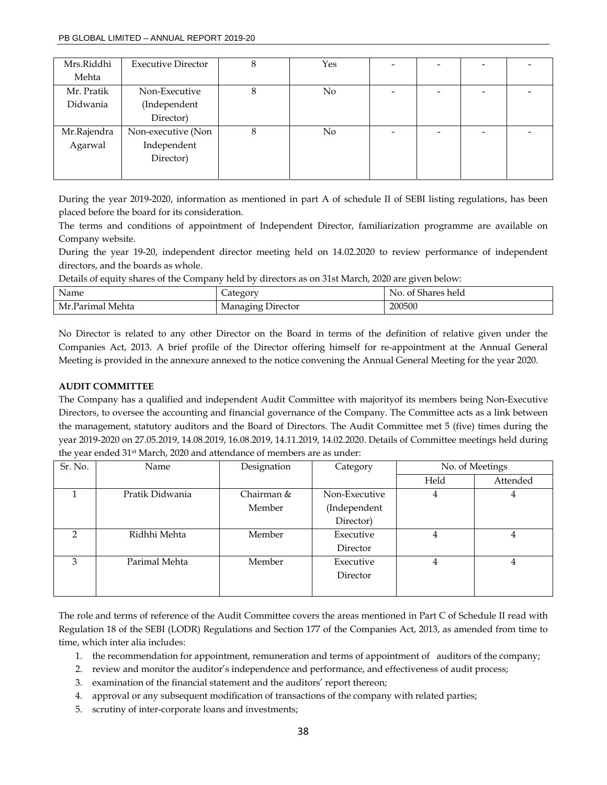| Mrs.Riddhi  | <b>Executive Director</b> | 8 | Yes |  | $\overline{\phantom{0}}$ |  |
|-------------|---------------------------|---|-----|--|--------------------------|--|
| Mehta       |                           |   |     |  |                          |  |
| Mr. Pratik  | Non-Executive             | 8 | No  |  | $\overline{\phantom{a}}$ |  |
| Didwania    | (Independent              |   |     |  |                          |  |
|             | Director)                 |   |     |  |                          |  |
| Mr.Rajendra | Non-executive (Non        | 8 | No  |  | $\overline{\phantom{a}}$ |  |
| Agarwal     | Independent               |   |     |  |                          |  |
|             | Director)                 |   |     |  |                          |  |
|             |                           |   |     |  |                          |  |

During the year 2019-2020, information as mentioned in part A of schedule II of SEBI listing regulations, has been placed before the board for its consideration.

The terms and conditions of appointment of Independent Director, familiarization programme are available on Company website.

During the year 19-20, independent director meeting held on 14.02.2020 to review performance of independent directors, and the boards as whole.

Details of equity shares of the Company held by directors as on 31st March, 2020 are given below:

| Name             | category          | No. of Shares held |
|------------------|-------------------|--------------------|
| Mr.Parimal Mehta | Managing Director | 200500             |

No Director is related to any other Director on the Board in terms of the definition of relative given under the Companies Act, 2013. A brief profile of the Director offering himself for re-appointment at the Annual General Meeting is provided in the annexure annexed to the notice convening the Annual General Meeting for the year 2020.

## **AUDIT COMMITTEE**

The Company has a qualified and independent Audit Committee with majorityof its members being Non-Executive Directors, to oversee the accounting and financial governance of the Company. The Committee acts as a link between the management, statutory auditors and the Board of Directors. The Audit Committee met 5 (five) times during the year 2019-2020 on 27.05.2019, 14.08.2019, 16.08.2019, 14.11.2019, 14.02.2020. Details of Committee meetings held during the year ended 31<sup>st</sup> March, 2020 and attendance of members are as under:

| Sr. No. | Name            | Designation | Category      | No. of Meetings |          |
|---------|-----------------|-------------|---------------|-----------------|----------|
|         |                 |             |               | Held            | Attended |
|         | Pratik Didwania | Chairman &  | Non-Executive | 4               | 4        |
|         |                 | Member      | (Independent  |                 |          |
|         |                 |             | Director)     |                 |          |
| 2       | Ridhhi Mehta    | Member      | Executive     | 4               | 4        |
|         |                 |             | Director      |                 |          |
| 3       | Parimal Mehta   | Member      | Executive     | 4               | 4        |
|         |                 |             | Director      |                 |          |
|         |                 |             |               |                 |          |

The role and terms of reference of the Audit Committee covers the areas mentioned in Part C of Schedule II read with Regulation 18 of the SEBI (LODR) Regulations and Section 177 of the Companies Act, 2013, as amended from time to time, which inter alia includes:

- 1. the recommendation for appointment, remuneration and terms of appointment of auditors of the company;
- 2. review and monitor the auditor's independence and performance, and effectiveness of audit process;
- 3. examination of the financial statement and the auditors' report thereon;
- 4. approval or any subsequent modification of transactions of the company with related parties;
- 5. scrutiny of inter-corporate loans and investments;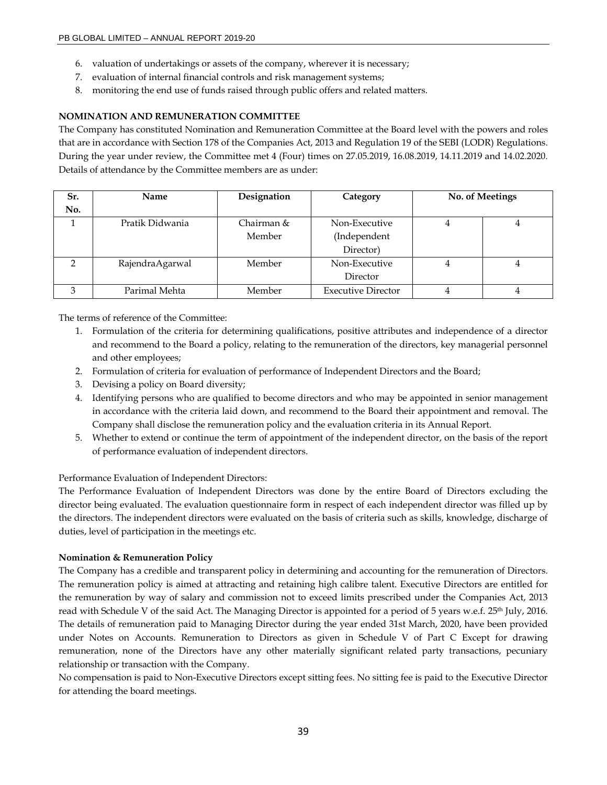- 6. valuation of undertakings or assets of the company, wherever it is necessary;
- 7. evaluation of internal financial controls and risk management systems;
- 8. monitoring the end use of funds raised through public offers and related matters.

## **NOMINATION AND REMUNERATION COMMITTEE**

The Company has constituted Nomination and Remuneration Committee at the Board level with the powers and roles that are in accordance with Section 178 of the Companies Act, 2013 and Regulation 19 of the SEBI (LODR) Regulations. During the year under review, the Committee met 4 (Four) times on 27.05.2019, 16.08.2019, 14.11.2019 and 14.02.2020. Details of attendance by the Committee members are as under:

| Sr.<br>No.    | <b>Name</b>     | Designation          | Category                                   | No. of Meetings |
|---------------|-----------------|----------------------|--------------------------------------------|-----------------|
|               | Pratik Didwania | Chairman &<br>Member | Non-Executive<br>(Independent<br>Director) | 4               |
| $\mathcal{P}$ | RajendraAgarwal | Member               | Non-Executive<br>Director                  | 4               |
| 3             | Parimal Mehta   | Member               | <b>Executive Director</b>                  | 4               |

The terms of reference of the Committee:

- 1. Formulation of the criteria for determining qualifications, positive attributes and independence of a director and recommend to the Board a policy, relating to the remuneration of the directors, key managerial personnel and other employees;
- 2. Formulation of criteria for evaluation of performance of Independent Directors and the Board;
- 3. Devising a policy on Board diversity;
- 4. Identifying persons who are qualified to become directors and who may be appointed in senior management in accordance with the criteria laid down, and recommend to the Board their appointment and removal. The Company shall disclose the remuneration policy and the evaluation criteria in its Annual Report.
- 5. Whether to extend or continue the term of appointment of the independent director, on the basis of the report of performance evaluation of independent directors.

#### Performance Evaluation of Independent Directors:

The Performance Evaluation of Independent Directors was done by the entire Board of Directors excluding the director being evaluated. The evaluation questionnaire form in respect of each independent director was filled up by the directors. The independent directors were evaluated on the basis of criteria such as skills, knowledge, discharge of duties, level of participation in the meetings etc.

#### **Nomination & Remuneration Policy**

The Company has a credible and transparent policy in determining and accounting for the remuneration of Directors. The remuneration policy is aimed at attracting and retaining high calibre talent. Executive Directors are entitled for the remuneration by way of salary and commission not to exceed limits prescribed under the Companies Act, 2013 read with Schedule V of the said Act. The Managing Director is appointed for a period of 5 years w.e.f. 25<sup>th</sup> July, 2016. The details of remuneration paid to Managing Director during the year ended 31st March, 2020, have been provided under Notes on Accounts. Remuneration to Directors as given in Schedule V of Part C Except for drawing remuneration, none of the Directors have any other materially significant related party transactions, pecuniary relationship or transaction with the Company.

No compensation is paid to Non-Executive Directors except sitting fees. No sitting fee is paid to the Executive Director for attending the board meetings.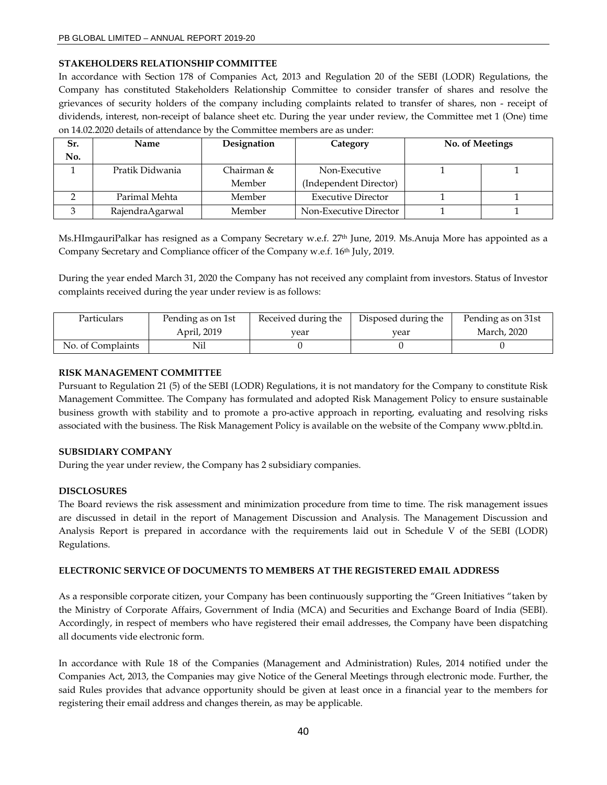#### **STAKEHOLDERS RELATIONSHIP COMMITTEE**

In accordance with Section 178 of Companies Act, 2013 and Regulation 20 of the SEBI (LODR) Regulations, the Company has constituted Stakeholders Relationship Committee to consider transfer of shares and resolve the grievances of security holders of the company including complaints related to transfer of shares, non - receipt of dividends, interest, non-receipt of balance sheet etc. During the year under review, the Committee met 1 (One) time on 14.02.2020 details of attendance by the Committee members are as under:

| Sr. | Name            | Designation | No. of Meetings<br>Category |  |  |
|-----|-----------------|-------------|-----------------------------|--|--|
| No. |                 |             |                             |  |  |
|     | Pratik Didwania | Chairman &  | Non-Executive               |  |  |
|     |                 | Member      | (Independent Director)      |  |  |
|     | Parimal Mehta   | Member      | <b>Executive Director</b>   |  |  |
|     | RajendraAgarwal | Member      | Non-Executive Director      |  |  |

Ms.HImgauriPalkar has resigned as a Company Secretary w.e.f. 27th June, 2019. Ms.Anuja More has appointed as a Company Secretary and Compliance officer of the Company w.e.f. 16th July, 2019.

During the year ended March 31, 2020 the Company has not received any complaint from investors. Status of Investor complaints received during the year under review is as follows:

| Particulars       | Pending as on 1st | Received during the | Disposed during the | Pending as on 31st |
|-------------------|-------------------|---------------------|---------------------|--------------------|
|                   | April, 2019       | vear                | vear                | March, 2020        |
| No. of Complaints | Nil               |                     |                     |                    |

#### **RISK MANAGEMENT COMMITTEE**

Pursuant to Regulation 21 (5) of the SEBI (LODR) Regulations, it is not mandatory for the Company to constitute Risk Management Committee. The Company has formulated and adopted Risk Management Policy to ensure sustainable business growth with stability and to promote a pro-active approach in reporting, evaluating and resolving risks associated with the business. The Risk Management Policy is available on the website of the Company www.pbltd.in.

#### **SUBSIDIARY COMPANY**

During the year under review, the Company has 2 subsidiary companies.

# **DISCLOSURES**

The Board reviews the risk assessment and minimization procedure from time to time. The risk management issues are discussed in detail in the report of Management Discussion and Analysis. The Management Discussion and Analysis Report is prepared in accordance with the requirements laid out in Schedule V of the SEBI (LODR) Regulations.

#### **ELECTRONIC SERVICE OF DOCUMENTS TO MEMBERS AT THE REGISTERED EMAIL ADDRESS**

As a responsible corporate citizen, your Company has been continuously supporting the "Green Initiatives "taken by the Ministry of Corporate Affairs, Government of India (MCA) and Securities and Exchange Board of India (SEBI). Accordingly, in respect of members who have registered their email addresses, the Company have been dispatching all documents vide electronic form.

In accordance with Rule 18 of the Companies (Management and Administration) Rules, 2014 notified under the Companies Act, 2013, the Companies may give Notice of the General Meetings through electronic mode. Further, the said Rules provides that advance opportunity should be given at least once in a financial year to the members for registering their email address and changes therein, as may be applicable.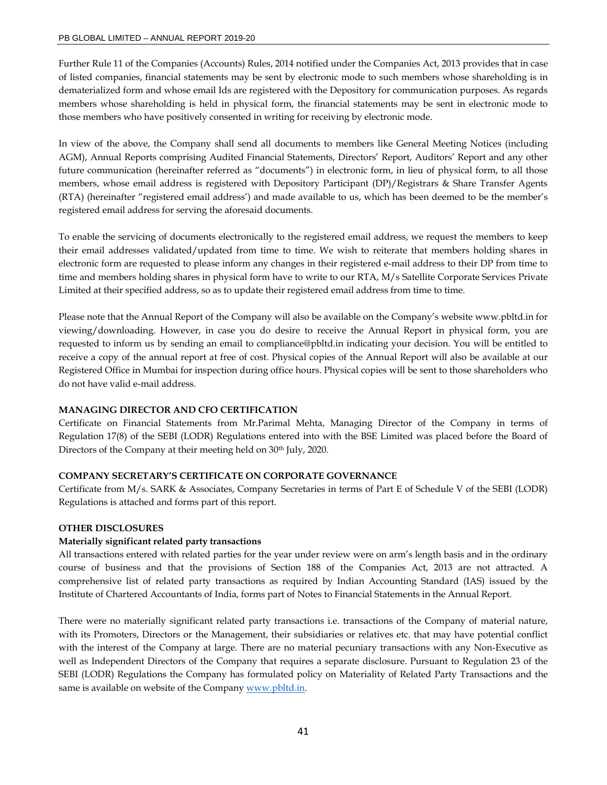Further Rule 11 of the Companies (Accounts) Rules, 2014 notified under the Companies Act, 2013 provides that in case of listed companies, financial statements may be sent by electronic mode to such members whose shareholding is in dematerialized form and whose email Ids are registered with the Depository for communication purposes. As regards members whose shareholding is held in physical form, the financial statements may be sent in electronic mode to those members who have positively consented in writing for receiving by electronic mode.

In view of the above, the Company shall send all documents to members like General Meeting Notices (including AGM), Annual Reports comprising Audited Financial Statements, Directors' Report, Auditors' Report and any other future communication (hereinafter referred as "documents") in electronic form, in lieu of physical form, to all those members, whose email address is registered with Depository Participant (DP)/Registrars & Share Transfer Agents (RTA) (hereinafter "registered email address') and made available to us, which has been deemed to be the member's registered email address for serving the aforesaid documents.

To enable the servicing of documents electronically to the registered email address, we request the members to keep their email addresses validated/updated from time to time. We wish to reiterate that members holding shares in electronic form are requested to please inform any changes in their registered e-mail address to their DP from time to time and members holding shares in physical form have to write to our RTA, M/s Satellite Corporate Services Private Limited at their specified address, so as to update their registered email address from time to time.

Please note that the Annual Report of the Company will also be available on the Company's website www.pbltd.in for viewing/downloading. However, in case you do desire to receive the Annual Report in physical form, you are requested to inform us by sending an email to compliance@pbltd.in indicating your decision. You will be entitled to receive a copy of the annual report at free of cost. Physical copies of the Annual Report will also be available at our Registered Office in Mumbai for inspection during office hours. Physical copies will be sent to those shareholders who do not have valid e-mail address.

#### **MANAGING DIRECTOR AND CFO CERTIFICATION**

Certificate on Financial Statements from Mr.Parimal Mehta, Managing Director of the Company in terms of Regulation 17(8) of the SEBI (LODR) Regulations entered into with the BSE Limited was placed before the Board of Directors of the Company at their meeting held on 30<sup>th</sup> July, 2020.

# **COMPANY SECRETARY'S CERTIFICATE ON CORPORATE GOVERNANCE**

Certificate from M/s. SARK & Associates, Company Secretaries in terms of Part E of Schedule V of the SEBI (LODR) Regulations is attached and forms part of this report.

#### **OTHER DISCLOSURES**

#### **Materially significant related party transactions**

All transactions entered with related parties for the year under review were on arm's length basis and in the ordinary course of business and that the provisions of Section 188 of the Companies Act, 2013 are not attracted. A comprehensive list of related party transactions as required by Indian Accounting Standard (IAS) issued by the Institute of Chartered Accountants of India, forms part of Notes to Financial Statements in the Annual Report.

There were no materially significant related party transactions i.e. transactions of the Company of material nature, with its Promoters, Directors or the Management, their subsidiaries or relatives etc. that may have potential conflict with the interest of the Company at large. There are no material pecuniary transactions with any Non-Executive as well as Independent Directors of the Company that requires a separate disclosure. Pursuant to Regulation 23 of the SEBI (LODR) Regulations the Company has formulated policy on Materiality of Related Party Transactions and the same is available on website of the Company www.pbltd.in.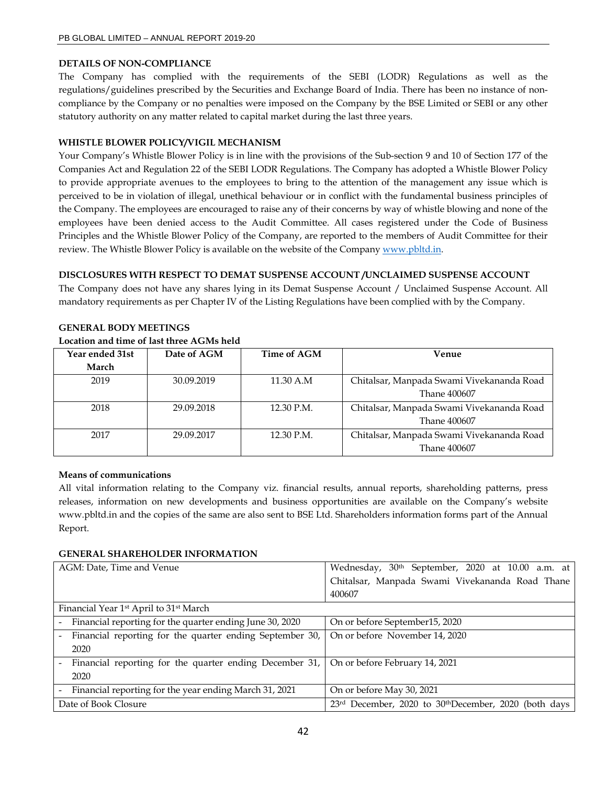## **DETAILS OF NON-COMPLIANCE**

The Company has complied with the requirements of the SEBI (LODR) Regulations as well as the regulations/guidelines prescribed by the Securities and Exchange Board of India. There has been no instance of noncompliance by the Company or no penalties were imposed on the Company by the BSE Limited or SEBI or any other statutory authority on any matter related to capital market during the last three years.

## **WHISTLE BLOWER POLICY/VIGIL MECHANISM**

Your Company's Whistle Blower Policy is in line with the provisions of the Sub-section 9 and 10 of Section 177 of the Companies Act and Regulation 22 of the SEBI LODR Regulations. The Company has adopted a Whistle Blower Policy to provide appropriate avenues to the employees to bring to the attention of the management any issue which is perceived to be in violation of illegal, unethical behaviour or in conflict with the fundamental business principles of the Company. The employees are encouraged to raise any of their concerns by way of whistle blowing and none of the employees have been denied access to the Audit Committee. All cases registered under the Code of Business Principles and the Whistle Blower Policy of the Company, are reported to the members of Audit Committee for their review. The Whistle Blower Policy is available on the website of the Company www.pbltd.in.

## **DISCLOSURES WITH RESPECT TO DEMAT SUSPENSE ACCOUNT /UNCLAIMED SUSPENSE ACCOUNT**

The Company does not have any shares lying in its Demat Suspense Account / Unclaimed Suspense Account. All mandatory requirements as per Chapter IV of the Listing Regulations have been complied with by the Company.

| Year ended 31st | Date of AGM | Time of AGM | Venue                                     |
|-----------------|-------------|-------------|-------------------------------------------|
| March           |             |             |                                           |
| 2019            | 30.09.2019  | 11.30 A.M   | Chitalsar, Manpada Swami Vivekananda Road |
|                 |             |             | Thane 400607                              |
| 2018            | 29.09.2018  | 12.30 P.M.  | Chitalsar, Manpada Swami Vivekananda Road |
|                 |             |             | Thane 400607                              |
| 2017            | 29.09.2017  | 12.30 P.M.  | Chitalsar, Manpada Swami Vivekananda Road |
|                 |             |             | Thane 400607                              |

# **GENERAL BODY MEETINGS**

# **Location and time of last three AGMs held**

# **Means of communications**

All vital information relating to the Company viz. financial results, annual reports, shareholding patterns, press releases, information on new developments and business opportunities are available on the Company's website www.pbltd.in and the copies of the same are also sent to BSE Ltd. Shareholders information forms part of the Annual Report.

#### **GENERAL SHAREHOLDER INFORMATION**

| AGM: Date, Time and Venue                                                                | Wednesday, 30 <sup>th</sup> September, 2020 at 10.00 a.m. at |
|------------------------------------------------------------------------------------------|--------------------------------------------------------------|
|                                                                                          | Chitalsar, Manpada Swami Vivekananda Road Thane              |
|                                                                                          | 400607                                                       |
| Financial Year 1 <sup>st</sup> April to 31 <sup>st</sup> March                           |                                                              |
| Financial reporting for the quarter ending June 30, 2020                                 | On or before September15, 2020                               |
| Financial reporting for the quarter ending September 30,<br>$\sim$                       | On or before November 14, 2020                               |
| 2020                                                                                     |                                                              |
| Financial reporting for the quarter ending December 31,   On or before February 14, 2021 |                                                              |
| 2020                                                                                     |                                                              |
| - Financial reporting for the year ending March 31, 2021                                 | On or before May 30, 2021                                    |
| Date of Book Closure                                                                     | 23rd December, 2020 to 30thDecember, 2020 (both days         |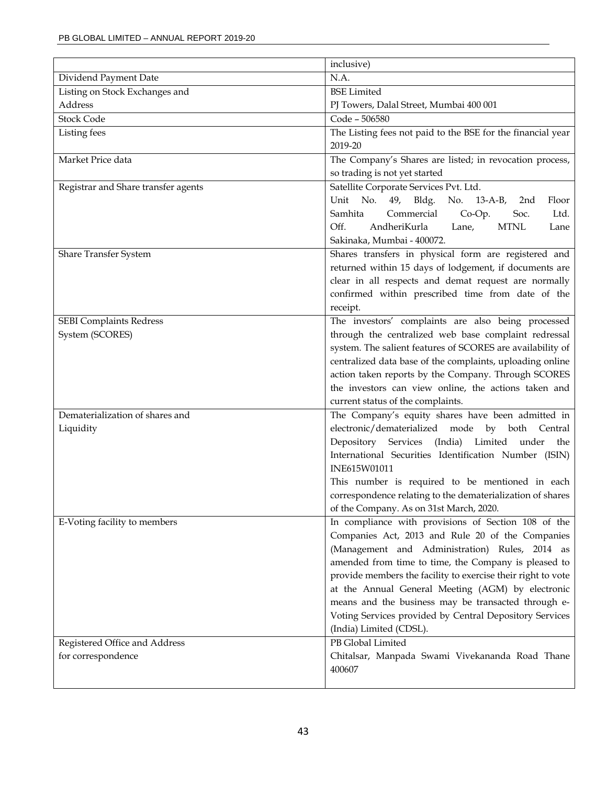|                                     | inclusive)                                                                                                |
|-------------------------------------|-----------------------------------------------------------------------------------------------------------|
| Dividend Payment Date               | N.A.                                                                                                      |
| Listing on Stock Exchanges and      | <b>BSE</b> Limited                                                                                        |
| Address                             | PJ Towers, Dalal Street, Mumbai 400 001                                                                   |
| <b>Stock Code</b>                   | Code - 506580                                                                                             |
| Listing fees                        | The Listing fees not paid to the BSE for the financial year                                               |
|                                     | 2019-20                                                                                                   |
| Market Price data                   | The Company's Shares are listed; in revocation process,                                                   |
|                                     | so trading is not yet started                                                                             |
| Registrar and Share transfer agents | Satellite Corporate Services Pvt. Ltd.                                                                    |
|                                     | No.<br>Unit<br>49,<br>Bldg.<br>No. 13-A-B,<br>Floor<br>2nd                                                |
|                                     | Samhita<br>Commercial<br>Co-Op.<br>Soc.<br>Ltd.                                                           |
|                                     | Off.<br>AndheriKurla<br>Lane,<br><b>MTNL</b><br>Lane                                                      |
|                                     | Sakinaka, Mumbai - 400072.                                                                                |
| Share Transfer System               | Shares transfers in physical form are registered and                                                      |
|                                     | returned within 15 days of lodgement, if documents are                                                    |
|                                     | clear in all respects and demat request are normally<br>confirmed within prescribed time from date of the |
|                                     | receipt.                                                                                                  |
| <b>SEBI Complaints Redress</b>      | The investors' complaints are also being processed                                                        |
| System (SCORES)                     | through the centralized web base complaint redressal                                                      |
|                                     | system. The salient features of SCORES are availability of                                                |
|                                     | centralized data base of the complaints, uploading online                                                 |
|                                     | action taken reports by the Company. Through SCORES                                                       |
|                                     | the investors can view online, the actions taken and                                                      |
|                                     | current status of the complaints.                                                                         |
| Dematerialization of shares and     | The Company's equity shares have been admitted in                                                         |
| Liquidity                           | electronic/dematerialized mode by both Central                                                            |
|                                     | Depository Services (India) Limited under the                                                             |
|                                     | International Securities Identification Number (ISIN)                                                     |
|                                     | INE615W01011                                                                                              |
|                                     | This number is required to be mentioned in each                                                           |
|                                     | correspondence relating to the dematerialization of shares                                                |
|                                     | of the Company. As on 31st March, 2020.<br>In compliance with provisions of Section 108 of the            |
| E-Voting facility to members        | Companies Act, 2013 and Rule 20 of the Companies                                                          |
|                                     | (Management and Administration) Rules, 2014 as                                                            |
|                                     | amended from time to time, the Company is pleased to                                                      |
|                                     | provide members the facility to exercise their right to vote                                              |
|                                     | at the Annual General Meeting (AGM) by electronic                                                         |
|                                     | means and the business may be transacted through e-                                                       |
|                                     | Voting Services provided by Central Depository Services                                                   |
|                                     | (India) Limited (CDSL).                                                                                   |
| Registered Office and Address       | PB Global Limited                                                                                         |
| for correspondence                  | Chitalsar, Manpada Swami Vivekananda Road Thane                                                           |
|                                     | 400607                                                                                                    |
|                                     |                                                                                                           |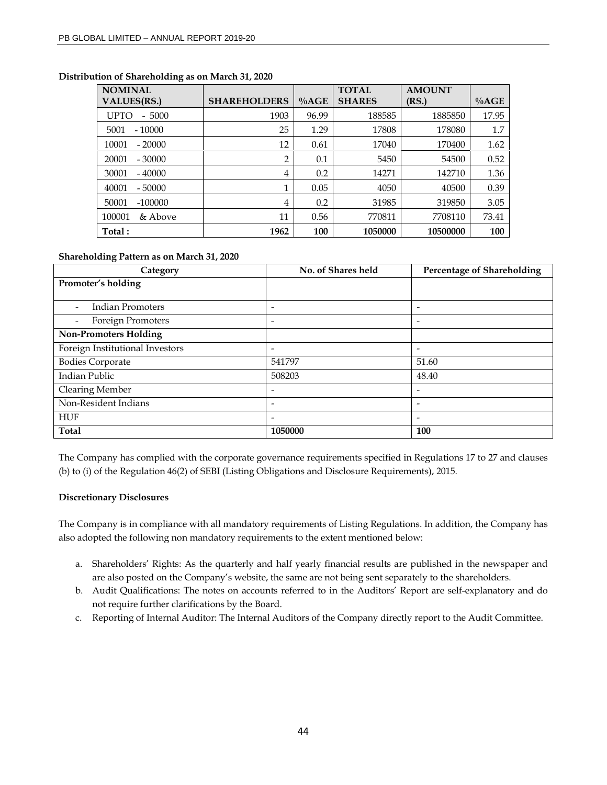| ັ<br><b>NOMINAL</b>                      |                     |         | <b>TOTAL</b>  | <b>AMOUNT</b> |         |
|------------------------------------------|---------------------|---------|---------------|---------------|---------|
| <b>VALUES(RS.)</b>                       | <b>SHAREHOLDERS</b> | $\%AGE$ | <b>SHARES</b> | (RS.)         | $\%AGE$ |
| 5000<br>UPTO<br>$\overline{\phantom{0}}$ | 1903                | 96.99   | 188585        | 1885850       | 17.95   |
| $-10000$<br>5001                         | 25                  | 1.29    | 17808         | 178080        | 1.7     |
| 10001<br>$-20000$                        | 12                  | 0.61    | 17040         | 170400        | 1.62    |
| 20001<br>$-30000$                        | 2                   | 0.1     | 5450          | 54500         | 0.52    |
| 30001<br>$-40000$                        | 4                   | 0.2     | 14271         | 142710        | 1.36    |
| 40001<br>$-50000$                        | 1                   | 0.05    | 4050          | 40500         | 0.39    |
| $-100000$<br>50001                       | 4                   | 0.2     | 31985         | 319850        | 3.05    |
| & Above<br>100001                        | 11                  | 0.56    | 770811        | 7708110       | 73.41   |
| Total:                                   | 1962                | 100     | 1050000       | 10500000      | 100     |

# **Distribution of Shareholding as on March 31, 2020**

#### **Shareholding Pattern as on March 31, 2020**

| Category                                            | No. of Shares held       | Percentage of Shareholding |
|-----------------------------------------------------|--------------------------|----------------------------|
| Promoter's holding                                  |                          |                            |
|                                                     |                          |                            |
| <b>Indian Promoters</b><br>$\overline{\phantom{a}}$ | $\overline{\phantom{0}}$ | $\overline{\phantom{a}}$   |
| Foreign Promoters<br>$\overline{\phantom{a}}$       | -                        | $\overline{\phantom{0}}$   |
| <b>Non-Promoters Holding</b>                        |                          |                            |
| Foreign Institutional Investors                     | $\overline{\phantom{a}}$ | $\overline{\phantom{a}}$   |
| <b>Bodies Corporate</b>                             | 541797                   | 51.60                      |
| Indian Public                                       | 508203                   | 48.40                      |
| Clearing Member                                     |                          | ٠                          |
| Non-Resident Indians                                | -                        | $\overline{\phantom{a}}$   |
| <b>HUF</b>                                          | -                        | $\overline{\phantom{a}}$   |
| <b>Total</b>                                        | 1050000                  | 100                        |

The Company has complied with the corporate governance requirements specified in Regulations 17 to 27 and clauses (b) to (i) of the Regulation 46(2) of SEBI (Listing Obligations and Disclosure Requirements), 2015.

#### **Discretionary Disclosures**

The Company is in compliance with all mandatory requirements of Listing Regulations. In addition, the Company has also adopted the following non mandatory requirements to the extent mentioned below:

- a. Shareholders' Rights: As the quarterly and half yearly financial results are published in the newspaper and are also posted on the Company's website, the same are not being sent separately to the shareholders.
- b. Audit Qualifications: The notes on accounts referred to in the Auditors' Report are self-explanatory and do not require further clarifications by the Board.
- c. Reporting of Internal Auditor: The Internal Auditors of the Company directly report to the Audit Committee.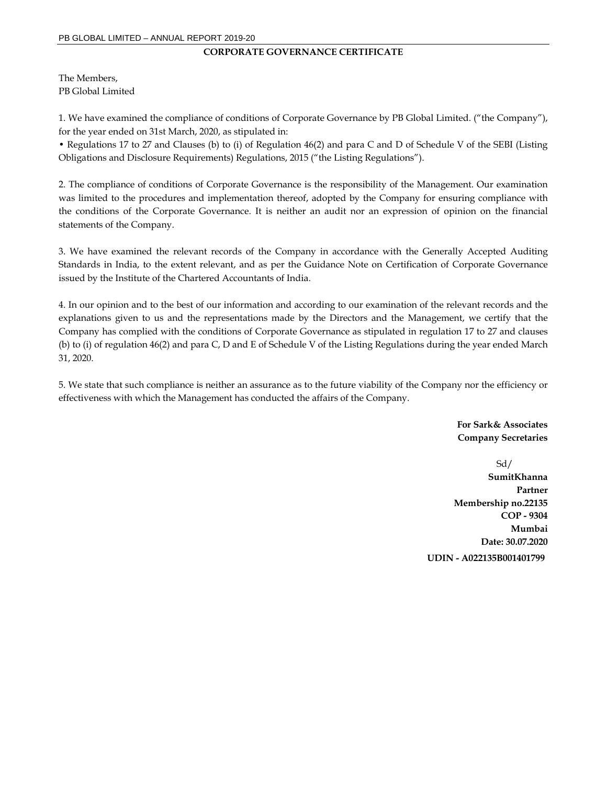#### **CORPORATE GOVERNANCE CERTIFICATE**

The Members, PB Global Limited

1. We have examined the compliance of conditions of Corporate Governance by PB Global Limited. ("the Company"), for the year ended on 31st March, 2020, as stipulated in:

• Regulations 17 to 27 and Clauses (b) to (i) of Regulation 46(2) and para C and D of Schedule V of the SEBI (Listing Obligations and Disclosure Requirements) Regulations, 2015 ("the Listing Regulations").

2. The compliance of conditions of Corporate Governance is the responsibility of the Management. Our examination was limited to the procedures and implementation thereof, adopted by the Company for ensuring compliance with the conditions of the Corporate Governance. It is neither an audit nor an expression of opinion on the financial statements of the Company.

3. We have examined the relevant records of the Company in accordance with the Generally Accepted Auditing Standards in India, to the extent relevant, and as per the Guidance Note on Certification of Corporate Governance issued by the Institute of the Chartered Accountants of India.

4. In our opinion and to the best of our information and according to our examination of the relevant records and the explanations given to us and the representations made by the Directors and the Management, we certify that the Company has complied with the conditions of Corporate Governance as stipulated in regulation 17 to 27 and clauses (b) to (i) of regulation 46(2) and para C, D and E of Schedule V of the Listing Regulations during the year ended March 31, 2020.

5. We state that such compliance is neither an assurance as to the future viability of the Company nor the efficiency or effectiveness with which the Management has conducted the affairs of the Company.

> **For Sark& Associates Company Secretaries**

Sd/ **SumitKhanna Partner Membership no.22135 COP - 9304 Mumbai Date: 30.07.2020 UDIN - A022135B001401799**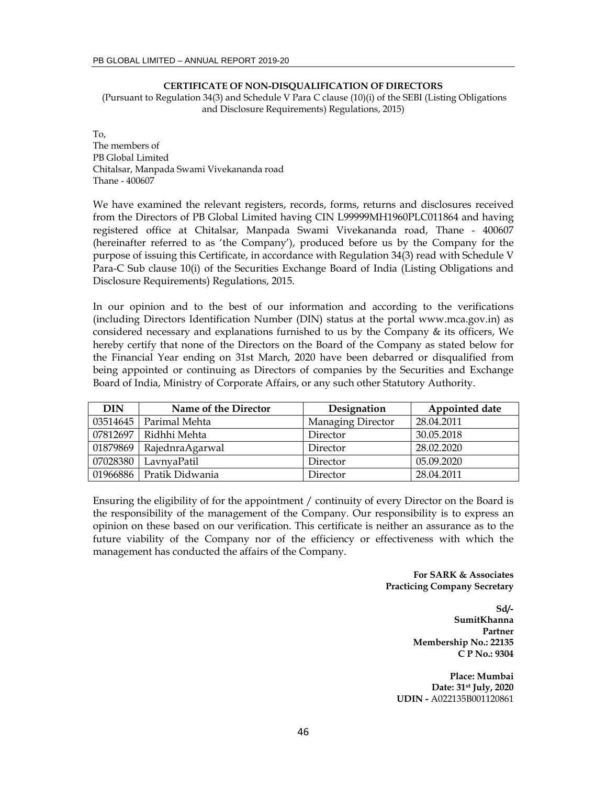#### **CERTIFICATE OF NON-DISQUALIFICATION OF DIRECTORS**

 (Pursuant to Regulation 34(3) and Schedule V Para C clause (10)(i) of the SEBI (Listing Obligations and Disclosure Requirements) Regulations, 2015)

To, The members of PB Global Limited Chitalsar, Manpada Swami Vivekananda road Thane - 400607

We have examined the relevant registers, records, forms, returns and disclosures received from the Directors of PB Global Limited having CIN L99999MH1960PLC011864 and having registered office at Chitalsar, Manpada Swami Vivekananda road, Thane - 400607 (hereinafter referred to as 'the Company'), produced before us by the Company for the purpose of issuing this Certificate, in accordance with Regulation 34(3) read with Schedule V Para-C Sub clause 10(i) of the Securities Exchange Board of India (Listing Obligations and Disclosure Requirements) Regulations, 2015.

In our opinion and to the best of our information and according to the verifications (including Directors Identification Number (DIN) status at the portal www.mca.gov.in) as considered necessary and explanations furnished to us by the Company & its officers, We hereby certify that none of the Directors on the Board of the Company as stated below for the Financial Year ending on 31st March, 2020 have been debarred or disqualified from being appointed or continuing as Directors of companies by the Securities and Exchange Board of India, Ministry of Corporate Affairs, or any such other Statutory Authority.

| DIN      | Name of the Director     | Designation       | Appointed date |
|----------|--------------------------|-------------------|----------------|
| 03514645 | Parimal Mehta            | Managing Director | 28.04.2011     |
| 07812697 | Ridhhi Mehta             | Director          | 30.05.2018     |
|          | 01879869 RajednraAgarwal | Director          | 28.02.2020     |
| 07028380 | LavnyaPatil              | Director          | 05.09.2020     |
|          | 01966886 Pratik Didwania | Director          | 28.04.2011     |

Ensuring the eligibility of for the appointment / continuity of every Director on the Board is the responsibility of the management of the Company. Our responsibility is to express an opinion on these based on our verification. This certificate is neither an assurance as to the future viability of the Company nor of the efficiency or effectiveness with which the management has conducted the affairs of the Company.

> **For SARK & Associates Practicing Company Secretary**

> > **Sd/- SumitKhanna Partner Membership No.: 22135 C P No.: 9304**

**Place: Mumbai Date: 31st July, 2020 UDIN -** A022135B001120861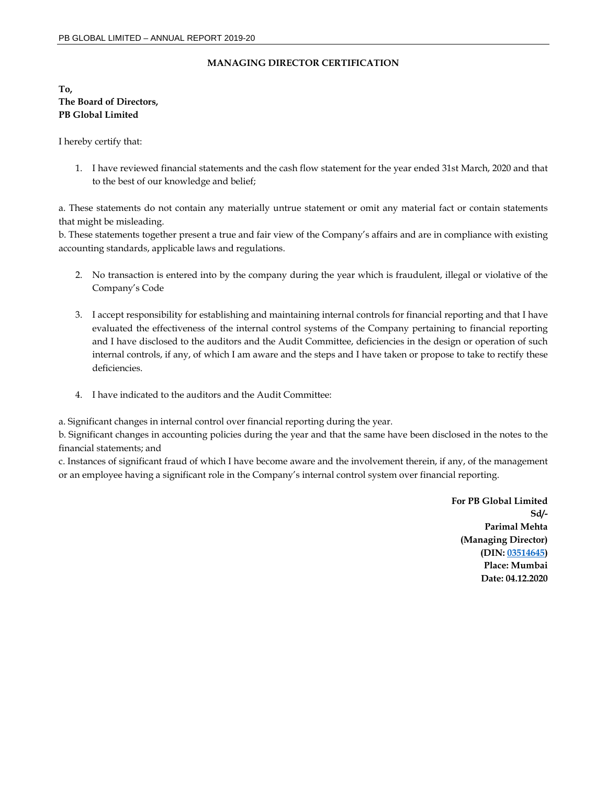## **MANAGING DIRECTOR CERTIFICATION**

**To, The Board of Directors, PB Global Limited** 

I hereby certify that:

1. I have reviewed financial statements and the cash flow statement for the year ended 31st March, 2020 and that to the best of our knowledge and belief;

a. These statements do not contain any materially untrue statement or omit any material fact or contain statements that might be misleading.

b. These statements together present a true and fair view of the Company's affairs and are in compliance with existing accounting standards, applicable laws and regulations.

- 2. No transaction is entered into by the company during the year which is fraudulent, illegal or violative of the Company's Code
- 3. I accept responsibility for establishing and maintaining internal controls for financial reporting and that I have evaluated the effectiveness of the internal control systems of the Company pertaining to financial reporting and I have disclosed to the auditors and the Audit Committee, deficiencies in the design or operation of such internal controls, if any, of which I am aware and the steps and I have taken or propose to take to rectify these deficiencies.
- 4. I have indicated to the auditors and the Audit Committee:

a. Significant changes in internal control over financial reporting during the year.

b. Significant changes in accounting policies during the year and that the same have been disclosed in the notes to the financial statements; and

c. Instances of significant fraud of which I have become aware and the involvement therein, if any, of the management or an employee having a significant role in the Company's internal control system over financial reporting.

> **For PB Global Limited Sd/- Parimal Mehta (Managing Director) (DIN: 03514645) Place: Mumbai Date: 04.12.2020**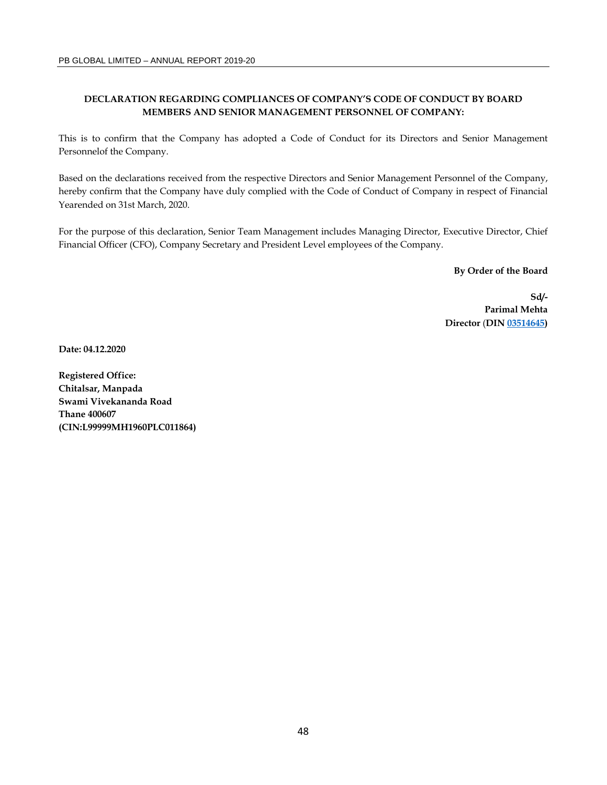# **DECLARATION REGARDING COMPLIANCES OF COMPANY'S CODE OF CONDUCT BY BOARD MEMBERS AND SENIOR MANAGEMENT PERSONNEL OF COMPANY:**

This is to confirm that the Company has adopted a Code of Conduct for its Directors and Senior Management Personnelof the Company.

Based on the declarations received from the respective Directors and Senior Management Personnel of the Company, hereby confirm that the Company have duly complied with the Code of Conduct of Company in respect of Financial Yearended on 31st March, 2020.

For the purpose of this declaration, Senior Team Management includes Managing Director, Executive Director, Chief Financial Officer (CFO), Company Secretary and President Level employees of the Company.

**By Order of the Board** 

**Sd/- Parimal Mehta Director** (**DIN 03514645)** 

**Date: 04.12.2020** 

**Registered Office: Chitalsar, Manpada Swami Vivekananda Road Thane 400607 (CIN:L99999MH1960PLC011864)**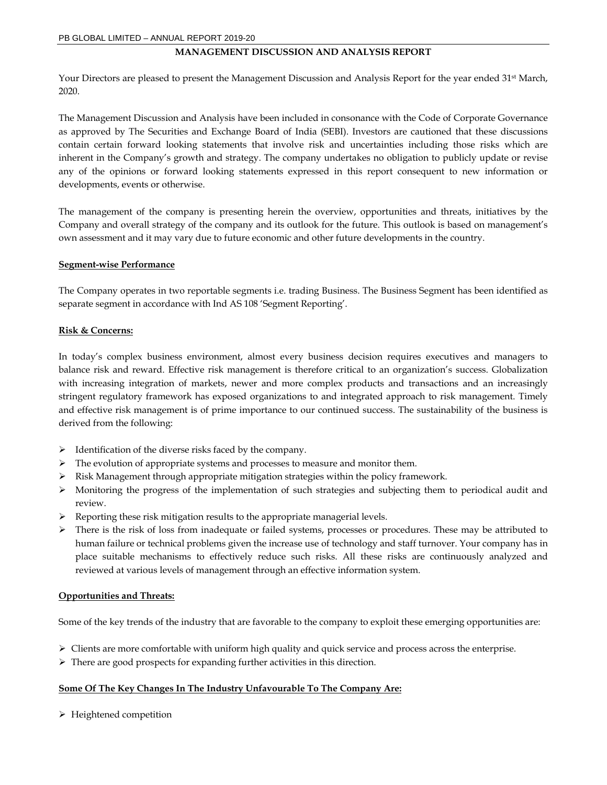#### **MANAGEMENT DISCUSSION AND ANALYSIS REPORT**

Your Directors are pleased to present the Management Discussion and Analysis Report for the year ended 31<sup>st</sup> March, 2020.

The Management Discussion and Analysis have been included in consonance with the Code of Corporate Governance as approved by The Securities and Exchange Board of India (SEBI). Investors are cautioned that these discussions contain certain forward looking statements that involve risk and uncertainties including those risks which are inherent in the Company's growth and strategy. The company undertakes no obligation to publicly update or revise any of the opinions or forward looking statements expressed in this report consequent to new information or developments, events or otherwise.

The management of the company is presenting herein the overview, opportunities and threats, initiatives by the Company and overall strategy of the company and its outlook for the future. This outlook is based on management's own assessment and it may vary due to future economic and other future developments in the country.

#### **Segment-wise Performance**

The Company operates in two reportable segments i.e. trading Business. The Business Segment has been identified as separate segment in accordance with Ind AS 108 'Segment Reporting'.

#### **Risk & Concerns:**

In today's complex business environment, almost every business decision requires executives and managers to balance risk and reward. Effective risk management is therefore critical to an organization's success. Globalization with increasing integration of markets, newer and more complex products and transactions and an increasingly stringent regulatory framework has exposed organizations to and integrated approach to risk management. Timely and effective risk management is of prime importance to our continued success. The sustainability of the business is derived from the following:

- $\triangleright$  Identification of the diverse risks faced by the company.
- $\triangleright$  The evolution of appropriate systems and processes to measure and monitor them.
- $\triangleright$  Risk Management through appropriate mitigation strategies within the policy framework.
- $\triangleright$  Monitoring the progress of the implementation of such strategies and subjecting them to periodical audit and review.
- $\triangleright$  Reporting these risk mitigation results to the appropriate managerial levels.
- $\triangleright$  There is the risk of loss from inadequate or failed systems, processes or procedures. These may be attributed to human failure or technical problems given the increase use of technology and staff turnover. Your company has in place suitable mechanisms to effectively reduce such risks. All these risks are continuously analyzed and reviewed at various levels of management through an effective information system.

#### **Opportunities and Threats:**

Some of the key trends of the industry that are favorable to the company to exploit these emerging opportunities are:

- $\triangleright$  Clients are more comfortable with uniform high quality and quick service and process across the enterprise.
- $\triangleright$  There are good prospects for expanding further activities in this direction.

#### **Some Of The Key Changes In The Industry Unfavourable To The Company Are:**

 $\triangleright$  Heightened competition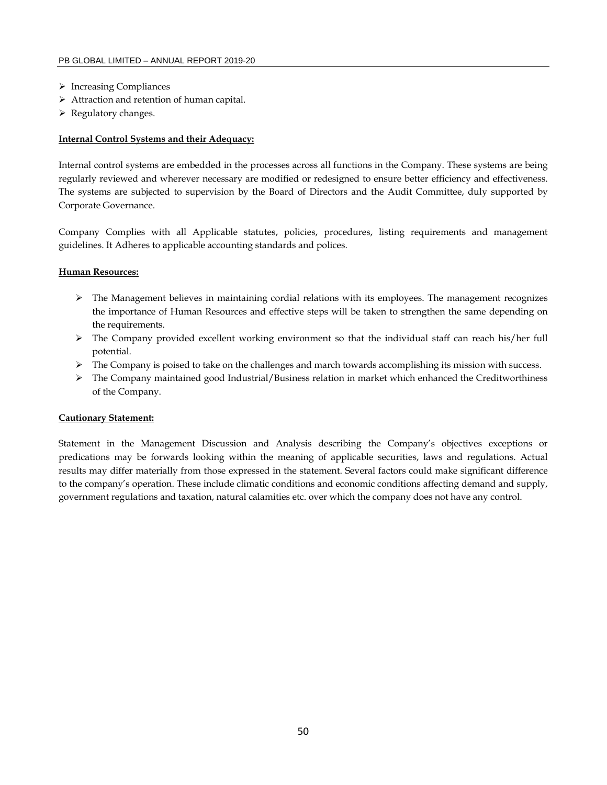- > Increasing Compliances
- > Attraction and retention of human capital.
- $\triangleright$  Regulatory changes.

#### **Internal Control Systems and their Adequacy:**

Internal control systems are embedded in the processes across all functions in the Company. These systems are being regularly reviewed and wherever necessary are modified or redesigned to ensure better efficiency and effectiveness. The systems are subjected to supervision by the Board of Directors and the Audit Committee, duly supported by Corporate Governance.

Company Complies with all Applicable statutes, policies, procedures, listing requirements and management guidelines. It Adheres to applicable accounting standards and polices.

#### **Human Resources:**

- $\triangleright$  The Management believes in maintaining cordial relations with its employees. The management recognizes the importance of Human Resources and effective steps will be taken to strengthen the same depending on the requirements.
- The Company provided excellent working environment so that the individual staff can reach his/her full potential.
- $\triangleright$  The Company is poised to take on the challenges and march towards accomplishing its mission with success.
- $\triangleright$  The Company maintained good Industrial/Business relation in market which enhanced the Creditworthiness of the Company.

#### **Cautionary Statement:**

Statement in the Management Discussion and Analysis describing the Company's objectives exceptions or predications may be forwards looking within the meaning of applicable securities, laws and regulations. Actual results may differ materially from those expressed in the statement. Several factors could make significant difference to the company's operation. These include climatic conditions and economic conditions affecting demand and supply, government regulations and taxation, natural calamities etc. over which the company does not have any control.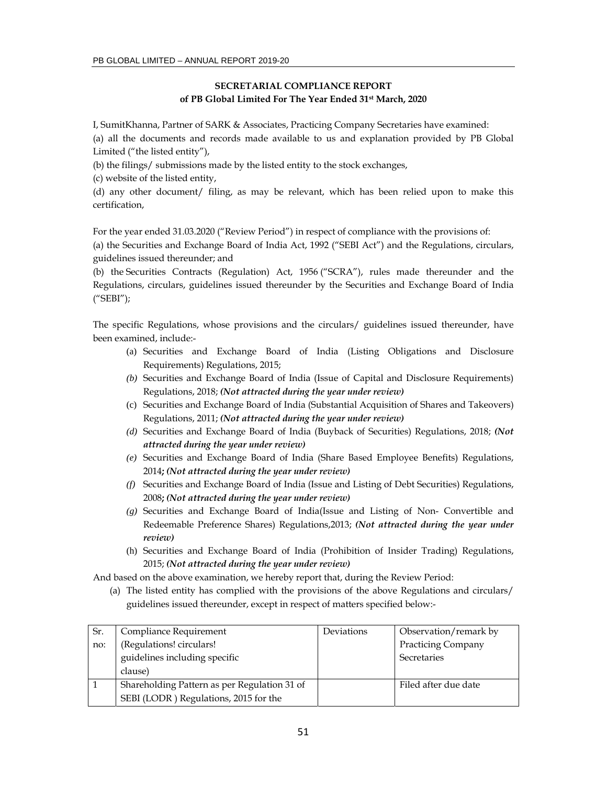## **SECRETARIAL COMPLIANCE REPORT of PB Global Limited For The Year Ended 31st March, 2020**

I, SumitKhanna, Partner of SARK & Associates, Practicing Company Secretaries have examined:

(a) all the documents and records made available to us and explanation provided by PB Global Limited ("the listed entity"),

(b) the filings/ submissions made by the listed entity to the stock exchanges,

(c) website of the listed entity,

(d) any other document/ filing, as may be relevant, which has been relied upon to make this certification,

For the year ended 31.03.2020 ("Review Period") in respect of compliance with the provisions of:

(a) the Securities and Exchange Board of India Act, 1992 ("SEBI Act") and the Regulations, circulars, guidelines issued thereunder; and

(b) the Securities Contracts (Regulation) Act, 1956 ("SCRA"), rules made thereunder and the Regulations, circulars, guidelines issued thereunder by the Securities and Exchange Board of India ("SEBI");

The specific Regulations, whose provisions and the circulars/ guidelines issued thereunder, have been examined, include:-

- (a) Securities and Exchange Board of India (Listing Obligations and Disclosure Requirements) Regulations, 2015;
- *(b)* Securities and Exchange Board of India (Issue of Capital and Disclosure Requirements) Regulations, 2018; *(Not attracted during the year under review)*
- (c) Securities and Exchange Board of India (Substantial Acquisition of Shares and Takeovers) Regulations, 2011; *(Not attracted during the year under review)*
- *(d)* Securities and Exchange Board of India (Buyback of Securities) Regulations, 2018; *(Not attracted during the year under review)*
- *(e)* Securities and Exchange Board of India (Share Based Employee Benefits) Regulations, 2014**;** *(Not attracted during the year under review)*
- *(f)* Securities and Exchange Board of India (Issue and Listing of Debt Securities) Regulations, 2008**;** *(Not attracted during the year under review)*
- *(g)* Securities and Exchange Board of India(Issue and Listing of Non- Convertible and Redeemable Preference Shares) Regulations,2013; *(Not attracted during the year under review)*
- (h) Securities and Exchange Board of India (Prohibition of Insider Trading) Regulations, 2015; *(Not attracted during the year under review)*

And based on the above examination, we hereby report that, during the Review Period:

(a) The listed entity has complied with the provisions of the above Regulations and circulars/ guidelines issued thereunder, except in respect of matters specified below:-

| Sr. | Compliance Requirement                       | Deviations | Observation/remark by     |
|-----|----------------------------------------------|------------|---------------------------|
| no: | (Regulations! circulars!                     |            | <b>Practicing Company</b> |
|     | guidelines including specific                |            | Secretaries               |
|     | clause)                                      |            |                           |
|     | Shareholding Pattern as per Regulation 31 of |            | Filed after due date      |
|     | SEBI (LODR) Regulations, 2015 for the        |            |                           |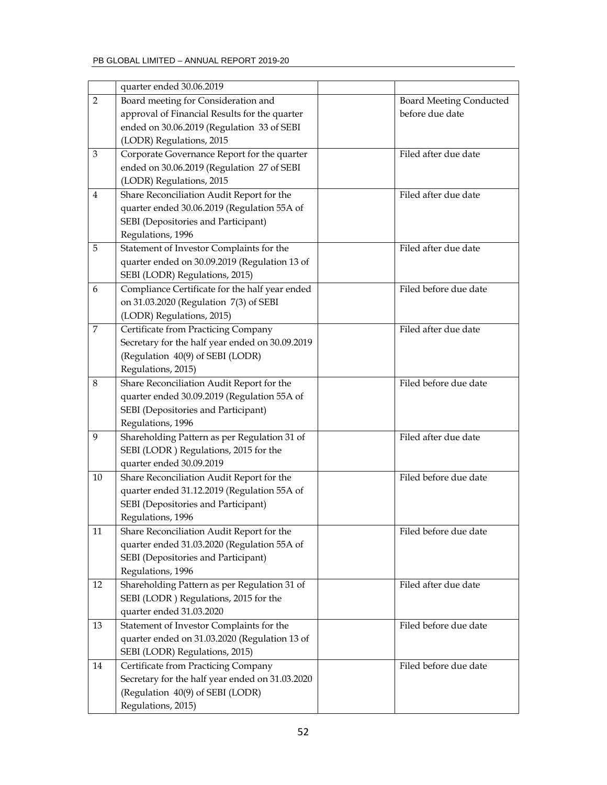|                | quarter ended 30.06.2019                                                                 |                                |
|----------------|------------------------------------------------------------------------------------------|--------------------------------|
| $\overline{2}$ | Board meeting for Consideration and                                                      | <b>Board Meeting Conducted</b> |
|                | approval of Financial Results for the quarter                                            | before due date                |
|                | ended on 30.06.2019 (Regulation 33 of SEBI                                               |                                |
|                | (LODR) Regulations, 2015                                                                 |                                |
| 3              | Corporate Governance Report for the quarter                                              | Filed after due date           |
|                |                                                                                          |                                |
|                | ended on 30.06.2019 (Regulation 27 of SEBI                                               |                                |
|                | (LODR) Regulations, 2015                                                                 | Filed after due date           |
| 4              | Share Reconciliation Audit Report for the                                                |                                |
|                | quarter ended 30.06.2019 (Regulation 55A of                                              |                                |
|                | SEBI (Depositories and Participant)                                                      |                                |
|                | Regulations, 1996                                                                        |                                |
| 5              | Statement of Investor Complaints for the                                                 | Filed after due date           |
|                | quarter ended on 30.09.2019 (Regulation 13 of                                            |                                |
|                | SEBI (LODR) Regulations, 2015)                                                           |                                |
| 6              | Compliance Certificate for the half year ended                                           | Filed before due date          |
|                | on 31.03.2020 (Regulation 7(3) of SEBI                                                   |                                |
|                | (LODR) Regulations, 2015)                                                                |                                |
| 7              | Certificate from Practicing Company                                                      | Filed after due date           |
|                | Secretary for the half year ended on 30.09.2019                                          |                                |
|                | (Regulation 40(9) of SEBI (LODR)                                                         |                                |
|                | Regulations, 2015)                                                                       |                                |
| 8              | Share Reconciliation Audit Report for the                                                | Filed before due date          |
|                | quarter ended 30.09.2019 (Regulation 55A of                                              |                                |
|                | SEBI (Depositories and Participant)                                                      |                                |
|                | Regulations, 1996                                                                        |                                |
| 9              | Shareholding Pattern as per Regulation 31 of                                             | Filed after due date           |
|                | SEBI (LODR) Regulations, 2015 for the                                                    |                                |
|                | quarter ended 30.09.2019                                                                 |                                |
| 10             | Share Reconciliation Audit Report for the                                                | Filed before due date          |
|                | quarter ended 31.12.2019 (Regulation 55A of                                              |                                |
|                | SEBI (Depositories and Participant)                                                      |                                |
|                | Regulations, 1996                                                                        |                                |
|                |                                                                                          | Filed before due date          |
| 11             | Share Reconciliation Audit Report for the<br>quarter ended 31.03.2020 (Regulation 55A of |                                |
|                |                                                                                          |                                |
|                | SEBI (Depositories and Participant)                                                      |                                |
|                | Regulations, 1996                                                                        |                                |
| 12             | Shareholding Pattern as per Regulation 31 of                                             | Filed after due date           |
|                | SEBI (LODR) Regulations, 2015 for the                                                    |                                |
|                | quarter ended 31.03.2020                                                                 |                                |
| 13             | Statement of Investor Complaints for the                                                 | Filed before due date          |
|                | quarter ended on 31.03.2020 (Regulation 13 of                                            |                                |
|                | SEBI (LODR) Regulations, 2015)                                                           |                                |
| 14             | Certificate from Practicing Company                                                      | Filed before due date          |
|                | Secretary for the half year ended on 31.03.2020                                          |                                |
|                | (Regulation 40(9) of SEBI (LODR)                                                         |                                |
|                | Regulations, 2015)                                                                       |                                |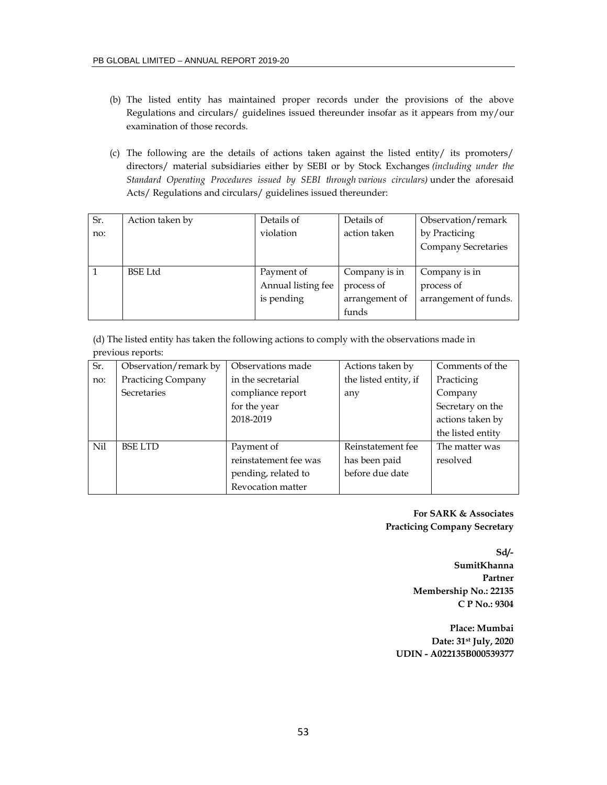- (b) The listed entity has maintained proper records under the provisions of the above Regulations and circulars/ guidelines issued thereunder insofar as it appears from my/our examination of those records.
- (c) The following are the details of actions taken against the listed entity/ its promoters/ directors/ material subsidiaries either by SEBI or by Stock Exchanges *(including under the Standard Operating Procedures issued by SEBI through various circulars)* under the aforesaid Acts/ Regulations and circulars/ guidelines issued thereunder:

| $S_{r}$ . | Action taken by | Details of         | Details of     | Observation/remark         |
|-----------|-----------------|--------------------|----------------|----------------------------|
| no:       |                 | violation          | action taken   | by Practicing              |
|           |                 |                    |                | <b>Company Secretaries</b> |
|           |                 |                    |                |                            |
|           | <b>BSE</b> Ltd  | Payment of         | Company is in  | Company is in              |
|           |                 | Annual listing fee | process of     | process of                 |
|           |                 | is pending         | arrangement of | arrangement of funds.      |
|           |                 |                    | funds          |                            |

(d) The listed entity has taken the following actions to comply with the observations made in previous reports:

| $\overline{S_r}$ | Observation/remark by     | Observations made     | Actions taken by      | Comments of the   |
|------------------|---------------------------|-----------------------|-----------------------|-------------------|
| no:              | <b>Practicing Company</b> | in the secretarial    | the listed entity, if | Practicing        |
|                  | Secretaries               | compliance report     | any                   | Company           |
|                  |                           | for the year          |                       | Secretary on the  |
|                  |                           | 2018-2019             |                       | actions taken by  |
|                  |                           |                       |                       | the listed entity |
| Nil              | <b>BSE LTD</b>            | Payment of            | Reinstatement fee     | The matter was    |
|                  |                           | reinstatement fee was | has been paid         | resolved          |
|                  |                           | pending, related to   | before due date       |                   |
|                  |                           | Revocation matter     |                       |                   |

**For SARK & Associates Practicing Company Secretary** 

**Sd/-** 

**SumitKhanna Partner Membership No.: 22135 C P No.: 9304** 

**Place: Mumbai Date: 31st July, 2020 UDIN - A022135B000539377**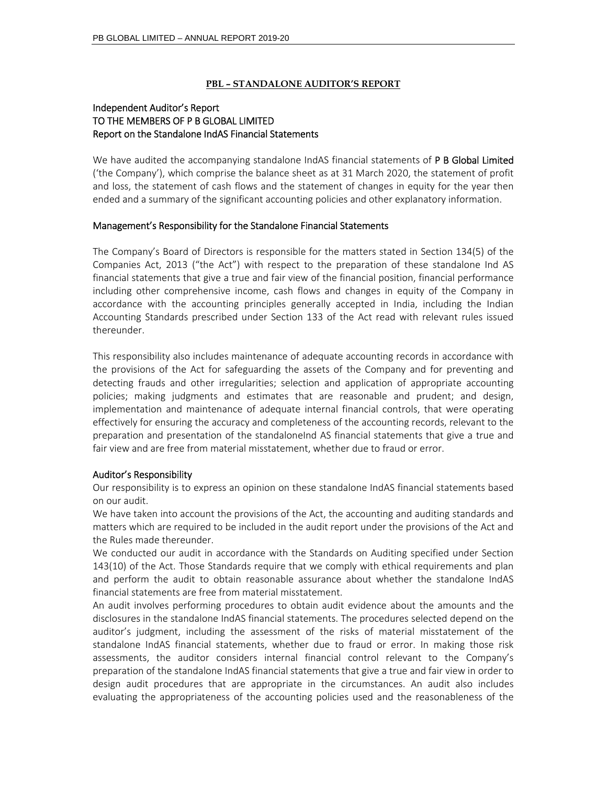## **PBL – STANDALONE AUDITOR'S REPORT**

# Independent Auditor's Report TO THE MEMBERS OF P B GLOBAL LIMITED Report on the Standalone IndAS Financial Statements

We have audited the accompanying standalone IndAS financial statements of P B Global Limited ('the Company'), which comprise the balance sheet as at 31 March 2020, the statement of profit and loss, the statement of cash flows and the statement of changes in equity for the year then ended and a summary of the significant accounting policies and other explanatory information.

## Management's Responsibility for the Standalone Financial Statements

The Company's Board of Directors is responsible for the matters stated in Section 134(5) of the Companies Act, 2013 ("the Act") with respect to the preparation of these standalone Ind AS financial statements that give a true and fair view of the financial position, financial performance including other comprehensive income, cash flows and changes in equity of the Company in accordance with the accounting principles generally accepted in India, including the Indian Accounting Standards prescribed under Section 133 of the Act read with relevant rules issued thereunder.

This responsibility also includes maintenance of adequate accounting records in accordance with the provisions of the Act for safeguarding the assets of the Company and for preventing and detecting frauds and other irregularities; selection and application of appropriate accounting policies; making judgments and estimates that are reasonable and prudent; and design, implementation and maintenance of adequate internal financial controls, that were operating effectively for ensuring the accuracy and completeness of the accounting records, relevant to the preparation and presentation of the standaloneInd AS financial statements that give a true and fair view and are free from material misstatement, whether due to fraud or error.

# Auditor's Responsibility

Our responsibility is to express an opinion on these standalone IndAS financial statements based on our audit.

We have taken into account the provisions of the Act, the accounting and auditing standards and matters which are required to be included in the audit report under the provisions of the Act and the Rules made thereunder.

We conducted our audit in accordance with the Standards on Auditing specified under Section 143(10) of the Act. Those Standards require that we comply with ethical requirements and plan and perform the audit to obtain reasonable assurance about whether the standalone IndAS financial statements are free from material misstatement.

An audit involves performing procedures to obtain audit evidence about the amounts and the disclosures in the standalone IndAS financial statements. The procedures selected depend on the auditor's judgment, including the assessment of the risks of material misstatement of the standalone IndAS financial statements, whether due to fraud or error. In making those risk assessments, the auditor considers internal financial control relevant to the Company's preparation of the standalone IndAS financial statements that give a true and fair view in order to design audit procedures that are appropriate in the circumstances. An audit also includes evaluating the appropriateness of the accounting policies used and the reasonableness of the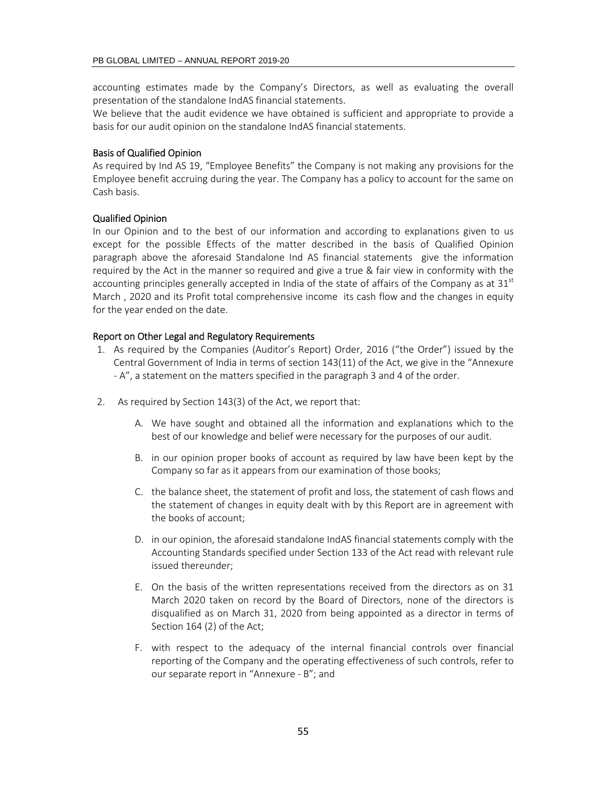accounting estimates made by the Company's Directors, as well as evaluating the overall presentation of the standalone IndAS financial statements.

We believe that the audit evidence we have obtained is sufficient and appropriate to provide a basis for our audit opinion on the standalone IndAS financial statements.

#### Basis of Qualified Opinion

As required by Ind AS 19, "Employee Benefits" the Company is not making any provisions for the Employee benefit accruing during the year. The Company has a policy to account for the same on Cash basis.

#### Qualified Opinion

In our Opinion and to the best of our information and according to explanations given to us except for the possible Effects of the matter described in the basis of Qualified Opinion paragraph above the aforesaid Standalone Ind AS financial statements give the information required by the Act in the manner so required and give a true & fair view in conformity with the accounting principles generally accepted in India of the state of affairs of the Company as at  $31<sup>st</sup>$ March , 2020 and its Profit total comprehensive income its cash flow and the changes in equity for the year ended on the date.

#### Report on Other Legal and Regulatory Requirements

- 1. As required by the Companies (Auditor's Report) Order, 2016 ("the Order") issued by the Central Government of India in terms of section 143(11) of the Act, we give in the "Annexure ‐ A", a statement on the matters specified in the paragraph 3 and 4 of the order.
- 2. As required by Section 143(3) of the Act, we report that:
	- A. We have sought and obtained all the information and explanations which to the best of our knowledge and belief were necessary for the purposes of our audit.
	- B. in our opinion proper books of account as required by law have been kept by the Company so far as it appears from our examination of those books;
	- C. the balance sheet, the statement of profit and loss, the statement of cash flows and the statement of changes in equity dealt with by this Report are in agreement with the books of account;
	- D. in our opinion, the aforesaid standalone IndAS financial statements comply with the Accounting Standards specified under Section 133 of the Act read with relevant rule issued thereunder;
	- E. On the basis of the written representations received from the directors as on 31 March 2020 taken on record by the Board of Directors, none of the directors is disqualified as on March 31, 2020 from being appointed as a director in terms of Section 164 (2) of the Act;
	- F. with respect to the adequacy of the internal financial controls over financial reporting of the Company and the operating effectiveness of such controls, refer to our separate report in "Annexure ‐ B"; and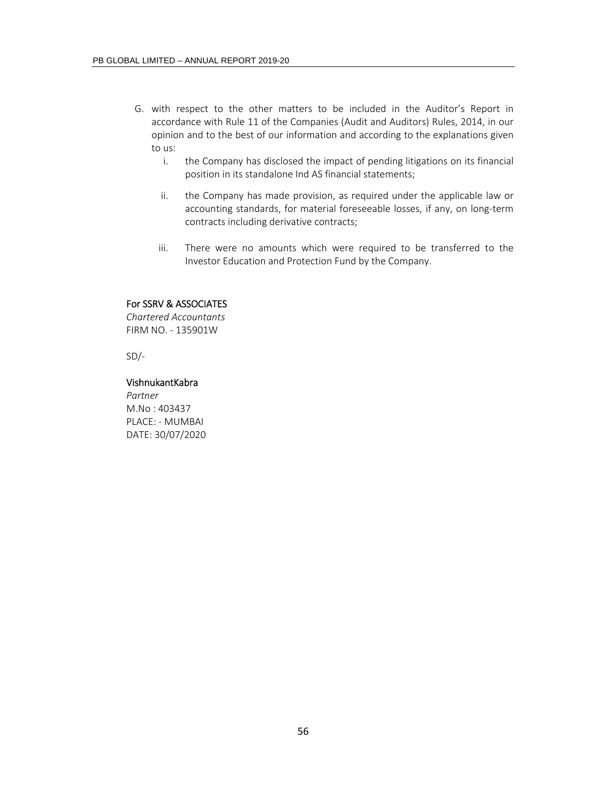- G. with respect to the other matters to be included in the Auditor's Report in accordance with Rule 11 of the Companies (Audit and Auditors) Rules, 2014, in our opinion and to the best of our information and according to the explanations given to us:
	- i. the Company has disclosed the impact of pending litigations on its financial position in its standalone Ind AS financial statements;
	- ii. the Company has made provision, as required under the applicable law or accounting standards, for material foreseeable losses, if any, on long-term contracts including derivative contracts;
	- iii. There were no amounts which were required to be transferred to the Investor Education and Protection Fund by the Company.

## For SSRV & ASSOCIATES

*Chartered Accountants*  FIRM NO. ‐ 135901W

 $SD/-$ 

#### VishnukantKabra

*Partner*  M.No : 403437 PLACE: ‐ MUMBAI DATE: 30/07/2020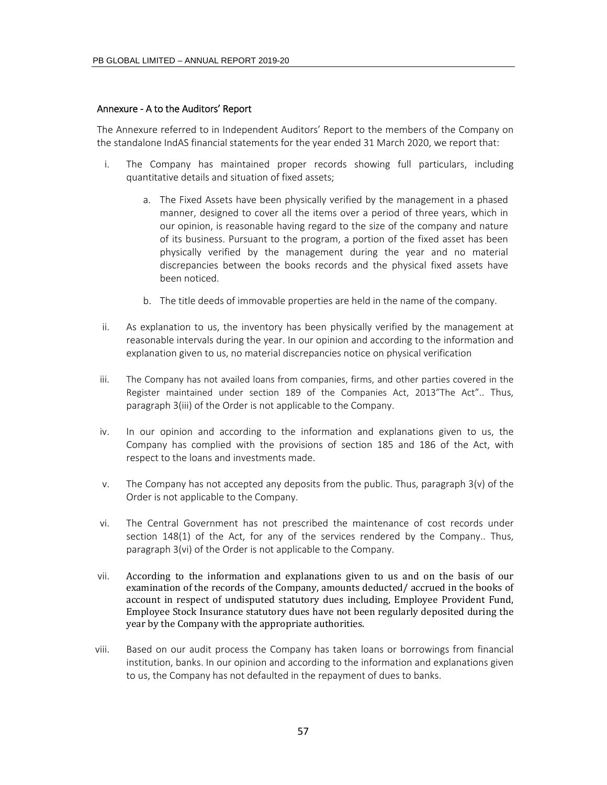#### Annexure ‐ A to the Auditors' Report

The Annexure referred to in Independent Auditors' Report to the members of the Company on the standalone IndAS financial statements for the year ended 31 March 2020, we report that:

- i. The Company has maintained proper records showing full particulars, including quantitative details and situation of fixed assets;
	- a. The Fixed Assets have been physically verified by the management in a phased manner, designed to cover all the items over a period of three years, which in our opinion, is reasonable having regard to the size of the company and nature of its business. Pursuant to the program, a portion of the fixed asset has been physically verified by the management during the year and no material discrepancies between the books records and the physical fixed assets have been noticed.
	- b. The title deeds of immovable properties are held in the name of the company.
- ii. As explanation to us, the inventory has been physically verified by the management at reasonable intervals during the year. In our opinion and according to the information and explanation given to us, no material discrepancies notice on physical verification
- iii. The Company has not availed loans from companies, firms, and other parties covered in the Register maintained under section 189 of the Companies Act, 2013"The Act".. Thus, paragraph 3(iii) of the Order is not applicable to the Company.
- iv. In our opinion and according to the information and explanations given to us, the Company has complied with the provisions of section 185 and 186 of the Act, with respect to the loans and investments made.
- v. The Company has not accepted any deposits from the public. Thus, paragraph  $3(v)$  of the Order is not applicable to the Company.
- vi. The Central Government has not prescribed the maintenance of cost records under section 148(1) of the Act, for any of the services rendered by the Company.. Thus, paragraph 3(vi) of the Order is not applicable to the Company.
- vii. According to the information and explanations given to us and on the basis of our examination of the records of the Company, amounts deducted/accrued in the books of account in respect of undisputed statutory dues including, Employee Provident Fund, Employee Stock Insurance statutory dues have not been regularly deposited during the year by the Company with the appropriate authorities.
- viii. Based on our audit process the Company has taken loans or borrowings from financial institution, banks. In our opinion and according to the information and explanations given to us, the Company has not defaulted in the repayment of dues to banks.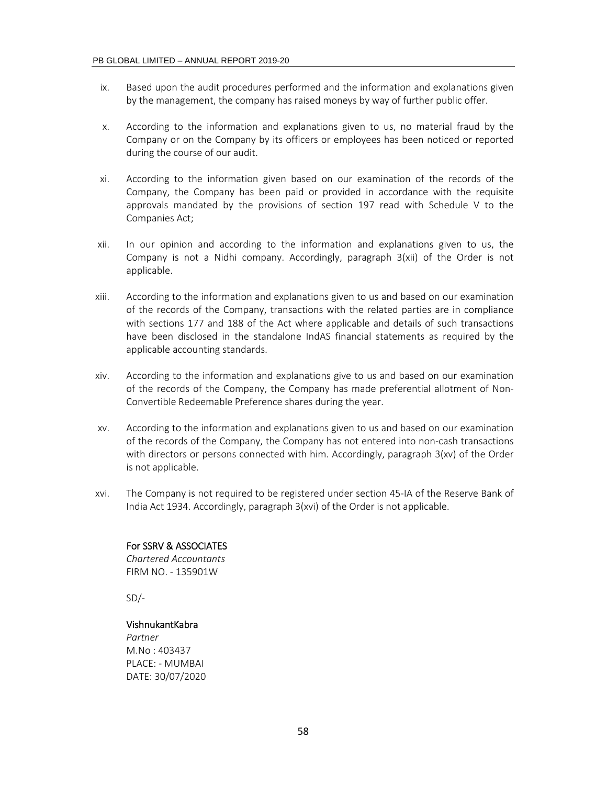- ix. Based upon the audit procedures performed and the information and explanations given by the management, the company has raised moneys by way of further public offer.
- x. According to the information and explanations given to us, no material fraud by the Company or on the Company by its officers or employees has been noticed or reported during the course of our audit.
- xi. According to the information given based on our examination of the records of the Company, the Company has been paid or provided in accordance with the requisite approvals mandated by the provisions of section 197 read with Schedule V to the Companies Act;
- xii. In our opinion and according to the information and explanations given to us, the Company is not a Nidhi company. Accordingly, paragraph 3(xii) of the Order is not applicable.
- xiii. According to the information and explanations given to us and based on our examination of the records of the Company, transactions with the related parties are in compliance with sections 177 and 188 of the Act where applicable and details of such transactions have been disclosed in the standalone IndAS financial statements as required by the applicable accounting standards.
- xiv. According to the information and explanations give to us and based on our examination of the records of the Company, the Company has made preferential allotment of Non‐ Convertible Redeemable Preference shares during the year.
- xv. According to the information and explanations given to us and based on our examination of the records of the Company, the Company has not entered into non‐cash transactions with directors or persons connected with him. Accordingly, paragraph 3(xv) of the Order is not applicable.
- xvi. The Company is not required to be registered under section 45‐IA of the Reserve Bank of India Act 1934. Accordingly, paragraph 3(xvi) of the Order is not applicable.

# For SSRV & ASSOCIATES

*Chartered Accountants*  FIRM NO. ‐ 135901W

 $SD/-$ 

#### VishnukantKabra

*Partner*  M.No : 403437 PLACE: ‐ MUMBAI DATE: 30/07/2020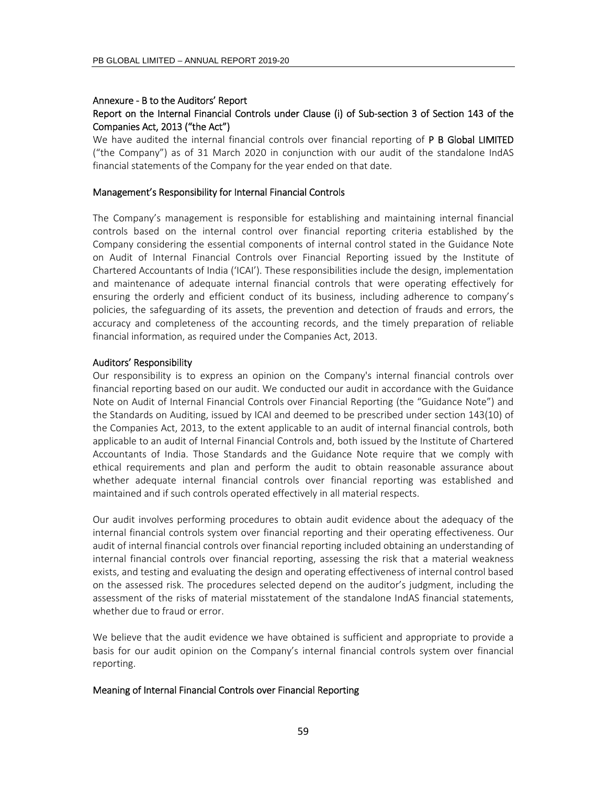## Annexure ‐ B to the Auditors' Report Report on the Internal Financial Controls under Clause (i) of Sub‐section 3 of Section 143 of the Companies Act, 2013 ("the Act")

We have audited the internal financial controls over financial reporting of **P B Global LIMITED** ("the Company") as of 31 March 2020 in conjunction with our audit of the standalone IndAS financial statements of the Company for the year ended on that date.

#### Management's Responsibility for Internal Financial Controls

The Company's management is responsible for establishing and maintaining internal financial controls based on the internal control over financial reporting criteria established by the Company considering the essential components of internal control stated in the Guidance Note on Audit of Internal Financial Controls over Financial Reporting issued by the Institute of Chartered Accountants of India ('ICAI'). These responsibilities include the design, implementation and maintenance of adequate internal financial controls that were operating effectively for ensuring the orderly and efficient conduct of its business, including adherence to company's policies, the safeguarding of its assets, the prevention and detection of frauds and errors, the accuracy and completeness of the accounting records, and the timely preparation of reliable financial information, as required under the Companies Act, 2013.

#### Auditors' Responsibility

Our responsibility is to express an opinion on the Company's internal financial controls over financial reporting based on our audit. We conducted our audit in accordance with the Guidance Note on Audit of Internal Financial Controls over Financial Reporting (the "Guidance Note") and the Standards on Auditing, issued by ICAI and deemed to be prescribed under section 143(10) of the Companies Act, 2013, to the extent applicable to an audit of internal financial controls, both applicable to an audit of Internal Financial Controls and, both issued by the Institute of Chartered Accountants of India. Those Standards and the Guidance Note require that we comply with ethical requirements and plan and perform the audit to obtain reasonable assurance about whether adequate internal financial controls over financial reporting was established and maintained and if such controls operated effectively in all material respects.

Our audit involves performing procedures to obtain audit evidence about the adequacy of the internal financial controls system over financial reporting and their operating effectiveness. Our audit of internal financial controls over financial reporting included obtaining an understanding of internal financial controls over financial reporting, assessing the risk that a material weakness exists, and testing and evaluating the design and operating effectiveness of internal control based on the assessed risk. The procedures selected depend on the auditor's judgment, including the assessment of the risks of material misstatement of the standalone IndAS financial statements, whether due to fraud or error.

We believe that the audit evidence we have obtained is sufficient and appropriate to provide a basis for our audit opinion on the Company's internal financial controls system over financial reporting.

#### Meaning of Internal Financial Controls over Financial Reporting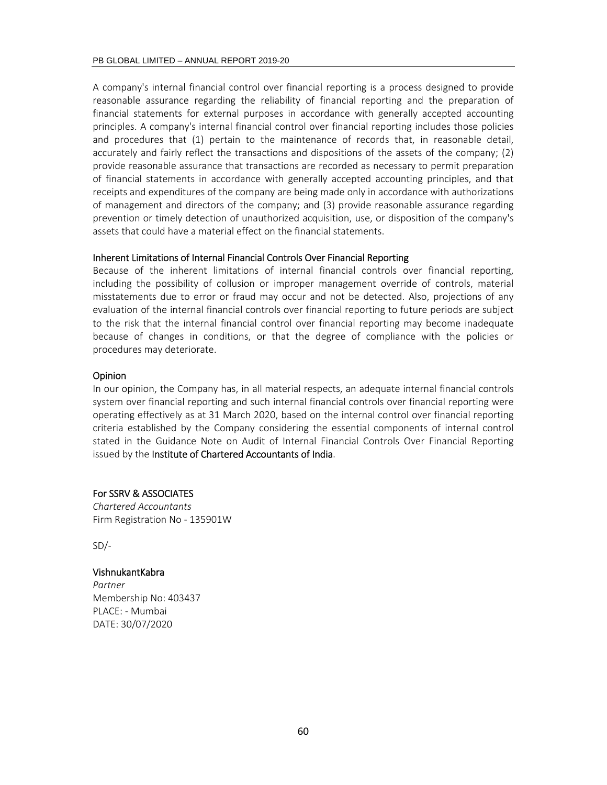A company's internal financial control over financial reporting is a process designed to provide reasonable assurance regarding the reliability of financial reporting and the preparation of financial statements for external purposes in accordance with generally accepted accounting principles. A company's internal financial control over financial reporting includes those policies and procedures that (1) pertain to the maintenance of records that, in reasonable detail, accurately and fairly reflect the transactions and dispositions of the assets of the company; (2) provide reasonable assurance that transactions are recorded as necessary to permit preparation of financial statements in accordance with generally accepted accounting principles, and that receipts and expenditures of the company are being made only in accordance with authorizations of management and directors of the company; and (3) provide reasonable assurance regarding prevention or timely detection of unauthorized acquisition, use, or disposition of the company's assets that could have a material effect on the financial statements.

#### Inherent Limitations of Internal Financial Controls Over Financial Reporting

Because of the inherent limitations of internal financial controls over financial reporting, including the possibility of collusion or improper management override of controls, material misstatements due to error or fraud may occur and not be detected. Also, projections of any evaluation of the internal financial controls over financial reporting to future periods are subject to the risk that the internal financial control over financial reporting may become inadequate because of changes in conditions, or that the degree of compliance with the policies or procedures may deteriorate.

#### Opinion

In our opinion, the Company has, in all material respects, an adequate internal financial controls system over financial reporting and such internal financial controls over financial reporting were operating effectively as at 31 March 2020, based on the internal control over financial reporting criteria established by the Company considering the essential components of internal control stated in the Guidance Note on Audit of Internal Financial Controls Over Financial Reporting issued by the Institute of Chartered Accountants of India.

#### For SSRV & ASSOCIATES

*Chartered Accountants*  Firm Registration No ‐ 135901W

 $SD/-$ 

#### VishnukantKabra

*Partner*  Membership No: 403437 PLACE: ‐ Mumbai DATE: 30/07/2020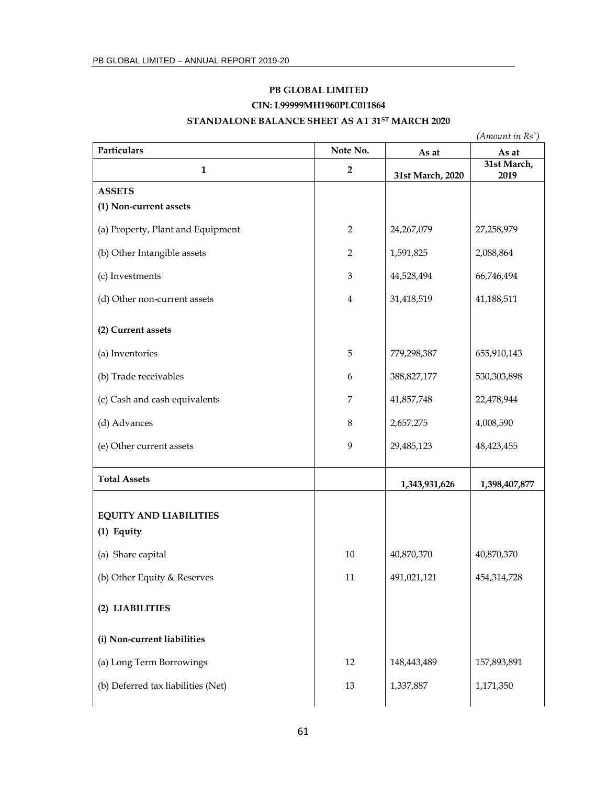# **PB GLOBAL LIMITED CIN: L99999MH1960PLC011864**

# **STANDALONE BALANCE SHEET AS AT 31ST MARCH 2020**

| Particulars                                 | Note No.                    |                  | $(A$ <i>mount in</i> $Rs$ <sup>*</sup> ) |
|---------------------------------------------|-----------------------------|------------------|------------------------------------------|
|                                             |                             | As at            | As at<br>31st March,                     |
| $\mathbf{1}$                                | $\overline{2}$              | 31st March, 2020 | 2019                                     |
| <b>ASSETS</b>                               |                             |                  |                                          |
| (1) Non-current assets                      |                             |                  |                                          |
| (a) Property, Plant and Equipment           | $\overline{2}$              | 24,267,079       | 27,258,979                               |
| (b) Other Intangible assets                 | $\overline{2}$              | 1,591,825        | 2,088,864                                |
| (c) Investments                             | $\ensuremath{\mathfrak{Z}}$ | 44,528,494       | 66,746,494                               |
| (d) Other non-current assets                | $\bf 4$                     | 31,418,519       | 41,188,511                               |
| (2) Current assets                          |                             |                  |                                          |
| (a) Inventories                             | $\overline{5}$              | 779,298,387      | 655,910,143                              |
| (b) Trade receivables                       | $\boldsymbol{6}$            | 388,827,177      | 530,303,898                              |
| (c) Cash and cash equivalents               | $\boldsymbol{7}$            | 41,857,748       | 22,478,944                               |
| (d) Advances                                | $\,8\,$                     | 2,657,275        | 4,008,590                                |
| (e) Other current assets                    | $\mathbf{9}$                | 29,485,123       | 48,423,455                               |
| <b>Total Assets</b>                         |                             | 1,343,931,626    | 1,398,407,877                            |
| <b>EQUITY AND LIABILITIES</b><br>(1) Equity |                             |                  |                                          |
| (a) Share capital                           | 10                          | 40,870,370       | 40,870,370                               |
| (b) Other Equity & Reserves                 | 11                          | 491,021,121      | 454,314,728                              |
| (2) LIABILITIES                             |                             |                  |                                          |
| (i) Non-current liabilities                 |                             |                  |                                          |
| (a) Long Term Borrowings                    | 12                          | 148,443,489      | 157,893,891                              |
| (b) Deferred tax liabilities (Net)          | 13                          | 1,337,887        | 1,171,350                                |
|                                             |                             |                  |                                          |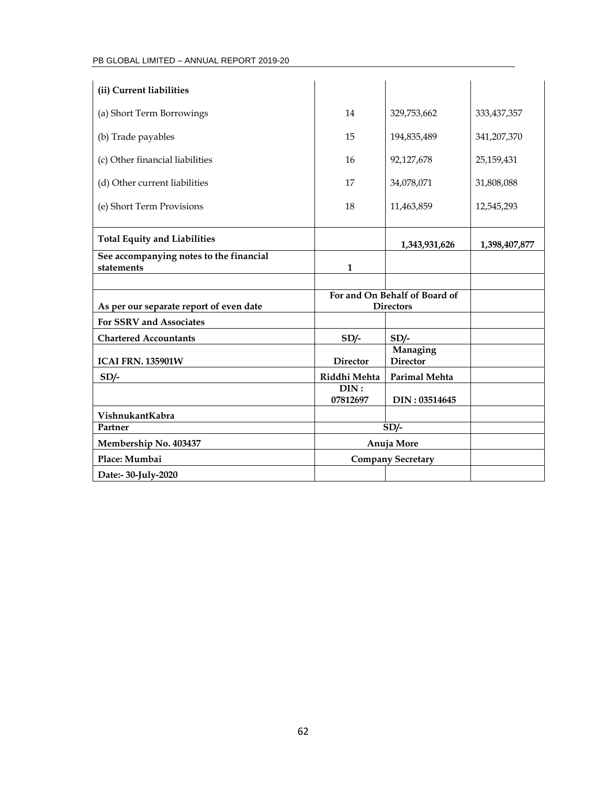# PB GLOBAL LIMITED – ANNUAL REPORT 2019-20

| (ii) Current liabilities                              |                  |                               |               |
|-------------------------------------------------------|------------------|-------------------------------|---------------|
| (a) Short Term Borrowings                             | 14               | 329,753,662                   | 333, 437, 357 |
|                                                       |                  |                               |               |
| (b) Trade payables                                    | 15               | 194,835,489                   | 341,207,370   |
| (c) Other financial liabilities                       | 16               | 92,127,678                    | 25,159,431    |
| (d) Other current liabilities                         | 17               | 34,078,071                    | 31,808,088    |
| (e) Short Term Provisions                             | 18               | 11,463,859                    | 12,545,293    |
|                                                       |                  |                               |               |
| <b>Total Equity and Liabilities</b>                   |                  | 1,343,931,626                 | 1,398,407,877 |
| See accompanying notes to the financial<br>statements | $\mathbf{1}$     |                               |               |
|                                                       |                  |                               |               |
|                                                       |                  |                               |               |
|                                                       |                  | For and On Behalf of Board of |               |
| As per our separate report of even date               |                  | <b>Directors</b>              |               |
| For SSRV and Associates                               |                  |                               |               |
| <b>Chartered Accountants</b>                          | $SD/-$           | $SD/-$                        |               |
| <b>ICAI FRN. 135901W</b>                              | <b>Director</b>  | Managing<br><b>Director</b>   |               |
| $SD/-$                                                | Riddhi Mehta     | <b>Parimal Mehta</b>          |               |
|                                                       | DIN:<br>07812697 | DIN: 03514645                 |               |
| VishnukantKabra                                       |                  |                               |               |
| Partner                                               |                  | $SD/-$                        |               |
| Membership No. 403437                                 |                  | Anuja More                    |               |
| Place: Mumbai                                         |                  | <b>Company Secretary</b>      |               |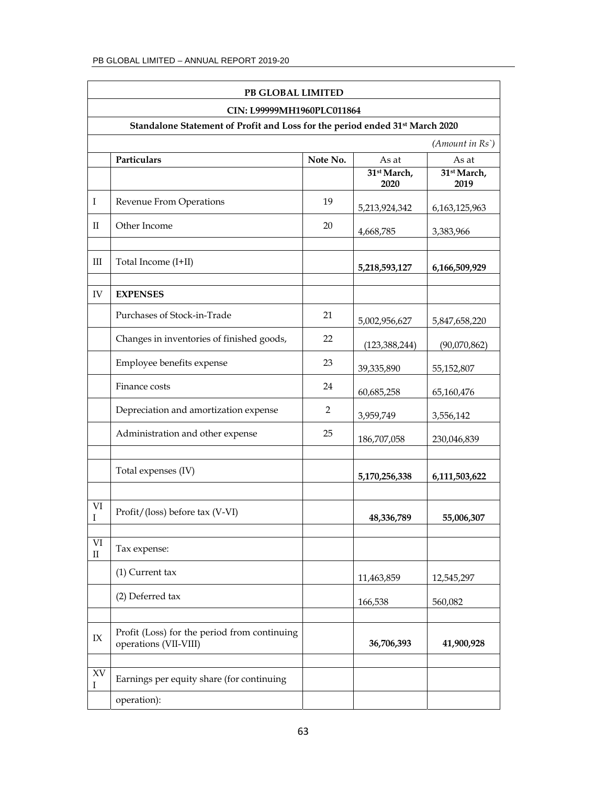|                             | PB GLOBAL LIMITED                                                                                                      |          |                                 |                                 |
|-----------------------------|------------------------------------------------------------------------------------------------------------------------|----------|---------------------------------|---------------------------------|
|                             | CIN: L99999MH1960PLC011864<br>Standalone Statement of Profit and Loss for the period ended 31 <sup>st</sup> March 2020 |          |                                 |                                 |
|                             |                                                                                                                        |          |                                 | (Amount in Rs)                  |
|                             | Particulars                                                                                                            | Note No. | As at                           | As at                           |
|                             |                                                                                                                        |          | 31 <sup>st</sup> March,<br>2020 | 31 <sup>st</sup> March,<br>2019 |
| I                           | Revenue From Operations                                                                                                | 19       | 5,213,924,342                   | 6, 163, 125, 963                |
| H                           | Other Income                                                                                                           | 20       | 4,668,785                       | 3,383,966                       |
| Ш                           | Total Income (I+II)                                                                                                    |          | 5,218,593,127                   | 6,166,509,929                   |
| IV                          | <b>EXPENSES</b>                                                                                                        |          |                                 |                                 |
|                             | Purchases of Stock-in-Trade                                                                                            | 21       | 5,002,956,627                   | 5,847,658,220                   |
|                             | Changes in inventories of finished goods,                                                                              | 22       | (123, 388, 244)                 | (90,070,862)                    |
|                             | Employee benefits expense                                                                                              | 23       | 39,335,890                      | 55,152,807                      |
|                             | Finance costs                                                                                                          | 24       | 60,685,258                      | 65,160,476                      |
|                             | Depreciation and amortization expense                                                                                  | 2        | 3,959,749                       | 3,556,142                       |
|                             | Administration and other expense                                                                                       | 25       | 186,707,058                     | 230,046,839                     |
|                             | Total expenses (IV)                                                                                                    |          | 5,170,256,338                   | 6,111,503,622                   |
| VI<br>I                     | Profit/(loss) before tax (V-VI)                                                                                        |          | 48,336,789                      | 55,006,307                      |
| VI<br>$\rm II$              | Tax expense:                                                                                                           |          |                                 |                                 |
|                             | $(1)$ Current tax                                                                                                      |          | 11,463,859                      | 12,545,297                      |
|                             | (2) Deferred tax                                                                                                       |          | 166,538                         | 560,082                         |
| IX                          | Profit (Loss) for the period from continuing<br>operations (VII-VIII)                                                  |          | 36,706,393                      | 41,900,928                      |
| $\mathbf{X}\mathbf{V}$<br>Ι | Earnings per equity share (for continuing                                                                              |          |                                 |                                 |
|                             | operation):                                                                                                            |          |                                 |                                 |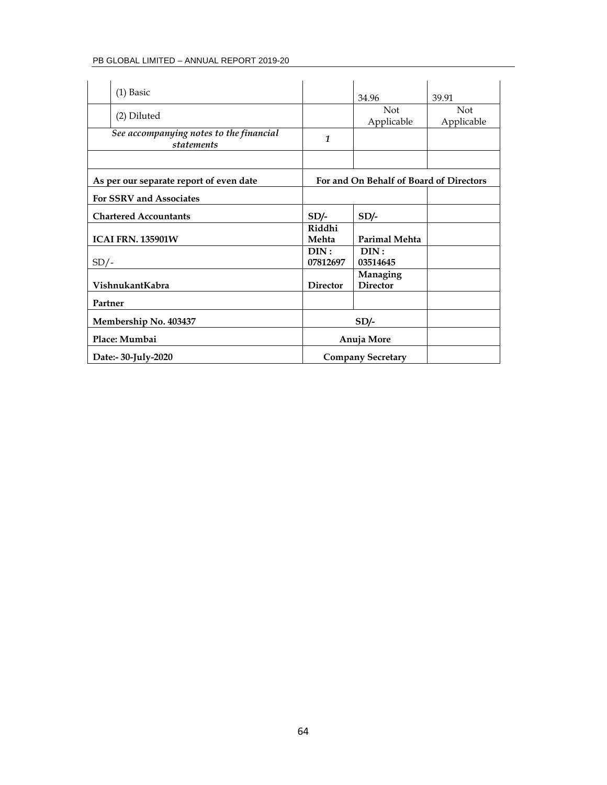## PB GLOBAL LIMITED – ANNUAL REPORT 2019-20

| $(1)$ Basic                                           |                  | 34.96                                   | 39.91                    |
|-------------------------------------------------------|------------------|-----------------------------------------|--------------------------|
| (2) Diluted                                           |                  | <b>Not</b><br>Applicable                | <b>Not</b><br>Applicable |
| See accompanying notes to the financial<br>statements | $\mathbf{1}$     |                                         |                          |
|                                                       |                  |                                         |                          |
| As per our separate report of even date               |                  | For and On Behalf of Board of Directors |                          |
| <b>For SSRV and Associates</b>                        |                  |                                         |                          |
| <b>Chartered Accountants</b>                          | $SD/-$           | $SD/-$                                  |                          |
| <b>ICAI FRN. 135901W</b>                              | Riddhi<br>Mehta  | <b>Parimal Mehta</b>                    |                          |
| $SD/-$                                                | DIN:<br>07812697 | DIN:<br>03514645                        |                          |
| VishnukantKabra                                       | <b>Director</b>  | Managing<br><b>Director</b>             |                          |
| Partner                                               |                  |                                         |                          |
| Membership No. 403437                                 |                  | $SD/-$                                  |                          |
| Place: Mumbai                                         | Anuja More       |                                         |                          |
| Date:- 30-July-2020                                   |                  | <b>Company Secretary</b>                |                          |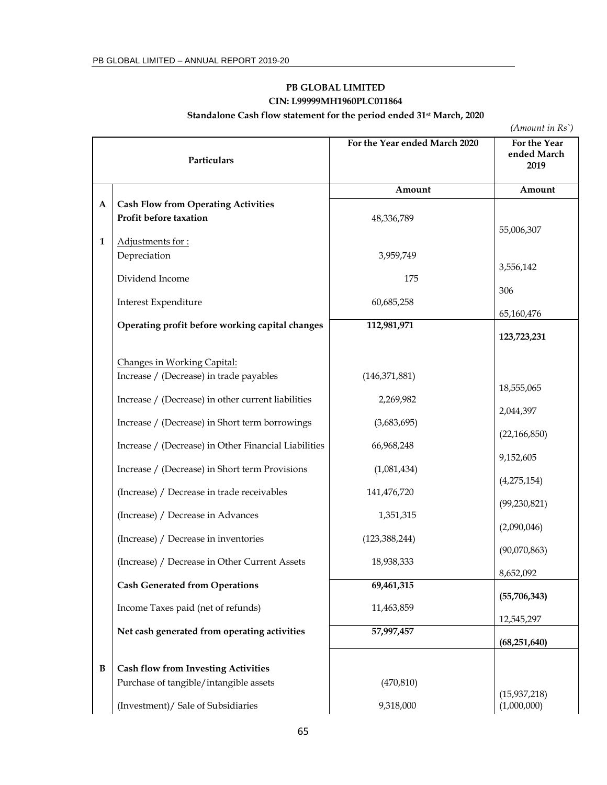# **PB GLOBAL LIMITED CIN: L99999MH1960PLC011864**

**Standalone Cash flow statement for the period ended 31st March, 2020** 

*(Amount in Rs`)*

|              | Particulars                                          | For the Year ended March 2020 | For the Year<br>ended March<br>2019 |
|--------------|------------------------------------------------------|-------------------------------|-------------------------------------|
|              |                                                      | Amount                        | Amount                              |
| A            | <b>Cash Flow from Operating Activities</b>           |                               |                                     |
|              | Profit before taxation                               | 48,336,789                    |                                     |
| 1            | Adjustments for:                                     |                               | 55,006,307                          |
|              | Depreciation                                         | 3,959,749                     |                                     |
|              |                                                      |                               | 3,556,142                           |
|              | Dividend Income                                      | 175                           | 306                                 |
|              | Interest Expenditure                                 | 60,685,258                    |                                     |
|              | Operating profit before working capital changes      | 112,981,971                   | 65,160,476                          |
|              |                                                      |                               | 123,723,231                         |
|              |                                                      |                               |                                     |
|              | Changes in Working Capital:                          |                               |                                     |
|              | Increase / (Decrease) in trade payables              | (146, 371, 881)               | 18,555,065                          |
|              | Increase / (Decrease) in other current liabilities   | 2,269,982                     |                                     |
|              | Increase / (Decrease) in Short term borrowings       | (3,683,695)                   | 2,044,397                           |
|              |                                                      |                               | (22, 166, 850)                      |
|              | Increase / (Decrease) in Other Financial Liabilities | 66,968,248                    |                                     |
|              | Increase / (Decrease) in Short term Provisions       | (1,081,434)                   | 9,152,605                           |
|              |                                                      |                               | (4, 275, 154)                       |
|              | (Increase) / Decrease in trade receivables           | 141,476,720                   | (99, 230, 821)                      |
|              | (Increase) / Decrease in Advances                    | 1,351,315                     |                                     |
|              |                                                      |                               | (2,090,046)                         |
|              | (Increase) / Decrease in inventories                 | (123, 388, 244)               | (90,070,863)                        |
|              | (Increase) / Decrease in Other Current Assets        | 18,938,333                    |                                     |
|              | <b>Cash Generated from Operations</b>                | 69,461,315                    | 8,652,092                           |
|              |                                                      |                               | (55, 706, 343)                      |
|              | Income Taxes paid (net of refunds)                   | 11,463,859                    | 12,545,297                          |
|              | Net cash generated from operating activities         | 57,997,457                    |                                     |
|              |                                                      |                               | (68, 251, 640)                      |
| $\, {\bf B}$ | <b>Cash flow from Investing Activities</b>           |                               |                                     |
|              | Purchase of tangible/intangible assets               | (470, 810)                    |                                     |
|              |                                                      |                               | (15, 937, 218)                      |
|              | (Investment)/ Sale of Subsidiaries                   | 9,318,000                     | (1,000,000)                         |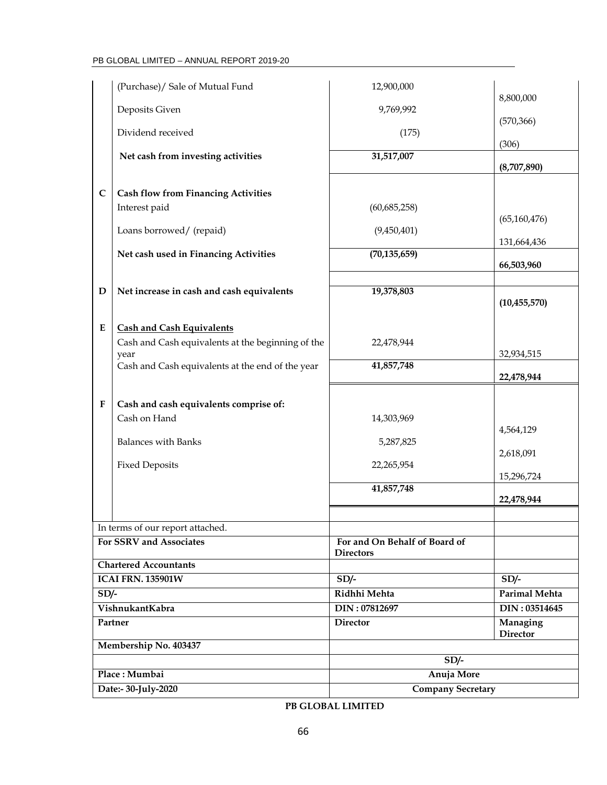|                     | (Purchase)/ Sale of Mutual Fund                             | 12,900,000                                        |                             |  |
|---------------------|-------------------------------------------------------------|---------------------------------------------------|-----------------------------|--|
|                     | Deposits Given                                              | 9,769,992                                         | 8,800,000                   |  |
|                     |                                                             |                                                   | (570, 366)                  |  |
|                     | Dividend received                                           | (175)                                             | (306)                       |  |
|                     | Net cash from investing activities                          | 31,517,007                                        | (8,707,890)                 |  |
| $\mathbf C$         | <b>Cash flow from Financing Activities</b>                  |                                                   |                             |  |
|                     | Interest paid                                               | (60, 685, 258)                                    | (65, 160, 476)              |  |
|                     | Loans borrowed/ (repaid)                                    | (9,450,401)                                       |                             |  |
|                     | Net cash used in Financing Activities                       | (70, 135, 659)                                    | 131,664,436                 |  |
|                     |                                                             |                                                   | 66,503,960                  |  |
| D                   | Net increase in cash and cash equivalents                   | 19,378,803                                        | (10, 455, 570)              |  |
| E                   | <b>Cash and Cash Equivalents</b>                            |                                                   |                             |  |
|                     | Cash and Cash equivalents at the beginning of the<br>year   | 22,478,944                                        | 32,934,515                  |  |
|                     | Cash and Cash equivalents at the end of the year            | 41,857,748                                        | 22,478,944                  |  |
| F                   | Cash and cash equivalents comprise of:                      |                                                   |                             |  |
|                     | Cash on Hand                                                | 14,303,969                                        |                             |  |
|                     | <b>Balances with Banks</b>                                  | 5,287,825                                         | 4,564,129                   |  |
|                     | <b>Fixed Deposits</b>                                       | 22,265,954                                        | 2,618,091                   |  |
|                     |                                                             |                                                   | 15,296,724                  |  |
|                     |                                                             | 41,857,748                                        | 22,478,944                  |  |
|                     |                                                             |                                                   |                             |  |
|                     | In terms of our report attached.<br>For SSRV and Associates | For and On Behalf of Board of<br><b>Directors</b> |                             |  |
|                     | <b>Chartered Accountants</b>                                |                                                   |                             |  |
|                     | <b>ICAI FRN. 135901W</b>                                    | $SD/-$                                            | $SD/-$                      |  |
| $SD/-$              |                                                             | Ridhhi Mehta                                      | Parimal Mehta               |  |
|                     | VishnukantKabra                                             | DIN: 07812697                                     | DIN: 03514645               |  |
| Partner             |                                                             | <b>Director</b>                                   | Managing<br><b>Director</b> |  |
|                     | Membership No. 403437                                       |                                                   |                             |  |
|                     |                                                             | $SD/-$                                            |                             |  |
|                     | Place: Mumbai                                               | Anuja More                                        |                             |  |
| Date:- 30-July-2020 |                                                             | <b>Company Secretary</b>                          |                             |  |

# **PB GLOBAL LIMITED**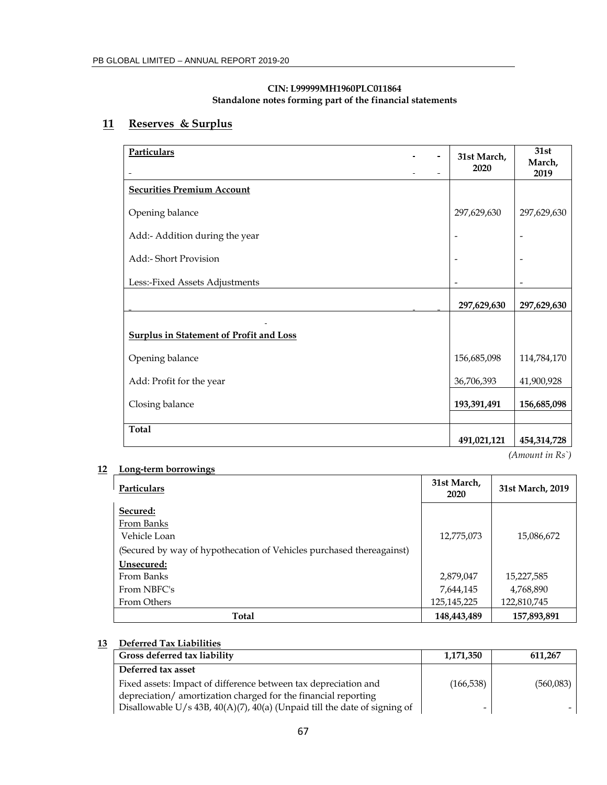#### **CIN: L99999MH1960PLC011864 Standalone notes forming part of the financial statements**

# **11 Reserves & Surplus**

| Particulars                                    | 31st March,<br>2020 | 31st<br>March,<br>2019                     |
|------------------------------------------------|---------------------|--------------------------------------------|
| <b>Securities Premium Account</b>              |                     |                                            |
| Opening balance                                | 297,629,630         | 297,629,630                                |
| Add:- Addition during the year                 |                     |                                            |
| Add:- Short Provision                          |                     |                                            |
| Less:-Fixed Assets Adjustments                 |                     |                                            |
|                                                | 297,629,630         | 297,629,630                                |
| <b>Surplus in Statement of Profit and Loss</b> |                     |                                            |
| Opening balance                                | 156,685,098         | 114,784,170                                |
| Add: Profit for the year                       | 36,706,393          | 41,900,928                                 |
| Closing balance                                | 193,391,491         | 156,685,098                                |
| <b>Total</b>                                   |                     |                                            |
|                                                | 491,021,121         | 454,314,728<br>$(A$ <i>mount in</i> $Rs$ ) |

## **12 Long-term borrowings**

| Particulars                                                          | 31st March,<br>2020 | 31st March, 2019 |
|----------------------------------------------------------------------|---------------------|------------------|
| Secured:                                                             |                     |                  |
| From Banks                                                           |                     |                  |
| Vehicle Loan                                                         | 12,775,073          | 15,086,672       |
| (Secured by way of hypothecation of Vehicles purchased thereagainst) |                     |                  |
| Unsecured:                                                           |                     |                  |
| From Banks                                                           | 2,879,047           | 15,227,585       |
| From NBFC's                                                          | 7,644,145           | 4,768,890        |
| From Others                                                          | 125,145,225         | 122,810,745      |
| Total                                                                | 148,443,489         | 157,893,891      |

# **13 Deferred Tax Liabilities**

| Gross deferred tax liability                                                | 1,171,350  | 611,267   |
|-----------------------------------------------------------------------------|------------|-----------|
| Deferred tax asset                                                          |            |           |
| Fixed assets: Impact of difference between tax depreciation and             | (166, 538) | (560,083) |
| depreciation/amortization charged for the financial reporting               |            |           |
| Disallowable $U/s$ 43B, 40(A)(7), 40(a) (Unpaid till the date of signing of | -          |           |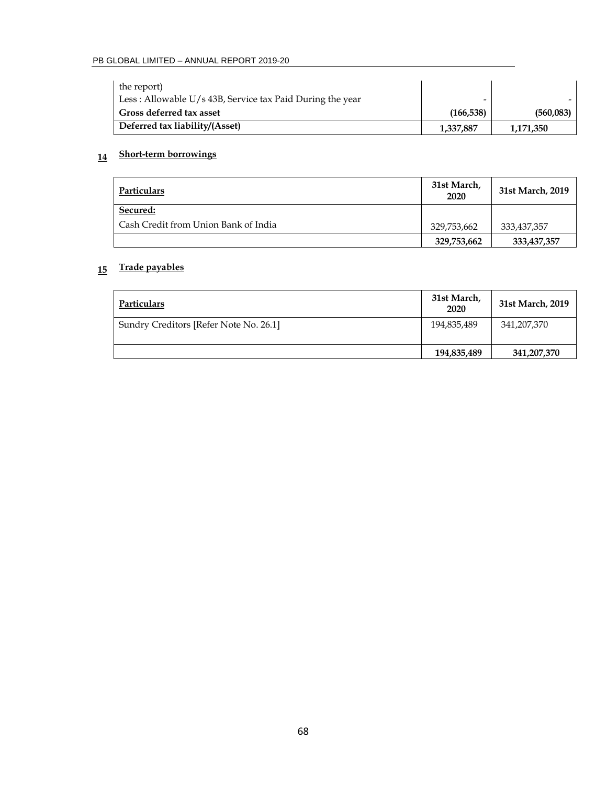| the report)<br>Less : Allowable $U/s$ 43B, Service tax Paid During the year | $\overline{\phantom{0}}$ |           |
|-----------------------------------------------------------------------------|--------------------------|-----------|
| Gross deferred tax asset                                                    | (166, 538)               | (560,083) |
| Deferred tax liability/(Asset)                                              | 1,337,887                | 1,171,350 |

# **14 Short-term borrowings**

| Particulars                          | 31st March,<br>2020 | 31st March, 2019 |
|--------------------------------------|---------------------|------------------|
| Secured:                             |                     |                  |
| Cash Credit from Union Bank of India | 329,753,662         | 333,437,357      |
|                                      | 329,753,662         | 333, 437, 357    |

# **15 Trade payables**

| Particulars                            | 31st March,<br>2020 | 31st March, 2019 |
|----------------------------------------|---------------------|------------------|
| Sundry Creditors [Refer Note No. 26.1] | 194,835,489         | 341,207,370      |
|                                        | 194,835,489         | 341,207,370      |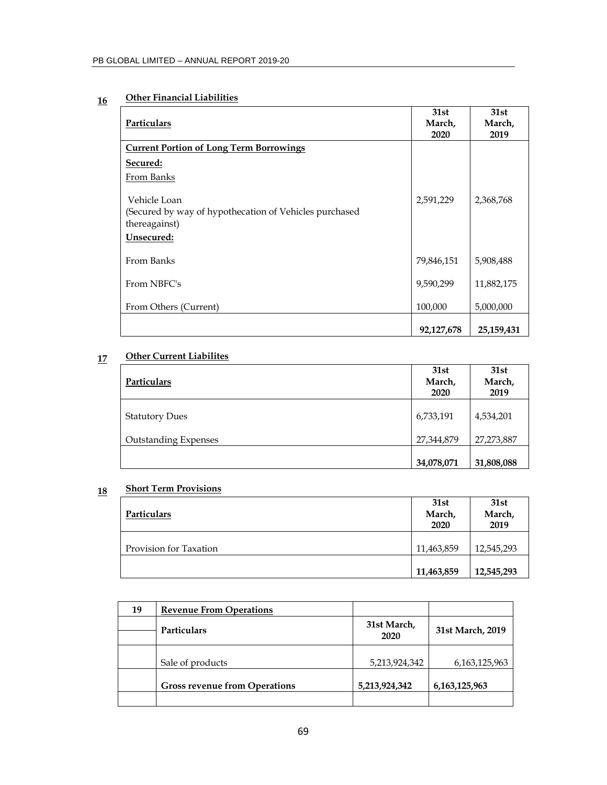# **16 Other Financial Liabilities**

| Particulars                                                                                           | 31st<br>March,<br>2020 | 31st<br>March,<br>2019 |
|-------------------------------------------------------------------------------------------------------|------------------------|------------------------|
| <b>Current Portion of Long Term Borrowings</b>                                                        |                        |                        |
| Secured:                                                                                              |                        |                        |
| From Banks                                                                                            |                        |                        |
| Vehicle Loan<br>(Secured by way of hypothecation of Vehicles purchased<br>thereagainst)<br>Unsecured: | 2,591,229              | 2,368,768              |
| From Banks                                                                                            | 79,846,151             | 5,908,488              |
| From NBFC's                                                                                           | 9,590,299              | 11,882,175             |
| From Others (Current)                                                                                 | 100,000                | 5,000,000              |
|                                                                                                       | 92,127,678             | 25,159,431             |

# **17 Other Current Liabilites**

| Particulars                 | 31st<br>March,<br>2020 | 31st<br>March,<br>2019 |
|-----------------------------|------------------------|------------------------|
| <b>Statutory Dues</b>       | 6,733,191              | 4,534,201              |
| <b>Outstanding Expenses</b> | 27,344,879             | 27,273,887             |
|                             | 34,078,071             | 31,808,088             |

# **18 Short Term Provisions**

| Particulars            | 31st<br>March,<br>2020 | 31st<br>March,<br>2019 |
|------------------------|------------------------|------------------------|
| Provision for Taxation | 11,463,859             | 12,545,293             |
|                        | 11,463,859             | 12,545,293             |

| 19 | <b>Revenue From Operations</b>       |                     |                  |
|----|--------------------------------------|---------------------|------------------|
|    | <b>Particulars</b>                   | 31st March,<br>2020 | 31st March, 2019 |
|    | Sale of products                     | 5,213,924,342       | 6, 163, 125, 963 |
|    | <b>Gross revenue from Operations</b> | 5,213,924,342       | 6, 163, 125, 963 |
|    |                                      |                     |                  |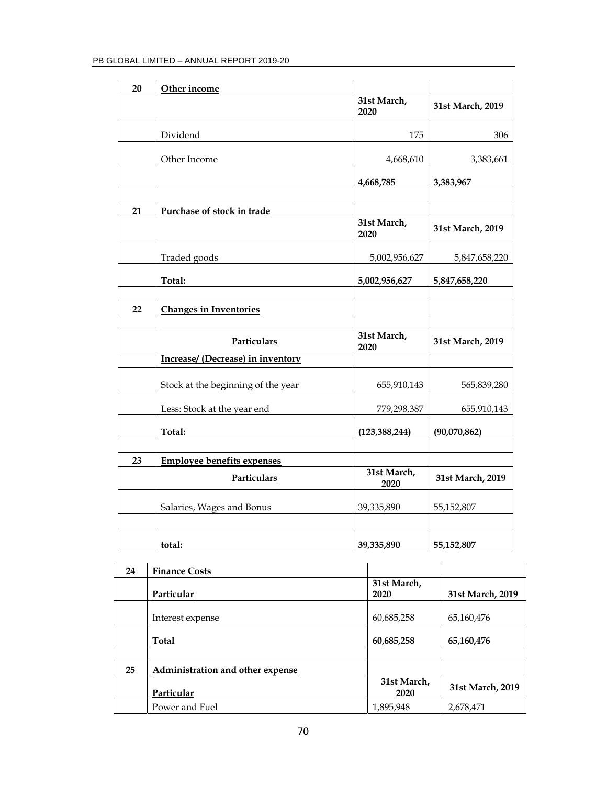| PB GLOBAL LIMITED – ANNUAL REPORT 2019-20 |  |
|-------------------------------------------|--|
|-------------------------------------------|--|

| 20 | Other income                             |                     |                  |
|----|------------------------------------------|---------------------|------------------|
|    |                                          | 31st March,<br>2020 | 31st March, 2019 |
|    | Dividend                                 | 175                 | 306              |
|    | Other Income                             | 4,668,610           | 3,383,661        |
|    |                                          | 4,668,785           | 3,383,967        |
| 21 | Purchase of stock in trade               |                     |                  |
|    |                                          | 31st March,<br>2020 | 31st March, 2019 |
|    | Traded goods                             | 5,002,956,627       | 5,847,658,220    |
|    | Total:                                   | 5,002,956,627       | 5,847,658,220    |
| 22 | <b>Changes in Inventories</b>            |                     |                  |
|    | Particulars                              | 31st March,<br>2020 | 31st March, 2019 |
|    | <b>Increase/ (Decrease) in inventory</b> |                     |                  |
|    | Stock at the beginning of the year       | 655,910,143         | 565,839,280      |
|    | Less: Stock at the year end              | 779,298,387         | 655,910,143      |
|    | Total:                                   | (123, 388, 244)     | (90,070,862)     |
| 23 | <b>Employee benefits expenses</b>        |                     |                  |
|    | Particulars                              | 31st March,<br>2020 | 31st March, 2019 |
|    | Salaries, Wages and Bonus                | 39,335,890          | 55,152,807       |
|    | total:                                   | 39,335,890          | 55,152,807       |

| 24 | <b>Finance Costs</b>             |                     |                  |
|----|----------------------------------|---------------------|------------------|
|    | Particular                       | 31st March,<br>2020 | 31st March, 2019 |
|    | Interest expense                 | 60,685,258          | 65,160,476       |
|    | Total                            | 60,685,258          | 65,160,476       |
|    |                                  |                     |                  |
| 25 | Administration and other expense |                     |                  |
|    | Particular                       | 31st March,<br>2020 | 31st March, 2019 |
|    | Power and Fuel                   | 1,895,948           | 2,678,471        |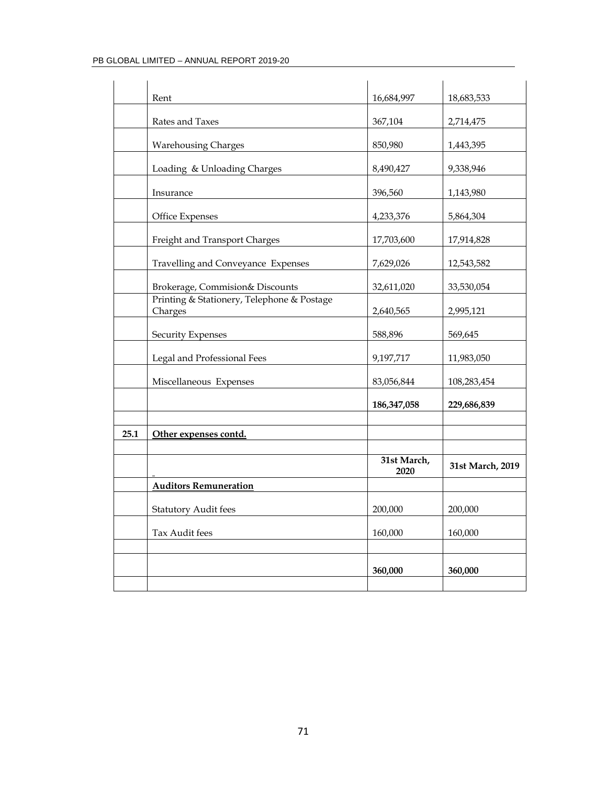|      | Rent                                                  | 16,684,997          | 18,683,533       |
|------|-------------------------------------------------------|---------------------|------------------|
|      | Rates and Taxes                                       | 367,104             | 2,714,475        |
|      |                                                       |                     |                  |
|      | <b>Warehousing Charges</b>                            | 850,980             | 1,443,395        |
|      | Loading & Unloading Charges                           | 8,490,427           | 9,338,946        |
|      | Insurance                                             | 396,560             | 1,143,980        |
|      | <b>Office Expenses</b>                                | 4,233,376           | 5,864,304        |
|      | Freight and Transport Charges                         | 17,703,600          | 17,914,828       |
|      | Travelling and Conveyance Expenses                    | 7,629,026           | 12,543,582       |
|      | Brokerage, Commision& Discounts                       | 32,611,020          | 33,530,054       |
|      | Printing & Stationery, Telephone & Postage<br>Charges | 2,640,565           | 2,995,121        |
|      | <b>Security Expenses</b>                              | 588,896             | 569,645          |
|      | Legal and Professional Fees                           | 9,197,717           | 11,983,050       |
|      | Miscellaneous Expenses                                | 83,056,844          | 108,283,454      |
|      |                                                       | 186, 347, 058       | 229,686,839      |
|      |                                                       |                     |                  |
| 25.1 | Other expenses contd.                                 |                     |                  |
|      |                                                       |                     |                  |
|      |                                                       | 31st March,<br>2020 | 31st March, 2019 |
|      | <b>Auditors Remuneration</b>                          |                     |                  |
|      | <b>Statutory Audit fees</b>                           | 200,000             | 200,000          |
|      | Tax Audit fees                                        | 160,000             | 160,000          |
|      |                                                       |                     |                  |
|      |                                                       | 360,000             | 360,000          |
|      |                                                       |                     |                  |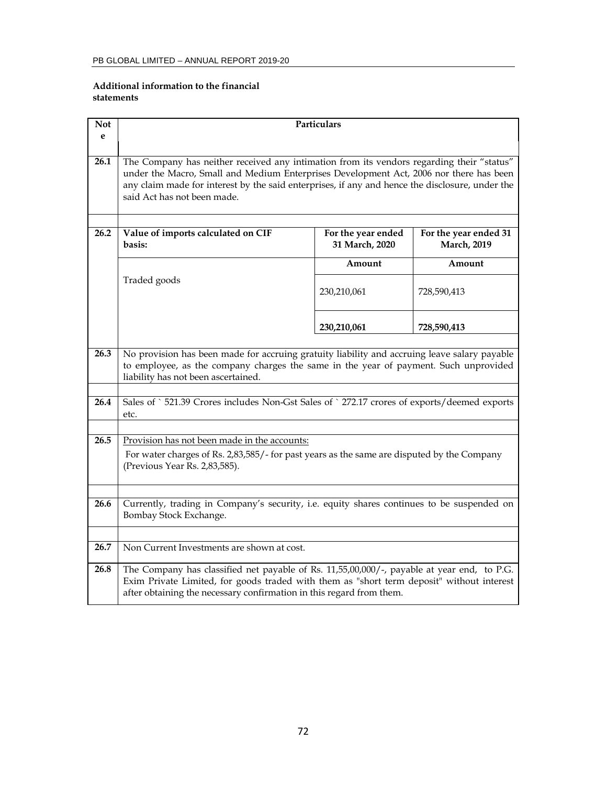#### **Additional information to the financial statements**

| <b>Not</b><br>e | Particulars                                                                                                                                                                                                                                                                                                           |                                      |                                              |  |  |
|-----------------|-----------------------------------------------------------------------------------------------------------------------------------------------------------------------------------------------------------------------------------------------------------------------------------------------------------------------|--------------------------------------|----------------------------------------------|--|--|
|                 |                                                                                                                                                                                                                                                                                                                       |                                      |                                              |  |  |
| 26.1            | The Company has neither received any intimation from its vendors regarding their "status"<br>under the Macro, Small and Medium Enterprises Development Act, 2006 nor there has been<br>any claim made for interest by the said enterprises, if any and hence the disclosure, under the<br>said Act has not been made. |                                      |                                              |  |  |
| 26.2            | Value of imports calculated on CIF<br>basis:                                                                                                                                                                                                                                                                          | For the year ended<br>31 March, 2020 | For the year ended 31<br><b>March</b> , 2019 |  |  |
|                 |                                                                                                                                                                                                                                                                                                                       | Amount                               | Amount                                       |  |  |
|                 | Traded goods                                                                                                                                                                                                                                                                                                          | 230,210,061                          | 728,590,413                                  |  |  |
|                 |                                                                                                                                                                                                                                                                                                                       | 230,210,061                          | 728,590,413                                  |  |  |
| 26.3            | No provision has been made for accruing gratuity liability and accruing leave salary payable<br>to employee, as the company charges the same in the year of payment. Such unprovided<br>liability has not been ascertained.                                                                                           |                                      |                                              |  |  |
| 26.4            | Sales of `521.39 Crores includes Non-Gst Sales of `272.17 crores of exports/deemed exports<br>etc.                                                                                                                                                                                                                    |                                      |                                              |  |  |
| 26.5            | Provision has not been made in the accounts:                                                                                                                                                                                                                                                                          |                                      |                                              |  |  |
|                 | For water charges of Rs. 2,83,585/- for past years as the same are disputed by the Company<br>(Previous Year Rs. 2,83,585).                                                                                                                                                                                           |                                      |                                              |  |  |
| 26.6            | Currently, trading in Company's security, i.e. equity shares continues to be suspended on<br>Bombay Stock Exchange.                                                                                                                                                                                                   |                                      |                                              |  |  |
| 26.7            | Non Current Investments are shown at cost.                                                                                                                                                                                                                                                                            |                                      |                                              |  |  |
|                 |                                                                                                                                                                                                                                                                                                                       |                                      |                                              |  |  |
| 26.8            | The Company has classified net payable of Rs. 11,55,00,000/-, payable at year end, to P.G.<br>Exim Private Limited, for goods traded with them as "short term deposit" without interest<br>after obtaining the necessary confirmation in this regard from them.                                                       |                                      |                                              |  |  |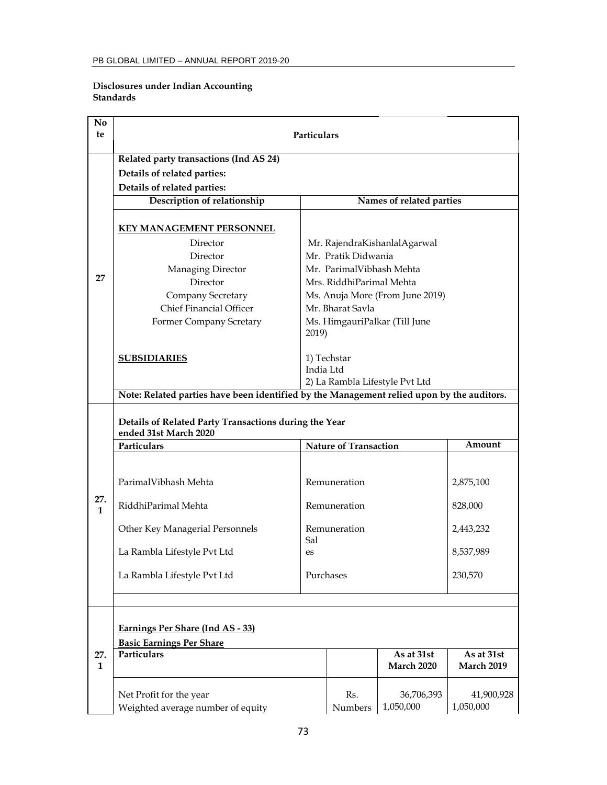### **Disclosures under Indian Accounting Standards**

| N <sub>0</sub><br>te                                                                                                                                                                                                                                                                                                                                                                                                                                | <b>Particulars</b>                                                                                                                                                                                             |                                                                                           |                |                                 |                                                          |  |
|-----------------------------------------------------------------------------------------------------------------------------------------------------------------------------------------------------------------------------------------------------------------------------------------------------------------------------------------------------------------------------------------------------------------------------------------------------|----------------------------------------------------------------------------------------------------------------------------------------------------------------------------------------------------------------|-------------------------------------------------------------------------------------------|----------------|---------------------------------|----------------------------------------------------------|--|
|                                                                                                                                                                                                                                                                                                                                                                                                                                                     | Related party transactions (Ind AS 24)                                                                                                                                                                         |                                                                                           |                |                                 |                                                          |  |
|                                                                                                                                                                                                                                                                                                                                                                                                                                                     | Details of related parties:                                                                                                                                                                                    |                                                                                           |                |                                 |                                                          |  |
|                                                                                                                                                                                                                                                                                                                                                                                                                                                     | Details of related parties:                                                                                                                                                                                    |                                                                                           |                |                                 |                                                          |  |
|                                                                                                                                                                                                                                                                                                                                                                                                                                                     | Description of relationship                                                                                                                                                                                    |                                                                                           |                | Names of related parties        |                                                          |  |
| <b>KEY MANAGEMENT PERSONNEL</b><br>Director<br>Mr. RajendraKishanlalAgarwal<br>Mr. Pratik Didwania<br>Director<br>Managing Director<br>Mr. ParimalVibhash Mehta<br>27<br>Director<br>Mrs. RiddhiParimal Mehta<br>Company Secretary<br>Ms. Anuja More (From June 2019)<br><b>Chief Financial Officer</b><br>Mr. Bharat Savla<br>Ms. HimgauriPalkar (Till June<br>Former Company Scretary<br>2019)<br>1) Techstar<br><b>SUBSIDIARIES</b><br>India Ltd |                                                                                                                                                                                                                |                                                                                           |                |                                 |                                                          |  |
|                                                                                                                                                                                                                                                                                                                                                                                                                                                     | 2) La Rambla Lifestyle Pvt Ltd<br>Note: Related parties have been identified by the Management relied upon by the auditors.                                                                                    |                                                                                           |                |                                 |                                                          |  |
| 27.<br>$\mathbf{1}$                                                                                                                                                                                                                                                                                                                                                                                                                                 | Details of Related Party Transactions during the Year<br>ended 31st March 2020<br>Particulars<br>ParimalVibhash Mehta<br>RiddhiParimal Mehta<br>Other Key Managerial Personnels<br>La Rambla Lifestyle Pvt Ltd | <b>Nature of Transaction</b><br>Remuneration<br>Remuneration<br>Remuneration<br>Sal<br>es |                |                                 | Amount<br>2,875,100<br>828,000<br>2,443,232<br>8,537,989 |  |
|                                                                                                                                                                                                                                                                                                                                                                                                                                                     | La Rambla Lifestyle Pvt Ltd                                                                                                                                                                                    | Purchases                                                                                 |                |                                 | 230,570                                                  |  |
|                                                                                                                                                                                                                                                                                                                                                                                                                                                     |                                                                                                                                                                                                                |                                                                                           |                |                                 |                                                          |  |
| 27.<br>$\mathbf{1}$                                                                                                                                                                                                                                                                                                                                                                                                                                 | Earnings Per Share (Ind AS - 33)<br><b>Basic Earnings Per Share</b><br>Particulars                                                                                                                             |                                                                                           |                | As at 31st<br><b>March 2020</b> | As at 31st<br><b>March 2019</b>                          |  |
|                                                                                                                                                                                                                                                                                                                                                                                                                                                     | Net Profit for the year<br>Weighted average number of equity                                                                                                                                                   |                                                                                           | Rs.<br>Numbers | 36,706,393<br>1,050,000         | 41,900,928<br>1,050,000                                  |  |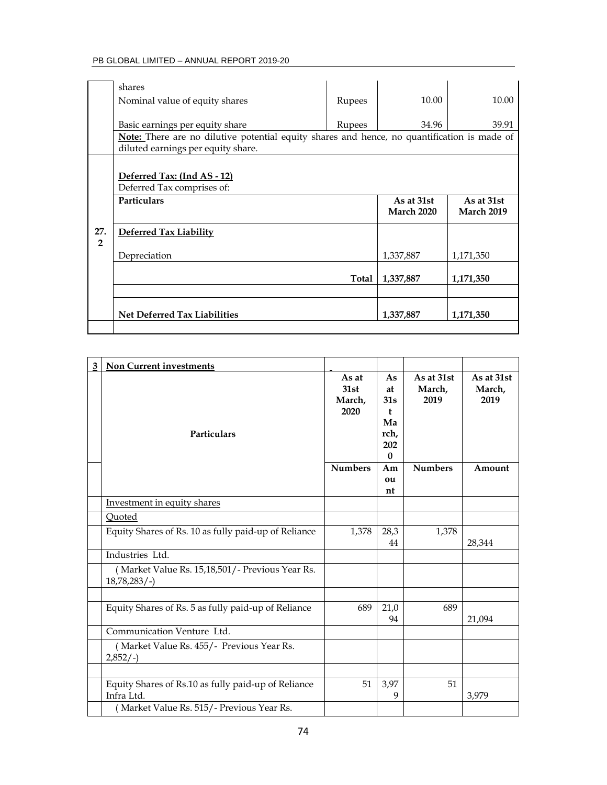|                       | shares<br>Nominal value of equity shares                                                                                              | Rupees | 10.00                           | 10.00                           |
|-----------------------|---------------------------------------------------------------------------------------------------------------------------------------|--------|---------------------------------|---------------------------------|
|                       | Basic earnings per equity share<br><b>Note:</b> There are no dilutive potential equity shares and hence, no quantification is made of | Rupees | 34.96                           | 39.91                           |
|                       | diluted earnings per equity share.                                                                                                    |        |                                 |                                 |
|                       | Deferred Tax: (Ind AS - 12)<br>Deferred Tax comprises of:                                                                             |        |                                 |                                 |
|                       | <b>Particulars</b>                                                                                                                    |        | As at 31st<br><b>March 2020</b> | As at 31st<br><b>March 2019</b> |
| 27.<br>$\overline{2}$ | <b>Deferred Tax Liability</b>                                                                                                         |        |                                 |                                 |
|                       | Depreciation                                                                                                                          |        | 1,337,887                       | 1,171,350                       |
|                       |                                                                                                                                       | Total  | 1,337,887                       | 1,171,350                       |
|                       |                                                                                                                                       |        |                                 |                                 |
|                       | <b>Net Deferred Tax Liabilities</b>                                                                                                   |        | 1,337,887                       | 1,171,350                       |
|                       |                                                                                                                                       |        |                                 |                                 |

| 3 | Non Current investments                                           |                                 |                                                           |                              |                              |
|---|-------------------------------------------------------------------|---------------------------------|-----------------------------------------------------------|------------------------------|------------------------------|
|   | <b>Particulars</b>                                                | As at<br>31st<br>March,<br>2020 | As<br>at<br>31s<br>ŧ<br>Ma<br>rch,<br>202<br>$\mathbf{0}$ | As at 31st<br>March,<br>2019 | As at 31st<br>March,<br>2019 |
|   |                                                                   | <b>Numbers</b>                  | Am<br>ou<br>nt                                            | <b>Numbers</b>               | Amount                       |
|   | Investment in equity shares                                       |                                 |                                                           |                              |                              |
|   | Quoted                                                            |                                 |                                                           |                              |                              |
|   | Equity Shares of Rs. 10 as fully paid-up of Reliance              | 1,378                           | 28,3<br>44                                                | 1,378                        | 28,344                       |
|   | Industries Ltd.                                                   |                                 |                                                           |                              |                              |
|   | (Market Value Rs. 15,18,501/- Previous Year Rs.<br>$18,78,283/-$  |                                 |                                                           |                              |                              |
|   |                                                                   |                                 |                                                           |                              |                              |
|   | Equity Shares of Rs. 5 as fully paid-up of Reliance               | 689                             | 21,0<br>94                                                | 689                          | 21,094                       |
|   | Communication Venture Ltd.                                        |                                 |                                                           |                              |                              |
|   | (Market Value Rs. 455/- Previous Year Rs.<br>$2,852/-$            |                                 |                                                           |                              |                              |
|   |                                                                   |                                 |                                                           |                              |                              |
|   | Equity Shares of Rs.10 as fully paid-up of Reliance<br>Infra Ltd. | 51                              | 3,97<br>9                                                 | 51                           | 3,979                        |
|   | (Market Value Rs. 515/- Previous Year Rs.                         |                                 |                                                           |                              |                              |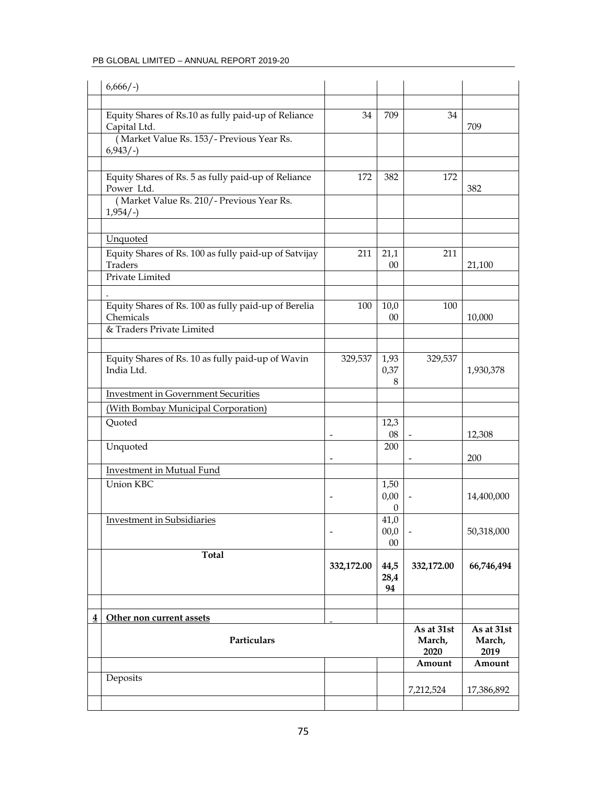| $6,666/-$                                                               |                          |                    |                              |                              |
|-------------------------------------------------------------------------|--------------------------|--------------------|------------------------------|------------------------------|
|                                                                         |                          |                    |                              |                              |
| Equity Shares of Rs.10 as fully paid-up of Reliance<br>Capital Ltd.     | 34                       | 709                | 34                           | 709                          |
| (Market Value Rs. 153/- Previous Year Rs.<br>$6,943/-$                  |                          |                    |                              |                              |
|                                                                         |                          |                    |                              |                              |
| Equity Shares of Rs. 5 as fully paid-up of Reliance<br>Power Ltd.       | 172                      | 382                | 172                          | 382                          |
| (Market Value Rs. 210/- Previous Year Rs.<br>$1,954/-$                  |                          |                    |                              |                              |
|                                                                         |                          |                    |                              |                              |
| Unquoted                                                                |                          |                    |                              |                              |
| Equity Shares of Rs. 100 as fully paid-up of Satvijay<br><b>Traders</b> | 211                      | 21,1<br>$00\,$     | 211                          | 21,100                       |
| Private Limited                                                         |                          |                    |                              |                              |
|                                                                         |                          |                    |                              |                              |
| Equity Shares of Rs. 100 as fully paid-up of Berelia                    | 100                      | 10,0               | 100                          |                              |
| Chemicals<br>& Traders Private Limited                                  |                          | 00                 |                              | 10,000                       |
|                                                                         |                          |                    |                              |                              |
| Equity Shares of Rs. 10 as fully paid-up of Wavin                       | 329,537                  | 1,93               | 329,537                      |                              |
| India Ltd.                                                              |                          | 0,37               |                              | 1,930,378                    |
| <b>Investment in Government Securities</b>                              |                          | 8                  |                              |                              |
| (With Bombay Municipal Corporation)                                     |                          |                    |                              |                              |
| Quoted                                                                  |                          | 12,3               |                              |                              |
|                                                                         |                          | 08                 |                              | 12,308                       |
| Unquoted                                                                |                          | 200                |                              |                              |
| Investment in Mutual Fund                                               |                          |                    |                              | 200                          |
| Union KBC                                                               |                          | 1,50               |                              |                              |
|                                                                         |                          | 0,00               |                              | 14,400,000                   |
|                                                                         |                          | 0                  |                              |                              |
| <b>Investment in Subsidiaries</b>                                       | $\overline{\phantom{a}}$ | 41,0<br>00,0       |                              | 50,318,000                   |
|                                                                         |                          | $00\,$             |                              |                              |
| <b>Total</b>                                                            |                          |                    |                              |                              |
|                                                                         | 332,172.00               | 44,5<br>28,4<br>94 | 332,172.00                   | 66,746,494                   |
|                                                                         |                          |                    |                              |                              |
| Other non current assets                                                |                          |                    |                              |                              |
| Particulars                                                             |                          |                    | As at 31st<br>March,<br>2020 | As at 31st<br>March,<br>2019 |
|                                                                         |                          |                    | Amount                       | Amount                       |
| Deposits                                                                |                          |                    |                              |                              |
|                                                                         |                          |                    | 7,212,524                    | 17,386,892                   |
|                                                                         |                          |                    |                              |                              |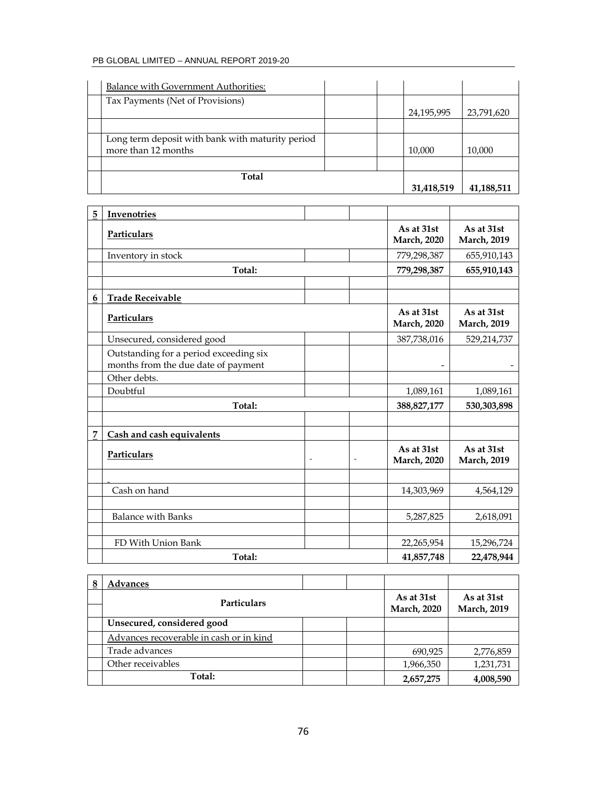| Total                                                                   |  | 31,418,519 | 41,188,511 |
|-------------------------------------------------------------------------|--|------------|------------|
|                                                                         |  |            |            |
| Long term deposit with bank with maturity period<br>more than 12 months |  | 10,000     | 10,000     |
|                                                                         |  |            |            |
| Tax Payments (Net of Provisions)                                        |  | 24,195,995 | 23,791,620 |
| Balance with Government Authorities:                                    |  |            |            |

| 5 | Invenotries                                                                   |        |                                   |                                   |                                   |
|---|-------------------------------------------------------------------------------|--------|-----------------------------------|-----------------------------------|-----------------------------------|
|   | Particulars                                                                   |        | As at 31st<br><b>March</b> , 2020 | As at 31st<br><b>March</b> , 2019 |                                   |
|   | Inventory in stock                                                            |        |                                   | 779,298,387                       | 655,910,143                       |
|   | Total:                                                                        |        |                                   | 779,298,387                       | 655,910,143                       |
|   |                                                                               |        |                                   |                                   |                                   |
| 6 | <b>Trade Receivable</b>                                                       |        |                                   |                                   |                                   |
|   | Particulars                                                                   |        |                                   | As at 31st<br><b>March</b> , 2020 | As at 31st<br><b>March</b> , 2019 |
|   | Unsecured, considered good                                                    |        |                                   | 387,738,016                       | 529,214,737                       |
|   | Outstanding for a period exceeding six<br>months from the due date of payment |        |                                   |                                   |                                   |
|   | Other debts.                                                                  |        |                                   |                                   |                                   |
|   | Doubtful                                                                      |        |                                   | 1,089,161                         | 1,089,161                         |
|   | Total:                                                                        |        |                                   | 388, 827, 177                     | 530,303,898                       |
|   |                                                                               |        |                                   |                                   |                                   |
| 7 | Cash and cash equivalents                                                     |        |                                   |                                   |                                   |
|   | Particulars                                                                   | $\sim$ | $\blacksquare$                    | As at 31st<br><b>March</b> , 2020 | As at 31st<br><b>March</b> , 2019 |
|   |                                                                               |        |                                   |                                   |                                   |
|   | Cash on hand                                                                  |        |                                   | 14,303,969                        | 4,564,129                         |
|   |                                                                               |        |                                   |                                   |                                   |
|   | <b>Balance with Banks</b>                                                     |        |                                   | 5,287,825                         | 2,618,091                         |
|   |                                                                               |        |                                   |                                   |                                   |
|   | FD With Union Bank                                                            |        |                                   | 22,265,954                        | 15,296,724                        |
|   | Total:                                                                        |        |                                   | 41,857,748                        | 22,478,944                        |

| 8 | Advances                                |  |                     |                     |
|---|-----------------------------------------|--|---------------------|---------------------|
|   | <b>Particulars</b>                      |  | As at 31st          | As at 31st          |
|   |                                         |  | <b>March</b> , 2020 | <b>March</b> , 2019 |
|   | Unsecured, considered good              |  |                     |                     |
|   | Advances recoverable in cash or in kind |  |                     |                     |
|   | Trade advances                          |  | 690,925             | 2,776,859           |
|   | Other receivables                       |  | 1,966,350           | 1,231,731           |
|   | Total:                                  |  | 2,657,275           | 4,008,590           |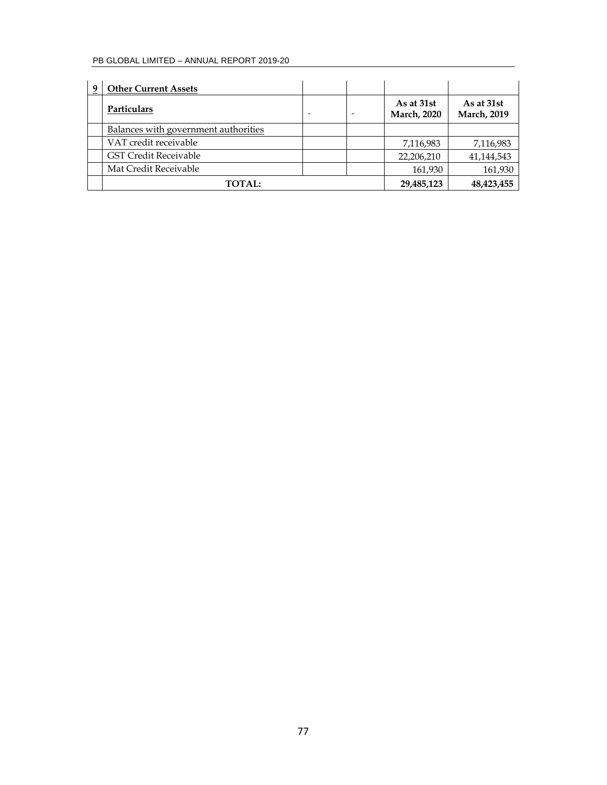| 9 | <b>Other Current Assets</b>          |                |                                   |                                   |
|---|--------------------------------------|----------------|-----------------------------------|-----------------------------------|
|   | Particulars                          | $\blacksquare$ | As at 31st<br><b>March</b> , 2020 | As at 31st<br><b>March</b> , 2019 |
|   | Balances with government authorities |                |                                   |                                   |
|   | VAT credit receivable                |                | 7,116,983                         | 7,116,983                         |
|   | <b>GST Credit Receivable</b>         |                | 22,206,210                        | 41,144,543                        |
|   | Mat Credit Receivable                |                | 161,930                           | 161,930                           |
|   | <b>TOTAL:</b>                        |                | 29,485,123                        | 48,423,455                        |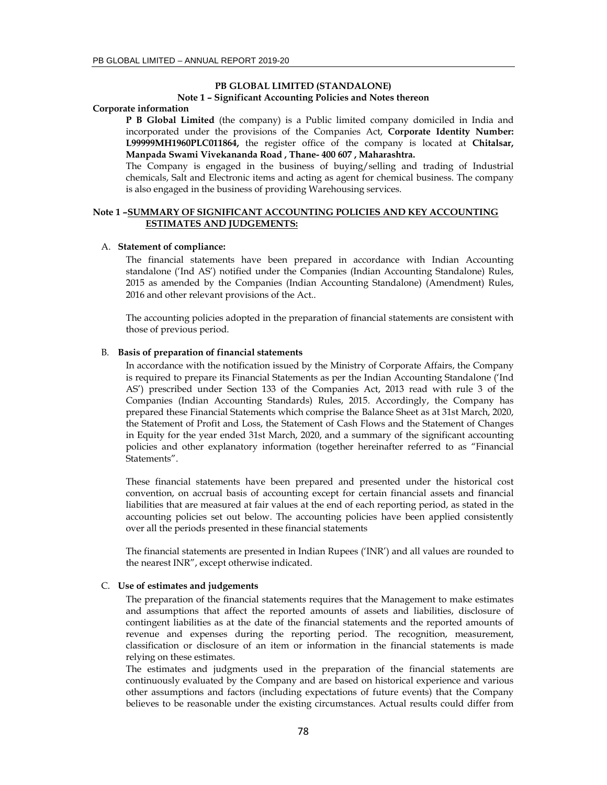### **PB GLOBAL LIMITED (STANDALONE) Note 1 – Significant Accounting Policies and Notes thereon**

### **Corporate information**

**P B Global Limited** (the company) is a Public limited company domiciled in India and incorporated under the provisions of the Companies Act, **Corporate Identity Number: L99999MH1960PLC011864,** the register office of the company is located at **Chitalsar, Manpada Swami Vivekananda Road , Thane- 400 607 , Maharashtra.**

The Company is engaged in the business of buying/selling and trading of Industrial chemicals, Salt and Electronic items and acting as agent for chemical business. The company is also engaged in the business of providing Warehousing services.

# **Note 1 –SUMMARY OF SIGNIFICANT ACCOUNTING POLICIES AND KEY ACCOUNTING ESTIMATES AND JUDGEMENTS:**

#### A. **Statement of compliance:**

The financial statements have been prepared in accordance with Indian Accounting standalone ('Ind AS') notified under the Companies (Indian Accounting Standalone) Rules, 2015 as amended by the Companies (Indian Accounting Standalone) (Amendment) Rules, 2016 and other relevant provisions of the Act..

The accounting policies adopted in the preparation of financial statements are consistent with those of previous period.

#### B. **Basis of preparation of financial statements**

In accordance with the notification issued by the Ministry of Corporate Affairs, the Company is required to prepare its Financial Statements as per the Indian Accounting Standalone ('Ind AS') prescribed under Section 133 of the Companies Act, 2013 read with rule 3 of the Companies (Indian Accounting Standards) Rules, 2015. Accordingly, the Company has prepared these Financial Statements which comprise the Balance Sheet as at 31st March, 2020, the Statement of Profit and Loss, the Statement of Cash Flows and the Statement of Changes in Equity for the year ended 31st March, 2020, and a summary of the significant accounting policies and other explanatory information (together hereinafter referred to as "Financial Statements".

These financial statements have been prepared and presented under the historical cost convention, on accrual basis of accounting except for certain financial assets and financial liabilities that are measured at fair values at the end of each reporting period, as stated in the accounting policies set out below. The accounting policies have been applied consistently over all the periods presented in these financial statements

The financial statements are presented in Indian Rupees ('INR') and all values are rounded to the nearest INR", except otherwise indicated.

# C. **Use of estimates and judgements**

The preparation of the financial statements requires that the Management to make estimates and assumptions that affect the reported amounts of assets and liabilities, disclosure of contingent liabilities as at the date of the financial statements and the reported amounts of revenue and expenses during the reporting period. The recognition, measurement, classification or disclosure of an item or information in the financial statements is made relying on these estimates.

The estimates and judgments used in the preparation of the financial statements are continuously evaluated by the Company and are based on historical experience and various other assumptions and factors (including expectations of future events) that the Company believes to be reasonable under the existing circumstances. Actual results could differ from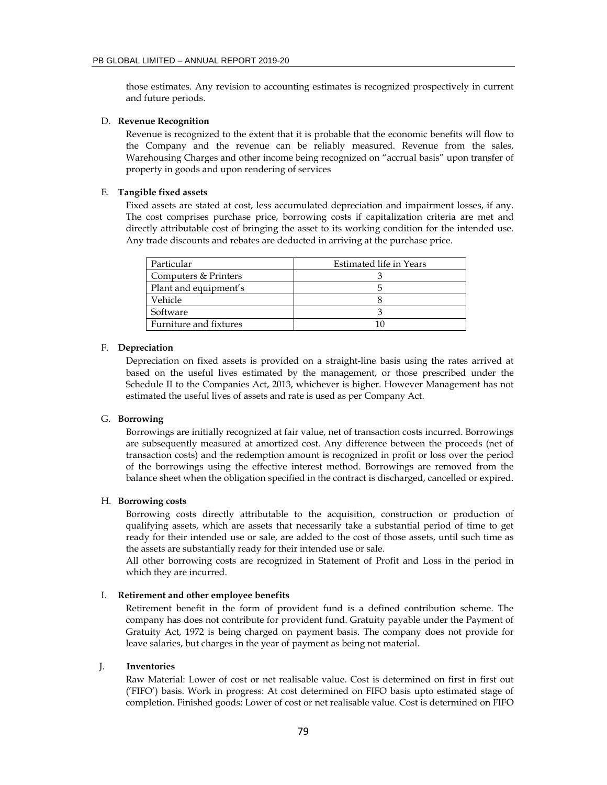those estimates. Any revision to accounting estimates is recognized prospectively in current and future periods.

### D. **Revenue Recognition**

Revenue is recognized to the extent that it is probable that the economic benefits will flow to the Company and the revenue can be reliably measured. Revenue from the sales, Warehousing Charges and other income being recognized on "accrual basis" upon transfer of property in goods and upon rendering of services

#### E. **Tangible fixed assets**

Fixed assets are stated at cost, less accumulated depreciation and impairment losses, if any. The cost comprises purchase price, borrowing costs if capitalization criteria are met and directly attributable cost of bringing the asset to its working condition for the intended use. Any trade discounts and rebates are deducted in arriving at the purchase price.

| Particular             | Estimated life in Years |
|------------------------|-------------------------|
| Computers & Printers   |                         |
| Plant and equipment's  |                         |
| Vehicle                |                         |
| Software               |                         |
| Furniture and fixtures |                         |

### F. **Depreciation**

Depreciation on fixed assets is provided on a straight-line basis using the rates arrived at based on the useful lives estimated by the management, or those prescribed under the Schedule II to the Companies Act, 2013, whichever is higher. However Management has not estimated the useful lives of assets and rate is used as per Company Act.

### G. **Borrowing**

Borrowings are initially recognized at fair value, net of transaction costs incurred. Borrowings are subsequently measured at amortized cost. Any difference between the proceeds (net of transaction costs) and the redemption amount is recognized in profit or loss over the period of the borrowings using the effective interest method. Borrowings are removed from the balance sheet when the obligation specified in the contract is discharged, cancelled or expired.

### H. **Borrowing costs**

Borrowing costs directly attributable to the acquisition, construction or production of qualifying assets, which are assets that necessarily take a substantial period of time to get ready for their intended use or sale, are added to the cost of those assets, until such time as the assets are substantially ready for their intended use or sale.

All other borrowing costs are recognized in Statement of Profit and Loss in the period in which they are incurred.

#### I. **Retirement and other employee benefits**

Retirement benefit in the form of provident fund is a defined contribution scheme. The company has does not contribute for provident fund. Gratuity payable under the Payment of Gratuity Act, 1972 is being charged on payment basis. The company does not provide for leave salaries, but charges in the year of payment as being not material.

### J. **Inventories**

Raw Material: Lower of cost or net realisable value. Cost is determined on first in first out ('FIFO') basis. Work in progress: At cost determined on FIFO basis upto estimated stage of completion. Finished goods: Lower of cost or net realisable value. Cost is determined on FIFO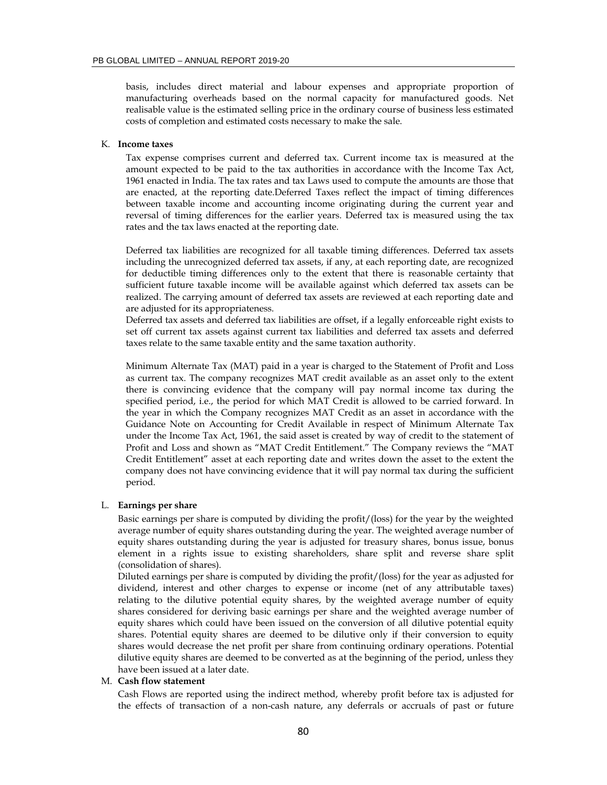basis, includes direct material and labour expenses and appropriate proportion of manufacturing overheads based on the normal capacity for manufactured goods. Net realisable value is the estimated selling price in the ordinary course of business less estimated costs of completion and estimated costs necessary to make the sale.

#### K. **Income taxes**

Tax expense comprises current and deferred tax. Current income tax is measured at the amount expected to be paid to the tax authorities in accordance with the Income Tax Act, 1961 enacted in India. The tax rates and tax Laws used to compute the amounts are those that are enacted, at the reporting date.Deferred Taxes reflect the impact of timing differences between taxable income and accounting income originating during the current year and reversal of timing differences for the earlier years. Deferred tax is measured using the tax rates and the tax laws enacted at the reporting date.

Deferred tax liabilities are recognized for all taxable timing differences. Deferred tax assets including the unrecognized deferred tax assets, if any, at each reporting date, are recognized for deductible timing differences only to the extent that there is reasonable certainty that sufficient future taxable income will be available against which deferred tax assets can be realized. The carrying amount of deferred tax assets are reviewed at each reporting date and are adjusted for its appropriateness.

Deferred tax assets and deferred tax liabilities are offset, if a legally enforceable right exists to set off current tax assets against current tax liabilities and deferred tax assets and deferred taxes relate to the same taxable entity and the same taxation authority.

Minimum Alternate Tax (MAT) paid in a year is charged to the Statement of Profit and Loss as current tax. The company recognizes MAT credit available as an asset only to the extent there is convincing evidence that the company will pay normal income tax during the specified period, i.e., the period for which MAT Credit is allowed to be carried forward. In the year in which the Company recognizes MAT Credit as an asset in accordance with the Guidance Note on Accounting for Credit Available in respect of Minimum Alternate Tax under the Income Tax Act, 1961, the said asset is created by way of credit to the statement of Profit and Loss and shown as "MAT Credit Entitlement." The Company reviews the "MAT Credit Entitlement" asset at each reporting date and writes down the asset to the extent the company does not have convincing evidence that it will pay normal tax during the sufficient period.

### L. **Earnings per share**

Basic earnings per share is computed by dividing the profit/(loss) for the year by the weighted average number of equity shares outstanding during the year. The weighted average number of equity shares outstanding during the year is adjusted for treasury shares, bonus issue, bonus element in a rights issue to existing shareholders, share split and reverse share split (consolidation of shares).

Diluted earnings per share is computed by dividing the profit/(loss) for the year as adjusted for dividend, interest and other charges to expense or income (net of any attributable taxes) relating to the dilutive potential equity shares, by the weighted average number of equity shares considered for deriving basic earnings per share and the weighted average number of equity shares which could have been issued on the conversion of all dilutive potential equity shares. Potential equity shares are deemed to be dilutive only if their conversion to equity shares would decrease the net profit per share from continuing ordinary operations. Potential dilutive equity shares are deemed to be converted as at the beginning of the period, unless they have been issued at a later date.

# M. **Cash flow statement**

Cash Flows are reported using the indirect method, whereby profit before tax is adjusted for the effects of transaction of a non-cash nature, any deferrals or accruals of past or future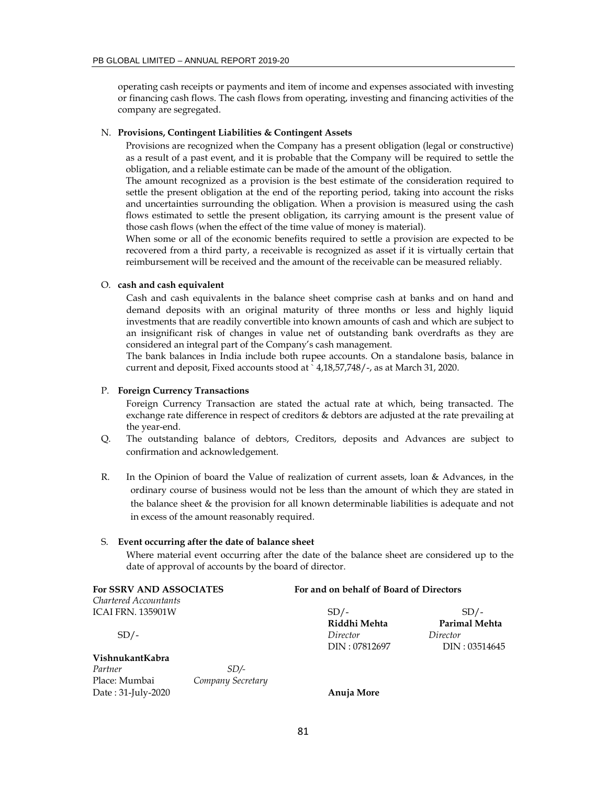operating cash receipts or payments and item of income and expenses associated with investing or financing cash flows. The cash flows from operating, investing and financing activities of the company are segregated.

#### N. **Provisions, Contingent Liabilities & Contingent Assets**

Provisions are recognized when the Company has a present obligation (legal or constructive) as a result of a past event, and it is probable that the Company will be required to settle the obligation, and a reliable estimate can be made of the amount of the obligation.

The amount recognized as a provision is the best estimate of the consideration required to settle the present obligation at the end of the reporting period, taking into account the risks and uncertainties surrounding the obligation. When a provision is measured using the cash flows estimated to settle the present obligation, its carrying amount is the present value of those cash flows (when the effect of the time value of money is material).

When some or all of the economic benefits required to settle a provision are expected to be recovered from a third party, a receivable is recognized as asset if it is virtually certain that reimbursement will be received and the amount of the receivable can be measured reliably.

# O. **cash and cash equivalent**

Cash and cash equivalents in the balance sheet comprise cash at banks and on hand and demand deposits with an original maturity of three months or less and highly liquid investments that are readily convertible into known amounts of cash and which are subject to an insignificant risk of changes in value net of outstanding bank overdrafts as they are considered an integral part of the Company's cash management.

The bank balances in India include both rupee accounts. On a standalone basis, balance in current and deposit, Fixed accounts stood at ` 4,18,57,748/-, as at March 31, 2020.

### P. **Foreign Currency Transactions**

Foreign Currency Transaction are stated the actual rate at which, being transacted. The exchange rate difference in respect of creditors & debtors are adjusted at the rate prevailing at the year-end.

- Q. The outstanding balance of debtors, Creditors, deposits and Advances are subject to confirmation and acknowledgement.
- R. In the Opinion of board the Value of realization of current assets, loan & Advances, in the ordinary course of business would not be less than the amount of which they are stated in the balance sheet & the provision for all known determinable liabilities is adequate and not in excess of the amount reasonably required.

### S. **Event occurring after the date of balance sheet**

Where material event occurring after the date of the balance sheet are considered up to the date of approval of accounts by the board of director.

| For SSRV AND ASSOCIATES  |                   | For and on behalf of Board of Directors |               |  |  |
|--------------------------|-------------------|-----------------------------------------|---------------|--|--|
| Chartered Accountants    |                   |                                         |               |  |  |
| <b>ICAI FRN. 135901W</b> |                   | $SD/-$                                  | $SD/-$        |  |  |
|                          |                   | Riddhi Mehta                            | Parimal Mehta |  |  |
| $SD/-$                   |                   | Director                                | Director      |  |  |
|                          |                   | DIN: 07812697                           | DIN: 03514645 |  |  |
| VishnukantKabra          |                   |                                         |               |  |  |
| Partner                  | SD/-              |                                         |               |  |  |
| Place: Mumbai            | Company Secretary |                                         |               |  |  |
| Date: 31-July-2020       |                   | Anuja More                              |               |  |  |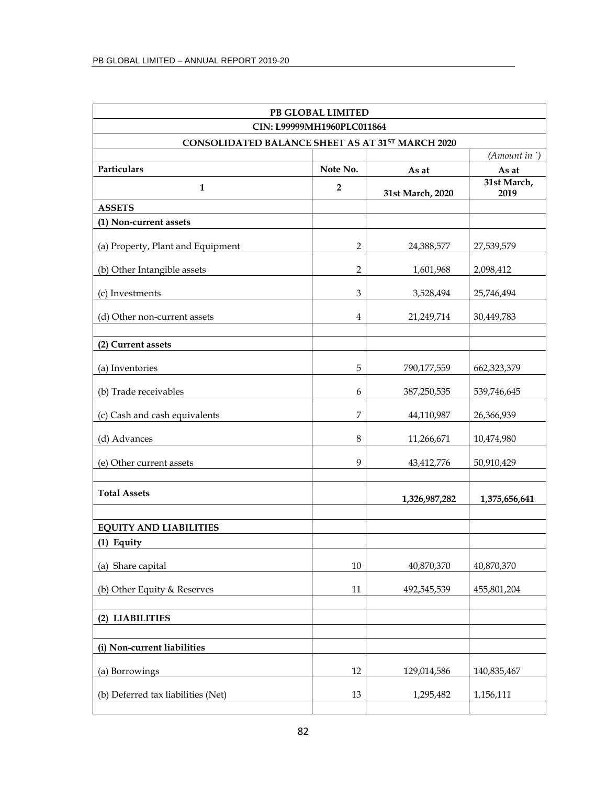| PB GLOBAL LIMITED                                |                |                  |                          |  |  |  |  |
|--------------------------------------------------|----------------|------------------|--------------------------|--|--|--|--|
| CIN: L99999MH1960PLC011864                       |                |                  |                          |  |  |  |  |
| CONSOLIDATED BALANCE SHEET AS AT 31ST MARCH 2020 |                |                  | $(A$ <i>mount</i> in $)$ |  |  |  |  |
| Particulars                                      | Note No.       | As at            | As at                    |  |  |  |  |
| $\mathbf{1}$                                     | $\overline{2}$ | 31st March, 2020 | 31st March,<br>2019      |  |  |  |  |
| <b>ASSETS</b>                                    |                |                  |                          |  |  |  |  |
| (1) Non-current assets                           |                |                  |                          |  |  |  |  |
| (a) Property, Plant and Equipment                | 2              | 24,388,577       | 27,539,579               |  |  |  |  |
| (b) Other Intangible assets                      | 2              | 1,601,968        | 2,098,412                |  |  |  |  |
| (c) Investments                                  | 3              | 3,528,494        | 25,746,494               |  |  |  |  |
| (d) Other non-current assets                     | $\overline{4}$ | 21,249,714       | 30,449,783               |  |  |  |  |
| (2) Current assets                               |                |                  |                          |  |  |  |  |
| (a) Inventories                                  | 5              | 790,177,559      | 662,323,379              |  |  |  |  |
| (b) Trade receivables                            | 6              | 387,250,535      | 539,746,645              |  |  |  |  |
| (c) Cash and cash equivalents                    | 7              | 44,110,987       | 26,366,939               |  |  |  |  |
| (d) Advances                                     | 8              | 11,266,671       | 10,474,980               |  |  |  |  |
| (e) Other current assets                         | 9              | 43,412,776       | 50,910,429               |  |  |  |  |
| <b>Total Assets</b>                              |                | 1,326,987,282    | 1,375,656,641            |  |  |  |  |
| <b>EQUITY AND LIABILITIES</b>                    |                |                  |                          |  |  |  |  |
| (1) Equity                                       |                |                  |                          |  |  |  |  |
| (a) Share capital                                | 10             | 40,870,370       | 40,870,370               |  |  |  |  |
| (b) Other Equity & Reserves                      | 11             | 492,545,539      | 455,801,204              |  |  |  |  |
| (2) LIABILITIES                                  |                |                  |                          |  |  |  |  |
|                                                  |                |                  |                          |  |  |  |  |
| (i) Non-current liabilities                      |                |                  |                          |  |  |  |  |
| (a) Borrowings                                   | 12             | 129,014,586      | 140,835,467              |  |  |  |  |
| (b) Deferred tax liabilities (Net)               | 13             | 1,295,482        | 1,156,111                |  |  |  |  |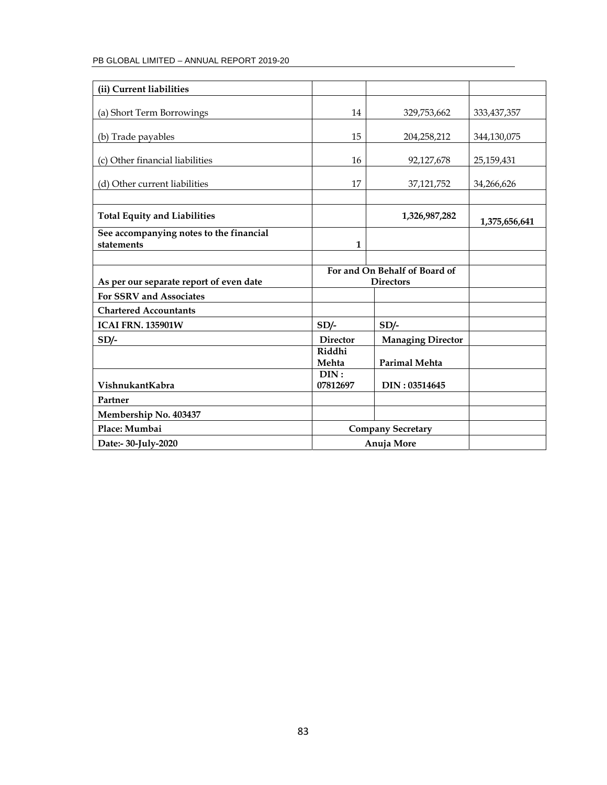| (ii) Current liabilities                              |                               |                          |               |
|-------------------------------------------------------|-------------------------------|--------------------------|---------------|
| (a) Short Term Borrowings                             | 14                            | 329,753,662              | 333, 437, 357 |
| (b) Trade payables                                    | 15                            | 204, 258, 212            | 344,130,075   |
| (c) Other financial liabilities                       | 16                            | 92,127,678               | 25,159,431    |
| (d) Other current liabilities                         | 17                            | 37,121,752               | 34,266,626    |
|                                                       |                               |                          |               |
| <b>Total Equity and Liabilities</b>                   |                               | 1,326,987,282            | 1,375,656,641 |
| See accompanying notes to the financial<br>statements | 1                             |                          |               |
|                                                       |                               |                          |               |
|                                                       | For and On Behalf of Board of |                          |               |
| As per our separate report of even date               |                               | <b>Directors</b>         |               |
| For SSRV and Associates                               |                               |                          |               |
| <b>Chartered Accountants</b>                          |                               |                          |               |
| <b>ICAI FRN. 135901W</b>                              | $SD/-$                        | $SD/-$                   |               |
| $SD/-$                                                | <b>Director</b>               | <b>Managing Director</b> |               |
|                                                       | Riddhi                        |                          |               |
|                                                       | Mehta                         | <b>Parimal Mehta</b>     |               |
| VishnukantKabra                                       | DIN:<br>07812697              | DIN: 03514645            |               |
| Partner                                               |                               |                          |               |
| Membership No. 403437                                 |                               |                          |               |
| Place: Mumbai                                         | <b>Company Secretary</b>      |                          |               |
| Date:- 30-July-2020                                   | Anuja More                    |                          |               |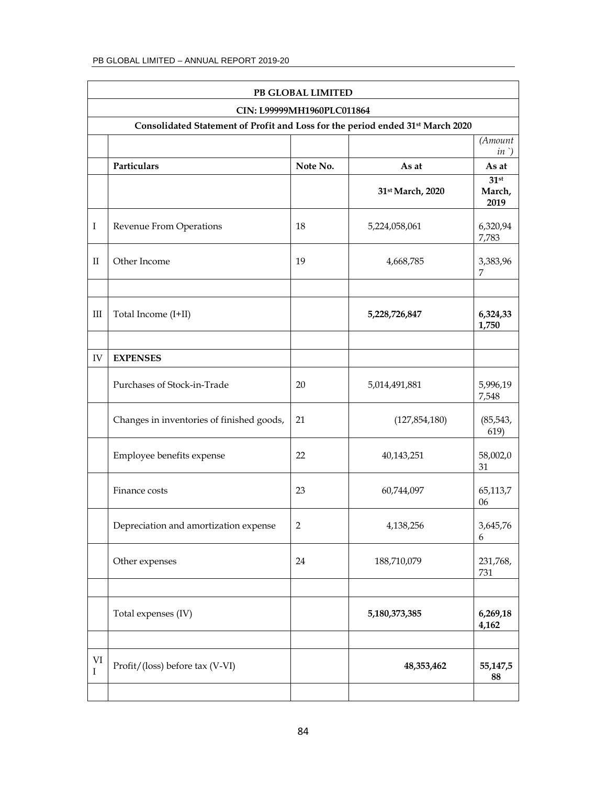|                         | PB GLOBAL LIMITED                                                              |                            |                  |                           |  |
|-------------------------|--------------------------------------------------------------------------------|----------------------------|------------------|---------------------------|--|
|                         |                                                                                | CIN: L99999MH1960PLC011864 |                  |                           |  |
|                         | Consolidated Statement of Profit and Loss for the period ended 31st March 2020 |                            |                  |                           |  |
|                         |                                                                                |                            |                  | (Amount<br>$in$ )         |  |
|                         | Particulars                                                                    | Note No.                   | As at            | As at                     |  |
|                         |                                                                                |                            | 31st March, 2020 | $31$ st<br>March,<br>2019 |  |
| $\rm I$                 | Revenue From Operations                                                        | 18                         | 5,224,058,061    | 6,320,94<br>7,783         |  |
| $\mathbf{I}$            | Other Income                                                                   | 19                         | 4,668,785        | 3,383,96<br>7             |  |
| Ш                       | Total Income (I+II)                                                            |                            | 5,228,726,847    | 6,324,33<br>1,750         |  |
| IV                      | <b>EXPENSES</b>                                                                |                            |                  |                           |  |
|                         | Purchases of Stock-in-Trade                                                    | 20                         | 5,014,491,881    | 5,996,19<br>7,548         |  |
|                         | Changes in inventories of finished goods,                                      | 21                         | (127, 854, 180)  | (85, 543,<br>619)         |  |
|                         | Employee benefits expense                                                      | 22                         | 40,143,251       | 58,002,0<br>31            |  |
|                         | Finance costs                                                                  | 23                         | 60,744,097       | 65,113,7<br>06            |  |
|                         | Depreciation and amortization expense                                          | $\overline{2}$             | 4,138,256        | 3,645,76<br>6             |  |
|                         | Other expenses                                                                 | 24                         | 188,710,079      | 231,768,<br>731           |  |
|                         | Total expenses (IV)                                                            |                            | 5,180,373,385    | 6,269,18<br>4,162         |  |
| $\mbox{VI}$<br>$\bf{I}$ | Profit/(loss) before tax (V-VI)                                                |                            | 48,353,462       | 55,147,5<br>88            |  |
|                         |                                                                                |                            |                  |                           |  |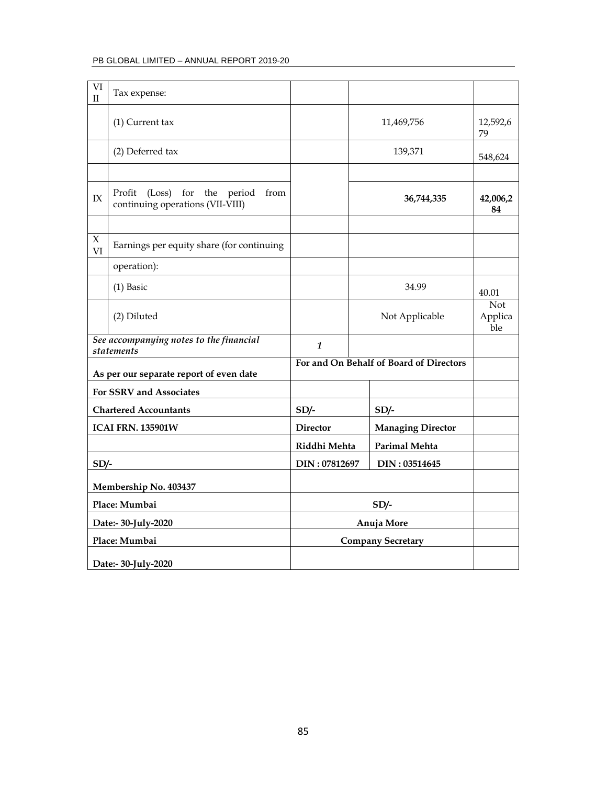| VI<br>$\mathbf{I}$ | Tax expense:                                                          |                 |                                      |                                         |                              |
|--------------------|-----------------------------------------------------------------------|-----------------|--------------------------------------|-----------------------------------------|------------------------------|
|                    | (1) Current tax                                                       |                 |                                      | 11,469,756                              | 12,592,6<br>79               |
|                    | (2) Deferred tax                                                      |                 |                                      | 139,371                                 | 548,624                      |
|                    |                                                                       |                 |                                      |                                         |                              |
| $\text{IX}$        | Profit (Loss) for the period from<br>continuing operations (VII-VIII) |                 |                                      | 36,744,335                              | 42,006,2<br>84               |
|                    |                                                                       |                 |                                      |                                         |                              |
| $\chi$<br>VI       | Earnings per equity share (for continuing                             |                 |                                      |                                         |                              |
|                    | operation):                                                           |                 |                                      |                                         |                              |
|                    | $(1)$ Basic                                                           |                 |                                      | 34.99                                   | 40.01                        |
|                    | (2) Diluted                                                           |                 |                                      | Not Applicable                          | <b>Not</b><br>Applica<br>ble |
|                    | See accompanying notes to the financial<br><i>statements</i>          | $\mathbf{1}$    |                                      |                                         |                              |
|                    | As per our separate report of even date                               |                 |                                      | For and On Behalf of Board of Directors |                              |
|                    | For SSRV and Associates                                               |                 |                                      |                                         |                              |
|                    | <b>Chartered Accountants</b>                                          | $SD/-$          |                                      | $SD/-$                                  |                              |
|                    | <b>ICAI FRN. 135901W</b>                                              | <b>Director</b> |                                      | <b>Managing Director</b>                |                              |
|                    |                                                                       |                 | <b>Parimal Mehta</b><br>Riddhi Mehta |                                         |                              |
| $SD/-$             |                                                                       | DIN: 07812697   |                                      | DIN: 03514645                           |                              |
|                    | Membership No. 403437                                                 |                 |                                      |                                         |                              |
|                    | Place: Mumbai                                                         |                 |                                      | $SD/-$                                  |                              |
|                    | Date:- 30-July-2020                                                   |                 |                                      | Anuja More                              |                              |
|                    | Place: Mumbai                                                         |                 |                                      | <b>Company Secretary</b>                |                              |
|                    | Date:- 30-July-2020                                                   |                 |                                      |                                         |                              |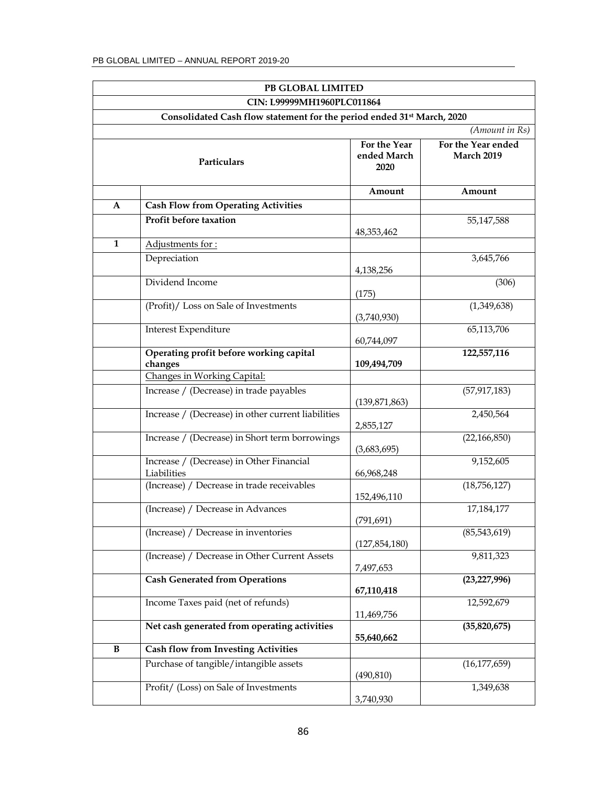|              | PB GLOBAL LIMITED                                                                  |                                     |                                                    |
|--------------|------------------------------------------------------------------------------------|-------------------------------------|----------------------------------------------------|
|              | CIN: L99999MH1960PLC011864                                                         |                                     |                                                    |
|              | Consolidated Cash flow statement for the period ended 31 <sup>st</sup> March, 2020 |                                     |                                                    |
|              | Particulars                                                                        | For the Year<br>ended March<br>2020 | (Amount in Rs)<br>For the Year ended<br>March 2019 |
|              |                                                                                    | Amount                              | Amount                                             |
| A            | <b>Cash Flow from Operating Activities</b>                                         |                                     |                                                    |
|              | Profit before taxation                                                             | 48, 353, 462                        | 55,147,588                                         |
| $\mathbf{1}$ | Adjustments for:                                                                   |                                     |                                                    |
|              | Depreciation                                                                       | 4,138,256                           | 3,645,766                                          |
|              | Dividend Income                                                                    | (175)                               | (306)                                              |
|              | (Profit)/ Loss on Sale of Investments                                              | (3,740,930)                         | (1,349,638)                                        |
|              | Interest Expenditure                                                               | 60,744,097                          | 65,113,706                                         |
|              | Operating profit before working capital<br>changes                                 | 109,494,709                         | 122,557,116                                        |
|              | Changes in Working Capital:                                                        |                                     |                                                    |
|              | Increase / (Decrease) in trade payables                                            | (139, 871, 863)                     | (57, 917, 183)                                     |
|              | Increase / (Decrease) in other current liabilities                                 | 2,855,127                           | 2,450,564                                          |
|              | Increase / (Decrease) in Short term borrowings                                     | (3,683,695)                         | (22, 166, 850)                                     |
|              | Increase / (Decrease) in Other Financial<br>Liabilities                            | 66,968,248                          | 9,152,605                                          |
|              | (Increase) / Decrease in trade receivables                                         | 152,496,110                         | (18,756,127)                                       |
|              | (Increase) / Decrease in Advances                                                  | (791, 691)                          | 17,184,177                                         |
|              | (Increase) / Decrease in inventories                                               | (127, 854, 180)                     | (85,543,619)                                       |
|              | (Increase) / Decrease in Other Current Assets                                      | 7,497,653                           | 9,811,323                                          |
|              | <b>Cash Generated from Operations</b>                                              | 67,110,418                          | (23, 227, 996)                                     |
|              | Income Taxes paid (net of refunds)                                                 | 11,469,756                          | 12,592,679                                         |
|              | Net cash generated from operating activities                                       | 55,640,662                          | (35,820,675)                                       |
| $\, {\bf B}$ | <b>Cash flow from Investing Activities</b>                                         |                                     |                                                    |
|              | Purchase of tangible/intangible assets                                             | (490, 810)                          | (16, 177, 659)                                     |
|              | Profit/ (Loss) on Sale of Investments                                              | 3,740,930                           | 1,349,638                                          |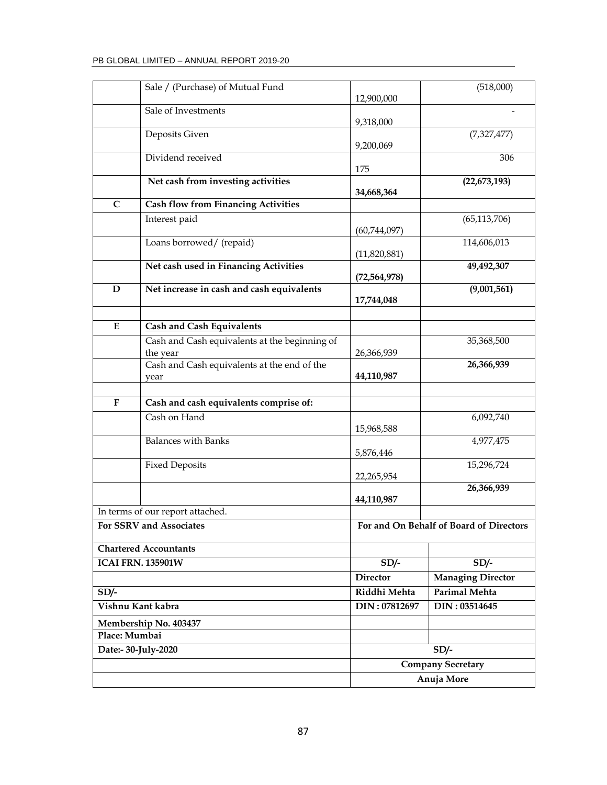|               | Sale / (Purchase) of Mutual Fund                    | 12,900,000      | (518,000)                               |
|---------------|-----------------------------------------------------|-----------------|-----------------------------------------|
|               | Sale of Investments                                 | 9,318,000       |                                         |
|               | Deposits Given                                      | 9,200,069       | (7,327,477)                             |
|               | Dividend received                                   | 175             | 306                                     |
|               | Net cash from investing activities                  | 34,668,364      | (22, 673, 193)                          |
| C             | <b>Cash flow from Financing Activities</b>          |                 |                                         |
|               | Interest paid                                       | (60, 744, 097)  | (65, 113, 706)                          |
|               | Loans borrowed/ (repaid)                            | (11,820,881)    | 114,606,013                             |
|               | Net cash used in Financing Activities               | (72, 564, 978)  | 49,492,307                              |
| D             | Net increase in cash and cash equivalents           | 17,744,048      | (9,001,561)                             |
| ${\bf E}$     | <b>Cash and Cash Equivalents</b>                    |                 |                                         |
|               | Cash and Cash equivalents at the beginning of       |                 | 35,368,500                              |
|               | the year                                            | 26,366,939      |                                         |
|               | Cash and Cash equivalents at the end of the<br>year | 44,110,987      | 26,366,939                              |
|               |                                                     |                 |                                         |
| ${\bf F}$     | Cash and cash equivalents comprise of:              |                 |                                         |
|               | Cash on Hand                                        | 15,968,588      | 6,092,740                               |
|               | <b>Balances with Banks</b>                          | 5,876,446       | 4,977,475                               |
|               | <b>Fixed Deposits</b>                               | 22,265,954      | 15,296,724                              |
|               |                                                     | 44,110,987      | 26,366,939                              |
|               | In terms of our report attached.                    |                 |                                         |
|               | For SSRV and Associates                             |                 | For and On Behalf of Board of Directors |
|               | <b>Chartered Accountants</b>                        |                 |                                         |
|               | <b>ICAI FRN. 135901W</b>                            | $SD/-$          | $SD/-$                                  |
|               |                                                     | <b>Director</b> | <b>Managing Director</b>                |
| $SD/-$        |                                                     | Riddhi Mehta    | <b>Parimal Mehta</b>                    |
|               | Vishnu Kant kabra                                   | DIN: 07812697   | DIN: 03514645                           |
|               | Membership No. 403437                               |                 |                                         |
| Place: Mumbai |                                                     |                 |                                         |
|               | Date:- 30-July-2020                                 |                 | $SD/-$                                  |
|               |                                                     |                 | <b>Company Secretary</b>                |
|               |                                                     |                 | Anuja More                              |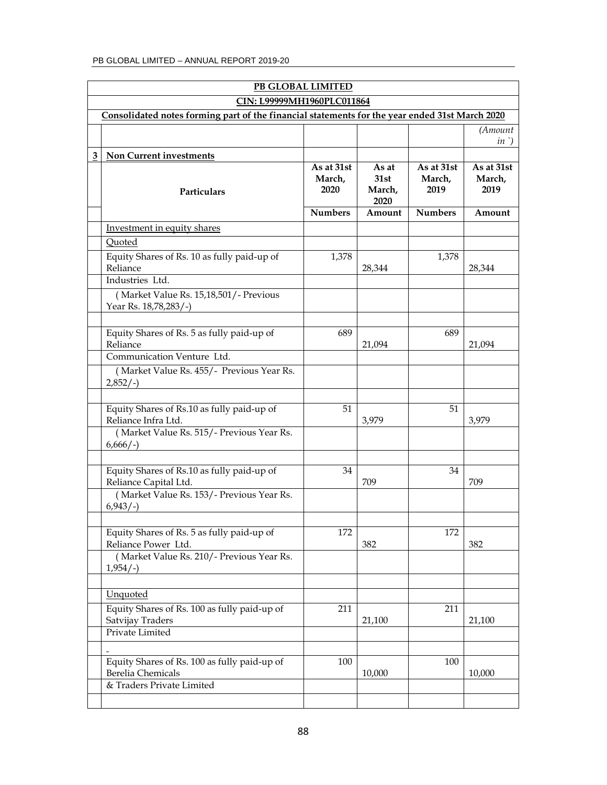| PB GLOBAL LIMITED |                                                                                                                             |                                                |                                           |                                                |                                        |
|-------------------|-----------------------------------------------------------------------------------------------------------------------------|------------------------------------------------|-------------------------------------------|------------------------------------------------|----------------------------------------|
|                   | CIN: L99999MH1960PLC011864                                                                                                  |                                                |                                           |                                                |                                        |
|                   | Consolidated notes forming part of the financial statements for the year ended 31st March 2020                              |                                                |                                           |                                                |                                        |
|                   |                                                                                                                             |                                                |                                           |                                                | (Amount<br>$in$ )                      |
| 3                 | <b>Non Current investments</b>                                                                                              |                                                |                                           |                                                |                                        |
|                   | Particulars                                                                                                                 | As at 31st<br>March,<br>2020<br><b>Numbers</b> | As at<br>31st<br>March,<br>2020<br>Amount | As at 31st<br>March,<br>2019<br><b>Numbers</b> | As at 31st<br>March,<br>2019<br>Amount |
|                   | Investment in equity shares                                                                                                 |                                                |                                           |                                                |                                        |
|                   | Quoted                                                                                                                      |                                                |                                           |                                                |                                        |
|                   | Equity Shares of Rs. 10 as fully paid-up of<br>Reliance<br>Industries Ltd.                                                  | 1,378                                          | 28,344                                    | 1,378                                          | 28,344                                 |
|                   | (Market Value Rs. 15,18,501/- Previous<br>Year Rs. 18,78,283/-)                                                             |                                                |                                           |                                                |                                        |
|                   | Equity Shares of Rs. 5 as fully paid-up of<br>Reliance<br>Communication Venture Ltd.                                        | 689                                            | 21,094                                    | 689                                            | 21,094                                 |
|                   | (Market Value Rs. 455/- Previous Year Rs.<br>$2,852/-$                                                                      |                                                |                                           |                                                |                                        |
|                   | Equity Shares of Rs.10 as fully paid-up of<br>Reliance Infra Ltd.<br>(Market Value Rs. 515/- Previous Year Rs.              | 51                                             | 3,979                                     | 51                                             | 3,979                                  |
|                   | $6,666/-$                                                                                                                   |                                                |                                           |                                                |                                        |
|                   | Equity Shares of Rs.10 as fully paid-up of<br>Reliance Capital Ltd.<br>(Market Value Rs. 153/- Previous Year Rs.            | 34                                             | 709                                       | 34                                             | 709                                    |
|                   | $6,943/-$                                                                                                                   |                                                |                                           |                                                |                                        |
|                   | Equity Shares of Rs. 5 as fully paid-up of<br>Reliance Power Ltd.<br>(Market Value Rs. 210/- Previous Year Rs.<br>$1,954/-$ | 172                                            | 382                                       | 172                                            | 382                                    |
|                   | <b>Unquoted</b><br>Equity Shares of Rs. 100 as fully paid-up of                                                             | 211                                            |                                           | 211                                            |                                        |
|                   | Satvijay Traders<br>Private Limited                                                                                         |                                                | 21,100                                    |                                                | 21,100                                 |
|                   | Equity Shares of Rs. 100 as fully paid-up of<br>Berelia Chemicals<br>& Traders Private Limited                              | 100                                            | 10,000                                    | 100                                            | 10,000                                 |
|                   |                                                                                                                             |                                                |                                           |                                                |                                        |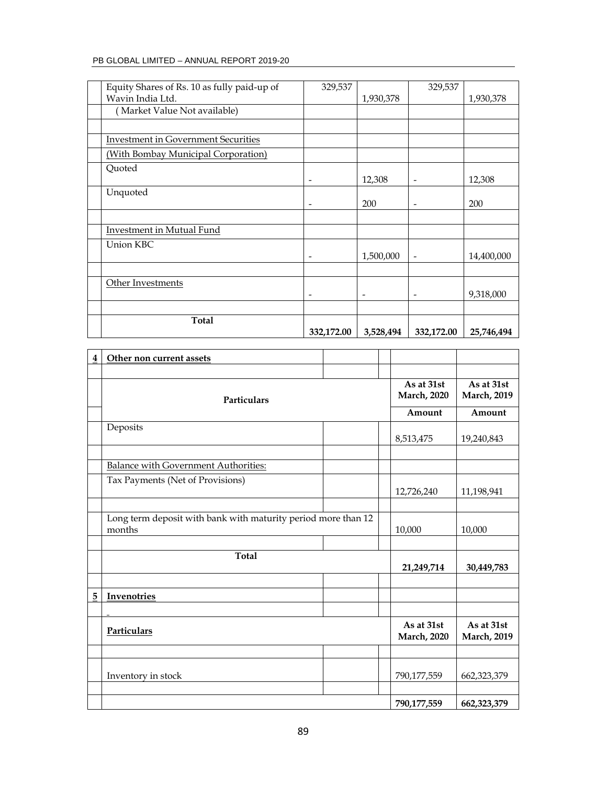| Equity Shares of Rs. 10 as fully paid-up of | 329,537                  |                              | 329,537                  |            |
|---------------------------------------------|--------------------------|------------------------------|--------------------------|------------|
| Wavin India Ltd.                            |                          | 1,930,378                    |                          | 1,930,378  |
| (Market Value Not available)                |                          |                              |                          |            |
|                                             |                          |                              |                          |            |
| <b>Investment in Government Securities</b>  |                          |                              |                          |            |
| (With Bombay Municipal Corporation)         |                          |                              |                          |            |
| Quoted                                      |                          |                              |                          |            |
|                                             |                          | 12,308                       | $\overline{\phantom{a}}$ | 12,308     |
| Unquoted                                    |                          |                              |                          |            |
|                                             | $\overline{\phantom{a}}$ | 200                          | $\overline{\phantom{a}}$ | 200        |
|                                             |                          |                              |                          |            |
| Investment in Mutual Fund                   |                          |                              |                          |            |
| Union KBC                                   |                          |                              |                          |            |
|                                             | $\overline{\phantom{0}}$ | 1,500,000                    | $\overline{\phantom{a}}$ | 14,400,000 |
|                                             |                          |                              |                          |            |
| Other Investments                           |                          |                              |                          |            |
|                                             | ٠                        | $\qquad \qquad \blacksquare$ | $\overline{\phantom{a}}$ | 9,318,000  |
|                                             |                          |                              |                          |            |
| <b>Total</b>                                |                          |                              |                          |            |
|                                             | 332,172.00               | 3,528,494                    | 332,172.00               | 25,746,494 |

| 4 | Other non current assets                                                |                                   |                                   |
|---|-------------------------------------------------------------------------|-----------------------------------|-----------------------------------|
|   |                                                                         |                                   |                                   |
|   | <b>Particulars</b>                                                      | As at 31st<br><b>March</b> , 2020 | As at 31st<br><b>March</b> , 2019 |
|   |                                                                         | Amount                            | Amount                            |
|   | Deposits                                                                | 8,513,475                         | 19,240,843                        |
|   | <b>Balance with Government Authorities:</b>                             |                                   |                                   |
|   | Tax Payments (Net of Provisions)                                        | 12,726,240                        | 11,198,941                        |
|   | Long term deposit with bank with maturity period more than 12<br>months | 10,000                            | 10,000                            |
|   |                                                                         |                                   |                                   |
|   | <b>Total</b>                                                            | 21,249,714                        | 30,449,783                        |
|   |                                                                         |                                   |                                   |
| 5 | Invenotries                                                             |                                   |                                   |
|   |                                                                         |                                   |                                   |
|   | Particulars                                                             | As at 31st<br><b>March</b> , 2020 | As at 31st<br><b>March</b> , 2019 |
|   |                                                                         |                                   |                                   |
|   | Inventory in stock                                                      | 790,177,559                       | 662,323,379                       |
|   |                                                                         | 790,177,559                       | 662,323,379                       |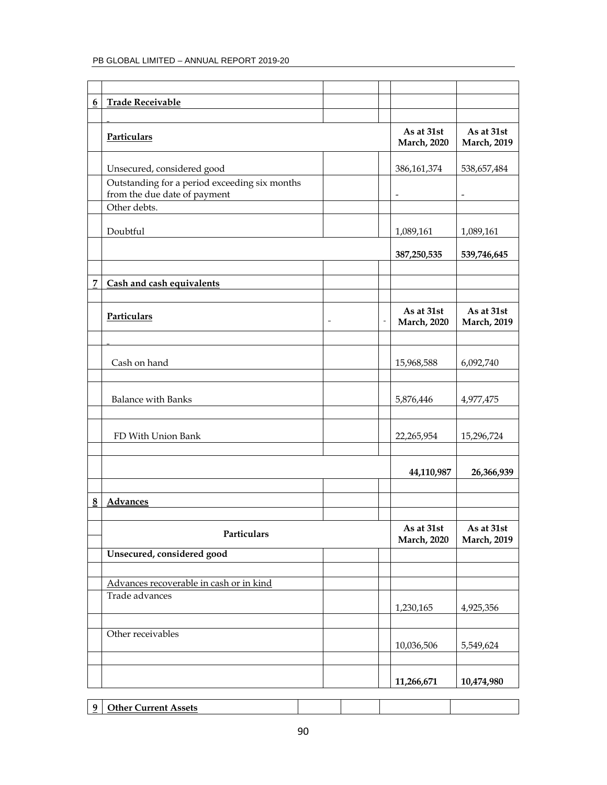| $\boldsymbol{6}$ | <b>Trade Receivable</b>                                                       |                                   |                                   |
|------------------|-------------------------------------------------------------------------------|-----------------------------------|-----------------------------------|
|                  |                                                                               |                                   |                                   |
|                  | <b>Particulars</b>                                                            | As at 31st<br><b>March</b> , 2020 | As at 31st<br><b>March</b> , 2019 |
|                  | Unsecured, considered good                                                    | 386,161,374                       | 538,657,484                       |
|                  | Outstanding for a period exceeding six months<br>from the due date of payment |                                   |                                   |
|                  | Other debts.                                                                  |                                   |                                   |
|                  | Doubtful                                                                      | 1,089,161                         | 1,089,161                         |
|                  |                                                                               | 387,250,535                       | 539,746,645                       |
|                  |                                                                               |                                   |                                   |
| 7                | Cash and cash equivalents                                                     |                                   |                                   |
|                  |                                                                               |                                   |                                   |
|                  | Particulars                                                                   | As at 31st<br><b>March</b> , 2020 | As at 31st<br><b>March</b> , 2019 |
|                  |                                                                               |                                   |                                   |
|                  | Cash on hand                                                                  | 15,968,588                        | 6,092,740                         |
|                  |                                                                               |                                   |                                   |
|                  | <b>Balance with Banks</b>                                                     | 5,876,446                         | 4,977,475                         |
|                  |                                                                               |                                   |                                   |
|                  | FD With Union Bank                                                            | 22,265,954                        | 15,296,724                        |
|                  |                                                                               |                                   |                                   |
|                  |                                                                               | 44,110,987                        | 26,366,939                        |
|                  |                                                                               |                                   |                                   |
| 8                | Advances                                                                      |                                   |                                   |
|                  |                                                                               |                                   |                                   |
|                  | Particulars                                                                   | As at 31st<br><b>March</b> , 2020 | As at 31st<br><b>March</b> , 2019 |
|                  | Unsecured, considered good                                                    |                                   |                                   |
|                  |                                                                               |                                   |                                   |
|                  | Advances recoverable in cash or in kind                                       |                                   |                                   |
|                  | Trade advances                                                                |                                   |                                   |
|                  |                                                                               | 1,230,165                         | 4,925,356                         |
|                  |                                                                               |                                   |                                   |
|                  | Other receivables                                                             | 10,036,506                        | 5,549,624                         |
|                  |                                                                               |                                   |                                   |
|                  |                                                                               | 11,266,671                        | 10,474,980                        |

**9 Other Current Assets**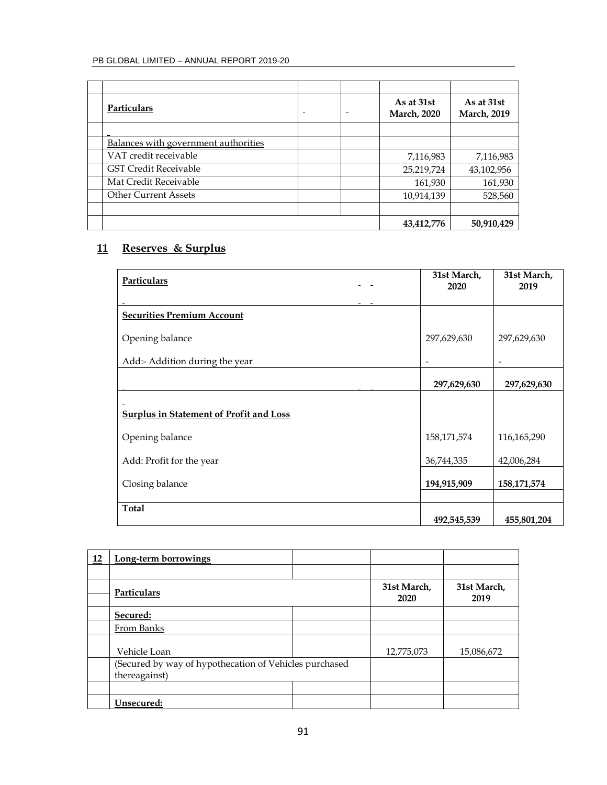| Particulars                          | $\overline{\phantom{0}}$ | As at 31st<br><b>March, 2020</b> | As at 31st<br><b>March</b> , 2019 |
|--------------------------------------|--------------------------|----------------------------------|-----------------------------------|
|                                      |                          |                                  |                                   |
| Balances with government authorities |                          |                                  |                                   |
| VAT credit receivable                |                          | 7,116,983                        | 7,116,983                         |
| <b>GST Credit Receivable</b>         |                          | 25,219,724                       | 43,102,956                        |
| Mat Credit Receivable                |                          | 161,930                          | 161,930                           |
| <b>Other Current Assets</b>          |                          | 10,914,139                       | 528,560                           |
|                                      |                          |                                  |                                   |
|                                      |                          | 43,412,776                       | 50,910,429                        |

# **11 Reserves & Surplus**

| Particulars                                    | 31st March,<br>2020 | 31st March,<br>2019 |
|------------------------------------------------|---------------------|---------------------|
| <b>Securities Premium Account</b>              |                     |                     |
| Opening balance                                | 297,629,630         | 297,629,630         |
| Add:- Addition during the year                 |                     |                     |
|                                                | 297,629,630         | 297,629,630         |
| <b>Surplus in Statement of Profit and Loss</b> |                     |                     |
| Opening balance                                | 158,171,574         | 116,165,290         |
| Add: Profit for the year                       | 36,744,335          | 42,006,284          |
| Closing balance                                | 194,915,909         | 158, 171, 574       |
| <b>Total</b>                                   | 492,545,539         | 455,801,204         |

| 12 | Long-term borrowings                                   |                     |                     |
|----|--------------------------------------------------------|---------------------|---------------------|
|    |                                                        |                     |                     |
|    | Particulars                                            | 31st March,<br>2020 | 31st March,<br>2019 |
|    | Secured:                                               |                     |                     |
|    | From Banks                                             |                     |                     |
|    | Vehicle Loan                                           | 12,775,073          | 15,086,672          |
|    | (Secured by way of hypothecation of Vehicles purchased |                     |                     |
|    | thereagainst)                                          |                     |                     |
|    |                                                        |                     |                     |
|    | Unsecured:                                             |                     |                     |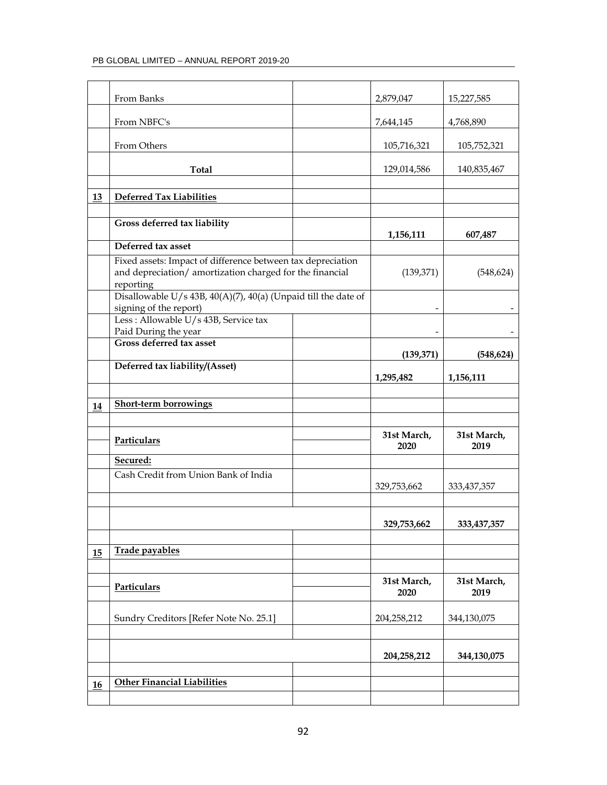|    | From Banks                                                            | 2,879,047   | 15,227,585    |
|----|-----------------------------------------------------------------------|-------------|---------------|
|    | From NBFC's                                                           | 7,644,145   | 4,768,890     |
|    | From Others                                                           | 105,716,321 | 105,752,321   |
|    | <b>Total</b>                                                          | 129,014,586 | 140,835,467   |
|    |                                                                       |             |               |
| 13 | <b>Deferred Tax Liabilities</b>                                       |             |               |
|    |                                                                       |             |               |
|    | Gross deferred tax liability                                          | 1,156,111   | 607,487       |
|    | Deferred tax asset                                                    |             |               |
|    | Fixed assets: Impact of difference between tax depreciation           |             |               |
|    | and depreciation/ amortization charged for the financial<br>reporting | (139, 371)  | (548, 624)    |
|    | Disallowable $U/s$ 43B, 40(A)(7), 40(a) (Unpaid till the date of      |             |               |
|    | signing of the report)                                                |             |               |
|    | Less: Allowable U/s 43B, Service tax<br>Paid During the year          |             |               |
|    | <b>Gross deferred tax asset</b>                                       |             |               |
|    |                                                                       | (139, 371)  | (548, 624)    |
|    | Deferred tax liability/(Asset)                                        |             |               |
|    |                                                                       | 1,295,482   | 1,156,111     |
|    |                                                                       |             |               |
| 14 | <b>Short-term borrowings</b>                                          |             |               |
|    |                                                                       |             |               |
|    |                                                                       | 31st March, | 31st March,   |
|    | <b>Particulars</b>                                                    | 2020        | 2019          |
|    | Secured:                                                              |             |               |
|    | Cash Credit from Union Bank of India                                  |             |               |
|    |                                                                       | 329,753,662 | 333, 437, 357 |
|    |                                                                       |             |               |
|    |                                                                       |             |               |
|    |                                                                       | 329,753,662 | 333,437,357   |
|    |                                                                       |             |               |
| 15 | Trade payables                                                        |             |               |
|    |                                                                       |             |               |
|    |                                                                       |             |               |
|    | Particulars                                                           | 31st March, | 31st March,   |
|    |                                                                       | 2020        | 2019          |
|    | Sundry Creditors [Refer Note No. 25.1]                                | 204,258,212 | 344,130,075   |
|    |                                                                       |             |               |
|    |                                                                       |             |               |
|    |                                                                       | 204,258,212 | 344,130,075   |
|    |                                                                       |             |               |
| 16 | <b>Other Financial Liabilities</b>                                    |             |               |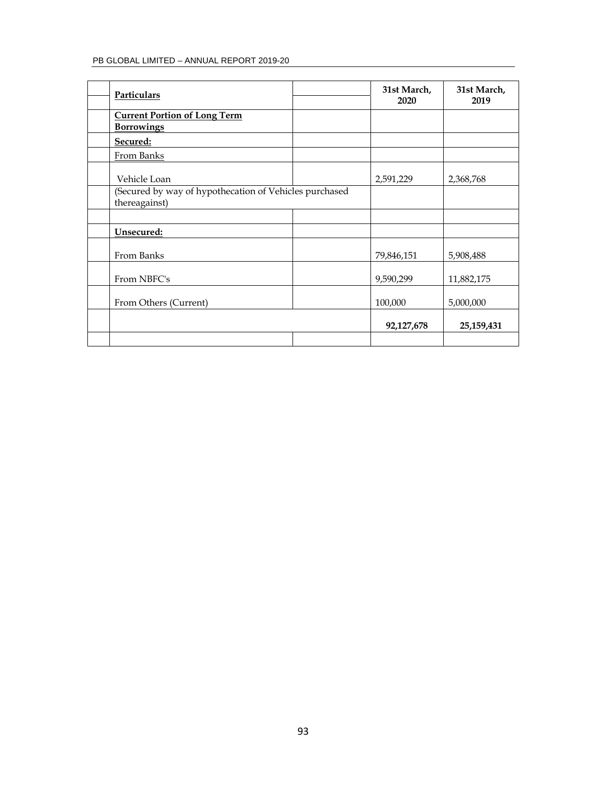| Particulars                                                             | 31st March,<br>2020 | 31st March,<br>2019 |
|-------------------------------------------------------------------------|---------------------|---------------------|
| <b>Current Portion of Long Term</b><br><b>Borrowings</b>                |                     |                     |
| Secured:                                                                |                     |                     |
| From Banks                                                              |                     |                     |
| Vehicle Loan                                                            | 2,591,229           | 2,368,768           |
| (Secured by way of hypothecation of Vehicles purchased<br>thereagainst) |                     |                     |
|                                                                         |                     |                     |
| Unsecured:                                                              |                     |                     |
| From Banks                                                              | 79,846,151          | 5,908,488           |
| From NBFC's                                                             | 9,590,299           | 11,882,175          |
| From Others (Current)                                                   | 100,000             | 5,000,000           |
|                                                                         | 92,127,678          | 25,159,431          |
|                                                                         |                     |                     |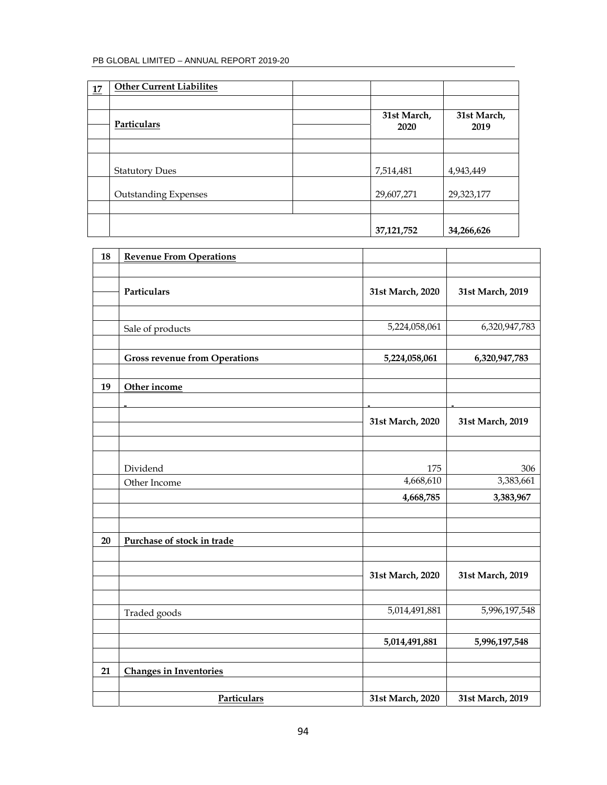| 17 | <b>Other Current Liabilites</b> |                     |                     |
|----|---------------------------------|---------------------|---------------------|
|    |                                 |                     |                     |
|    | Particulars                     | 31st March,<br>2020 | 31st March,<br>2019 |
|    |                                 |                     |                     |
|    | <b>Statutory Dues</b>           | 7,514,481           | 4,943,449           |
|    | <b>Outstanding Expenses</b>     | 29,607,271          | 29,323,177          |
|    |                                 |                     |                     |
|    |                                 | 37, 121, 752        | 34,266,626          |

| 18 | <b>Revenue From Operations</b>       |                  |                  |
|----|--------------------------------------|------------------|------------------|
|    |                                      |                  |                  |
|    | Particulars                          | 31st March, 2020 | 31st March, 2019 |
|    |                                      |                  |                  |
|    | Sale of products                     | 5,224,058,061    | 6,320,947,783    |
|    | <b>Gross revenue from Operations</b> | 5,224,058,061    | 6,320,947,783    |
|    |                                      |                  |                  |
| 19 | Other income                         |                  |                  |
|    |                                      | 31st March, 2020 | 31st March, 2019 |
|    |                                      |                  |                  |
|    |                                      |                  |                  |
|    | Dividend                             | 175              | 306              |
|    | Other Income                         | 4,668,610        | 3,383,661        |
|    |                                      | 4,668,785        | 3,383,967        |
|    |                                      |                  |                  |
| 20 | Purchase of stock in trade           |                  |                  |
|    |                                      |                  |                  |
|    |                                      | 31st March, 2020 | 31st March, 2019 |
|    |                                      |                  |                  |
|    | Traded goods                         | 5,014,491,881    | 5,996,197,548    |
|    |                                      | 5,014,491,881    | 5,996,197,548    |
|    |                                      |                  |                  |
| 21 | <b>Changes in Inventories</b>        |                  |                  |
|    |                                      |                  |                  |
|    | Particulars                          | 31st March, 2020 | 31st March, 2019 |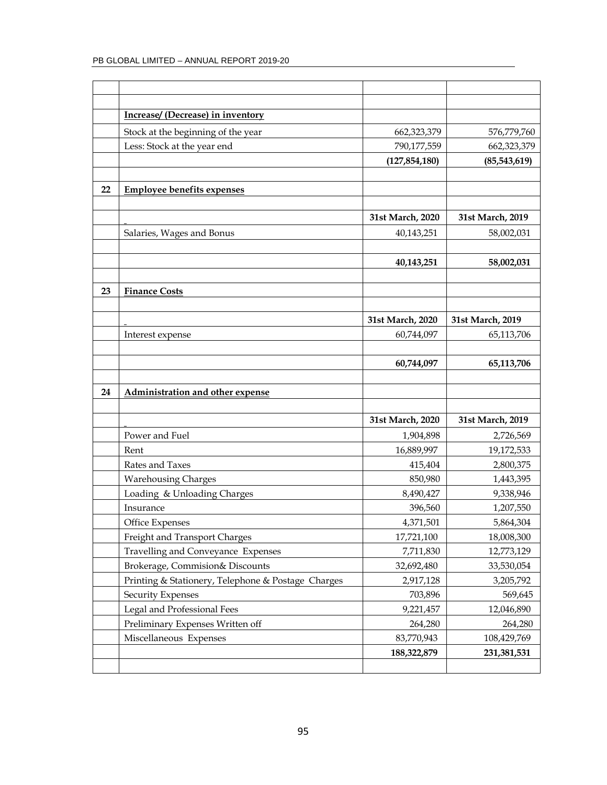|    | Increase/ (Decrease) in inventory                  |                  |                  |
|----|----------------------------------------------------|------------------|------------------|
|    | Stock at the beginning of the year                 | 662,323,379      | 576,779,760      |
|    | Less: Stock at the year end                        | 790,177,559      | 662,323,379      |
|    |                                                    | (127, 854, 180)  | (85,543,619)     |
|    |                                                    |                  |                  |
| 22 | <b>Employee benefits expenses</b>                  |                  |                  |
|    |                                                    |                  |                  |
|    |                                                    | 31st March, 2020 | 31st March, 2019 |
|    | Salaries, Wages and Bonus                          | 40,143,251       | 58,002,031       |
|    |                                                    |                  |                  |
|    |                                                    | 40,143,251       | 58,002,031       |
|    |                                                    |                  |                  |
| 23 | <b>Finance Costs</b>                               |                  |                  |
|    |                                                    |                  |                  |
|    |                                                    | 31st March, 2020 | 31st March, 2019 |
|    | Interest expense                                   | 60,744,097       | 65,113,706       |
|    |                                                    |                  |                  |
|    |                                                    | 60,744,097       | 65,113,706       |
|    |                                                    |                  |                  |
| 24 | Administration and other expense                   |                  |                  |
|    |                                                    |                  |                  |
|    |                                                    | 31st March, 2020 | 31st March, 2019 |
|    | Power and Fuel                                     | 1,904,898        | 2,726,569        |
|    | Rent                                               | 16,889,997       | 19,172,533       |
|    | Rates and Taxes                                    | 415,404          | 2,800,375        |
|    | <b>Warehousing Charges</b>                         | 850,980          | 1,443,395        |
|    | Loading & Unloading Charges                        | 8,490,427        | 9,338,946        |
|    | Insurance                                          | 396,560          | 1,207,550        |
|    | Office Expenses                                    | 4,371,501        | 5,864,304        |
|    | Freight and Transport Charges                      | 17,721,100       | 18,008,300       |
|    | Travelling and Conveyance Expenses                 | 7,711,830        | 12,773,129       |
|    | Brokerage, Commision& Discounts                    | 32,692,480       | 33,530,054       |
|    | Printing & Stationery, Telephone & Postage Charges | 2,917,128        | 3,205,792        |
|    | <b>Security Expenses</b>                           | 703,896          | 569,645          |
|    | Legal and Professional Fees                        | 9,221,457        | 12,046,890       |
|    | Preliminary Expenses Written off                   | 264,280          | 264,280          |
|    | Miscellaneous Expenses                             | 83,770,943       | 108,429,769      |
|    |                                                    | 188,322,879      | 231, 381, 531    |
|    |                                                    |                  |                  |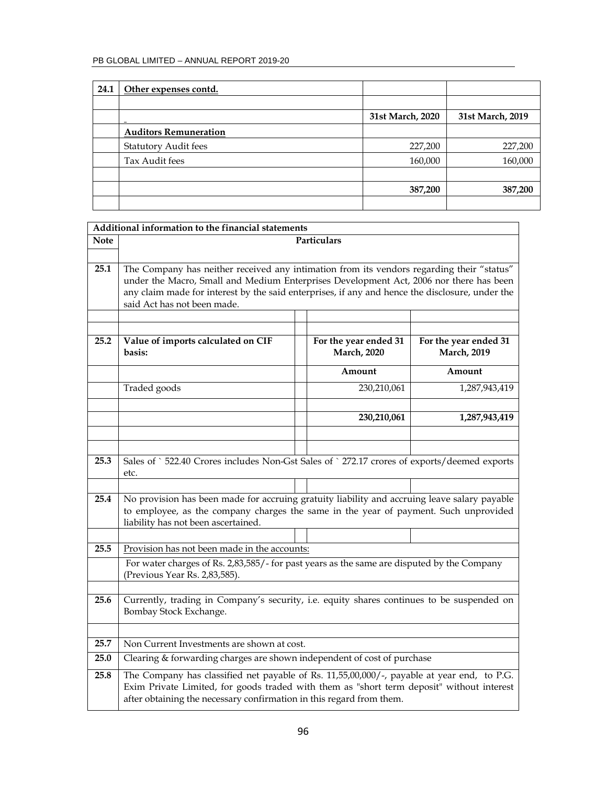| 24.1 | Other expenses contd.        |                  |                  |
|------|------------------------------|------------------|------------------|
|      |                              |                  |                  |
|      |                              | 31st March, 2020 | 31st March, 2019 |
|      | <b>Auditors Remuneration</b> |                  |                  |
|      | <b>Statutory Audit fees</b>  | 227,200          | 227,200          |
|      | Tax Audit fees               | 160,000          | 160,000          |
|      |                              |                  |                  |
|      |                              | 387,200          | 387,200          |
|      |                              |                  |                  |

٦

|             | Additional information to the financial statements                                                                                                                                                                                                                                                                    |                                              |                                              |
|-------------|-----------------------------------------------------------------------------------------------------------------------------------------------------------------------------------------------------------------------------------------------------------------------------------------------------------------------|----------------------------------------------|----------------------------------------------|
| <b>Note</b> |                                                                                                                                                                                                                                                                                                                       | Particulars                                  |                                              |
|             |                                                                                                                                                                                                                                                                                                                       |                                              |                                              |
| 25.1        | The Company has neither received any intimation from its vendors regarding their "status"<br>under the Macro, Small and Medium Enterprises Development Act, 2006 nor there has been<br>any claim made for interest by the said enterprises, if any and hence the disclosure, under the<br>said Act has not been made. |                                              |                                              |
|             |                                                                                                                                                                                                                                                                                                                       |                                              |                                              |
| 25.2        | Value of imports calculated on CIF<br>basis:                                                                                                                                                                                                                                                                          | For the year ended 31<br><b>March</b> , 2020 | For the year ended 31<br><b>March</b> , 2019 |
|             |                                                                                                                                                                                                                                                                                                                       | Amount                                       | Amount                                       |
|             | Traded goods                                                                                                                                                                                                                                                                                                          | 230,210,061                                  | 1,287,943,419                                |
|             |                                                                                                                                                                                                                                                                                                                       | 230,210,061                                  | 1,287,943,419                                |
|             |                                                                                                                                                                                                                                                                                                                       |                                              |                                              |
|             |                                                                                                                                                                                                                                                                                                                       |                                              |                                              |
| 25.3        | Sales of `522.40 Crores includes Non-Gst Sales of `272.17 crores of exports/deemed exports<br>etc.                                                                                                                                                                                                                    |                                              |                                              |
|             |                                                                                                                                                                                                                                                                                                                       |                                              |                                              |
| 25.4        | No provision has been made for accruing gratuity liability and accruing leave salary payable<br>to employee, as the company charges the same in the year of payment. Such unprovided<br>liability has not been ascertained.                                                                                           |                                              |                                              |
| 25.5        | Provision has not been made in the accounts:                                                                                                                                                                                                                                                                          |                                              |                                              |
|             | For water charges of Rs. 2,83,585/- for past years as the same are disputed by the Company                                                                                                                                                                                                                            |                                              |                                              |
|             | (Previous Year Rs. 2,83,585).                                                                                                                                                                                                                                                                                         |                                              |                                              |
| 25.6        | Currently, trading in Company's security, i.e. equity shares continues to be suspended on<br>Bombay Stock Exchange.                                                                                                                                                                                                   |                                              |                                              |
|             |                                                                                                                                                                                                                                                                                                                       |                                              |                                              |
| 25.7        | Non Current Investments are shown at cost.                                                                                                                                                                                                                                                                            |                                              |                                              |
| 25.0        | Clearing & forwarding charges are shown independent of cost of purchase                                                                                                                                                                                                                                               |                                              |                                              |
| 25.8        | The Company has classified net payable of Rs. 11,55,00,000/-, payable at year end, to P.G.<br>Exim Private Limited, for goods traded with them as "short term deposit" without interest<br>after obtaining the necessary confirmation in this regard from them.                                                       |                                              |                                              |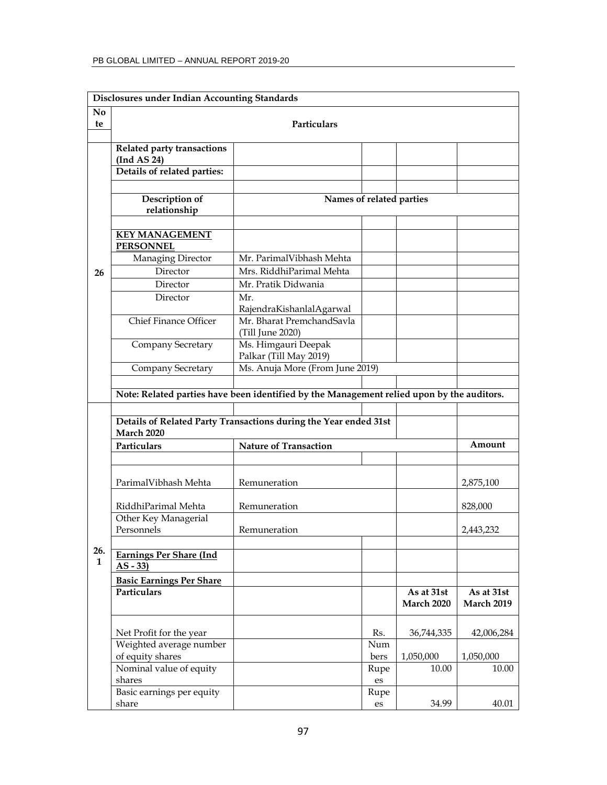|                | <b>Disclosures under Indian Accounting Standards</b> |                                                                                           |            |                   |                   |
|----------------|------------------------------------------------------|-------------------------------------------------------------------------------------------|------------|-------------------|-------------------|
| N <sub>0</sub> |                                                      |                                                                                           |            |                   |                   |
| te             |                                                      | <b>Particulars</b>                                                                        |            |                   |                   |
|                |                                                      |                                                                                           |            |                   |                   |
|                | Related party transactions<br>(Ind AS 24)            |                                                                                           |            |                   |                   |
|                | Details of related parties:                          |                                                                                           |            |                   |                   |
|                |                                                      |                                                                                           |            |                   |                   |
|                | Description of                                       | Names of related parties                                                                  |            |                   |                   |
|                | relationship                                         |                                                                                           |            |                   |                   |
|                |                                                      |                                                                                           |            |                   |                   |
|                | <b>KEY MANAGEMENT</b>                                |                                                                                           |            |                   |                   |
|                | <b>PERSONNEL</b>                                     | Mr. ParimalVibhash Mehta                                                                  |            |                   |                   |
|                | Managing Director<br>Director                        | Mrs. RiddhiParimal Mehta                                                                  |            |                   |                   |
| 26             | Director                                             | Mr. Pratik Didwania                                                                       |            |                   |                   |
|                | Director                                             | Mr.                                                                                       |            |                   |                   |
|                |                                                      | RajendraKishanlalAgarwal                                                                  |            |                   |                   |
|                | <b>Chief Finance Officer</b>                         | Mr. Bharat PremchandSavla                                                                 |            |                   |                   |
|                |                                                      | (Till June 2020)                                                                          |            |                   |                   |
|                | Company Secretary                                    | Ms. Himgauri Deepak                                                                       |            |                   |                   |
|                |                                                      | Palkar (Till May 2019)                                                                    |            |                   |                   |
|                | Company Secretary                                    | Ms. Anuja More (From June 2019)                                                           |            |                   |                   |
|                |                                                      |                                                                                           |            |                   |                   |
|                |                                                      | Note: Related parties have been identified by the Management relied upon by the auditors. |            |                   |                   |
|                |                                                      | Details of Related Party Transactions during the Year ended 31st                          |            |                   |                   |
|                | March 2020                                           |                                                                                           |            |                   |                   |
|                | Particulars                                          | <b>Nature of Transaction</b>                                                              |            |                   | Amount            |
|                |                                                      |                                                                                           |            |                   |                   |
|                |                                                      |                                                                                           |            |                   |                   |
|                | ParimalVibhash Mehta                                 | Remuneration                                                                              |            |                   | 2,875,100         |
|                |                                                      |                                                                                           |            |                   |                   |
|                | RiddhiParimal Mehta                                  | Remuneration                                                                              |            |                   | 828,000           |
|                | Other Key Managerial<br>Personnels                   | Remuneration                                                                              |            |                   | 2,443,232         |
|                |                                                      |                                                                                           |            |                   |                   |
| 26.            | <b>Earnings Per Share (Ind</b>                       |                                                                                           |            |                   |                   |
| $\mathbf{1}$   | $AS - 33$                                            |                                                                                           |            |                   |                   |
|                | <b>Basic Earnings Per Share</b>                      |                                                                                           |            |                   |                   |
|                | Particulars                                          |                                                                                           |            | As at 31st        | As at 31st        |
|                |                                                      |                                                                                           |            | <b>March 2020</b> | <b>March 2019</b> |
|                |                                                      |                                                                                           |            |                   |                   |
|                | Net Profit for the year                              |                                                                                           | Rs.        | 36,744,335        | 42,006,284        |
|                | Weighted average number                              |                                                                                           | Num        |                   |                   |
|                | of equity shares                                     |                                                                                           | bers       | 1,050,000         | 1,050,000         |
|                | Nominal value of equity<br>shares                    |                                                                                           | Rupe       | 10.00             | 10.00             |
|                | Basic earnings per equity                            |                                                                                           | es<br>Rupe |                   |                   |
|                | share                                                |                                                                                           | es         | 34.99             | 40.01             |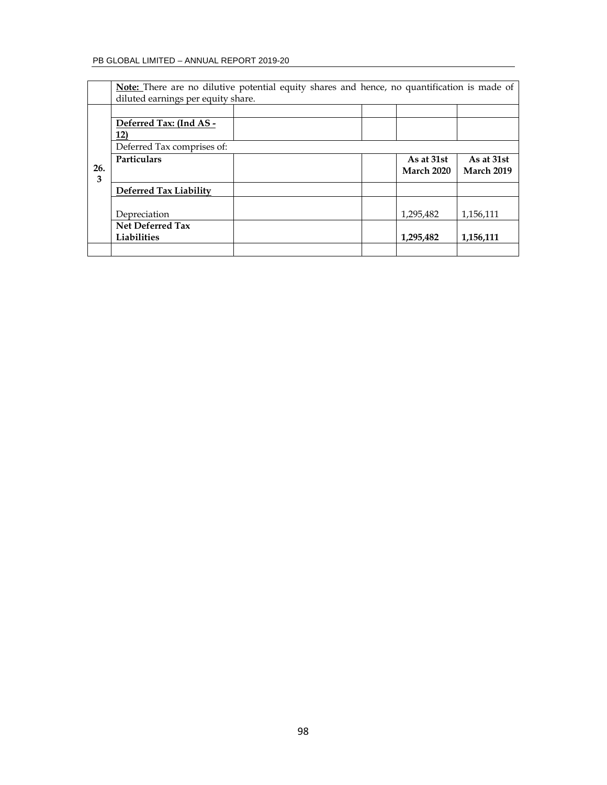|          | Note: There are no dilutive potential equity shares and hence, no quantification is made of |  |                   |                   |
|----------|---------------------------------------------------------------------------------------------|--|-------------------|-------------------|
|          | diluted earnings per equity share.                                                          |  |                   |                   |
|          |                                                                                             |  |                   |                   |
|          | Deferred Tax: (Ind AS -                                                                     |  |                   |                   |
|          | 12)                                                                                         |  |                   |                   |
|          | Deferred Tax comprises of:                                                                  |  |                   |                   |
|          | <b>Particulars</b>                                                                          |  | As at 31st        | As at 31st        |
| 26.<br>3 |                                                                                             |  | <b>March 2020</b> | <b>March 2019</b> |
|          | Deferred Tax Liability                                                                      |  |                   |                   |
|          |                                                                                             |  |                   |                   |
|          | Depreciation                                                                                |  | 1,295,482         | 1,156,111         |
|          | <b>Net Deferred Tax</b>                                                                     |  |                   |                   |
|          | Liabilities                                                                                 |  | 1,295,482         | 1,156,111         |
|          |                                                                                             |  |                   |                   |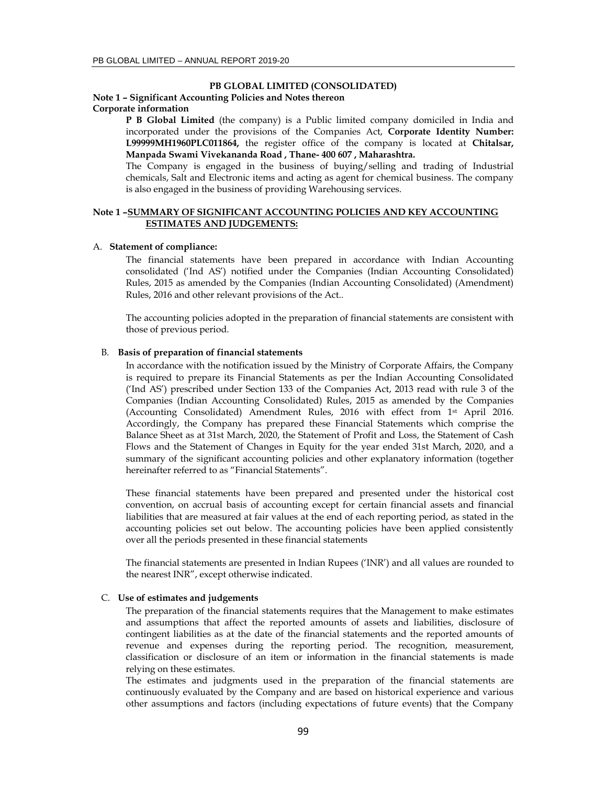### **PB GLOBAL LIMITED (CONSOLIDATED)**

# **Note 1 – Significant Accounting Policies and Notes thereon**

**Corporate information** 

**P B Global Limited** (the company) is a Public limited company domiciled in India and incorporated under the provisions of the Companies Act, **Corporate Identity Number: L99999MH1960PLC011864,** the register office of the company is located at **Chitalsar, Manpada Swami Vivekananda Road , Thane- 400 607 , Maharashtra.**

The Company is engaged in the business of buying/selling and trading of Industrial chemicals, Salt and Electronic items and acting as agent for chemical business. The company is also engaged in the business of providing Warehousing services.

# **Note 1 –SUMMARY OF SIGNIFICANT ACCOUNTING POLICIES AND KEY ACCOUNTING ESTIMATES AND JUDGEMENTS:**

#### A. **Statement of compliance:**

The financial statements have been prepared in accordance with Indian Accounting consolidated ('Ind AS') notified under the Companies (Indian Accounting Consolidated) Rules, 2015 as amended by the Companies (Indian Accounting Consolidated) (Amendment) Rules, 2016 and other relevant provisions of the Act..

The accounting policies adopted in the preparation of financial statements are consistent with those of previous period.

#### B. **Basis of preparation of financial statements**

In accordance with the notification issued by the Ministry of Corporate Affairs, the Company is required to prepare its Financial Statements as per the Indian Accounting Consolidated ('Ind AS') prescribed under Section 133 of the Companies Act, 2013 read with rule 3 of the Companies (Indian Accounting Consolidated) Rules, 2015 as amended by the Companies (Accounting Consolidated) Amendment Rules, 2016 with effect from 1st April 2016. Accordingly, the Company has prepared these Financial Statements which comprise the Balance Sheet as at 31st March, 2020, the Statement of Profit and Loss, the Statement of Cash Flows and the Statement of Changes in Equity for the year ended 31st March, 2020, and a summary of the significant accounting policies and other explanatory information (together hereinafter referred to as "Financial Statements".

These financial statements have been prepared and presented under the historical cost convention, on accrual basis of accounting except for certain financial assets and financial liabilities that are measured at fair values at the end of each reporting period, as stated in the accounting policies set out below. The accounting policies have been applied consistently over all the periods presented in these financial statements

The financial statements are presented in Indian Rupees ('INR') and all values are rounded to the nearest INR", except otherwise indicated.

# C. **Use of estimates and judgements**

The preparation of the financial statements requires that the Management to make estimates and assumptions that affect the reported amounts of assets and liabilities, disclosure of contingent liabilities as at the date of the financial statements and the reported amounts of revenue and expenses during the reporting period. The recognition, measurement, classification or disclosure of an item or information in the financial statements is made relying on these estimates.

The estimates and judgments used in the preparation of the financial statements are continuously evaluated by the Company and are based on historical experience and various other assumptions and factors (including expectations of future events) that the Company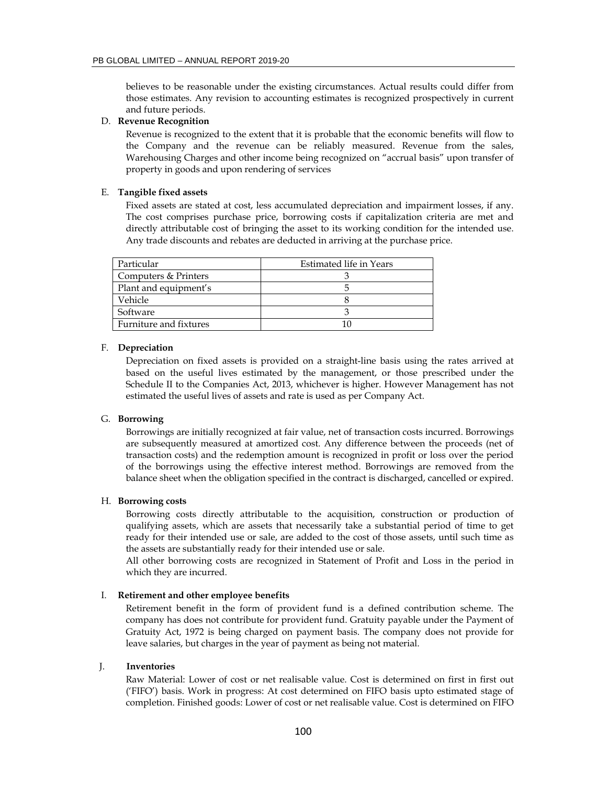believes to be reasonable under the existing circumstances. Actual results could differ from those estimates. Any revision to accounting estimates is recognized prospectively in current and future periods.

### D. **Revenue Recognition**

Revenue is recognized to the extent that it is probable that the economic benefits will flow to the Company and the revenue can be reliably measured. Revenue from the sales, Warehousing Charges and other income being recognized on "accrual basis" upon transfer of property in goods and upon rendering of services

#### E. **Tangible fixed assets**

Fixed assets are stated at cost, less accumulated depreciation and impairment losses, if any. The cost comprises purchase price, borrowing costs if capitalization criteria are met and directly attributable cost of bringing the asset to its working condition for the intended use. Any trade discounts and rebates are deducted in arriving at the purchase price.

| Particular             | Estimated life in Years |
|------------------------|-------------------------|
| Computers & Printers   |                         |
| Plant and equipment's  |                         |
| Vehicle                |                         |
| Software               |                         |
| Furniture and fixtures |                         |

### F. **Depreciation**

Depreciation on fixed assets is provided on a straight-line basis using the rates arrived at based on the useful lives estimated by the management, or those prescribed under the Schedule II to the Companies Act, 2013, whichever is higher. However Management has not estimated the useful lives of assets and rate is used as per Company Act.

### G. **Borrowing**

Borrowings are initially recognized at fair value, net of transaction costs incurred. Borrowings are subsequently measured at amortized cost. Any difference between the proceeds (net of transaction costs) and the redemption amount is recognized in profit or loss over the period of the borrowings using the effective interest method. Borrowings are removed from the balance sheet when the obligation specified in the contract is discharged, cancelled or expired.

### H. **Borrowing costs**

Borrowing costs directly attributable to the acquisition, construction or production of qualifying assets, which are assets that necessarily take a substantial period of time to get ready for their intended use or sale, are added to the cost of those assets, until such time as the assets are substantially ready for their intended use or sale.

All other borrowing costs are recognized in Statement of Profit and Loss in the period in which they are incurred.

### I. **Retirement and other employee benefits**

Retirement benefit in the form of provident fund is a defined contribution scheme. The company has does not contribute for provident fund. Gratuity payable under the Payment of Gratuity Act, 1972 is being charged on payment basis. The company does not provide for leave salaries, but charges in the year of payment as being not material.

### J. **Inventories**

Raw Material: Lower of cost or net realisable value. Cost is determined on first in first out ('FIFO') basis. Work in progress: At cost determined on FIFO basis upto estimated stage of completion. Finished goods: Lower of cost or net realisable value. Cost is determined on FIFO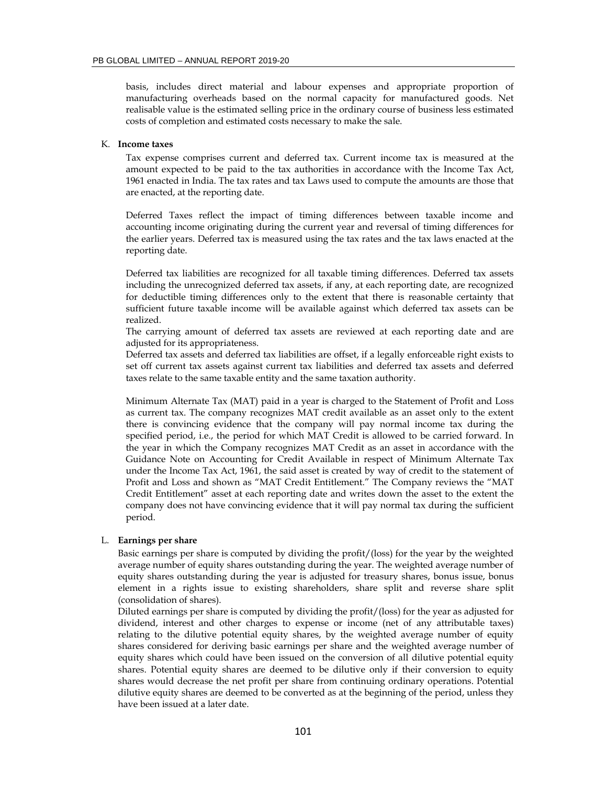basis, includes direct material and labour expenses and appropriate proportion of manufacturing overheads based on the normal capacity for manufactured goods. Net realisable value is the estimated selling price in the ordinary course of business less estimated costs of completion and estimated costs necessary to make the sale.

#### K. **Income taxes**

Tax expense comprises current and deferred tax. Current income tax is measured at the amount expected to be paid to the tax authorities in accordance with the Income Tax Act, 1961 enacted in India. The tax rates and tax Laws used to compute the amounts are those that are enacted, at the reporting date.

Deferred Taxes reflect the impact of timing differences between taxable income and accounting income originating during the current year and reversal of timing differences for the earlier years. Deferred tax is measured using the tax rates and the tax laws enacted at the reporting date.

Deferred tax liabilities are recognized for all taxable timing differences. Deferred tax assets including the unrecognized deferred tax assets, if any, at each reporting date, are recognized for deductible timing differences only to the extent that there is reasonable certainty that sufficient future taxable income will be available against which deferred tax assets can be realized.

The carrying amount of deferred tax assets are reviewed at each reporting date and are adjusted for its appropriateness.

Deferred tax assets and deferred tax liabilities are offset, if a legally enforceable right exists to set off current tax assets against current tax liabilities and deferred tax assets and deferred taxes relate to the same taxable entity and the same taxation authority.

Minimum Alternate Tax (MAT) paid in a year is charged to the Statement of Profit and Loss as current tax. The company recognizes MAT credit available as an asset only to the extent there is convincing evidence that the company will pay normal income tax during the specified period, i.e., the period for which MAT Credit is allowed to be carried forward. In the year in which the Company recognizes MAT Credit as an asset in accordance with the Guidance Note on Accounting for Credit Available in respect of Minimum Alternate Tax under the Income Tax Act, 1961, the said asset is created by way of credit to the statement of Profit and Loss and shown as "MAT Credit Entitlement." The Company reviews the "MAT Credit Entitlement" asset at each reporting date and writes down the asset to the extent the company does not have convincing evidence that it will pay normal tax during the sufficient period.

### L. **Earnings per share**

Basic earnings per share is computed by dividing the profit/(loss) for the year by the weighted average number of equity shares outstanding during the year. The weighted average number of equity shares outstanding during the year is adjusted for treasury shares, bonus issue, bonus element in a rights issue to existing shareholders, share split and reverse share split (consolidation of shares).

Diluted earnings per share is computed by dividing the profit/(loss) for the year as adjusted for dividend, interest and other charges to expense or income (net of any attributable taxes) relating to the dilutive potential equity shares, by the weighted average number of equity shares considered for deriving basic earnings per share and the weighted average number of equity shares which could have been issued on the conversion of all dilutive potential equity shares. Potential equity shares are deemed to be dilutive only if their conversion to equity shares would decrease the net profit per share from continuing ordinary operations. Potential dilutive equity shares are deemed to be converted as at the beginning of the period, unless they have been issued at a later date.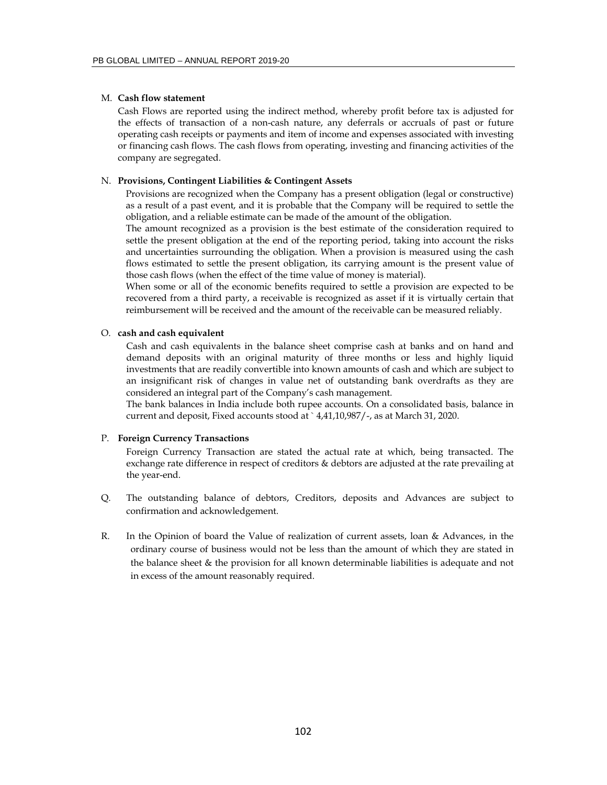### M. **Cash flow statement**

Cash Flows are reported using the indirect method, whereby profit before tax is adjusted for the effects of transaction of a non-cash nature, any deferrals or accruals of past or future operating cash receipts or payments and item of income and expenses associated with investing or financing cash flows. The cash flows from operating, investing and financing activities of the company are segregated.

### N. **Provisions, Contingent Liabilities & Contingent Assets**

Provisions are recognized when the Company has a present obligation (legal or constructive) as a result of a past event, and it is probable that the Company will be required to settle the obligation, and a reliable estimate can be made of the amount of the obligation.

The amount recognized as a provision is the best estimate of the consideration required to settle the present obligation at the end of the reporting period, taking into account the risks and uncertainties surrounding the obligation. When a provision is measured using the cash flows estimated to settle the present obligation, its carrying amount is the present value of those cash flows (when the effect of the time value of money is material).

When some or all of the economic benefits required to settle a provision are expected to be recovered from a third party, a receivable is recognized as asset if it is virtually certain that reimbursement will be received and the amount of the receivable can be measured reliably.

### O. **cash and cash equivalent**

Cash and cash equivalents in the balance sheet comprise cash at banks and on hand and demand deposits with an original maturity of three months or less and highly liquid investments that are readily convertible into known amounts of cash and which are subject to an insignificant risk of changes in value net of outstanding bank overdrafts as they are considered an integral part of the Company's cash management.

The bank balances in India include both rupee accounts. On a consolidated basis, balance in current and deposit, Fixed accounts stood at ` 4,41,10,987/-, as at March 31, 2020.

#### P. **Foreign Currency Transactions**

Foreign Currency Transaction are stated the actual rate at which, being transacted. The exchange rate difference in respect of creditors & debtors are adjusted at the rate prevailing at the year-end.

- Q. The outstanding balance of debtors, Creditors, deposits and Advances are subject to confirmation and acknowledgement.
- R. In the Opinion of board the Value of realization of current assets, loan & Advances, in the ordinary course of business would not be less than the amount of which they are stated in the balance sheet & the provision for all known determinable liabilities is adequate and not in excess of the amount reasonably required.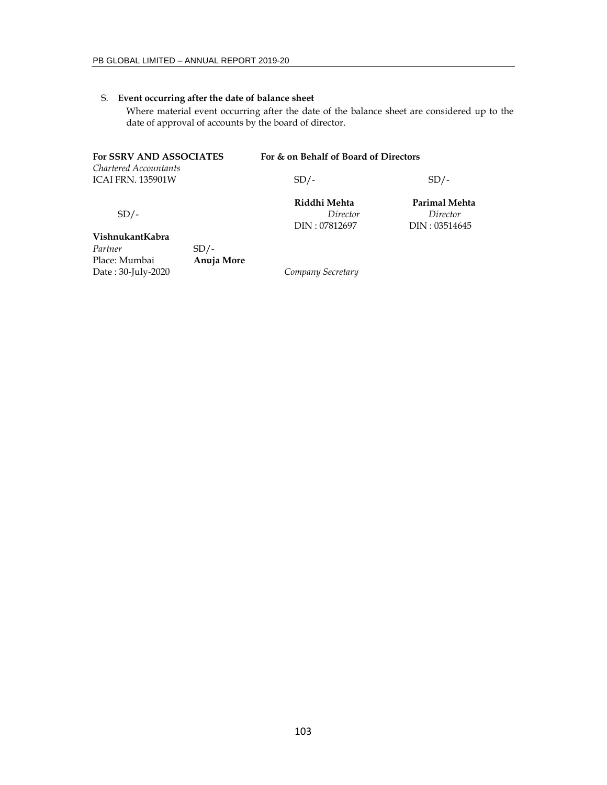# S. **Event occurring after the date of balance sheet**

Where material event occurring after the date of the balance sheet are considered up to the date of approval of accounts by the board of director.

| <b>For SSRV AND ASSOCIATES</b>                    | For & on Behalf of Board of Directors |               |
|---------------------------------------------------|---------------------------------------|---------------|
| Chartered Accountants<br><b>ICAI FRN. 135901W</b> | $SD/-$                                | $SD/-$        |
|                                                   | Riddhi Mehta                          | Parimal Mehta |
| $SD/-$                                            | Director                              | Director      |
|                                                   | DIN: 07812697                         | DIN: 03514645 |

### **VishnukantKabra**

Partner **SD**/-Place: Mumbai **Anuja More** Date : 30-July-2020 *Company Secretary*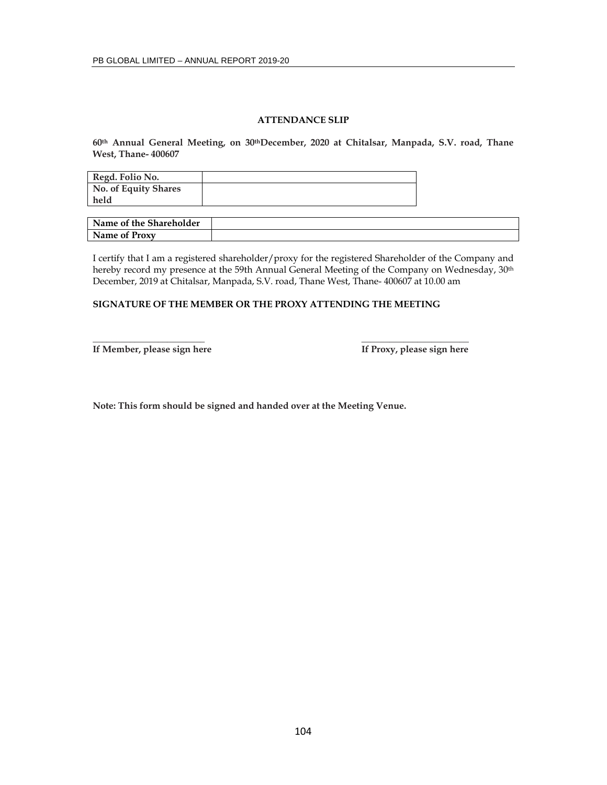# **ATTENDANCE SLIP**

**60th Annual General Meeting, on 30thDecember, 2020 at Chitalsar, Manpada, S.V. road, Thane West, Thane- 400607** 

| Regd. Folio No.      |  |
|----------------------|--|
| No. of Equity Shares |  |
| held                 |  |

| Name of the Shareholder |  |
|-------------------------|--|
| Name of Proxy           |  |

I certify that I am a registered shareholder/proxy for the registered Shareholder of the Company and hereby record my presence at the 59th Annual General Meeting of the Company on Wednesday, 30<sup>th</sup> December, 2019 at Chitalsar, Manpada, S.V. road, Thane West, Thane- 400607 at 10.00 am

### **SIGNATURE OF THE MEMBER OR THE PROXY ATTENDING THE MEETING**

**\_\_\_\_\_\_\_\_\_\_\_\_\_\_\_\_\_\_\_\_\_\_\_\_ \_\_\_\_\_\_\_\_\_\_\_\_\_\_\_\_\_\_\_\_\_\_\_**  If Member, please sign here **If Proxy**, please sign here

**Note: This form should be signed and handed over at the Meeting Venue.**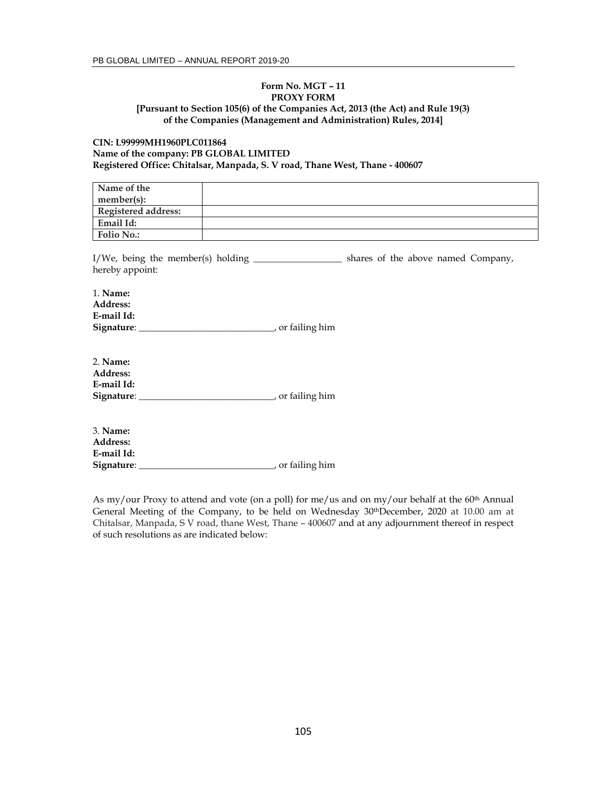### **Form No. MGT – 11 PROXY FORM [Pursuant to Section 105(6) of the Companies Act, 2013 (the Act) and Rule 19(3) of the Companies (Management and Administration) Rules, 2014]**

# **CIN: L99999MH1960PLC011864 Name of the company: PB GLOBAL LIMITED Registered Office: Chitalsar, Manpada, S. V road, Thane West, Thane - 400607**

| Name of the                |  |
|----------------------------|--|
| member(s):                 |  |
| <b>Registered address:</b> |  |
| Email Id:                  |  |
| <b>Folio No.:</b>          |  |

I/We, being the member(s) holding \_\_\_\_\_\_\_\_\_\_\_\_\_\_\_\_\_\_\_\_\_ shares of the above named Company, hereby appoint:

| 1. Name:        |                  |
|-----------------|------------------|
| <b>Address:</b> |                  |
| E-mail Id:      |                  |
| Signature:      | , or failing him |

| 2. Name:        |                  |
|-----------------|------------------|
| <b>Address:</b> |                  |
| E-mail Id:      |                  |
| Signature:      | , or failing him |

| 3. <b>Name:</b> |                  |
|-----------------|------------------|
| <b>Address:</b> |                  |
| E-mail Id:      |                  |
| Signature:      | , or failing him |

As my/our Proxy to attend and vote (on a poll) for me/us and on my/our behalf at the  $60<sup>th</sup>$  Annual General Meeting of the Company, to be held on Wednesday 30thDecember, 2020 at 10.00 am at Chitalsar, Manpada, S V road, thane West, Thane – 400607 and at any adjournment thereof in respect of such resolutions as are indicated below: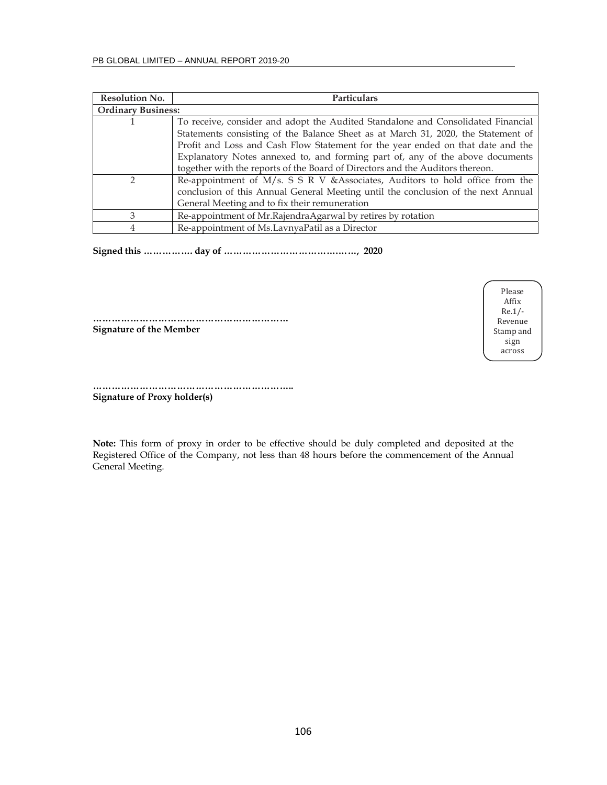| <b>Resolution No.</b>     | <b>Particulars</b>                                                                |
|---------------------------|-----------------------------------------------------------------------------------|
| <b>Ordinary Business:</b> |                                                                                   |
|                           | To receive, consider and adopt the Audited Standalone and Consolidated Financial  |
|                           | Statements consisting of the Balance Sheet as at March 31, 2020, the Statement of |
|                           | Profit and Loss and Cash Flow Statement for the year ended on that date and the   |
|                           | Explanatory Notes annexed to, and forming part of, any of the above documents     |
|                           | together with the reports of the Board of Directors and the Auditors thereon.     |
| $\mathcal{D}$             | Re-appointment of M/s. S S R V & Associates, Auditors to hold office from the     |
|                           | conclusion of this Annual General Meeting until the conclusion of the next Annual |
|                           | General Meeting and to fix their remuneration                                     |
| 3                         | Re-appointment of Mr.RajendraAgarwal by retires by rotation                       |
| 4                         | Re-appointment of Ms.LavnyaPatil as a Director                                    |

**Signed this ……………. day of ……………………………….……, 2020** 

**……………………………………………………… Signature of the Member** 

Please Affix Re.1/‐ Revenue Stamp and sign across

**……………………………………………………….. Signature of Proxy holder(s)** 

**Note:** This form of proxy in order to be effective should be duly completed and deposited at the Registered Office of the Company, not less than 48 hours before the commencement of the Annual General Meeting.